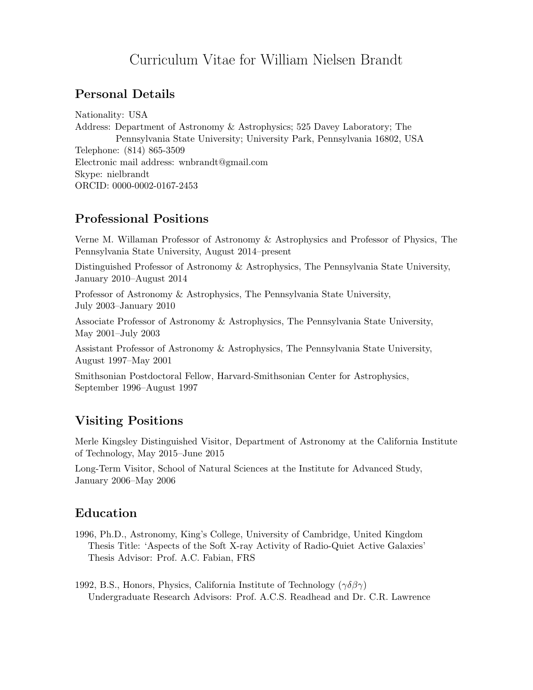# Curriculum Vitae for William Nielsen Brandt

# Personal Details

Nationality: USA Address: Department of Astronomy & Astrophysics; 525 Davey Laboratory; The Pennsylvania State University; University Park, Pennsylvania 16802, USA Telephone: (814) 865-3509 Electronic mail address: wnbrandt@gmail.com Skype: nielbrandt ORCID: 0000-0002-0167-2453

### Professional Positions

Verne M. Willaman Professor of Astronomy & Astrophysics and Professor of Physics, The Pennsylvania State University, August 2014–present

Distinguished Professor of Astronomy & Astrophysics, The Pennsylvania State University, January 2010–August 2014

Professor of Astronomy & Astrophysics, The Pennsylvania State University, July 2003–January 2010

Associate Professor of Astronomy & Astrophysics, The Pennsylvania State University, May 2001–July 2003

Assistant Professor of Astronomy & Astrophysics, The Pennsylvania State University, August 1997–May 2001

Smithsonian Postdoctoral Fellow, Harvard-Smithsonian Center for Astrophysics, September 1996–August 1997

# Visiting Positions

Merle Kingsley Distinguished Visitor, Department of Astronomy at the California Institute of Technology, May 2015–June 2015

Long-Term Visitor, School of Natural Sciences at the Institute for Advanced Study, January 2006–May 2006

## Education

1996, Ph.D., Astronomy, King's College, University of Cambridge, United Kingdom Thesis Title: 'Aspects of the Soft X-ray Activity of Radio-Quiet Active Galaxies' Thesis Advisor: Prof. A.C. Fabian, FRS

1992, B.S., Honors, Physics, California Institute of Technology ( $\gamma \delta \beta \gamma$ ) Undergraduate Research Advisors: Prof. A.C.S. Readhead and Dr. C.R. Lawrence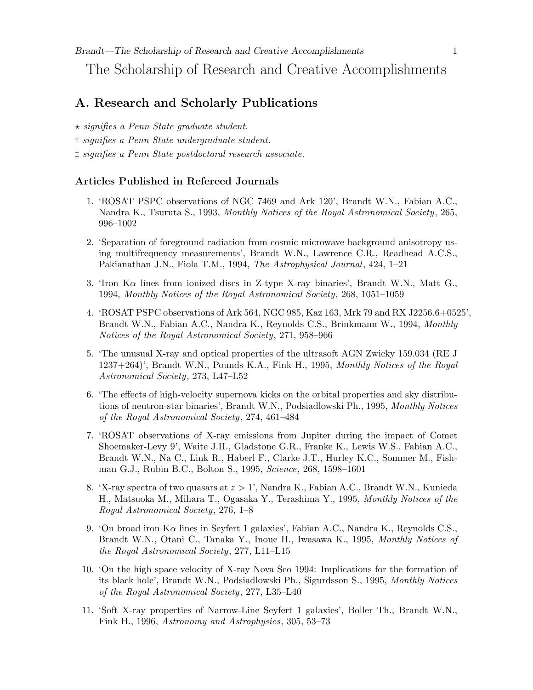The Scholarship of Research and Creative Accomplishments

### A. Research and Scholarly Publications

⋆ *signifies a Penn State graduate student.*

† *signifies a Penn State undergraduate student.*

‡ *signifies a Penn State postdoctoral research associate.*

#### Articles Published in Refereed Journals

- 1. 'ROSAT PSPC observations of NGC 7469 and Ark 120', Brandt W.N., Fabian A.C., Nandra K., Tsuruta S., 1993, *Monthly Notices of the Royal Astronomical Society*, 265, 996–1002
- 2. 'Separation of foreground radiation from cosmic microwave background anisotropy using multifrequency measurements', Brandt W.N., Lawrence C.R., Readhead A.C.S., Pakianathan J.N., Fiola T.M., 1994, *The Astrophysical Journal*, 424, 1–21
- 3. 'Iron  $K\alpha$  lines from ionized discs in Z-type X-ray binaries', Brandt W.N., Matt G., 1994, *Monthly Notices of the Royal Astronomical Society*, 268, 1051–1059
- 4. 'ROSAT PSPC observations of Ark 564, NGC 985, Kaz 163, Mrk 79 and RX J2256.6+0525', Brandt W.N., Fabian A.C., Nandra K., Reynolds C.S., Brinkmann W., 1994, *Monthly Notices of the Royal Astronomical Society*, 271, 958–966
- 5. 'The unusual X-ray and optical properties of the ultrasoft AGN Zwicky 159.034 (RE J 1237+264)', Brandt W.N., Pounds K.A., Fink H., 1995, *Monthly Notices of the Royal Astronomical Society*, 273, L47–L52
- 6. 'The effects of high-velocity supernova kicks on the orbital properties and sky distributions of neutron-star binaries', Brandt W.N., Podsiadlowski Ph., 1995, *Monthly Notices of the Royal Astronomical Society*, 274, 461–484
- 7. 'ROSAT observations of X-ray emissions from Jupiter during the impact of Comet Shoemaker-Levy 9', Waite J.H., Gladstone G.R., Franke K., Lewis W.S., Fabian A.C., Brandt W.N., Na C., Link R., Haberl F., Clarke J.T., Hurley K.C., Sommer M., Fishman G.J., Rubin B.C., Bolton S., 1995, *Science*, 268, 1598–1601
- 8. 'X-ray spectra of two quasars at  $z > 1$ ', Nandra K., Fabian A.C., Brandt W.N., Kunieda H., Matsuoka M., Mihara T., Ogasaka Y., Terashima Y., 1995, *Monthly Notices of the Royal Astronomical Society*, 276, 1–8
- 9. 'On broad iron  $K\alpha$  lines in Seyfert 1 galaxies', Fabian A.C., Nandra K., Reynolds C.S., Brandt W.N., Otani C., Tanaka Y., Inoue H., Iwasawa K., 1995, *Monthly Notices of the Royal Astronomical Society*, 277, L11–L15
- 10. 'On the high space velocity of X-ray Nova Sco 1994: Implications for the formation of its black hole', Brandt W.N., Podsiadlowski Ph., Sigurdsson S., 1995, *Monthly Notices of the Royal Astronomical Society*, 277, L35–L40
- 11. 'Soft X-ray properties of Narrow-Line Seyfert 1 galaxies', Boller Th., Brandt W.N., Fink H., 1996, *Astronomy and Astrophysics*, 305, 53–73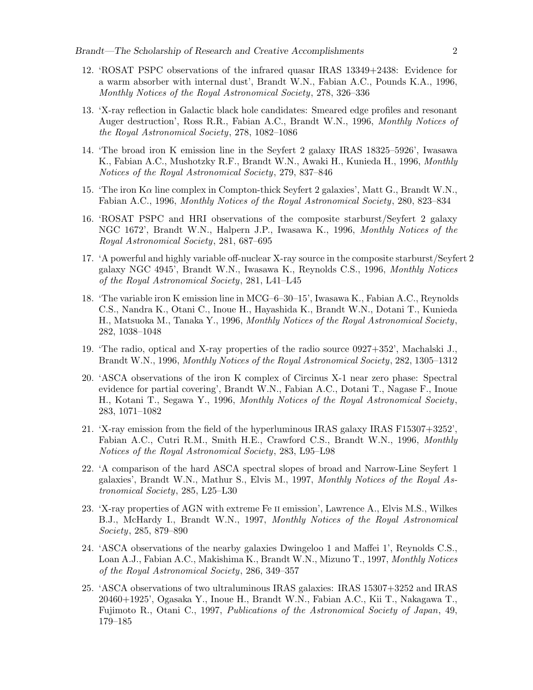- 12. 'ROSAT PSPC observations of the infrared quasar IRAS 13349+2438: Evidence for a warm absorber with internal dust', Brandt W.N., Fabian A.C., Pounds K.A., 1996, *Monthly Notices of the Royal Astronomical Society*, 278, 326–336
- 13. 'X-ray reflection in Galactic black hole candidates: Smeared edge profiles and resonant Auger destruction', Ross R.R., Fabian A.C., Brandt W.N., 1996, *Monthly Notices of the Royal Astronomical Society*, 278, 1082–1086
- 14. 'The broad iron K emission line in the Seyfert 2 galaxy IRAS 18325–5926', Iwasawa K., Fabian A.C., Mushotzky R.F., Brandt W.N., Awaki H., Kunieda H., 1996, *Monthly Notices of the Royal Astronomical Society*, 279, 837–846
- 15. 'The iron  $K\alpha$  line complex in Compton-thick Seyfert 2 galaxies', Matt G., Brandt W.N., Fabian A.C., 1996, *Monthly Notices of the Royal Astronomical Society*, 280, 823–834
- 16. 'ROSAT PSPC and HRI observations of the composite starburst/Seyfert 2 galaxy NGC 1672', Brandt W.N., Halpern J.P., Iwasawa K., 1996, *Monthly Notices of the Royal Astronomical Society*, 281, 687–695
- 17. 'A powerful and highly variable off-nuclear X-ray source in the composite starburst/Seyfert 2 galaxy NGC 4945', Brandt W.N., Iwasawa K., Reynolds C.S., 1996, *Monthly Notices of the Royal Astronomical Society*, 281, L41–L45
- 18. 'The variable iron K emission line in MCG–6–30–15', Iwasawa K., Fabian A.C., Reynolds C.S., Nandra K., Otani C., Inoue H., Hayashida K., Brandt W.N., Dotani T., Kunieda H., Matsuoka M., Tanaka Y., 1996, *Monthly Notices of the Royal Astronomical Society*, 282, 1038–1048
- 19. 'The radio, optical and X-ray properties of the radio source 0927+352', Machalski J., Brandt W.N., 1996, *Monthly Notices of the Royal Astronomical Society*, 282, 1305–1312
- 20. 'ASCA observations of the iron K complex of Circinus X-1 near zero phase: Spectral evidence for partial covering', Brandt W.N., Fabian A.C., Dotani T., Nagase F., Inoue H., Kotani T., Segawa Y., 1996, *Monthly Notices of the Royal Astronomical Society*, 283, 1071–1082
- 21. 'X-ray emission from the field of the hyperluminous IRAS galaxy IRAS F15307+3252', Fabian A.C., Cutri R.M., Smith H.E., Crawford C.S., Brandt W.N., 1996, *Monthly Notices of the Royal Astronomical Society*, 283, L95–L98
- 22. 'A comparison of the hard ASCA spectral slopes of broad and Narrow-Line Seyfert 1 galaxies', Brandt W.N., Mathur S., Elvis M., 1997, *Monthly Notices of the Royal Astronomical Society*, 285, L25–L30
- 23. 'X-ray properties of AGN with extreme Fe ii emission', Lawrence A., Elvis M.S., Wilkes B.J., McHardy I., Brandt W.N., 1997, *Monthly Notices of the Royal Astronomical Society*, 285, 879–890
- 24. 'ASCA observations of the nearby galaxies Dwingeloo 1 and Maffei 1', Reynolds C.S., Loan A.J., Fabian A.C., Makishima K., Brandt W.N., Mizuno T., 1997, *Monthly Notices of the Royal Astronomical Society*, 286, 349–357
- 25. 'ASCA observations of two ultraluminous IRAS galaxies: IRAS 15307+3252 and IRAS 20460+1925', Ogasaka Y., Inoue H., Brandt W.N., Fabian A.C., Kii T., Nakagawa T., Fujimoto R., Otani C., 1997, *Publications of the Astronomical Society of Japan*, 49, 179–185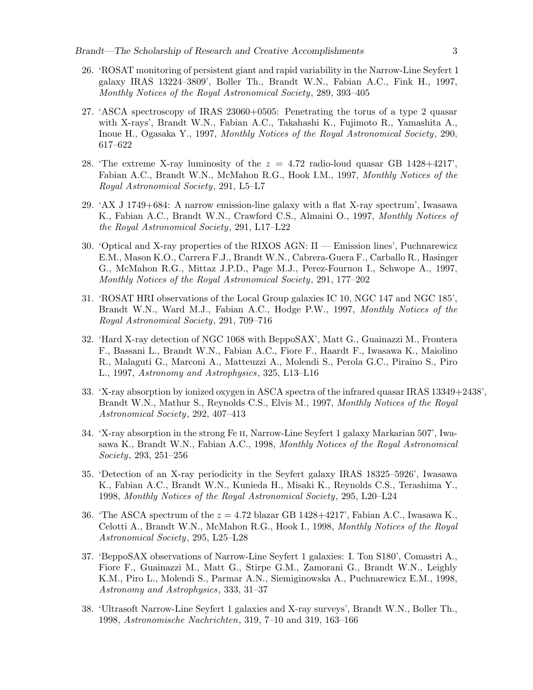- 26. 'ROSAT monitoring of persistent giant and rapid variability in the Narrow-Line Seyfert 1 galaxy IRAS 13224–3809', Boller Th., Brandt W.N., Fabian A.C., Fink H., 1997, *Monthly Notices of the Royal Astronomical Society*, 289, 393–405
- 27. 'ASCA spectroscopy of IRAS 23060+0505: Penetrating the torus of a type 2 quasar with X-rays', Brandt W.N., Fabian A.C., Takahashi K., Fujimoto R., Yamashita A., Inoue H., Ogasaka Y., 1997, *Monthly Notices of the Royal Astronomical Society*, 290, 617–622
- 28. 'The extreme X-ray luminosity of the  $z = 4.72$  radio-loud quasar GB 1428+4217', Fabian A.C., Brandt W.N., McMahon R.G., Hook I.M., 1997, *Monthly Notices of the Royal Astronomical Society*, 291, L5–L7
- 29. 'AX J 1749+684: A narrow emission-line galaxy with a flat X-ray spectrum', Iwasawa K., Fabian A.C., Brandt W.N., Crawford C.S., Almaini O., 1997, *Monthly Notices of the Royal Astronomical Society*, 291, L17–L22
- 30. 'Optical and X-ray properties of the RIXOS AGN: II Emission lines', Puchnarewicz E.M., Mason K.O., Carrera F.J., Brandt W.N., Cabrera-Guera F., Carballo R., Hasinger G., McMahon R.G., Mittaz J.P.D., Page M.J., Perez-Fournon I., Schwope A., 1997, *Monthly Notices of the Royal Astronomical Society*, 291, 177–202
- 31. 'ROSAT HRI observations of the Local Group galaxies IC 10, NGC 147 and NGC 185', Brandt W.N., Ward M.J., Fabian A.C., Hodge P.W., 1997, *Monthly Notices of the Royal Astronomical Society*, 291, 709–716
- 32. 'Hard X-ray detection of NGC 1068 with BeppoSAX', Matt G., Guainazzi M., Frontera F., Bassani L., Brandt W.N., Fabian A.C., Fiore F., Haardt F., Iwasawa K., Maiolino R., Malaguti G., Marconi A., Matteuzzi A., Molendi S., Perola G.C., Piraino S., Piro L., 1997, *Astronomy and Astrophysics*, 325, L13–L16
- 33. 'X-ray absorption by ionized oxygen in ASCA spectra of the infrared quasar IRAS 13349+2438', Brandt W.N., Mathur S., Reynolds C.S., Elvis M., 1997, *Monthly Notices of the Royal Astronomical Society*, 292, 407–413
- 34. 'X-ray absorption in the strong Fe ii, Narrow-Line Seyfert 1 galaxy Markarian 507', Iwasawa K., Brandt W.N., Fabian A.C., 1998, *Monthly Notices of the Royal Astronomical Society*, 293, 251–256
- 35. 'Detection of an X-ray periodicity in the Seyfert galaxy IRAS 18325–5926', Iwasawa K., Fabian A.C., Brandt W.N., Kunieda H., Misaki K., Reynolds C.S., Terashima Y., 1998, *Monthly Notices of the Royal Astronomical Society*, 295, L20–L24
- 36. 'The ASCA spectrum of the  $z = 4.72$  blazar GB 1428+4217', Fabian A.C., Iwasawa K., Celotti A., Brandt W.N., McMahon R.G., Hook I., 1998, *Monthly Notices of the Royal Astronomical Society*, 295, L25–L28
- 37. 'BeppoSAX observations of Narrow-Line Seyfert 1 galaxies: I. Ton S180', Comastri A., Fiore F., Guainazzi M., Matt G., Stirpe G.M., Zamorani G., Brandt W.N., Leighly K.M., Piro L., Molendi S., Parmar A.N., Siemiginowska A., Puchnarewicz E.M., 1998, *Astronomy and Astrophysics*, 333, 31–37
- 38. 'Ultrasoft Narrow-Line Seyfert 1 galaxies and X-ray surveys', Brandt W.N., Boller Th., 1998, *Astronomische Nachrichten*, 319, 7–10 and 319, 163–166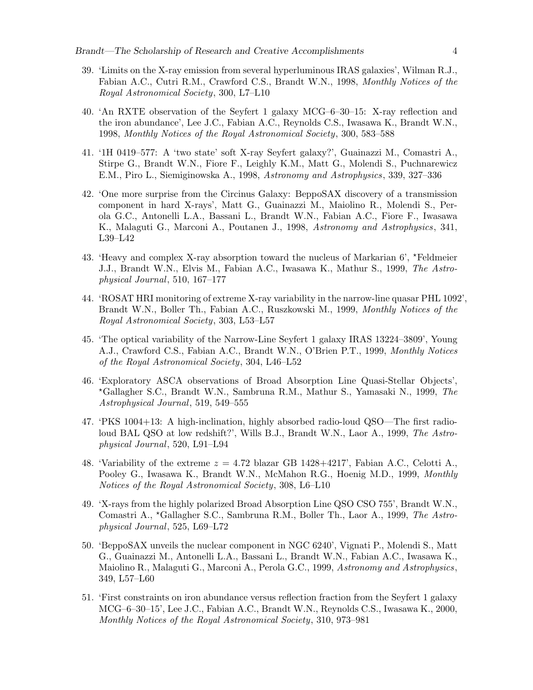- 39. 'Limits on the X-ray emission from several hyperluminous IRAS galaxies', Wilman R.J., Fabian A.C., Cutri R.M., Crawford C.S., Brandt W.N., 1998, *Monthly Notices of the Royal Astronomical Society*, 300, L7–L10
- 40. 'An RXTE observation of the Seyfert 1 galaxy MCG–6–30–15: X-ray reflection and the iron abundance', Lee J.C., Fabian A.C., Reynolds C.S., Iwasawa K., Brandt W.N., 1998, *Monthly Notices of the Royal Astronomical Society*, 300, 583–588
- 41. '1H 0419–577: A 'two state' soft X-ray Seyfert galaxy?', Guainazzi M., Comastri A., Stirpe G., Brandt W.N., Fiore F., Leighly K.M., Matt G., Molendi S., Puchnarewicz E.M., Piro L., Siemiginowska A., 1998, *Astronomy and Astrophysics*, 339, 327–336
- 42. 'One more surprise from the Circinus Galaxy: BeppoSAX discovery of a transmission component in hard X-rays', Matt G., Guainazzi M., Maiolino R., Molendi S., Perola G.C., Antonelli L.A., Bassani L., Brandt W.N., Fabian A.C., Fiore F., Iwasawa K., Malaguti G., Marconi A., Poutanen J., 1998, *Astronomy and Astrophysics*, 341, L39–L42
- 43. 'Heavy and complex X-ray absorption toward the nucleus of Markarian  $6'$ ,  $*$ Feldmeier J.J., Brandt W.N., Elvis M., Fabian A.C., Iwasawa K., Mathur S., 1999, *The Astrophysical Journal*, 510, 167–177
- 44. 'ROSAT HRI monitoring of extreme X-ray variability in the narrow-line quasar PHL 1092', Brandt W.N., Boller Th., Fabian A.C., Ruszkowski M., 1999, *Monthly Notices of the Royal Astronomical Society*, 303, L53–L57
- 45. 'The optical variability of the Narrow-Line Seyfert 1 galaxy IRAS 13224–3809', Young A.J., Crawford C.S., Fabian A.C., Brandt W.N., O'Brien P.T., 1999, *Monthly Notices of the Royal Astronomical Society*, 304, L46–L52
- 46. 'Exploratory ASCA observations of Broad Absorption Line Quasi-Stellar Objects', <sup>⋆</sup>Gallagher S.C., Brandt W.N., Sambruna R.M., Mathur S., Yamasaki N., 1999, *The Astrophysical Journal*, 519, 549–555
- 47. 'PKS 1004+13: A high-inclination, highly absorbed radio-loud QSO—The first radioloud BAL QSO at low redshift?', Wills B.J., Brandt W.N., Laor A., 1999, *The Astrophysical Journal*, 520, L91–L94
- 48. 'Variability of the extreme  $z = 4.72$  blazar GB 1428+4217', Fabian A.C., Celotti A., Pooley G., Iwasawa K., Brandt W.N., McMahon R.G., Hoenig M.D., 1999, *Monthly Notices of the Royal Astronomical Society*, 308, L6–L10
- 49. 'X-rays from the highly polarized Broad Absorption Line QSO CSO 755', Brandt W.N., Comastri A., <sup>\*</sup>Gallagher S.C., Sambruna R.M., Boller Th., Laor A., 1999, *The Astrophysical Journal*, 525, L69–L72
- 50. 'BeppoSAX unveils the nuclear component in NGC 6240', Vignati P., Molendi S., Matt G., Guainazzi M., Antonelli L.A., Bassani L., Brandt W.N., Fabian A.C., Iwasawa K., Maiolino R., Malaguti G., Marconi A., Perola G.C., 1999, *Astronomy and Astrophysics*, 349, L57–L60
- 51. 'First constraints on iron abundance versus reflection fraction from the Seyfert 1 galaxy MCG–6–30–15', Lee J.C., Fabian A.C., Brandt W.N., Reynolds C.S., Iwasawa K., 2000, *Monthly Notices of the Royal Astronomical Society*, 310, 973–981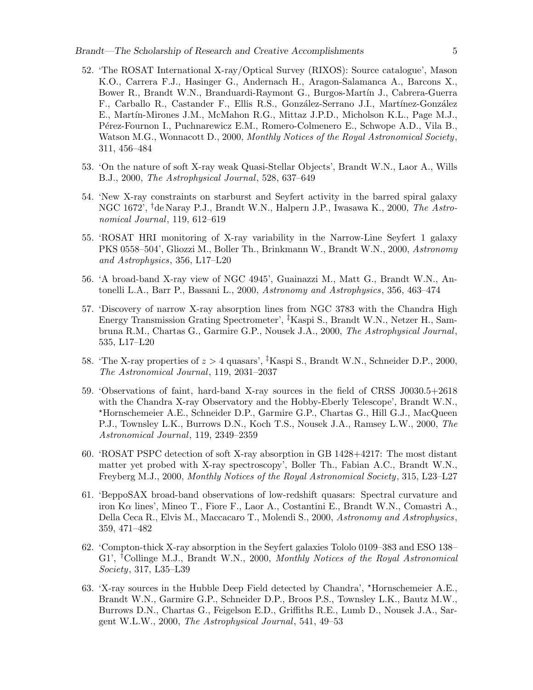- 52. 'The ROSAT International X-ray/Optical Survey (RIXOS): Source catalogue', Mason K.O., Carrera F.J., Hasinger G., Andernach H., Aragon-Salamanca A., Barcons X., Bower R., Brandt W.N., Branduardi-Raymont G., Burgos-Martín J., Cabrera-Guerra F., Carballo R., Castander F., Ellis R.S., González-Serrano J.I., Martínez-González E., Martín-Mirones J.M., McMahon R.G., Mittaz J.P.D., Micholson K.L., Page M.J., Pérez-Fournon I., Puchnarewicz E.M., Romero-Colmenero E., Schwope A.D., Vila B., Watson M.G., Wonnacott D., 2000, *Monthly Notices of the Royal Astronomical Society*, 311, 456–484
- 53. 'On the nature of soft X-ray weak Quasi-Stellar Objects', Brandt W.N., Laor A., Wills B.J., 2000, *The Astrophysical Journal*, 528, 637–649
- 54. 'New X-ray constraints on starburst and Seyfert activity in the barred spiral galaxy NGC 1672', †de Naray P.J., Brandt W.N., Halpern J.P., Iwasawa K., 2000, *The Astronomical Journal*, 119, 612–619
- 55. 'ROSAT HRI monitoring of X-ray variability in the Narrow-Line Seyfert 1 galaxy PKS 0558–504', Gliozzi M., Boller Th., Brinkmann W., Brandt W.N., 2000, *Astronomy and Astrophysics*, 356, L17–L20
- 56. 'A broad-band X-ray view of NGC 4945', Guainazzi M., Matt G., Brandt W.N., Antonelli L.A., Barr P., Bassani L., 2000, *Astronomy and Astrophysics*, 356, 463–474
- 57. 'Discovery of narrow X-ray absorption lines from NGC 3783 with the Chandra High Energy Transmission Grating Spectrometer', ‡Kaspi S., Brandt W.N., Netzer H., Sambruna R.M., Chartas G., Garmire G.P., Nousek J.A., 2000, *The Astrophysical Journal*, 535, L17–L20
- 58. 'The X-ray properties of  $z > 4$  quasars', <sup>‡</sup>Kaspi S., Brandt W.N., Schneider D.P., 2000, *The Astronomical Journal*, 119, 2031–2037
- 59. 'Observations of faint, hard-band X-ray sources in the field of CRSS J0030.5+2618 with the Chandra X-ray Observatory and the Hobby-Eberly Telescope', Brandt W.N., <sup>⋆</sup>Hornschemeier A.E., Schneider D.P., Garmire G.P., Chartas G., Hill G.J., MacQueen P.J., Townsley L.K., Burrows D.N., Koch T.S., Nousek J.A., Ramsey L.W., 2000, *The Astronomical Journal*, 119, 2349–2359
- 60. 'ROSAT PSPC detection of soft X-ray absorption in GB 1428+4217: The most distant matter yet probed with X-ray spectroscopy', Boller Th., Fabian A.C., Brandt W.N., Freyberg M.J., 2000, *Monthly Notices of the Royal Astronomical Society*, 315, L23–L27
- 61. 'BeppoSAX broad-band observations of low-redshift quasars: Spectral curvature and iron Kα lines', Mineo T., Fiore F., Laor A., Costantini E., Brandt W.N., Comastri A., Della Ceca R., Elvis M., Maccacaro T., Molendi S., 2000, *Astronomy and Astrophysics*, 359, 471–482
- 62. 'Compton-thick X-ray absorption in the Seyfert galaxies Tololo 0109–383 and ESO 138– G1', †Collinge M.J., Brandt W.N., 2000, *Monthly Notices of the Royal Astronomical Society*, 317, L35–L39
- 63. 'X-ray sources in the Hubble Deep Field detected by Chandra',  $*$ Hornschemeier  $A.E.,$ Brandt W.N., Garmire G.P., Schneider D.P., Broos P.S., Townsley L.K., Bautz M.W., Burrows D.N., Chartas G., Feigelson E.D., Griffiths R.E., Lumb D., Nousek J.A., Sargent W.L.W., 2000, *The Astrophysical Journal*, 541, 49–53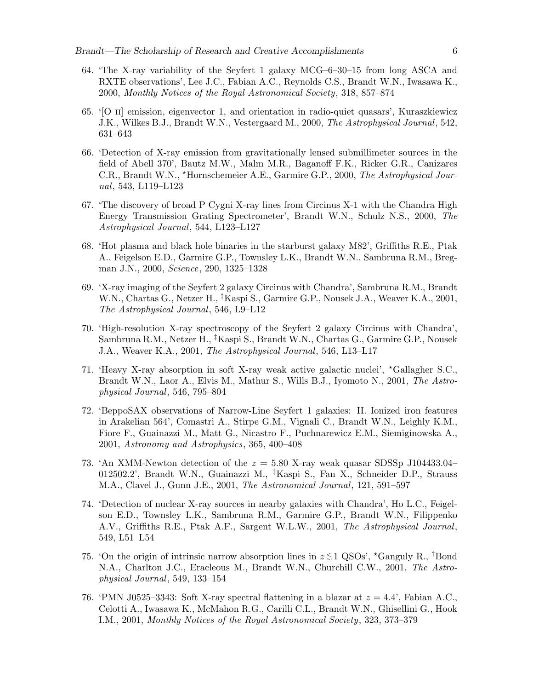- 64. 'The X-ray variability of the Seyfert 1 galaxy MCG–6–30–15 from long ASCA and RXTE observations', Lee J.C., Fabian A.C., Reynolds C.S., Brandt W.N., Iwasawa K., 2000, *Monthly Notices of the Royal Astronomical Society*, 318, 857–874
- 65. '[O ii] emission, eigenvector 1, and orientation in radio-quiet quasars', Kuraszkiewicz J.K., Wilkes B.J., Brandt W.N., Vestergaard M., 2000, *The Astrophysical Journal*, 542, 631–643
- 66. 'Detection of X-ray emission from gravitationally lensed submillimeter sources in the field of Abell 370', Bautz M.W., Malm M.R., Baganoff F.K., Ricker G.R., Canizares C.R., Brandt W.N., <sup>⋆</sup>Hornschemeier A.E., Garmire G.P., 2000, *The Astrophysical Journal*, 543, L119–L123
- 67. 'The discovery of broad P Cygni X-ray lines from Circinus X-1 with the Chandra High Energy Transmission Grating Spectrometer', Brandt W.N., Schulz N.S., 2000, *The Astrophysical Journal*, 544, L123–L127
- 68. 'Hot plasma and black hole binaries in the starburst galaxy M82', Griffiths R.E., Ptak A., Feigelson E.D., Garmire G.P., Townsley L.K., Brandt W.N., Sambruna R.M., Bregman J.N., 2000, *Science*, 290, 1325–1328
- 69. 'X-ray imaging of the Seyfert 2 galaxy Circinus with Chandra', Sambruna R.M., Brandt W.N., Chartas G., Netzer H., ‡Kaspi S., Garmire G.P., Nousek J.A., Weaver K.A., 2001, *The Astrophysical Journal*, 546, L9–L12
- 70. 'High-resolution X-ray spectroscopy of the Seyfert 2 galaxy Circinus with Chandra', Sambruna R.M., Netzer H., ‡Kaspi S., Brandt W.N., Chartas G., Garmire G.P., Nousek J.A., Weaver K.A., 2001, *The Astrophysical Journal*, 546, L13–L17
- 71. 'Heavy X-ray absorption in soft X-ray weak active galactic nuclei', <sup>⋆</sup>Gallagher S.C., Brandt W.N., Laor A., Elvis M., Mathur S., Wills B.J., Iyomoto N., 2001, *The Astrophysical Journal*, 546, 795–804
- 72. 'BeppoSAX observations of Narrow-Line Seyfert 1 galaxies: II. Ionized iron features in Arakelian 564', Comastri A., Stirpe G.M., Vignali C., Brandt W.N., Leighly K.M., Fiore F., Guainazzi M., Matt G., Nicastro F., Puchnarewicz E.M., Siemiginowska A., 2001, *Astronomy and Astrophysics*, 365, 400–408
- 73. 'An XMM-Newton detection of the  $z = 5.80$  X-ray weak quasar SDSSp J104433.04– 012502.2', Brandt W.N., Guainazzi M., ‡Kaspi S., Fan X., Schneider D.P., Strauss M.A., Clavel J., Gunn J.E., 2001, *The Astronomical Journal*, 121, 591–597
- 74. 'Detection of nuclear X-ray sources in nearby galaxies with Chandra', Ho L.C., Feigelson E.D., Townsley L.K., Sambruna R.M., Garmire G.P., Brandt W.N., Filippenko A.V., Griffiths R.E., Ptak A.F., Sargent W.L.W., 2001, *The Astrophysical Journal*, 549, L51–L54
- 75. 'On the origin of intrinsic narrow absorption lines in  $z \lesssim 1$  QSOs',  $\star$ Ganguly R.,  $\dagger$ Bond N.A., Charlton J.C., Eracleous M., Brandt W.N., Churchill C.W., 2001, *The Astrophysical Journal*, 549, 133–154
- 76. 'PMN J0525-3343: Soft X-ray spectral flattening in a blazar at  $z = 4.4$ ', Fabian A.C., Celotti A., Iwasawa K., McMahon R.G., Carilli C.L., Brandt W.N., Ghisellini G., Hook I.M., 2001, *Monthly Notices of the Royal Astronomical Society*, 323, 373–379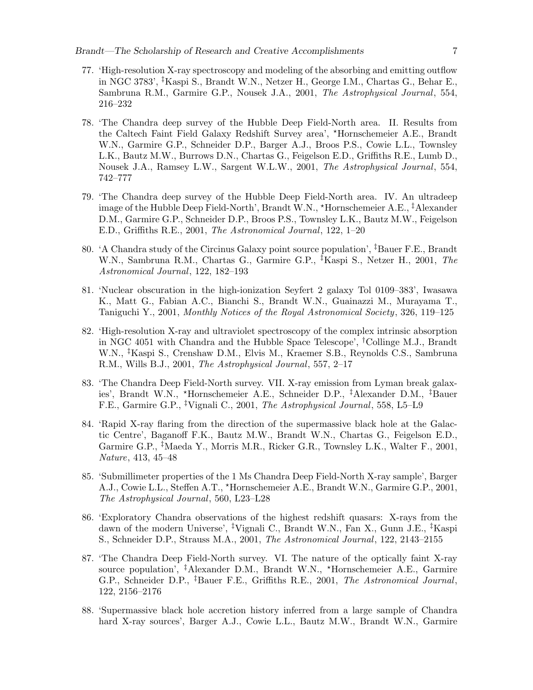- 77. 'High-resolution X-ray spectroscopy and modeling of the absorbing and emitting outflow in NGC 3783', ‡Kaspi S., Brandt W.N., Netzer H., George I.M., Chartas G., Behar E., Sambruna R.M., Garmire G.P., Nousek J.A., 2001, *The Astrophysical Journal*, 554, 216–232
- 78. 'The Chandra deep survey of the Hubble Deep Field-North area. II. Results from the Caltech Faint Field Galaxy Redshift Survey area', \*Hornschemeier A.E., Brandt W.N., Garmire G.P., Schneider D.P., Barger A.J., Broos P.S., Cowie L.L., Townsley L.K., Bautz M.W., Burrows D.N., Chartas G., Feigelson E.D., Griffiths R.E., Lumb D., Nousek J.A., Ramsey L.W., Sargent W.L.W., 2001, *The Astrophysical Journal*, 554, 742–777
- 79. 'The Chandra deep survey of the Hubble Deep Field-North area. IV. An ultradeep image of the Hubble Deep Field-North', Brandt W.N., \*Hornschemeier A.E., <sup>‡</sup>Alexander D.M., Garmire G.P., Schneider D.P., Broos P.S., Townsley L.K., Bautz M.W., Feigelson E.D., Griffiths R.E., 2001, *The Astronomical Journal*, 122, 1–20
- 80. 'A Chandra study of the Circinus Galaxy point source population', ‡Bauer F.E., Brandt W.N., Sambruna R.M., Chartas G., Garmire G.P., ‡Kaspi S., Netzer H., 2001, *The Astronomical Journal*, 122, 182–193
- 81. 'Nuclear obscuration in the high-ionization Seyfert 2 galaxy Tol 0109–383', Iwasawa K., Matt G., Fabian A.C., Bianchi S., Brandt W.N., Guainazzi M., Murayama T., Taniguchi Y., 2001, *Monthly Notices of the Royal Astronomical Society*, 326, 119–125
- 82. 'High-resolution X-ray and ultraviolet spectroscopy of the complex intrinsic absorption in NGC 4051 with Chandra and the Hubble Space Telescope', †Collinge M.J., Brandt W.N., ‡Kaspi S., Crenshaw D.M., Elvis M., Kraemer S.B., Reynolds C.S., Sambruna R.M., Wills B.J., 2001, *The Astrophysical Journal*, 557, 2–17
- 83. 'The Chandra Deep Field-North survey. VII. X-ray emission from Lyman break galaxies', Brandt W.N., <sup>⋆</sup>Hornschemeier A.E., Schneider D.P., ‡Alexander D.M., ‡Bauer F.E., Garmire G.P., ‡Vignali C., 2001, *The Astrophysical Journal*, 558, L5–L9
- 84. 'Rapid X-ray flaring from the direction of the supermassive black hole at the Galactic Centre', Baganoff F.K., Bautz M.W., Brandt W.N., Chartas G., Feigelson E.D., Garmire G.P., ‡Maeda Y., Morris M.R., Ricker G.R., Townsley L.K., Walter F., 2001, *Nature*, 413, 45–48
- 85. 'Submillimeter properties of the 1 Ms Chandra Deep Field-North X-ray sample', Barger A.J., Cowie L.L., Steffen A.T., \*Hornschemeier A.E., Brandt W.N., Garmire G.P., 2001, *The Astrophysical Journal*, 560, L23–L28
- 86. 'Exploratory Chandra observations of the highest redshift quasars: X-rays from the dawn of the modern Universe',  $^{\ddagger}$ Vignali C., Brandt W.N., Fan X., Gunn J.E.,  $^{\ddagger}$ Kaspi S., Schneider D.P., Strauss M.A., 2001, *The Astronomical Journal*, 122, 2143–2155
- 87. 'The Chandra Deep Field-North survey. VI. The nature of the optically faint X-ray source population',  ${}^{\ddagger}$ Alexander D.M., Brandt W.N.,  $*$ Hornschemeier A.E., Garmire G.P., Schneider D.P., ‡Bauer F.E., Griffiths R.E., 2001, *The Astronomical Journal*, 122, 2156–2176
- 88. 'Supermassive black hole accretion history inferred from a large sample of Chandra hard X-ray sources', Barger A.J., Cowie L.L., Bautz M.W., Brandt W.N., Garmire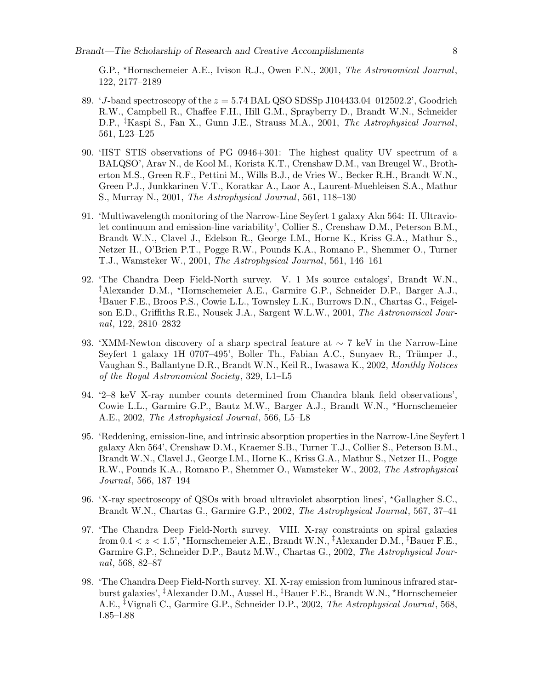G.P., <sup>⋆</sup>Hornschemeier A.E., Ivison R.J., Owen F.N., 2001, *The Astronomical Journal*, 122, 2177–2189

- 89. 'J-band spectroscopy of the  $z = 5.74$  BAL QSO SDSSp J104433.04–012502.2', Goodrich R.W., Campbell R., Chaffee F.H., Hill G.M., Sprayberry D., Brandt W.N., Schneider D.P., ‡Kaspi S., Fan X., Gunn J.E., Strauss M.A., 2001, *The Astrophysical Journal*, 561, L23–L25
- 90. 'HST STIS observations of PG 0946+301: The highest quality UV spectrum of a BALQSO', Arav N., de Kool M., Korista K.T., Crenshaw D.M., van Breugel W., Brotherton M.S., Green R.F., Pettini M., Wills B.J., de Vries W., Becker R.H., Brandt W.N., Green P.J., Junkkarinen V.T., Koratkar A., Laor A., Laurent-Muehleisen S.A., Mathur S., Murray N., 2001, *The Astrophysical Journal*, 561, 118–130
- 91. 'Multiwavelength monitoring of the Narrow-Line Seyfert 1 galaxy Akn 564: II. Ultraviolet continuum and emission-line variability', Collier S., Crenshaw D.M., Peterson B.M., Brandt W.N., Clavel J., Edelson R., George I.M., Horne K., Kriss G.A., Mathur S., Netzer H., O'Brien P.T., Pogge R.W., Pounds K.A., Romano P., Shemmer O., Turner T.J., Wamsteker W., 2001, *The Astrophysical Journal*, 561, 146–161
- 92. 'The Chandra Deep Field-North survey. V. 1 Ms source catalogs', Brandt W.N., <sup>‡</sup>Alexander D.M., \*Hornschemeier A.E., Garmire G.P., Schneider D.P., Barger A.J., ‡Bauer F.E., Broos P.S., Cowie L.L., Townsley L.K., Burrows D.N., Chartas G., Feigelson E.D., Griffiths R.E., Nousek J.A., Sargent W.L.W., 2001, *The Astronomical Journal*, 122, 2810–2832
- 93. 'XMM-Newton discovery of a sharp spectral feature at ∼ 7 keV in the Narrow-Line Seyfert 1 galaxy 1H 0707–495', Boller Th., Fabian A.C., Sunyaev R., Trümper J., Vaughan S., Ballantyne D.R., Brandt W.N., Keil R., Iwasawa K., 2002, *Monthly Notices of the Royal Astronomical Society*, 329, L1–L5
- 94. '2–8 keV X-ray number counts determined from Chandra blank field observations', Cowie L.L., Garmire G.P., Bautz M.W., Barger A.J., Brandt W.N., <sup>⋆</sup>Hornschemeier A.E., 2002, *The Astrophysical Journal*, 566, L5–L8
- 95. 'Reddening, emission-line, and intrinsic absorption properties in the Narrow-Line Seyfert 1 galaxy Akn 564', Crenshaw D.M., Kraemer S.B., Turner T.J., Collier S., Peterson B.M., Brandt W.N., Clavel J., George I.M., Horne K., Kriss G.A., Mathur S., Netzer H., Pogge R.W., Pounds K.A., Romano P., Shemmer O., Wamsteker W., 2002, *The Astrophysical Journal*, 566, 187–194
- 96. 'X-ray spectroscopy of QSOs with broad ultraviolet absorption lines',  $*$ Gallagher S.C., Brandt W.N., Chartas G., Garmire G.P., 2002, *The Astrophysical Journal*, 567, 37–41
- 97. 'The Chandra Deep Field-North survey. VIII. X-ray constraints on spiral galaxies from  $0.4 < z < 1.5$ ', \*Hornschemeier A.E., Brandt W.N.,  $\frac{1}{4}$ Alexander D.M.,  $\frac{1}{4}$ Bauer F.E., Garmire G.P., Schneider D.P., Bautz M.W., Chartas G., 2002, *The Astrophysical Journal*, 568, 82–87
- 98. 'The Chandra Deep Field-North survey. XI. X-ray emission from luminous infrared starburst galaxies', ‡Alexander D.M., Aussel H., ‡Bauer F.E., Brandt W.N., <sup>⋆</sup>Hornschemeier A.E., ‡Vignali C., Garmire G.P., Schneider D.P., 2002, *The Astrophysical Journal*, 568, L85–L88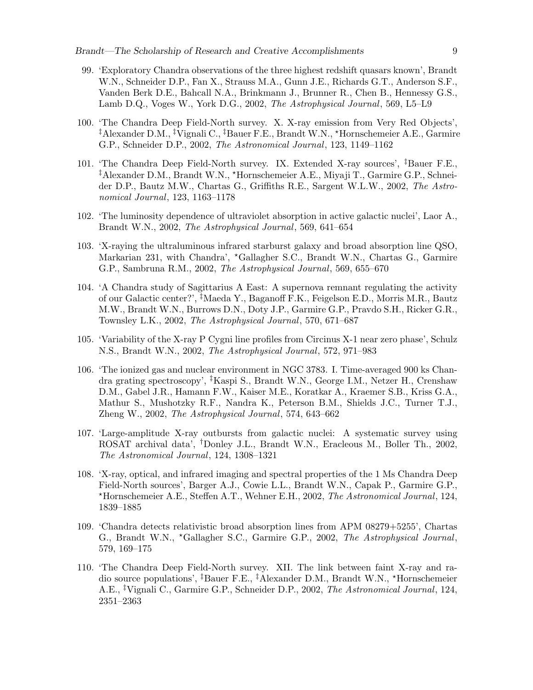- 99. 'Exploratory Chandra observations of the three highest redshift quasars known', Brandt W.N., Schneider D.P., Fan X., Strauss M.A., Gunn J.E., Richards G.T., Anderson S.F., Vanden Berk D.E., Bahcall N.A., Brinkmann J., Brunner R., Chen B., Hennessy G.S., Lamb D.Q., Voges W., York D.G., 2002, *The Astrophysical Journal*, 569, L5–L9
- 100. 'The Chandra Deep Field-North survey. X. X-ray emission from Very Red Objects', ‡Alexander D.M., ‡Vignali C., ‡Bauer F.E., Brandt W.N., <sup>⋆</sup>Hornschemeier A.E., Garmire G.P., Schneider D.P., 2002, *The Astronomical Journal*, 123, 1149–1162
- 101. 'The Chandra Deep Field-North survey. IX. Extended X-ray sources', ‡Bauer F.E., ‡Alexander D.M., Brandt W.N., <sup>⋆</sup>Hornschemeier A.E., Miyaji T., Garmire G.P., Schneider D.P., Bautz M.W., Chartas G., Griffiths R.E., Sargent W.L.W., 2002, *The Astronomical Journal*, 123, 1163–1178
- 102. 'The luminosity dependence of ultraviolet absorption in active galactic nuclei', Laor A., Brandt W.N., 2002, *The Astrophysical Journal*, 569, 641–654
- 103. 'X-raying the ultraluminous infrared starburst galaxy and broad absorption line QSO, Markarian 231, with Chandra', \*Gallagher S.C., Brandt W.N., Chartas G., Garmire G.P., Sambruna R.M., 2002, *The Astrophysical Journal*, 569, 655–670
- 104. 'A Chandra study of Sagittarius A East: A supernova remnant regulating the activity of our Galactic center?', ‡Maeda Y., Baganoff F.K., Feigelson E.D., Morris M.R., Bautz M.W., Brandt W.N., Burrows D.N., Doty J.P., Garmire G.P., Pravdo S.H., Ricker G.R., Townsley L.K., 2002, *The Astrophysical Journal*, 570, 671–687
- 105. 'Variability of the X-ray P Cygni line profiles from Circinus X-1 near zero phase', Schulz N.S., Brandt W.N., 2002, *The Astrophysical Journal*, 572, 971–983
- 106. 'The ionized gas and nuclear environment in NGC 3783. I. Time-averaged 900 ks Chandra grating spectroscopy', ‡Kaspi S., Brandt W.N., George I.M., Netzer H., Crenshaw D.M., Gabel J.R., Hamann F.W., Kaiser M.E., Koratkar A., Kraemer S.B., Kriss G.A., Mathur S., Mushotzky R.F., Nandra K., Peterson B.M., Shields J.C., Turner T.J., Zheng W., 2002, *The Astrophysical Journal*, 574, 643–662
- 107. 'Large-amplitude X-ray outbursts from galactic nuclei: A systematic survey using ROSAT archival data', †Donley J.L., Brandt W.N., Eracleous M., Boller Th., 2002, *The Astronomical Journal*, 124, 1308–1321
- 108. 'X-ray, optical, and infrared imaging and spectral properties of the 1 Ms Chandra Deep Field-North sources', Barger A.J., Cowie L.L., Brandt W.N., Capak P., Garmire G.P., <sup>⋆</sup>Hornschemeier A.E., Steffen A.T., Wehner E.H., 2002, *The Astronomical Journal*, 124, 1839–1885
- 109. 'Chandra detects relativistic broad absorption lines from APM 08279+5255', Chartas G., Brandt W.N., <sup>⋆</sup>Gallagher S.C., Garmire G.P., 2002, *The Astrophysical Journal*, 579, 169–175
- 110. 'The Chandra Deep Field-North survey. XII. The link between faint X-ray and radio source populations', <sup>‡</sup>Bauer F.E., <sup>‡</sup>Alexander D.M., Brandt W.N., \*Hornschemeier A.E., ‡Vignali C., Garmire G.P., Schneider D.P., 2002, *The Astronomical Journal*, 124, 2351–2363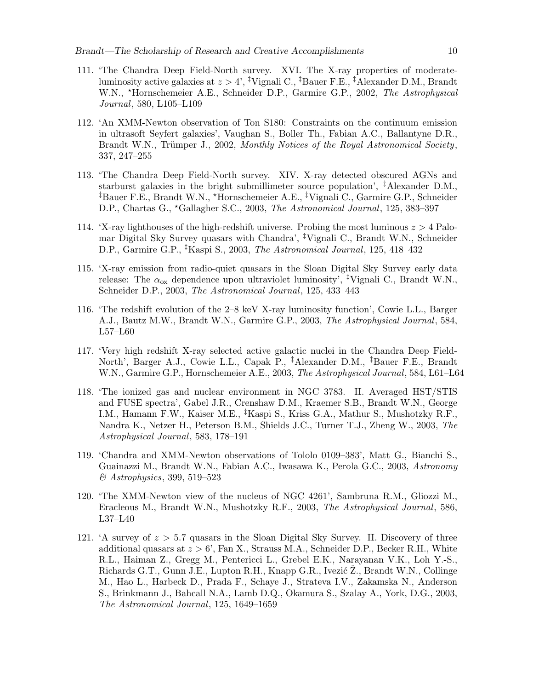- 111. 'The Chandra Deep Field-North survey. XVI. The X-ray properties of moderateluminosity active galaxies at  $z > 4'$ , <sup>‡</sup>Vignali C., <sup>‡</sup>Bauer F.E., <sup>‡</sup>Alexander D.M., Brandt W.N., <sup>\*</sup>Hornschemeier A.E., Schneider D.P., Garmire G.P., 2002, *The Astrophysical Journal*, 580, L105–L109
- 112. 'An XMM-Newton observation of Ton S180: Constraints on the continuum emission in ultrasoft Seyfert galaxies', Vaughan S., Boller Th., Fabian A.C., Ballantyne D.R., Brandt W.N., Trümper J., 2002, *Monthly Notices of the Royal Astronomical Society*, 337, 247–255
- 113. 'The Chandra Deep Field-North survey. XIV. X-ray detected obscured AGNs and starburst galaxies in the bright submillimeter source population', ‡Alexander D.M., <sup>‡</sup>Bauer F.E., Brandt W.N., \*Hornschemeier A.E., <sup>‡</sup>Vignali C., Garmire G.P., Schneider D.P., Chartas G., <sup>\*</sup>Gallagher S.C., 2003, *The Astronomical Journal*, 125, 383–397
- 114. 'X-ray lighthouses of the high-redshift universe. Probing the most luminous  $z > 4$  Palomar Digital Sky Survey quasars with Chandra', ‡Vignali C., Brandt W.N., Schneider D.P., Garmire G.P., ‡Kaspi S., 2003, *The Astronomical Journal*, 125, 418–432
- 115. 'X-ray emission from radio-quiet quasars in the Sloan Digital Sky Survey early data release: The  $\alpha_{\text{ox}}$  dependence upon ultraviolet luminosity', <sup>‡</sup>Vignali C., Brandt W.N., Schneider D.P., 2003, *The Astronomical Journal*, 125, 433–443
- 116. 'The redshift evolution of the 2–8 keV X-ray luminosity function', Cowie L.L., Barger A.J., Bautz M.W., Brandt W.N., Garmire G.P., 2003, *The Astrophysical Journal*, 584, L57–L60
- 117. 'Very high redshift X-ray selected active galactic nuclei in the Chandra Deep Field-North', Barger A.J., Cowie L.L., Capak P., ‡Alexander D.M., ‡Bauer F.E., Brandt W.N., Garmire G.P., Hornschemeier A.E., 2003, *The Astrophysical Journal*, 584, L61–L64
- 118. 'The ionized gas and nuclear environment in NGC 3783. II. Averaged HST/STIS and FUSE spectra', Gabel J.R., Crenshaw D.M., Kraemer S.B., Brandt W.N., George I.M., Hamann F.W., Kaiser M.E., ‡Kaspi S., Kriss G.A., Mathur S., Mushotzky R.F., Nandra K., Netzer H., Peterson B.M., Shields J.C., Turner T.J., Zheng W., 2003, *The Astrophysical Journal*, 583, 178–191
- 119. 'Chandra and XMM-Newton observations of Tololo 0109–383', Matt G., Bianchi S., Guainazzi M., Brandt W.N., Fabian A.C., Iwasawa K., Perola G.C., 2003, *Astronomy & Astrophysics*, 399, 519–523
- 120. 'The XMM-Newton view of the nucleus of NGC 4261', Sambruna R.M., Gliozzi M., Eracleous M., Brandt W.N., Mushotzky R.F., 2003, *The Astrophysical Journal*, 586, L37–L40
- 121. 'A survey of  $z > 5.7$  quasars in the Sloan Digital Sky Survey. II. Discovery of three additional quasars at  $z > 6'$ . Fan X., Strauss M.A., Schneider D.P., Becker R.H., White R.L., Haiman Z., Gregg M., Pentericci L., Grebel E.K., Narayanan V.K., Loh Y.-S., Richards G.T., Gunn J.E., Lupton R.H., Knapp G.R., Ivezić Z., Brandt W.N., Collinge M., Hao L., Harbeck D., Prada F., Schaye J., Strateva I.V., Zakamska N., Anderson S., Brinkmann J., Bahcall N.A., Lamb D.Q., Okamura S., Szalay A., York, D.G., 2003, *The Astronomical Journal*, 125, 1649–1659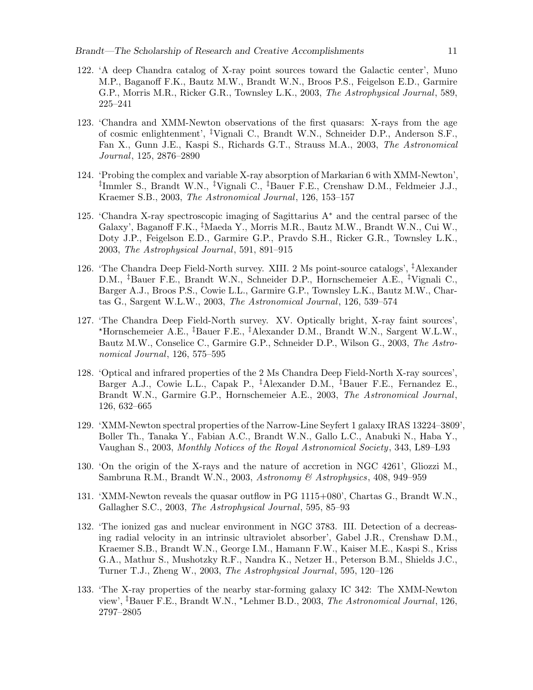- 122. 'A deep Chandra catalog of X-ray point sources toward the Galactic center', Muno M.P., Baganoff F.K., Bautz M.W., Brandt W.N., Broos P.S., Feigelson E.D., Garmire G.P., Morris M.R., Ricker G.R., Townsley L.K., 2003, *The Astrophysical Journal*, 589, 225–241
- 123. 'Chandra and XMM-Newton observations of the first quasars: X-rays from the age of cosmic enlightenment', ‡Vignali C., Brandt W.N., Schneider D.P., Anderson S.F., Fan X., Gunn J.E., Kaspi S., Richards G.T., Strauss M.A., 2003, *The Astronomical Journal*, 125, 2876–2890
- 124. 'Probing the complex and variable X-ray absorption of Markarian 6 with XMM-Newton', ‡ Immler S., Brandt W.N., ‡Vignali C., ‡Bauer F.E., Crenshaw D.M., Feldmeier J.J., Kraemer S.B., 2003, *The Astronomical Journal*, 126, 153–157
- 125. 'Chandra X-ray spectroscopic imaging of Sagittarius A<sup>∗</sup> and the central parsec of the Galaxy', Baganoff F.K., ‡Maeda Y., Morris M.R., Bautz M.W., Brandt W.N., Cui W., Doty J.P., Feigelson E.D., Garmire G.P., Pravdo S.H., Ricker G.R., Townsley L.K., 2003, *The Astrophysical Journal*, 591, 891–915
- 126. 'The Chandra Deep Field-North survey. XIII. 2 Ms point-source catalogs', ‡Alexander D.M., ‡Bauer F.E., Brandt W.N., Schneider D.P., Hornschemeier A.E., ‡Vignali C., Barger A.J., Broos P.S., Cowie L.L., Garmire G.P., Townsley L.K., Bautz M.W., Chartas G., Sargent W.L.W., 2003, *The Astronomical Journal*, 126, 539–574
- 127. 'The Chandra Deep Field-North survey. XV. Optically bright, X-ray faint sources', <sup>⋆</sup>Hornschemeier A.E., ‡Bauer F.E., ‡Alexander D.M., Brandt W.N., Sargent W.L.W., Bautz M.W., Conselice C., Garmire G.P., Schneider D.P., Wilson G., 2003, *The Astronomical Journal*, 126, 575–595
- 128. 'Optical and infrared properties of the 2 Ms Chandra Deep Field-North X-ray sources', Barger A.J., Cowie L.L., Capak P., ‡Alexander D.M., ‡Bauer F.E., Fernandez E., Brandt W.N., Garmire G.P., Hornschemeier A.E., 2003, *The Astronomical Journal*, 126, 632–665
- 129. 'XMM-Newton spectral properties of the Narrow-Line Seyfert 1 galaxy IRAS 13224–3809', Boller Th., Tanaka Y., Fabian A.C., Brandt W.N., Gallo L.C., Anabuki N., Haba Y., Vaughan S., 2003, *Monthly Notices of the Royal Astronomical Society*, 343, L89–L93
- 130. 'On the origin of the X-rays and the nature of accretion in NGC 4261', Gliozzi M., Sambruna R.M., Brandt W.N., 2003, *Astronomy & Astrophysics*, 408, 949–959
- 131. 'XMM-Newton reveals the quasar outflow in PG 1115+080', Chartas G., Brandt W.N., Gallagher S.C., 2003, *The Astrophysical Journal*, 595, 85–93
- 132. 'The ionized gas and nuclear environment in NGC 3783. III. Detection of a decreasing radial velocity in an intrinsic ultraviolet absorber', Gabel J.R., Crenshaw D.M., Kraemer S.B., Brandt W.N., George I.M., Hamann F.W., Kaiser M.E., Kaspi S., Kriss G.A., Mathur S., Mushotzky R.F., Nandra K., Netzer H., Peterson B.M., Shields J.C., Turner T.J., Zheng W., 2003, *The Astrophysical Journal*, 595, 120–126
- 133. 'The X-ray properties of the nearby star-forming galaxy IC 342: The XMM-Newton view', ‡Bauer F.E., Brandt W.N., <sup>⋆</sup>Lehmer B.D., 2003, *The Astronomical Journal*, 126, 2797–2805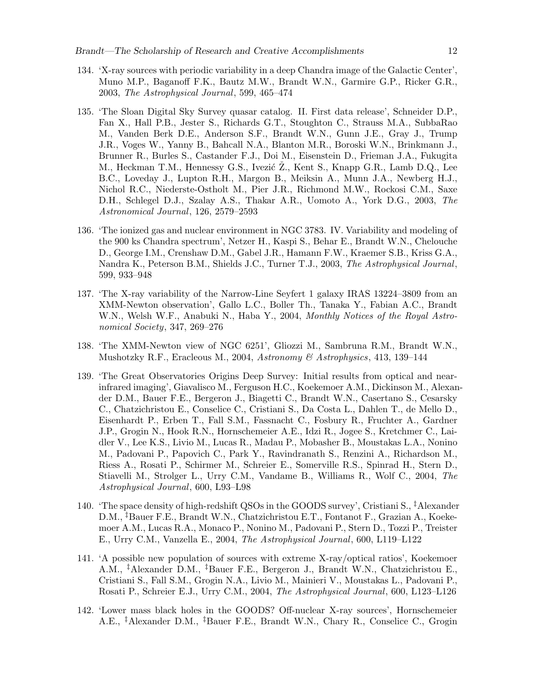- 134. 'X-ray sources with periodic variability in a deep Chandra image of the Galactic Center', Muno M.P., Baganoff F.K., Bautz M.W., Brandt W.N., Garmire G.P., Ricker G.R., 2003, *The Astrophysical Journal*, 599, 465–474
- 135. 'The Sloan Digital Sky Survey quasar catalog. II. First data release', Schneider D.P., Fan X., Hall P.B., Jester S., Richards G.T., Stoughton C., Strauss M.A., SubbaRao M., Vanden Berk D.E., Anderson S.F., Brandt W.N., Gunn J.E., Gray J., Trump J.R., Voges W., Yanny B., Bahcall N.A., Blanton M.R., Boroski W.N., Brinkmann J., Brunner R., Burles S., Castander F.J., Doi M., Eisenstein D., Frieman J.A., Fukugita M., Heckman T.M., Hennessy G.S., Ivezić Z., Kent S., Knapp G.R., Lamb D.Q., Lee B.C., Loveday J., Lupton R.H., Margon B., Meiksin A., Munn J.A., Newberg H.J., Nichol R.C., Niederste-Ostholt M., Pier J.R., Richmond M.W., Rockosi C.M., Saxe D.H., Schlegel D.J., Szalay A.S., Thakar A.R., Uomoto A., York D.G., 2003, *The Astronomical Journal*, 126, 2579–2593
- 136. 'The ionized gas and nuclear environment in NGC 3783. IV. Variability and modeling of the 900 ks Chandra spectrum', Netzer H., Kaspi S., Behar E., Brandt W.N., Chelouche D., George I.M., Crenshaw D.M., Gabel J.R., Hamann F.W., Kraemer S.B., Kriss G.A., Nandra K., Peterson B.M., Shields J.C., Turner T.J., 2003, *The Astrophysical Journal*, 599, 933–948
- 137. 'The X-ray variability of the Narrow-Line Seyfert 1 galaxy IRAS 13224–3809 from an XMM-Newton observation', Gallo L.C., Boller Th., Tanaka Y., Fabian A.C., Brandt W.N., Welsh W.F., Anabuki N., Haba Y., 2004, *Monthly Notices of the Royal Astronomical Society*, 347, 269–276
- 138. 'The XMM-Newton view of NGC 6251', Gliozzi M., Sambruna R.M., Brandt W.N., Mushotzky R.F., Eracleous M., 2004, *Astronomy & Astrophysics*, 413, 139–144
- 139. 'The Great Observatories Origins Deep Survey: Initial results from optical and nearinfrared imaging', Giavalisco M., Ferguson H.C., Koekemoer A.M., Dickinson M., Alexander D.M., Bauer F.E., Bergeron J., Biagetti C., Brandt W.N., Casertano S., Cesarsky C., Chatzichristou E., Conselice C., Cristiani S., Da Costa L., Dahlen T., de Mello D., Eisenhardt P., Erben T., Fall S.M., Fassnacht C., Fosbury R., Fruchter A., Gardner J.P., Grogin N., Hook R.N., Hornschemeier A.E., Idzi R., Jogee S., Kretchmer C., Laidler V., Lee K.S., Livio M., Lucas R., Madau P., Mobasher B., Moustakas L.A., Nonino M., Padovani P., Papovich C., Park Y., Ravindranath S., Renzini A., Richardson M., Riess A., Rosati P., Schirmer M., Schreier E., Somerville R.S., Spinrad H., Stern D., Stiavelli M., Strolger L., Urry C.M., Vandame B., Williams R., Wolf C., 2004, *The Astrophysical Journal*, 600, L93–L98
- 140. 'The space density of high-redshift QSOs in the GOODS survey', Cristiani S., ‡Alexander D.M., ‡Bauer F.E., Brandt W.N., Chatzichristou E.T., Fontanot F., Grazian A., Koekemoer A.M., Lucas R.A., Monaco P., Nonino M., Padovani P., Stern D., Tozzi P., Treister E., Urry C.M., Vanzella E., 2004, *The Astrophysical Journal*, 600, L119–L122
- 141. 'A possible new population of sources with extreme X-ray/optical ratios', Koekemoer A.M., ‡Alexander D.M., ‡Bauer F.E., Bergeron J., Brandt W.N., Chatzichristou E., Cristiani S., Fall S.M., Grogin N.A., Livio M., Mainieri V., Moustakas L., Padovani P., Rosati P., Schreier E.J., Urry C.M., 2004, *The Astrophysical Journal*, 600, L123–L126
- 142. 'Lower mass black holes in the GOODS? Off-nuclear X-ray sources', Hornschemeier A.E., ‡Alexander D.M., ‡Bauer F.E., Brandt W.N., Chary R., Conselice C., Grogin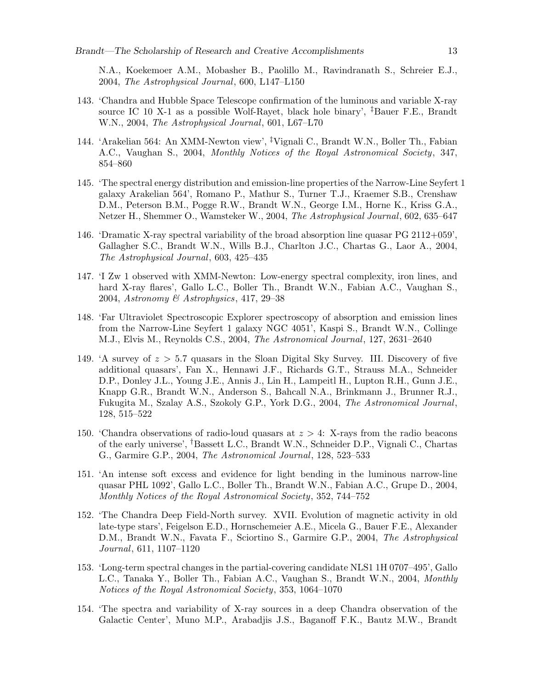N.A., Koekemoer A.M., Mobasher B., Paolillo M., Ravindranath S., Schreier E.J., 2004, *The Astrophysical Journal*, 600, L147–L150

- 143. 'Chandra and Hubble Space Telescope confirmation of the luminous and variable X-ray source IC 10 X-1 as a possible Wolf-Rayet, black hole binary',  $\frac{1}{4}$ Bauer F.E., Brandt W.N., 2004, *The Astrophysical Journal*, 601, L67–L70
- 144. 'Arakelian 564: An XMM-Newton view', ‡Vignali C., Brandt W.N., Boller Th., Fabian A.C., Vaughan S., 2004, *Monthly Notices of the Royal Astronomical Society*, 347, 854–860
- 145. 'The spectral energy distribution and emission-line properties of the Narrow-Line Seyfert 1 galaxy Arakelian 564', Romano P., Mathur S., Turner T.J., Kraemer S.B., Crenshaw D.M., Peterson B.M., Pogge R.W., Brandt W.N., George I.M., Horne K., Kriss G.A., Netzer H., Shemmer O., Wamsteker W., 2004, *The Astrophysical Journal*, 602, 635–647
- 146. 'Dramatic X-ray spectral variability of the broad absorption line quasar PG 2112+059', Gallagher S.C., Brandt W.N., Wills B.J., Charlton J.C., Chartas G., Laor A., 2004, *The Astrophysical Journal*, 603, 425–435
- 147. 'I Zw 1 observed with XMM-Newton: Low-energy spectral complexity, iron lines, and hard X-ray flares', Gallo L.C., Boller Th., Brandt W.N., Fabian A.C., Vaughan S., 2004, *Astronomy & Astrophysics*, 417, 29–38
- 148. 'Far Ultraviolet Spectroscopic Explorer spectroscopy of absorption and emission lines from the Narrow-Line Seyfert 1 galaxy NGC 4051', Kaspi S., Brandt W.N., Collinge M.J., Elvis M., Reynolds C.S., 2004, *The Astronomical Journal*, 127, 2631–2640
- 149. 'A survey of  $z > 5.7$  quasars in the Sloan Digital Sky Survey. III. Discovery of five additional quasars', Fan X., Hennawi J.F., Richards G.T., Strauss M.A., Schneider D.P., Donley J.L., Young J.E., Annis J., Lin H., Lampeitl H., Lupton R.H., Gunn J.E., Knapp G.R., Brandt W.N., Anderson S., Bahcall N.A., Brinkmann J., Brunner R.J., Fukugita M., Szalay A.S., Szokoly G.P., York D.G., 2004, *The Astronomical Journal*, 128, 515–522
- 150. 'Chandra observations of radio-loud quasars at  $z > 4$ : X-rays from the radio beacons of the early universe', †Bassett L.C., Brandt W.N., Schneider D.P., Vignali C., Chartas G., Garmire G.P., 2004, *The Astronomical Journal*, 128, 523–533
- 151. 'An intense soft excess and evidence for light bending in the luminous narrow-line quasar PHL 1092', Gallo L.C., Boller Th., Brandt W.N., Fabian A.C., Grupe D., 2004, *Monthly Notices of the Royal Astronomical Society*, 352, 744–752
- 152. 'The Chandra Deep Field-North survey. XVII. Evolution of magnetic activity in old late-type stars', Feigelson E.D., Hornschemeier A.E., Micela G., Bauer F.E., Alexander D.M., Brandt W.N., Favata F., Sciortino S., Garmire G.P., 2004, *The Astrophysical Journal*, 611, 1107–1120
- 153. 'Long-term spectral changes in the partial-covering candidate NLS1 1H 0707–495', Gallo L.C., Tanaka Y., Boller Th., Fabian A.C., Vaughan S., Brandt W.N., 2004, *Monthly Notices of the Royal Astronomical Society*, 353, 1064–1070
- 154. 'The spectra and variability of X-ray sources in a deep Chandra observation of the Galactic Center', Muno M.P., Arabadjis J.S., Baganoff F.K., Bautz M.W., Brandt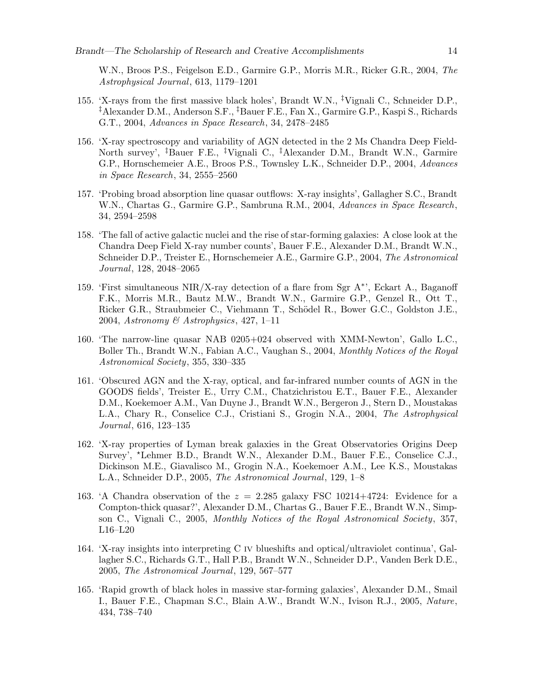W.N., Broos P.S., Feigelson E.D., Garmire G.P., Morris M.R., Ricker G.R., 2004, *The Astrophysical Journal*, 613, 1179–1201

- 155. 'X-rays from the first massive black holes', Brandt W.N., ‡Vignali C., Schneider D.P., ‡Alexander D.M., Anderson S.F., ‡Bauer F.E., Fan X., Garmire G.P., Kaspi S., Richards G.T., 2004, *Advances in Space Research*, 34, 2478–2485
- 156. 'X-ray spectroscopy and variability of AGN detected in the 2 Ms Chandra Deep Field-North survey', ‡Bauer F.E., ‡Vignali C., ‡Alexander D.M., Brandt W.N., Garmire G.P., Hornschemeier A.E., Broos P.S., Townsley L.K., Schneider D.P., 2004, *Advances in Space Research*, 34, 2555–2560
- 157. 'Probing broad absorption line quasar outflows: X-ray insights', Gallagher S.C., Brandt W.N., Chartas G., Garmire G.P., Sambruna R.M., 2004, *Advances in Space Research*, 34, 2594–2598
- 158. 'The fall of active galactic nuclei and the rise of star-forming galaxies: A close look at the Chandra Deep Field X-ray number counts', Bauer F.E., Alexander D.M., Brandt W.N., Schneider D.P., Treister E., Hornschemeier A.E., Garmire G.P., 2004, *The Astronomical Journal*, 128, 2048–2065
- 159. 'First simultaneous NIR/X-ray detection of a flare from Sgr A<sup>\*</sup>', Eckart A., Baganoff F.K., Morris M.R., Bautz M.W., Brandt W.N., Garmire G.P., Genzel R., Ott T., Ricker G.R., Straubmeier C., Viehmann T., Schödel R., Bower G.C., Goldston J.E., 2004, *Astronomy & Astrophysics*, 427, 1–11
- 160. 'The narrow-line quasar NAB 0205+024 observed with XMM-Newton', Gallo L.C., Boller Th., Brandt W.N., Fabian A.C., Vaughan S., 2004, *Monthly Notices of the Royal Astronomical Society*, 355, 330–335
- 161. 'Obscured AGN and the X-ray, optical, and far-infrared number counts of AGN in the GOODS fields', Treister E., Urry C.M., Chatzichristou E.T., Bauer F.E., Alexander D.M., Koekemoer A.M., Van Duyne J., Brandt W.N., Bergeron J., Stern D., Moustakas L.A., Chary R., Conselice C.J., Cristiani S., Grogin N.A., 2004, *The Astrophysical Journal*, 616, 123–135
- 162. 'X-ray properties of Lyman break galaxies in the Great Observatories Origins Deep Survey', \*Lehmer B.D., Brandt W.N., Alexander D.M., Bauer F.E., Conselice C.J., Dickinson M.E., Giavalisco M., Grogin N.A., Koekemoer A.M., Lee K.S., Moustakas L.A., Schneider D.P., 2005, *The Astronomical Journal*, 129, 1–8
- 163. 'A Chandra observation of the  $z = 2.285$  galaxy FSC 10214+4724: Evidence for a Compton-thick quasar?', Alexander D.M., Chartas G., Bauer F.E., Brandt W.N., Simpson C., Vignali C., 2005, *Monthly Notices of the Royal Astronomical Society*, 357, L16–L20
- 164. 'X-ray insights into interpreting C iv blueshifts and optical/ultraviolet continua', Gallagher S.C., Richards G.T., Hall P.B., Brandt W.N., Schneider D.P., Vanden Berk D.E., 2005, *The Astronomical Journal*, 129, 567–577
- 165. 'Rapid growth of black holes in massive star-forming galaxies', Alexander D.M., Smail I., Bauer F.E., Chapman S.C., Blain A.W., Brandt W.N., Ivison R.J., 2005, *Nature*, 434, 738–740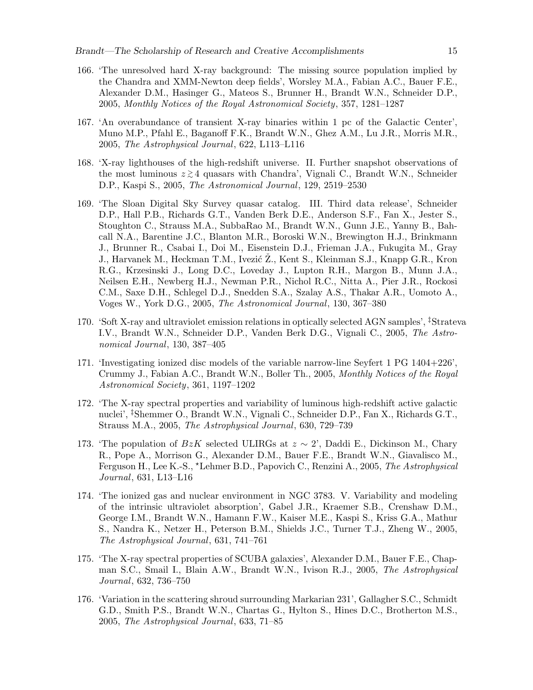- 166. 'The unresolved hard X-ray background: The missing source population implied by the Chandra and XMM-Newton deep fields', Worsley M.A., Fabian A.C., Bauer F.E., Alexander D.M., Hasinger G., Mateos S., Brunner H., Brandt W.N., Schneider D.P., 2005, *Monthly Notices of the Royal Astronomical Society*, 357, 1281–1287
- 167. 'An overabundance of transient X-ray binaries within 1 pc of the Galactic Center', Muno M.P., Pfahl E., Baganoff F.K., Brandt W.N., Ghez A.M., Lu J.R., Morris M.R., 2005, *The Astrophysical Journal*, 622, L113–L116
- 168. 'X-ray lighthouses of the high-redshift universe. II. Further snapshot observations of the most luminous  $z \gtrsim 4$  quasars with Chandra', Vignali C., Brandt W.N., Schneider D.P., Kaspi S., 2005, *The Astronomical Journal*, 129, 2519–2530
- 169. 'The Sloan Digital Sky Survey quasar catalog. III. Third data release', Schneider D.P., Hall P.B., Richards G.T., Vanden Berk D.E., Anderson S.F., Fan X., Jester S., Stoughton C., Strauss M.A., SubbaRao M., Brandt W.N., Gunn J.E., Yanny B., Bahcall N.A., Barentine J.C., Blanton M.R., Boroski W.N., Brewington H.J., Brinkmann J., Brunner R., Csabai I., Doi M., Eisenstein D.J., Frieman J.A., Fukugita M., Gray J., Harvanek M., Heckman T.M., Ivezić Z., Kent S., Kleinman S.J., Knapp G.R., Kron R.G., Krzesinski J., Long D.C., Loveday J., Lupton R.H., Margon B., Munn J.A., Neilsen E.H., Newberg H.J., Newman P.R., Nichol R.C., Nitta A., Pier J.R., Rockosi C.M., Saxe D.H., Schlegel D.J., Snedden S.A., Szalay A.S., Thakar A.R., Uomoto A., Voges W., York D.G., 2005, *The Astronomical Journal*, 130, 367–380
- 170. 'Soft X-ray and ultraviolet emission relations in optically selected AGN samples', ‡Strateva I.V., Brandt W.N., Schneider D.P., Vanden Berk D.G., Vignali C., 2005, *The Astronomical Journal*, 130, 387–405
- 171. 'Investigating ionized disc models of the variable narrow-line Seyfert 1 PG 1404+226', Crummy J., Fabian A.C., Brandt W.N., Boller Th., 2005, *Monthly Notices of the Royal Astronomical Society*, 361, 1197–1202
- 172. 'The X-ray spectral properties and variability of luminous high-redshift active galactic nuclei', <sup>‡</sup>Shemmer O., Brandt W.N., Vignali C., Schneider D.P., Fan X., Richards G.T., Strauss M.A., 2005, *The Astrophysical Journal*, 630, 729–739
- 173. 'The population of  $BzK$  selected ULIRGs at  $z \sim 2$ ', Daddi E., Dickinson M., Chary R., Pope A., Morrison G., Alexander D.M., Bauer F.E., Brandt W.N., Giavalisco M., Ferguson H., Lee K.-S., <sup>⋆</sup>Lehmer B.D., Papovich C., Renzini A., 2005, *The Astrophysical Journal*, 631, L13–L16
- 174. 'The ionized gas and nuclear environment in NGC 3783. V. Variability and modeling of the intrinsic ultraviolet absorption', Gabel J.R., Kraemer S.B., Crenshaw D.M., George I.M., Brandt W.N., Hamann F.W., Kaiser M.E., Kaspi S., Kriss G.A., Mathur S., Nandra K., Netzer H., Peterson B.M., Shields J.C., Turner T.J., Zheng W., 2005, *The Astrophysical Journal*, 631, 741–761
- 175. 'The X-ray spectral properties of SCUBA galaxies', Alexander D.M., Bauer F.E., Chapman S.C., Smail I., Blain A.W., Brandt W.N., Ivison R.J., 2005, *The Astrophysical Journal*, 632, 736–750
- 176. 'Variation in the scattering shroud surrounding Markarian 231', Gallagher S.C., Schmidt G.D., Smith P.S., Brandt W.N., Chartas G., Hylton S., Hines D.C., Brotherton M.S., 2005, *The Astrophysical Journal*, 633, 71–85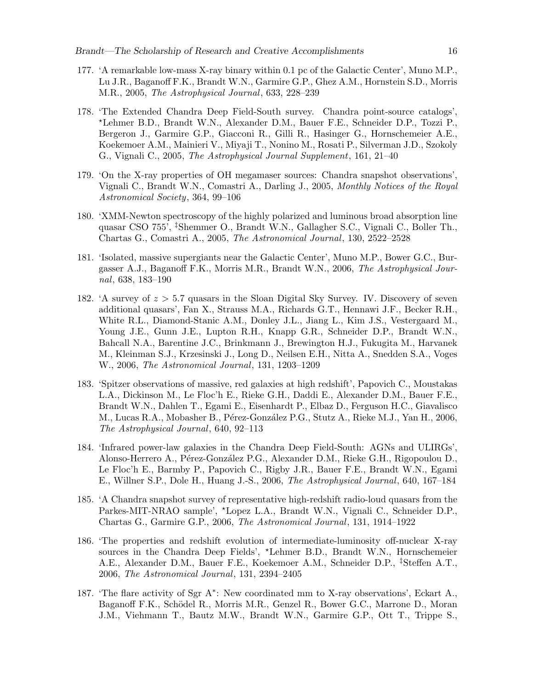- 177. 'A remarkable low-mass X-ray binary within 0.1 pc of the Galactic Center', Muno M.P., Lu J.R., Baganoff F.K., Brandt W.N., Garmire G.P., Ghez A.M., Hornstein S.D., Morris M.R., 2005, *The Astrophysical Journal*, 633, 228–239
- 178. 'The Extended Chandra Deep Field-South survey. Chandra point-source catalogs', <sup>⋆</sup>Lehmer B.D., Brandt W.N., Alexander D.M., Bauer F.E., Schneider D.P., Tozzi P., Bergeron J., Garmire G.P., Giacconi R., Gilli R., Hasinger G., Hornschemeier A.E., Koekemoer A.M., Mainieri V., Miyaji T., Nonino M., Rosati P., Silverman J.D., Szokoly G., Vignali C., 2005, *The Astrophysical Journal Supplement*, 161, 21–40
- 179. 'On the X-ray properties of OH megamaser sources: Chandra snapshot observations', Vignali C., Brandt W.N., Comastri A., Darling J., 2005, *Monthly Notices of the Royal Astronomical Society*, 364, 99–106
- 180. 'XMM-Newton spectroscopy of the highly polarized and luminous broad absorption line quasar CSO 755', ‡Shemmer O., Brandt W.N., Gallagher S.C., Vignali C., Boller Th., Chartas G., Comastri A., 2005, *The Astronomical Journal*, 130, 2522–2528
- 181. 'Isolated, massive supergiants near the Galactic Center', Muno M.P., Bower G.C., Burgasser A.J., Baganoff F.K., Morris M.R., Brandt W.N., 2006, *The Astrophysical Journal*, 638, 183–190
- 182. 'A survey of  $z > 5.7$  quasars in the Sloan Digital Sky Survey. IV. Discovery of seven additional quasars', Fan X., Strauss M.A., Richards G.T., Hennawi J.F., Becker R.H., White R.L., Diamond-Stanic A.M., Donley J.L., Jiang L., Kim J.S., Vestergaard M., Young J.E., Gunn J.E., Lupton R.H., Knapp G.R., Schneider D.P., Brandt W.N., Bahcall N.A., Barentine J.C., Brinkmann J., Brewington H.J., Fukugita M., Harvanek M., Kleinman S.J., Krzesinski J., Long D., Neilsen E.H., Nitta A., Snedden S.A., Voges W., 2006, *The Astronomical Journal*, 131, 1203–1209
- 183. 'Spitzer observations of massive, red galaxies at high redshift', Papovich C., Moustakas L.A., Dickinson M., Le Floc'h E., Rieke G.H., Daddi E., Alexander D.M., Bauer F.E., Brandt W.N., Dahlen T., Egami E., Eisenhardt P., Elbaz D., Ferguson H.C., Giavalisco M., Lucas R.A., Mobasher B., Pérez-González P.G., Stutz A., Rieke M.J., Yan H., 2006, *The Astrophysical Journal*, 640, 92–113
- 184. 'Infrared power-law galaxies in the Chandra Deep Field-South: AGNs and ULIRGs', Alonso-Herrero A., Pérez-González P.G., Alexander D.M., Rieke G.H., Rigopoulou D., Le Floc'h E., Barmby P., Papovich C., Rigby J.R., Bauer F.E., Brandt W.N., Egami E., Willner S.P., Dole H., Huang J.-S., 2006, *The Astrophysical Journal*, 640, 167–184
- 185. 'A Chandra snapshot survey of representative high-redshift radio-loud quasars from the Parkes-MIT-NRAO sample', \*Lopez L.A., Brandt W.N., Vignali C., Schneider D.P., Chartas G., Garmire G.P., 2006, *The Astronomical Journal*, 131, 1914–1922
- 186. 'The properties and redshift evolution of intermediate-luminosity off-nuclear X-ray sources in the Chandra Deep Fields', \*Lehmer B.D., Brandt W.N., Hornschemeier A.E., Alexander D.M., Bauer F.E., Koekemoer A.M., Schneider D.P., ‡Steffen A.T., 2006, *The Astronomical Journal*, 131, 2394–2405
- 187. 'The flare activity of Sgr A<sup>\*</sup>: New coordinated mm to X-ray observations', Eckart A., Baganoff F.K., Schödel R., Morris M.R., Genzel R., Bower G.C., Marrone D., Moran J.M., Viehmann T., Bautz M.W., Brandt W.N., Garmire G.P., Ott T., Trippe S.,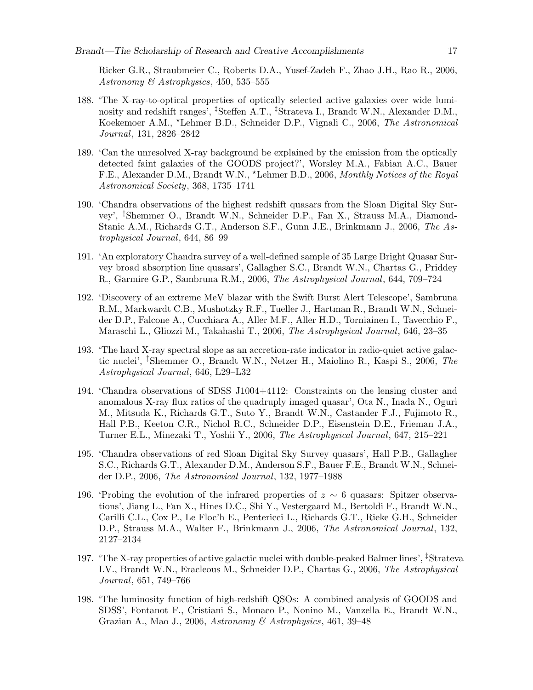Ricker G.R., Straubmeier C., Roberts D.A., Yusef-Zadeh F., Zhao J.H., Rao R., 2006, *Astronomy & Astrophysics*, 450, 535–555

- 188. 'The X-ray-to-optical properties of optically selected active galaxies over wide luminosity and redshift ranges', ‡Steffen A.T., ‡Strateva I., Brandt W.N., Alexander D.M., Koekemoer A.M., <sup>\*</sup>Lehmer B.D., Schneider D.P., Vignali C., 2006, *The Astronomical Journal*, 131, 2826–2842
- 189. 'Can the unresolved X-ray background be explained by the emission from the optically detected faint galaxies of the GOODS project?', Worsley M.A., Fabian A.C., Bauer F.E., Alexander D.M., Brandt W.N., <sup>⋆</sup>Lehmer B.D., 2006, *Monthly Notices of the Royal Astronomical Society*, 368, 1735–1741
- 190. 'Chandra observations of the highest redshift quasars from the Sloan Digital Sky Survey', ‡Shemmer O., Brandt W.N., Schneider D.P., Fan X., Strauss M.A., Diamond-Stanic A.M., Richards G.T., Anderson S.F., Gunn J.E., Brinkmann J., 2006, *The Astrophysical Journal*, 644, 86–99
- 191. 'An exploratory Chandra survey of a well-defined sample of 35 Large Bright Quasar Survey broad absorption line quasars', Gallagher S.C., Brandt W.N., Chartas G., Priddey R., Garmire G.P., Sambruna R.M., 2006, *The Astrophysical Journal*, 644, 709–724
- 192. 'Discovery of an extreme MeV blazar with the Swift Burst Alert Telescope', Sambruna R.M., Markwardt C.B., Mushotzky R.F., Tueller J., Hartman R., Brandt W.N., Schneider D.P., Falcone A., Cucchiara A., Aller M.F., Aller H.D., Torniainen I., Tavecchio F., Maraschi L., Gliozzi M., Takahashi T., 2006, *The Astrophysical Journal*, 646, 23–35
- 193. 'The hard X-ray spectral slope as an accretion-rate indicator in radio-quiet active galactic nuclei', ‡Shemmer O., Brandt W.N., Netzer H., Maiolino R., Kaspi S., 2006, *The Astrophysical Journal*, 646, L29–L32
- 194. 'Chandra observations of SDSS J1004+4112: Constraints on the lensing cluster and anomalous X-ray flux ratios of the quadruply imaged quasar', Ota N., Inada N., Oguri M., Mitsuda K., Richards G.T., Suto Y., Brandt W.N., Castander F.J., Fujimoto R., Hall P.B., Keeton C.R., Nichol R.C., Schneider D.P., Eisenstein D.E., Frieman J.A., Turner E.L., Minezaki T., Yoshii Y., 2006, *The Astrophysical Journal*, 647, 215–221
- 195. 'Chandra observations of red Sloan Digital Sky Survey quasars', Hall P.B., Gallagher S.C., Richards G.T., Alexander D.M., Anderson S.F., Bauer F.E., Brandt W.N., Schneider D.P., 2006, *The Astronomical Journal*, 132, 1977–1988
- 196. 'Probing the evolution of the infrared properties of  $z \sim 6$  quasars: Spitzer observations', Jiang L., Fan X., Hines D.C., Shi Y., Vestergaard M., Bertoldi F., Brandt W.N., Carilli C.L., Cox P., Le Floc'h E., Pentericci L., Richards G.T., Rieke G.H., Schneider D.P., Strauss M.A., Walter F., Brinkmann J., 2006, *The Astronomical Journal*, 132, 2127–2134
- 197. 'The X-ray properties of active galactic nuclei with double-peaked Balmer lines', ‡Strateva I.V., Brandt W.N., Eracleous M., Schneider D.P., Chartas G., 2006, *The Astrophysical Journal*, 651, 749–766
- 198. 'The luminosity function of high-redshift QSOs: A combined analysis of GOODS and SDSS', Fontanot F., Cristiani S., Monaco P., Nonino M., Vanzella E., Brandt W.N., Grazian A., Mao J., 2006, *Astronomy & Astrophysics*, 461, 39–48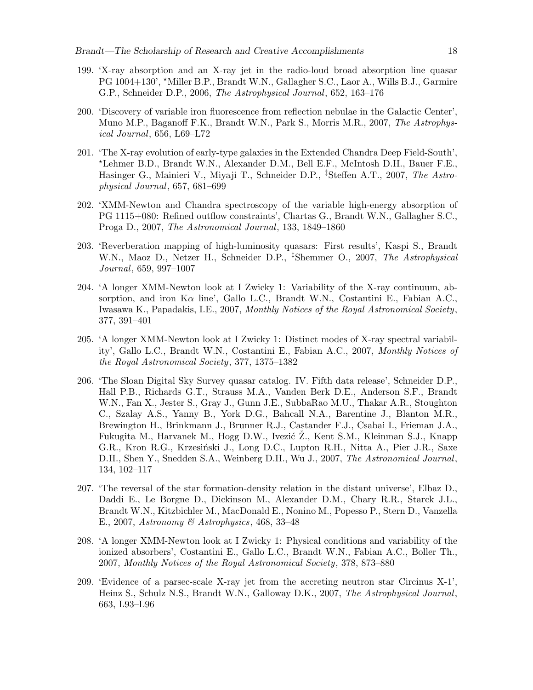- 199. 'X-ray absorption and an X-ray jet in the radio-loud broad absorption line quasar PG 1004+130', \*Miller B.P., Brandt W.N., Gallagher S.C., Laor A., Wills B.J., Garmire G.P., Schneider D.P., 2006, *The Astrophysical Journal*, 652, 163–176
- 200. 'Discovery of variable iron fluorescence from reflection nebulae in the Galactic Center', Muno M.P., Baganoff F.K., Brandt W.N., Park S., Morris M.R., 2007, *The Astrophysical Journal*, 656, L69–L72
- 201. 'The X-ray evolution of early-type galaxies in the Extended Chandra Deep Field-South', <sup>⋆</sup>Lehmer B.D., Brandt W.N., Alexander D.M., Bell E.F., McIntosh D.H., Bauer F.E., Hasinger G., Mainieri V., Miyaji T., Schneider D.P., ‡Steffen A.T., 2007, *The Astrophysical Journal*, 657, 681–699
- 202. 'XMM-Newton and Chandra spectroscopy of the variable high-energy absorption of PG 1115+080: Refined outflow constraints', Chartas G., Brandt W.N., Gallagher S.C., Proga D., 2007, *The Astronomical Journal*, 133, 1849–1860
- 203. 'Reverberation mapping of high-luminosity quasars: First results', Kaspi S., Brandt W.N., Maoz D., Netzer H., Schneider D.P., ‡Shemmer O., 2007, *The Astrophysical Journal*, 659, 997–1007
- 204. 'A longer XMM-Newton look at I Zwicky 1: Variability of the X-ray continuum, absorption, and iron  $K\alpha$  line', Gallo L.C., Brandt W.N., Costantini E., Fabian A.C., Iwasawa K., Papadakis, I.E., 2007, *Monthly Notices of the Royal Astronomical Society*, 377, 391–401
- 205. 'A longer XMM-Newton look at I Zwicky 1: Distinct modes of X-ray spectral variability', Gallo L.C., Brandt W.N., Costantini E., Fabian A.C., 2007, *Monthly Notices of the Royal Astronomical Society*, 377, 1375–1382
- 206. 'The Sloan Digital Sky Survey quasar catalog. IV. Fifth data release', Schneider D.P., Hall P.B., Richards G.T., Strauss M.A., Vanden Berk D.E., Anderson S.F., Brandt W.N., Fan X., Jester S., Gray J., Gunn J.E., SubbaRao M.U., Thakar A.R., Stoughton C., Szalay A.S., Yanny B., York D.G., Bahcall N.A., Barentine J., Blanton M.R., Brewington H., Brinkmann J., Brunner R.J., Castander F.J., Csabai I., Frieman J.A., Fukugita M., Harvanek M., Hogg D.W., Ivezić Ž., Kent S.M., Kleinman S.J., Knapp G.R., Kron R.G., Krzesiński J., Long D.C., Lupton R.H., Nitta A., Pier J.R., Saxe D.H., Shen Y., Snedden S.A., Weinberg D.H., Wu J., 2007, *The Astronomical Journal*, 134, 102–117
- 207. 'The reversal of the star formation-density relation in the distant universe', Elbaz D., Daddi E., Le Borgne D., Dickinson M., Alexander D.M., Chary R.R., Starck J.L., Brandt W.N., Kitzbichler M., MacDonald E., Nonino M., Popesso P., Stern D., Vanzella E., 2007, *Astronomy & Astrophysics*, 468, 33–48
- 208. 'A longer XMM-Newton look at I Zwicky 1: Physical conditions and variability of the ionized absorbers', Costantini E., Gallo L.C., Brandt W.N., Fabian A.C., Boller Th., 2007, *Monthly Notices of the Royal Astronomical Society*, 378, 873–880
- 209. 'Evidence of a parsec-scale X-ray jet from the accreting neutron star Circinus X-1', Heinz S., Schulz N.S., Brandt W.N., Galloway D.K., 2007, *The Astrophysical Journal*, 663, L93–L96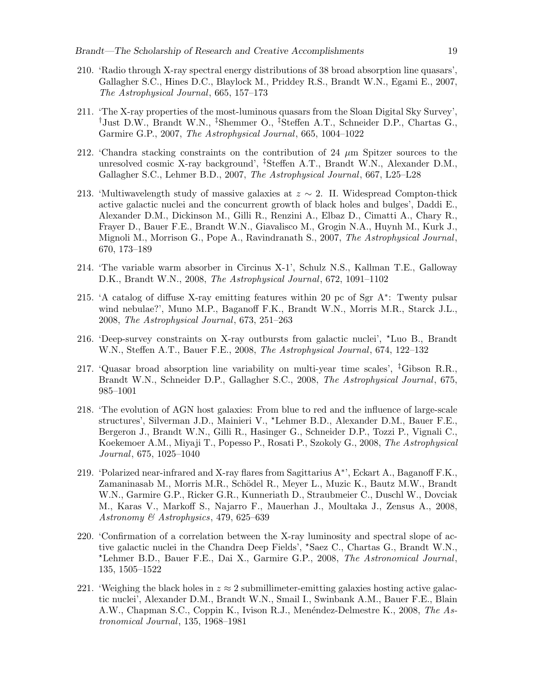- 210. 'Radio through X-ray spectral energy distributions of 38 broad absorption line quasars', Gallagher S.C., Hines D.C., Blaylock M., Priddey R.S., Brandt W.N., Egami E., 2007, *The Astrophysical Journal*, 665, 157–173
- 211. 'The X-ray properties of the most-luminous quasars from the Sloan Digital Sky Survey', †Just D.W., Brandt W.N., ‡Shemmer O., ‡Steffen A.T., Schneider D.P., Chartas G., Garmire G.P., 2007, *The Astrophysical Journal*, 665, 1004–1022
- 212. 'Chandra stacking constraints on the contribution of 24  $\mu$ m Spitzer sources to the unresolved cosmic X-ray background', ‡Steffen A.T., Brandt W.N., Alexander D.M., Gallagher S.C., Lehmer B.D., 2007, *The Astrophysical Journal*, 667, L25–L28
- 213. 'Multiwavelength study of massive galaxies at  $z \sim 2$ . II. Widespread Compton-thick active galactic nuclei and the concurrent growth of black holes and bulges', Daddi E., Alexander D.M., Dickinson M., Gilli R., Renzini A., Elbaz D., Cimatti A., Chary R., Frayer D., Bauer F.E., Brandt W.N., Giavalisco M., Grogin N.A., Huynh M., Kurk J., Mignoli M., Morrison G., Pope A., Ravindranath S., 2007, *The Astrophysical Journal*, 670, 173–189
- 214. 'The variable warm absorber in Circinus X-1', Schulz N.S., Kallman T.E., Galloway D.K., Brandt W.N., 2008, *The Astrophysical Journal*, 672, 1091–1102
- 215. 'A catalog of diffuse X-ray emitting features within 20 pc of Sgr A<sup>\*</sup>: Twenty pulsar wind nebulae?', Muno M.P., Baganoff F.K., Brandt W.N., Morris M.R., Starck J.L., 2008, *The Astrophysical Journal*, 673, 251–263
- 216. 'Deep-survey constraints on X-ray outbursts from galactic nuclei',  $\star$ Luo B., Brandt W.N., Steffen A.T., Bauer F.E., 2008, *The Astrophysical Journal*, 674, 122–132
- 217. 'Quasar broad absorption line variability on multi-year time scales', ‡Gibson R.R., Brandt W.N., Schneider D.P., Gallagher S.C., 2008, *The Astrophysical Journal*, 675, 985–1001
- 218. 'The evolution of AGN host galaxies: From blue to red and the influence of large-scale structures', Silverman J.D., Mainieri V., \*Lehmer B.D., Alexander D.M., Bauer F.E., Bergeron J., Brandt W.N., Gilli R., Hasinger G., Schneider D.P., Tozzi P., Vignali C., Koekemoer A.M., Miyaji T., Popesso P., Rosati P., Szokoly G., 2008, *The Astrophysical Journal*, 675, 1025–1040
- 219. 'Polarized near-infrared and X-ray flares from Sagittarius A<sup>\*</sup>', Eckart A., Baganoff F.K., Zamaninasab M., Morris M.R., Schödel R., Meyer L., Muzic K., Bautz M.W., Brandt W.N., Garmire G.P., Ricker G.R., Kunneriath D., Straubmeier C., Duschl W., Dovciak M., Karas V., Markoff S., Najarro F., Mauerhan J., Moultaka J., Zensus A., 2008, *Astronomy & Astrophysics*, 479, 625–639
- 220. 'Confirmation of a correlation between the X-ray luminosity and spectral slope of active galactic nuclei in the Chandra Deep Fields', \*Saez C., Chartas G., Brandt W.N., <sup>⋆</sup>Lehmer B.D., Bauer F.E., Dai X., Garmire G.P., 2008, *The Astronomical Journal*, 135, 1505–1522
- 221. 'Weighing the black holes in  $z \approx 2$  submillimeter-emitting galaxies hosting active galactic nuclei', Alexander D.M., Brandt W.N., Smail I., Swinbank A.M., Bauer F.E., Blain A.W., Chapman S.C., Coppin K., Ivison R.J., Men´endez-Delmestre K., 2008, *The Astronomical Journal*, 135, 1968–1981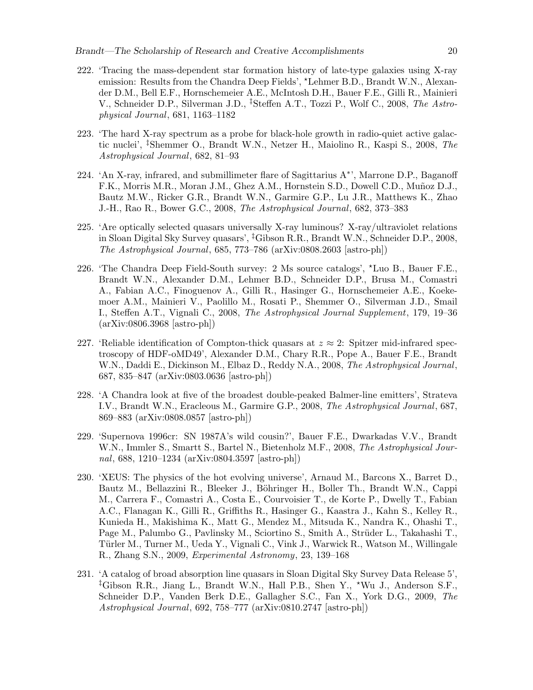- 222. 'Tracing the mass-dependent star formation history of late-type galaxies using X-ray emission: Results from the Chandra Deep Fields', \*Lehmer B.D., Brandt W.N., Alexander D.M., Bell E.F., Hornschemeier A.E., McIntosh D.H., Bauer F.E., Gilli R., Mainieri V., Schneider D.P., Silverman J.D., ‡Steffen A.T., Tozzi P., Wolf C., 2008, *The Astrophysical Journal*, 681, 1163–1182
- 223. 'The hard X-ray spectrum as a probe for black-hole growth in radio-quiet active galactic nuclei', ‡Shemmer O., Brandt W.N., Netzer H., Maiolino R., Kaspi S., 2008, *The Astrophysical Journal*, 682, 81–93
- 224. 'An X-ray, infrared, and submillimeter flare of Sagittarius A<sup>∗</sup>', Marrone D.P., Baganoff F.K., Morris M.R., Moran J.M., Ghez A.M., Hornstein S.D., Dowell C.D., Muñoz D.J., Bautz M.W., Ricker G.R., Brandt W.N., Garmire G.P., Lu J.R., Matthews K., Zhao J.-H., Rao R., Bower G.C., 2008, *The Astrophysical Journal*, 682, 373–383
- 225. 'Are optically selected quasars universally X-ray luminous? X-ray/ultraviolet relations in Sloan Digital Sky Survey quasars', ‡Gibson R.R., Brandt W.N., Schneider D.P., 2008, *The Astrophysical Journal*, 685, 773–786 (arXiv:0808.2603 [astro-ph])
- 226. 'The Chandra Deep Field-South survey: 2 Ms source catalogs',  $\star$ Luo B., Bauer F.E., Brandt W.N., Alexander D.M., Lehmer B.D., Schneider D.P., Brusa M., Comastri A., Fabian A.C., Finoguenov A., Gilli R., Hasinger G., Hornschemeier A.E., Koekemoer A.M., Mainieri V., Paolillo M., Rosati P., Shemmer O., Silverman J.D., Smail I., Steffen A.T., Vignali C., 2008, *The Astrophysical Journal Supplement*, 179, 19–36 (arXiv:0806.3968 [astro-ph])
- 227. 'Reliable identification of Compton-thick quasars at  $z \approx 2$ : Spitzer mid-infrared spectroscopy of HDF-oMD49', Alexander D.M., Chary R.R., Pope A., Bauer F.E., Brandt W.N., Daddi E., Dickinson M., Elbaz D., Reddy N.A., 2008, *The Astrophysical Journal*, 687, 835–847 (arXiv:0803.0636 [astro-ph])
- 228. 'A Chandra look at five of the broadest double-peaked Balmer-line emitters', Strateva I.V., Brandt W.N., Eracleous M., Garmire G.P., 2008, *The Astrophysical Journal*, 687, 869–883 (arXiv:0808.0857 [astro-ph])
- 229. 'Supernova 1996cr: SN 1987A's wild cousin?', Bauer F.E., Dwarkadas V.V., Brandt W.N., Immler S., Smartt S., Bartel N., Bietenholz M.F., 2008, *The Astrophysical Journal*, 688, 1210–1234 (arXiv:0804.3597 [astro-ph])
- 230. 'XEUS: The physics of the hot evolving universe', Arnaud M., Barcons X., Barret D., Bautz M., Bellazzini R., Bleeker J., Böhringer H., Boller Th., Brandt W.N., Cappi M., Carrera F., Comastri A., Costa E., Courvoisier T., de Korte P., Dwelly T., Fabian A.C., Flanagan K., Gilli R., Griffiths R., Hasinger G., Kaastra J., Kahn S., Kelley R., Kunieda H., Makishima K., Matt G., Mendez M., Mitsuda K., Nandra K., Ohashi T., Page M., Palumbo G., Pavlinsky M., Sciortino S., Smith A., Strüder L., Takahashi T., Türler M., Turner M., Ueda Y., Vignali C., Vink J., Warwick R., Watson M., Willingale R., Zhang S.N., 2009, *Experimental Astronomy*, 23, 139–168
- 231. 'A catalog of broad absorption line quasars in Sloan Digital Sky Survey Data Release 5', <sup>‡</sup>Gibson R.R., Jiang L., Brandt W.N., Hall P.B., Shen Y.,  $*Wu$  J., Anderson S.F., Schneider D.P., Vanden Berk D.E., Gallagher S.C., Fan X., York D.G., 2009, *The Astrophysical Journal*, 692, 758–777 (arXiv:0810.2747 [astro-ph])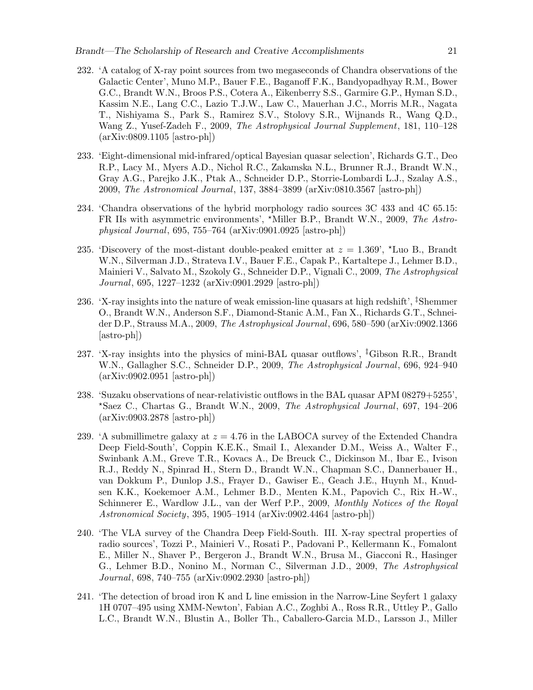- 232. 'A catalog of X-ray point sources from two megaseconds of Chandra observations of the Galactic Center', Muno M.P., Bauer F.E., Baganoff F.K., Bandyopadhyay R.M., Bower G.C., Brandt W.N., Broos P.S., Cotera A., Eikenberry S.S., Garmire G.P., Hyman S.D., Kassim N.E., Lang C.C., Lazio T.J.W., Law C., Mauerhan J.C., Morris M.R., Nagata T., Nishiyama S., Park S., Ramirez S.V., Stolovy S.R., Wijnands R., Wang Q.D., Wang Z., Yusef-Zadeh F., 2009, *The Astrophysical Journal Supplement*, 181, 110–128 (arXiv:0809.1105 [astro-ph])
- 233. 'Eight-dimensional mid-infrared/optical Bayesian quasar selection', Richards G.T., Deo R.P., Lacy M., Myers A.D., Nichol R.C., Zakamska N.L., Brunner R.J., Brandt W.N., Gray A.G., Parejko J.K., Ptak A., Schneider D.P., Storrie-Lombardi L.J., Szalay A.S., 2009, *The Astronomical Journal*, 137, 3884–3899 (arXiv:0810.3567 [astro-ph])
- 234. 'Chandra observations of the hybrid morphology radio sources 3C 433 and 4C 65.15: FR IIs with asymmetric environments', \*Miller B.P., Brandt W.N., 2009, *The Astrophysical Journal*, 695, 755–764 (arXiv:0901.0925 [astro-ph])
- 235. 'Discovery of the most-distant double-peaked emitter at  $z = 1.369$ ',  $\star$ Luo B., Brandt W.N., Silverman J.D., Strateva I.V., Bauer F.E., Capak P., Kartaltepe J., Lehmer B.D., Mainieri V., Salvato M., Szokoly G., Schneider D.P., Vignali C., 2009, *The Astrophysical Journal*, 695, 1227–1232 (arXiv:0901.2929 [astro-ph])
- 236. 'X-ray insights into the nature of weak emission-line quasars at high redshift',  $\frac{1}{7}$ Shemmer O., Brandt W.N., Anderson S.F., Diamond-Stanic A.M., Fan X., Richards G.T., Schneider D.P., Strauss M.A., 2009, *The Astrophysical Journal*, 696, 580–590 (arXiv:0902.1366 [astro-ph])
- 237. 'X-ray insights into the physics of mini-BAL quasar outflows', ‡Gibson R.R., Brandt W.N., Gallagher S.C., Schneider D.P., 2009, *The Astrophysical Journal*, 696, 924–940 (arXiv:0902.0951 [astro-ph])
- 238. 'Suzaku observations of near-relativistic outflows in the BAL quasar APM 08279+5255', <sup>⋆</sup>Saez C., Chartas G., Brandt W.N., 2009, *The Astrophysical Journal*, 697, 194–206 (arXiv:0903.2878 [astro-ph])
- 239. 'A submillimetre galaxy at  $z = 4.76$  in the LABOCA survey of the Extended Chandra Deep Field-South', Coppin K.E.K., Smail I., Alexander D.M., Weiss A., Walter F., Swinbank A.M., Greve T.R., Kovacs A., De Breuck C., Dickinson M., Ibar E., Ivison R.J., Reddy N., Spinrad H., Stern D., Brandt W.N., Chapman S.C., Dannerbauer H., van Dokkum P., Dunlop J.S., Frayer D., Gawiser E., Geach J.E., Huynh M., Knudsen K.K., Koekemoer A.M., Lehmer B.D., Menten K.M., Papovich C., Rix H.-W., Schinnerer E., Wardlow J.L., van der Werf P.P., 2009, *Monthly Notices of the Royal Astronomical Society*, 395, 1905–1914 (arXiv:0902.4464 [astro-ph])
- 240. 'The VLA survey of the Chandra Deep Field-South. III. X-ray spectral properties of radio sources', Tozzi P., Mainieri V., Rosati P., Padovani P., Kellermann K., Fomalont E., Miller N., Shaver P., Bergeron J., Brandt W.N., Brusa M., Giacconi R., Hasinger G., Lehmer B.D., Nonino M., Norman C., Silverman J.D., 2009, *The Astrophysical Journal*, 698, 740–755 (arXiv:0902.2930 [astro-ph])
- 241. 'The detection of broad iron K and L line emission in the Narrow-Line Seyfert 1 galaxy 1H 0707–495 using XMM-Newton', Fabian A.C., Zoghbi A., Ross R.R., Uttley P., Gallo L.C., Brandt W.N., Blustin A., Boller Th., Caballero-Garcia M.D., Larsson J., Miller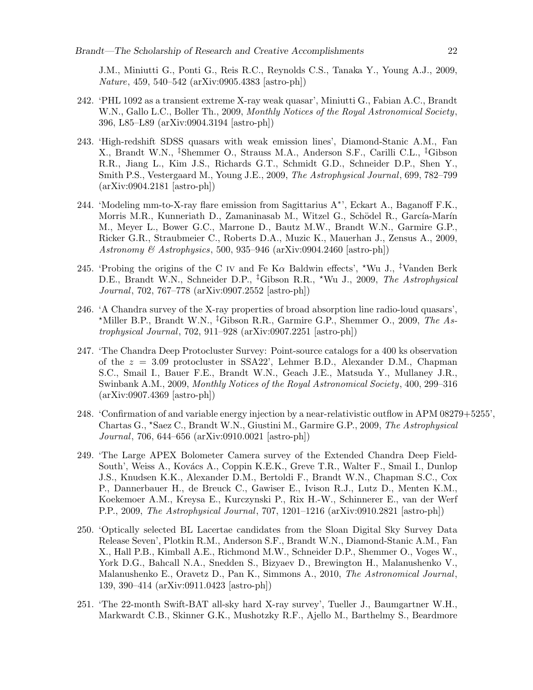J.M., Miniutti G., Ponti G., Reis R.C., Reynolds C.S., Tanaka Y., Young A.J., 2009, *Nature*, 459, 540–542 (arXiv:0905.4383 [astro-ph])

- 242. 'PHL 1092 as a transient extreme X-ray weak quasar', Miniutti G., Fabian A.C., Brandt W.N., Gallo L.C., Boller Th., 2009, *Monthly Notices of the Royal Astronomical Society*, 396, L85–L89 (arXiv:0904.3194 [astro-ph])
- 243. 'High-redshift SDSS quasars with weak emission lines', Diamond-Stanic A.M., Fan X., Brandt W.N., ‡Shemmer O., Strauss M.A., Anderson S.F., Carilli C.L., ‡Gibson R.R., Jiang L., Kim J.S., Richards G.T., Schmidt G.D., Schneider D.P., Shen Y., Smith P.S., Vestergaard M., Young J.E., 2009, *The Astrophysical Journal*, 699, 782–799 (arXiv:0904.2181 [astro-ph])
- 244. 'Modeling mm-to-X-ray flare emission from Sagittarius A<sup>∗</sup>', Eckart A., Baganoff F.K., Morris M.R., Kunneriath D., Zamaninasab M., Witzel G., Schödel R., García-Marín M., Meyer L., Bower G.C., Marrone D., Bautz M.W., Brandt W.N., Garmire G.P., Ricker G.R., Straubmeier C., Roberts D.A., Muzic K., Mauerhan J., Zensus A., 2009, *Astronomy & Astrophysics*, 500, 935–946 (arXiv:0904.2460 [astro-ph])
- 245. 'Probing the origins of the C IV and Fe K $\alpha$  Baldwin effects', \*Wu J., <sup>‡</sup>Vanden Berk D.E., Brandt W.N., Schneider D.P., <sup>‡</sup>Gibson R.R., <sup>\*</sup>Wu J., 2009, *The Astrophysical Journal*, 702, 767–778 (arXiv:0907.2552 [astro-ph])
- 246. 'A Chandra survey of the X-ray properties of broad absorption line radio-loud quasars', <sup>⋆</sup>Miller B.P., Brandt W.N., ‡Gibson R.R., Garmire G.P., Shemmer O., 2009, *The Astrophysical Journal*, 702, 911–928 (arXiv:0907.2251 [astro-ph])
- 247. 'The Chandra Deep Protocluster Survey: Point-source catalogs for a 400 ks observation of the  $z = 3.09$  protocluster in SSA22', Lehmer B.D., Alexander D.M., Chapman S.C., Smail I., Bauer F.E., Brandt W.N., Geach J.E., Matsuda Y., Mullaney J.R., Swinbank A.M., 2009, *Monthly Notices of the Royal Astronomical Society*, 400, 299–316 (arXiv:0907.4369 [astro-ph])
- 248. 'Confirmation of and variable energy injection by a near-relativistic outflow in APM 08279+5255', Chartas G., <sup>⋆</sup>Saez C., Brandt W.N., Giustini M., Garmire G.P., 2009, *The Astrophysical Journal*, 706, 644–656 (arXiv:0910.0021 [astro-ph])
- 249. 'The Large APEX Bolometer Camera survey of the Extended Chandra Deep Field-South', Weiss A., Kovács A., Coppin K.E.K., Greve T.R., Walter F., Smail I., Dunlop J.S., Knudsen K.K., Alexander D.M., Bertoldi F., Brandt W.N., Chapman S.C., Cox P., Dannerbauer H., de Breuck C., Gawiser E., Ivison R.J., Lutz D., Menten K.M., Koekemoer A.M., Kreysa E., Kurczynski P., Rix H.-W., Schinnerer E., van der Werf P.P., 2009, *The Astrophysical Journal*, 707, 1201–1216 (arXiv:0910.2821 [astro-ph])
- 250. 'Optically selected BL Lacertae candidates from the Sloan Digital Sky Survey Data Release Seven', Plotkin R.M., Anderson S.F., Brandt W.N., Diamond-Stanic A.M., Fan X., Hall P.B., Kimball A.E., Richmond M.W., Schneider D.P., Shemmer O., Voges W., York D.G., Bahcall N.A., Snedden S., Bizyaev D., Brewington H., Malanushenko V., Malanushenko E., Oravetz D., Pan K., Simmons A., 2010, *The Astronomical Journal*, 139, 390–414 (arXiv:0911.0423 [astro-ph])
- 251. 'The 22-month Swift-BAT all-sky hard X-ray survey', Tueller J., Baumgartner W.H., Markwardt C.B., Skinner G.K., Mushotzky R.F., Ajello M., Barthelmy S., Beardmore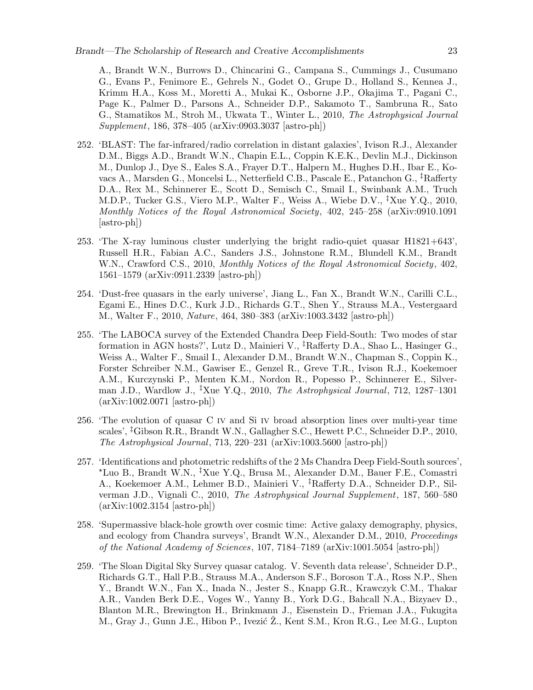A., Brandt W.N., Burrows D., Chincarini G., Campana S., Cummings J., Cusumano G., Evans P., Fenimore E., Gehrels N., Godet O., Grupe D., Holland S., Kennea J., Krimm H.A., Koss M., Moretti A., Mukai K., Osborne J.P., Okajima T., Pagani C., Page K., Palmer D., Parsons A., Schneider D.P., Sakamoto T., Sambruna R., Sato G., Stamatikos M., Stroh M., Ukwata T., Winter L., 2010, *The Astrophysical Journal Supplement*, 186, 378–405 (arXiv:0903.3037 [astro-ph])

- 252. 'BLAST: The far-infrared/radio correlation in distant galaxies', Ivison R.J., Alexander D.M., Biggs A.D., Brandt W.N., Chapin E.L., Coppin K.E.K., Devlin M.J., Dickinson M., Dunlop J., Dye S., Eales S.A., Frayer D.T., Halpern M., Hughes D.H., Ibar E., Kovacs A., Marsden G., Moncelsi L., Netterfield C.B., Pascale E., Patanchon G., ‡Rafferty D.A., Rex M., Schinnerer E., Scott D., Semisch C., Smail I., Swinbank A.M., Truch M.D.P., Tucker G.S., Viero M.P., Walter F., Weiss A., Wiebe D.V., ‡Xue Y.Q., 2010, *Monthly Notices of the Royal Astronomical Society*, 402, 245–258 (arXiv:0910.1091 [astro-ph])
- 253. 'The X-ray luminous cluster underlying the bright radio-quiet quasar H1821+643', Russell H.R., Fabian A.C., Sanders J.S., Johnstone R.M., Blundell K.M., Brandt W.N., Crawford C.S., 2010, *Monthly Notices of the Royal Astronomical Society*, 402, 1561–1579 (arXiv:0911.2339 [astro-ph])
- 254. 'Dust-free quasars in the early universe', Jiang L., Fan X., Brandt W.N., Carilli C.L., Egami E., Hines D.C., Kurk J.D., Richards G.T., Shen Y., Strauss M.A., Vestergaard M., Walter F., 2010, *Nature*, 464, 380–383 (arXiv:1003.3432 [astro-ph])
- 255. 'The LABOCA survey of the Extended Chandra Deep Field-South: Two modes of star formation in AGN hosts?', Lutz D., Mainieri V., ‡Rafferty D.A., Shao L., Hasinger G., Weiss A., Walter F., Smail I., Alexander D.M., Brandt W.N., Chapman S., Coppin K., Forster Schreiber N.M., Gawiser E., Genzel R., Greve T.R., Ivison R.J., Koekemoer A.M., Kurczynski P., Menten K.M., Nordon R., Popesso P., Schinnerer E., Silverman J.D., Wardlow J., ‡Xue Y.Q., 2010, *The Astrophysical Journal*, 712, 1287–1301 (arXiv:1002.0071 [astro-ph])
- 256. 'The evolution of quasar C iv and Si iv broad absorption lines over multi-year time scales', ‡Gibson R.R., Brandt W.N., Gallagher S.C., Hewett P.C., Schneider D.P., 2010, *The Astrophysical Journal*, 713, 220–231 (arXiv:1003.5600 [astro-ph])
- 257. 'Identifications and photometric redshifts of the 2 Ms Chandra Deep Field-South sources', <sup>⋆</sup>Luo B., Brandt W.N., ‡Xue Y.Q., Brusa M., Alexander D.M., Bauer F.E., Comastri A., Koekemoer A.M., Lehmer B.D., Mainieri V., ‡Rafferty D.A., Schneider D.P., Silverman J.D., Vignali C., 2010, *The Astrophysical Journal Supplement*, 187, 560–580 (arXiv:1002.3154 [astro-ph])
- 258. 'Supermassive black-hole growth over cosmic time: Active galaxy demography, physics, and ecology from Chandra surveys', Brandt W.N., Alexander D.M., 2010, *Proceedings of the National Academy of Sciences*, 107, 7184–7189 (arXiv:1001.5054 [astro-ph])
- 259. 'The Sloan Digital Sky Survey quasar catalog. V. Seventh data release', Schneider D.P., Richards G.T., Hall P.B., Strauss M.A., Anderson S.F., Boroson T.A., Ross N.P., Shen Y., Brandt W.N., Fan X., Inada N., Jester S., Knapp G.R., Krawczyk C.M., Thakar A.R., Vanden Berk D.E., Voges W., Yanny B., York D.G., Bahcall N.A., Bizyaev D., Blanton M.R., Brewington H., Brinkmann J., Eisenstein D., Frieman J.A., Fukugita M., Gray J., Gunn J.E., Hibon P., Ivezić Z., Kent S.M., Kron R.G., Lee M.G., Lupton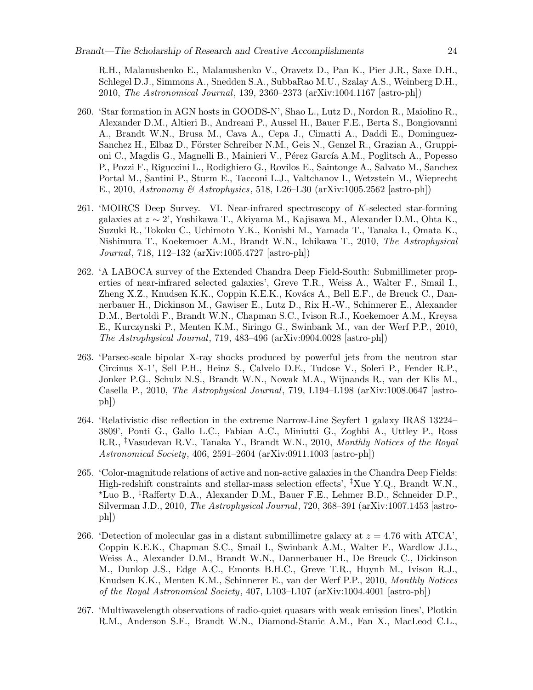R.H., Malanushenko E., Malanushenko V., Oravetz D., Pan K., Pier J.R., Saxe D.H., Schlegel D.J., Simmons A., Snedden S.A., SubbaRao M.U., Szalay A.S., Weinberg D.H., 2010, *The Astronomical Journal*, 139, 2360–2373 (arXiv:1004.1167 [astro-ph])

- 260. 'Star formation in AGN hosts in GOODS-N', Shao L., Lutz D., Nordon R., Maiolino R., Alexander D.M., Altieri B., Andreani P., Aussel H., Bauer F.E., Berta S., Bongiovanni A., Brandt W.N., Brusa M., Cava A., Cepa J., Cimatti A., Daddi E., Dominguez-Sanchez H., Elbaz D., Förster Schreiber N.M., Geis N., Genzel R., Grazian A., Gruppioni C., Magdis G., Magnelli B., Mainieri V., Pérez García A.M., Poglitsch A., Popesso P., Pozzi F., Riguccini L., Rodighiero G., Rovilos E., Saintonge A., Salvato M., Sanchez Portal M., Santini P., Sturm E., Tacconi L.J., Valtchanov I., Wetzstein M., Wieprecht E., 2010, *Astronomy & Astrophysics*, 518, L26–L30 (arXiv:1005.2562 [astro-ph])
- 261. 'MOIRCS Deep Survey. VI. Near-infrared spectroscopy of K-selected star-forming galaxies at z ∼ 2', Yoshikawa T., Akiyama M., Kajisawa M., Alexander D.M., Ohta K., Suzuki R., Tokoku C., Uchimoto Y.K., Konishi M., Yamada T., Tanaka I., Omata K., Nishimura T., Koekemoer A.M., Brandt W.N., Ichikawa T., 2010, *The Astrophysical Journal*, 718, 112–132 (arXiv:1005.4727 [astro-ph])
- 262. 'A LABOCA survey of the Extended Chandra Deep Field-South: Submillimeter properties of near-infrared selected galaxies', Greve T.R., Weiss A., Walter F., Smail I., Zheng X.Z., Knudsen K.K., Coppin K.E.K., Kovács A., Bell E.F., de Breuck C., Dannerbauer H., Dickinson M., Gawiser E., Lutz D., Rix H.-W., Schinnerer E., Alexander D.M., Bertoldi F., Brandt W.N., Chapman S.C., Ivison R.J., Koekemoer A.M., Kreysa E., Kurczynski P., Menten K.M., Siringo G., Swinbank M., van der Werf P.P., 2010, *The Astrophysical Journal*, 719, 483–496 (arXiv:0904.0028 [astro-ph])
- 263. 'Parsec-scale bipolar X-ray shocks produced by powerful jets from the neutron star Circinus X-1', Sell P.H., Heinz S., Calvelo D.E., Tudose V., Soleri P., Fender R.P., Jonker P.G., Schulz N.S., Brandt W.N., Nowak M.A., Wijnands R., van der Klis M., Casella P., 2010, *The Astrophysical Journal*, 719, L194–L198 (arXiv:1008.0647 [astroph])
- 264. 'Relativistic disc reflection in the extreme Narrow-Line Seyfert 1 galaxy IRAS 13224– 3809', Ponti G., Gallo L.C., Fabian A.C., Miniutti G., Zoghbi A., Uttley P., Ross R.R., ‡Vasudevan R.V., Tanaka Y., Brandt W.N., 2010, *Monthly Notices of the Royal Astronomical Society*, 406, 2591–2604 (arXiv:0911.1003 [astro-ph])
- 265. 'Color-magnitude relations of active and non-active galaxies in the Chandra Deep Fields: High-redshift constraints and stellar-mass selection effects', ‡Xue Y.Q., Brandt W.N., <sup>⋆</sup>Luo B., ‡Rafferty D.A., Alexander D.M., Bauer F.E., Lehmer B.D., Schneider D.P., Silverman J.D., 2010, *The Astrophysical Journal*, 720, 368–391 (arXiv:1007.1453 [astroph])
- 266. 'Detection of molecular gas in a distant submillimetre galaxy at  $z = 4.76$  with ATCA', Coppin K.E.K., Chapman S.C., Smail I., Swinbank A.M., Walter F., Wardlow J.L., Weiss A., Alexander D.M., Brandt W.N., Dannerbauer H., De Breuck C., Dickinson M., Dunlop J.S., Edge A.C., Emonts B.H.C., Greve T.R., Huynh M., Ivison R.J., Knudsen K.K., Menten K.M., Schinnerer E., van der Werf P.P., 2010, *Monthly Notices of the Royal Astronomical Society*, 407, L103–L107 (arXiv:1004.4001 [astro-ph])
- 267. 'Multiwavelength observations of radio-quiet quasars with weak emission lines', Plotkin R.M., Anderson S.F., Brandt W.N., Diamond-Stanic A.M., Fan X., MacLeod C.L.,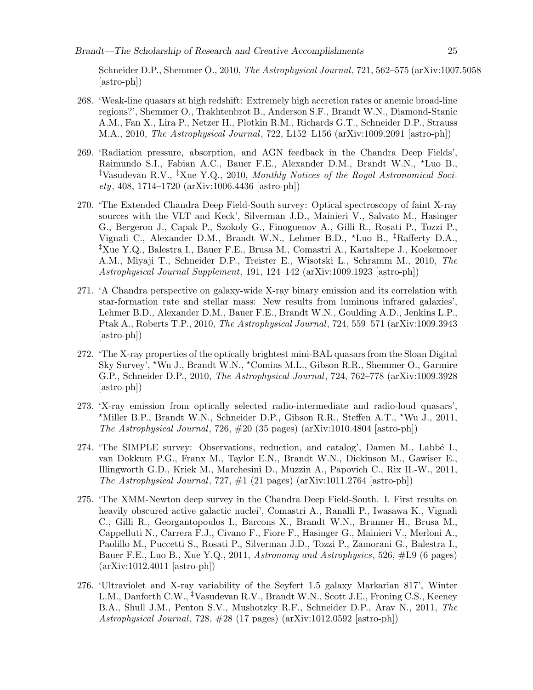Schneider D.P., Shemmer O., 2010, *The Astrophysical Journal*, 721, 562–575 (arXiv:1007.5058 [astro-ph])

- 268. 'Weak-line quasars at high redshift: Extremely high accretion rates or anemic broad-line regions?', Shemmer O., Trakhtenbrot B., Anderson S.F., Brandt W.N., Diamond-Stanic A.M., Fan X., Lira P., Netzer H., Plotkin R.M., Richards G.T., Schneider D.P., Strauss M.A., 2010, *The Astrophysical Journal*, 722, L152–L156 (arXiv:1009.2091 [astro-ph])
- 269. 'Radiation pressure, absorption, and AGN feedback in the Chandra Deep Fields', Raimundo S.I., Fabian A.C., Bauer F.E., Alexander D.M., Brandt W.N., \*Luo B., ‡Vasudevan R.V., ‡Xue Y.Q., 2010, *Monthly Notices of the Royal Astronomical Society*, 408, 1714–1720 (arXiv:1006.4436 [astro-ph])
- 270. 'The Extended Chandra Deep Field-South survey: Optical spectroscopy of faint X-ray sources with the VLT and Keck', Silverman J.D., Mainieri V., Salvato M., Hasinger G., Bergeron J., Capak P., Szokoly G., Finoguenov A., Gilli R., Rosati P., Tozzi P., Vignali C., Alexander D.M., Brandt W.N., Lehmer B.D., \*Luo B., <sup>‡</sup>Rafferty D.A., ‡Xue Y.Q., Balestra I., Bauer F.E., Brusa M., Comastri A., Kartaltepe J., Koekemoer A.M., Miyaji T., Schneider D.P., Treister E., Wisotski L., Schramm M., 2010, *The Astrophysical Journal Supplement*, 191, 124–142 (arXiv:1009.1923 [astro-ph])
- 271. 'A Chandra perspective on galaxy-wide X-ray binary emission and its correlation with star-formation rate and stellar mass: New results from luminous infrared galaxies', Lehmer B.D., Alexander D.M., Bauer F.E., Brandt W.N., Goulding A.D., Jenkins L.P., Ptak A., Roberts T.P., 2010, *The Astrophysical Journal*, 724, 559–571 (arXiv:1009.3943 [astro-ph])
- 272. 'The X-ray properties of the optically brightest mini-BAL quasars from the Sloan Digital Sky Survey', \*Wu J., Brandt W.N., \*Comins M.L., Gibson R.R., Shemmer O., Garmire G.P., Schneider D.P., 2010, *The Astrophysical Journal*, 724, 762–778 (arXiv:1009.3928 [astro-ph])
- 273. 'X-ray emission from optically selected radio-intermediate and radio-loud quasars', <sup>⋆</sup>Miller B.P., Brandt W.N., Schneider D.P., Gibson R.R., Steffen A.T., <sup>⋆</sup>Wu J., 2011, *The Astrophysical Journal*, 726, #20 (35 pages) (arXiv:1010.4804 [astro-ph])
- 274. 'The SIMPLE survey: Observations, reduction, and catalog', Damen M., Labbé I., van Dokkum P.G., Franx M., Taylor E.N., Brandt W.N., Dickinson M., Gawiser E., Illingworth G.D., Kriek M., Marchesini D., Muzzin A., Papovich C., Rix H.-W., 2011, *The Astrophysical Journal*, 727, #1 (21 pages) (arXiv:1011.2764 [astro-ph])
- 275. 'The XMM-Newton deep survey in the Chandra Deep Field-South. I. First results on heavily obscured active galactic nuclei', Comastri A., Ranalli P., Iwasawa K., Vignali C., Gilli R., Georgantopoulos I., Barcons X., Brandt W.N., Brunner H., Brusa M., Cappelluti N., Carrera F.J., Civano F., Fiore F., Hasinger G., Mainieri V., Merloni A., Paolillo M., Puccetti S., Rosati P., Silverman J.D., Tozzi P., Zamorani G., Balestra I., Bauer F.E., Luo B., Xue Y.Q., 2011, *Astronomy and Astrophysics*, 526, #L9 (6 pages) (arXiv:1012.4011 [astro-ph])
- 276. 'Ultraviolet and X-ray variability of the Seyfert 1.5 galaxy Markarian 817', Winter L.M., Danforth C.W., ‡Vasudevan R.V., Brandt W.N., Scott J.E., Froning C.S., Keeney B.A., Shull J.M., Penton S.V., Mushotzky R.F., Schneider D.P., Arav N., 2011, *The Astrophysical Journal*, 728, #28 (17 pages) (arXiv:1012.0592 [astro-ph])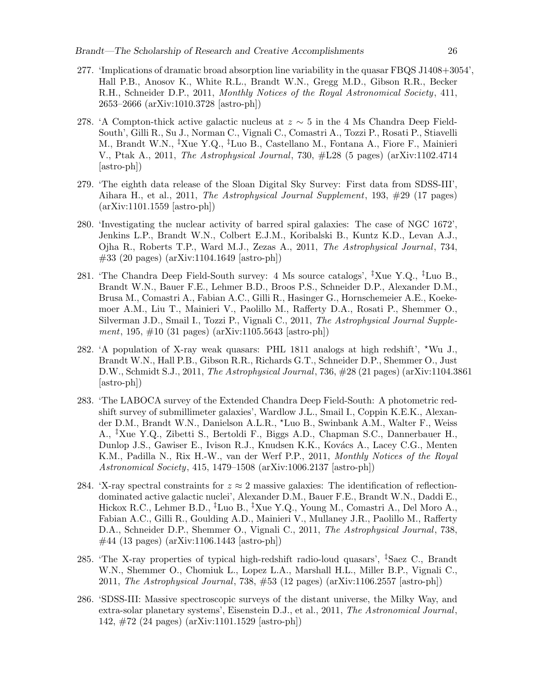- 277. 'Implications of dramatic broad absorption line variability in the quasar FBQS J1408+3054', Hall P.B., Anosov K., White R.L., Brandt W.N., Gregg M.D., Gibson R.R., Becker R.H., Schneider D.P., 2011, *Monthly Notices of the Royal Astronomical Society*, 411, 2653–2666 (arXiv:1010.3728 [astro-ph])
- 278. 'A Compton-thick active galactic nucleus at  $z \sim 5$  in the 4 Ms Chandra Deep Field-South', Gilli R., Su J., Norman C., Vignali C., Comastri A., Tozzi P., Rosati P., Stiavelli M., Brandt W.N., ‡Xue Y.Q., ‡Luo B., Castellano M., Fontana A., Fiore F., Mainieri V., Ptak A., 2011, *The Astrophysical Journal*, 730, #L28 (5 pages) (arXiv:1102.4714 [astro-ph])
- 279. 'The eighth data release of the Sloan Digital Sky Survey: First data from SDSS-III', Aihara H., et al., 2011, *The Astrophysical Journal Supplement*, 193, #29 (17 pages) (arXiv:1101.1559 [astro-ph])
- 280. 'Investigating the nuclear activity of barred spiral galaxies: The case of NGC 1672', Jenkins L.P., Brandt W.N., Colbert E.J.M., Koribalski B., Kuntz K.D., Levan A.J., Ojha R., Roberts T.P., Ward M.J., Zezas A., 2011, *The Astrophysical Journal*, 734, #33 (20 pages) (arXiv:1104.1649 [astro-ph])
- 281. 'The Chandra Deep Field-South survey: 4 Ms source catalogs', ‡Xue Y.Q., ‡Luo B., Brandt W.N., Bauer F.E., Lehmer B.D., Broos P.S., Schneider D.P., Alexander D.M., Brusa M., Comastri A., Fabian A.C., Gilli R., Hasinger G., Hornschemeier A.E., Koekemoer A.M., Liu T., Mainieri V., Paolillo M., Rafferty D.A., Rosati P., Shemmer O., Silverman J.D., Smail I., Tozzi P., Vignali C., 2011, *The Astrophysical Journal Supplement*, 195, #10 (31 pages) (arXiv:1105.5643 [astro-ph])
- 282. 'A population of X-ray weak quasars: PHL 1811 analogs at high redshift',  $*Wu$  J., Brandt W.N., Hall P.B., Gibson R.R., Richards G.T., Schneider D.P., Shemmer O., Just D.W., Schmidt S.J., 2011, *The Astrophysical Journal*, 736, #28 (21 pages) (arXiv:1104.3861 [astro-ph])
- 283. 'The LABOCA survey of the Extended Chandra Deep Field-South: A photometric redshift survey of submillimeter galaxies', Wardlow J.L., Smail I., Coppin K.E.K., Alexander D.M., Brandt W.N., Danielson A.L.R., <sup>\*</sup>Luo B., Swinbank A.M., Walter F., Weiss A., ‡Xue Y.Q., Zibetti S., Bertoldi F., Biggs A.D., Chapman S.C., Dannerbauer H., Dunlop J.S., Gawiser E., Ivison R.J., Knudsen K.K., Kovács A., Lacey C.G., Menten K.M., Padilla N., Rix H.-W., van der Werf P.P., 2011, *Monthly Notices of the Royal Astronomical Society*, 415, 1479–1508 (arXiv:1006.2137 [astro-ph])
- 284. 'X-ray spectral constraints for  $z \approx 2$  massive galaxies: The identification of reflectiondominated active galactic nuclei', Alexander D.M., Bauer F.E., Brandt W.N., Daddi E., Hickox R.C., Lehmer B.D., ‡Luo B., ‡Xue Y.Q., Young M., Comastri A., Del Moro A., Fabian A.C., Gilli R., Goulding A.D., Mainieri V., Mullaney J.R., Paolillo M., Rafferty D.A., Schneider D.P., Shemmer O., Vignali C., 2011, *The Astrophysical Journal*, 738, #44 (13 pages) (arXiv:1106.1443 [astro-ph])
- 285. 'The X-ray properties of typical high-redshift radio-loud quasars', ‡Saez C., Brandt W.N., Shemmer O., Chomiuk L., Lopez L.A., Marshall H.L., Miller B.P., Vignali C., 2011, *The Astrophysical Journal*, 738, #53 (12 pages) (arXiv:1106.2557 [astro-ph])
- 286. 'SDSS-III: Massive spectroscopic surveys of the distant universe, the Milky Way, and extra-solar planetary systems', Eisenstein D.J., et al., 2011, *The Astronomical Journal*, 142, #72 (24 pages) (arXiv:1101.1529 [astro-ph])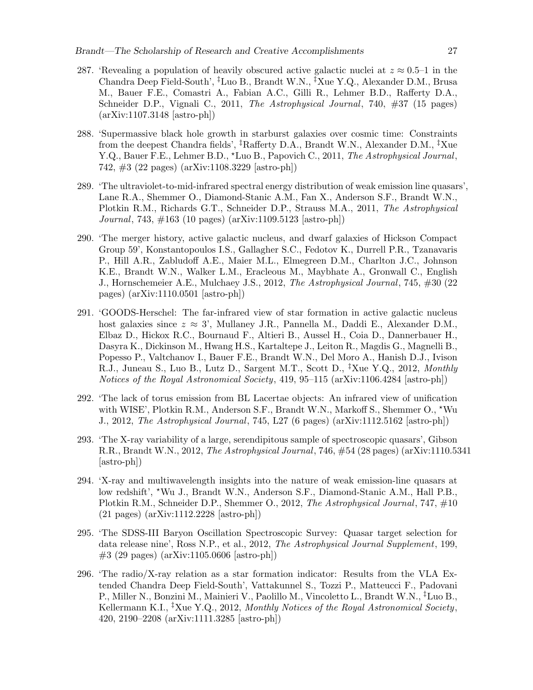- 287. 'Revealing a population of heavily obscured active galactic nuclei at  $z \approx 0.5$ –1 in the Chandra Deep Field-South', ‡Luo B., Brandt W.N., ‡Xue Y.Q., Alexander D.M., Brusa M., Bauer F.E., Comastri A., Fabian A.C., Gilli R., Lehmer B.D., Rafferty D.A., Schneider D.P., Vignali C., 2011, *The Astrophysical Journal*, 740, #37 (15 pages) (arXiv:1107.3148 [astro-ph])
- 288. 'Supermassive black hole growth in starburst galaxies over cosmic time: Constraints from the deepest Chandra fields', ‡Rafferty D.A., Brandt W.N., Alexander D.M., ‡Xue Y.Q., Bauer F.E., Lehmer B.D., \*Luo B., Papovich C., 2011, *The Astrophysical Journal*, 742, #3 (22 pages) (arXiv:1108.3229 [astro-ph])
- 289. 'The ultraviolet-to-mid-infrared spectral energy distribution of weak emission line quasars', Lane R.A., Shemmer O., Diamond-Stanic A.M., Fan X., Anderson S.F., Brandt W.N., Plotkin R.M., Richards G.T., Schneider D.P., Strauss M.A., 2011, *The Astrophysical Journal*, 743, #163 (10 pages) (arXiv:1109.5123 [astro-ph])
- 290. 'The merger history, active galactic nucleus, and dwarf galaxies of Hickson Compact Group 59', Konstantopoulos I.S., Gallagher S.C., Fedotov K., Durrell P.R., Tzanavaris P., Hill A.R., Zabludoff A.E., Maier M.L., Elmegreen D.M., Charlton J.C., Johnson K.E., Brandt W.N., Walker L.M., Eracleous M., Maybhate A., Gronwall C., English J., Hornschemeier A.E., Mulchaey J.S., 2012, *The Astrophysical Journal*, 745, #30 (22 pages) (arXiv:1110.0501 [astro-ph])
- 291. 'GOODS-Herschel: The far-infrared view of star formation in active galactic nucleus host galaxies since  $z \approx 3'$ , Mullaney J.R., Pannella M., Daddi E., Alexander D.M., Elbaz D., Hickox R.C., Bournaud F., Altieri B., Aussel H., Coia D., Dannerbauer H., Dasyra K., Dickinson M., Hwang H.S., Kartaltepe J., Leiton R., Magdis G., Magnelli B., Popesso P., Valtchanov I., Bauer F.E., Brandt W.N., Del Moro A., Hanish D.J., Ivison R.J., Juneau S., Luo B., Lutz D., Sargent M.T., Scott D., ‡Xue Y.Q., 2012, *Monthly Notices of the Royal Astronomical Society*, 419, 95–115 (arXiv:1106.4284 [astro-ph])
- 292. 'The lack of torus emission from BL Lacertae objects: An infrared view of unification with WISE', Plotkin R.M., Anderson S.F., Brandt W.N., Markoff S., Shemmer O., <sup>\*</sup>Wu J., 2012, *The Astrophysical Journal*, 745, L27 (6 pages) (arXiv:1112.5162 [astro-ph])
- 293. 'The X-ray variability of a large, serendipitous sample of spectroscopic quasars', Gibson R.R., Brandt W.N., 2012, *The Astrophysical Journal*, 746, #54 (28 pages) (arXiv:1110.5341 [astro-ph])
- 294. 'X-ray and multiwavelength insights into the nature of weak emission-line quasars at low redshift', \*Wu J., Brandt W.N., Anderson S.F., Diamond-Stanic A.M., Hall P.B., Plotkin R.M., Schneider D.P., Shemmer O., 2012, *The Astrophysical Journal*, 747, #10 (21 pages) (arXiv:1112.2228 [astro-ph])
- 295. 'The SDSS-III Baryon Oscillation Spectroscopic Survey: Quasar target selection for data release nine', Ross N.P., et al., 2012, *The Astrophysical Journal Supplement*, 199, #3 (29 pages) (arXiv:1105.0606 [astro-ph])
- 296. 'The radio/X-ray relation as a star formation indicator: Results from the VLA Extended Chandra Deep Field-South', Vattakunnel S., Tozzi P., Matteucci F., Padovani P., Miller N., Bonzini M., Mainieri V., Paolillo M., Vincoletto L., Brandt W.N., ‡Luo B., Kellermann K.I., ‡Xue Y.Q., 2012, *Monthly Notices of the Royal Astronomical Society*, 420, 2190–2208 (arXiv:1111.3285 [astro-ph])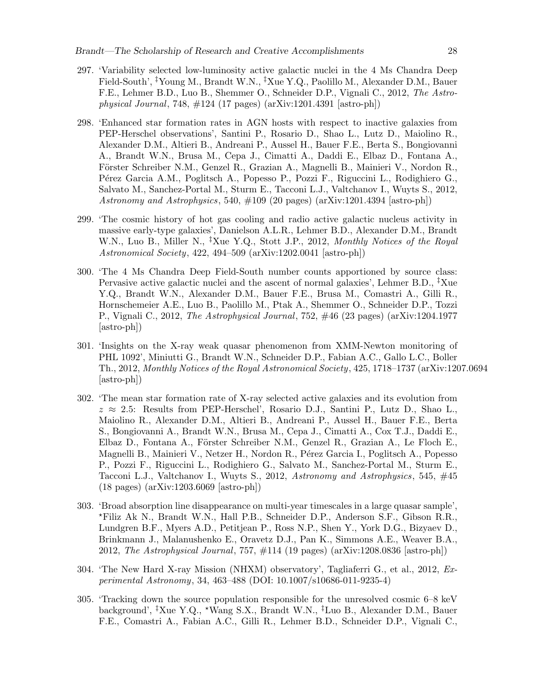- 297. 'Variability selected low-luminosity active galactic nuclei in the 4 Ms Chandra Deep Field-South', ‡Young M., Brandt W.N., ‡Xue Y.Q., Paolillo M., Alexander D.M., Bauer F.E., Lehmer B.D., Luo B., Shemmer O., Schneider D.P., Vignali C., 2012, *The Astrophysical Journal*, 748, #124 (17 pages) (arXiv:1201.4391 [astro-ph])
- 298. 'Enhanced star formation rates in AGN hosts with respect to inactive galaxies from PEP-Herschel observations', Santini P., Rosario D., Shao L., Lutz D., Maiolino R., Alexander D.M., Altieri B., Andreani P., Aussel H., Bauer F.E., Berta S., Bongiovanni A., Brandt W.N., Brusa M., Cepa J., Cimatti A., Daddi E., Elbaz D., Fontana A., Förster Schreiber N.M., Genzel R., Grazian A., Magnelli B., Mainieri V., Nordon R., Pérez Garcia A.M., Poglitsch A., Popesso P., Pozzi F., Riguccini L., Rodighiero G., Salvato M., Sanchez-Portal M., Sturm E., Tacconi L.J., Valtchanov I., Wuyts S., 2012, *Astronomy and Astrophysics*, 540, #109 (20 pages) (arXiv:1201.4394 [astro-ph])
- 299. 'The cosmic history of hot gas cooling and radio active galactic nucleus activity in massive early-type galaxies', Danielson A.L.R., Lehmer B.D., Alexander D.M., Brandt W.N., Luo B., Miller N., ‡Xue Y.Q., Stott J.P., 2012, *Monthly Notices of the Royal Astronomical Society*, 422, 494–509 (arXiv:1202.0041 [astro-ph])
- 300. 'The 4 Ms Chandra Deep Field-South number counts apportioned by source class: Pervasive active galactic nuclei and the ascent of normal galaxies', Lehmer B.D., ‡Xue Y.Q., Brandt W.N., Alexander D.M., Bauer F.E., Brusa M., Comastri A., Gilli R., Hornschemeier A.E., Luo B., Paolillo M., Ptak A., Shemmer O., Schneider D.P., Tozzi P., Vignali C., 2012, *The Astrophysical Journal*, 752, #46 (23 pages) (arXiv:1204.1977 [astro-ph])
- 301. 'Insights on the X-ray weak quasar phenomenon from XMM-Newton monitoring of PHL 1092', Miniutti G., Brandt W.N., Schneider D.P., Fabian A.C., Gallo L.C., Boller Th., 2012, *Monthly Notices of the Royal Astronomical Society*, 425, 1718–1737 (arXiv:1207.0694 [astro-ph])
- 302. 'The mean star formation rate of X-ray selected active galaxies and its evolution from  $z \approx 2.5$ : Results from PEP-Herschel', Rosario D.J., Santini P., Lutz D., Shao L., Maiolino R., Alexander D.M., Altieri B., Andreani P., Aussel H., Bauer F.E., Berta S., Bongiovanni A., Brandt W.N., Brusa M., Cepa J., Cimatti A., Cox T.J., Daddi E., Elbaz D., Fontana A., Förster Schreiber N.M., Genzel R., Grazian A., Le Floch E., Magnelli B., Mainieri V., Netzer H., Nordon R., Pérez Garcia I., Poglitsch A., Popesso P., Pozzi F., Riguccini L., Rodighiero G., Salvato M., Sanchez-Portal M., Sturm E., Tacconi L.J., Valtchanov I., Wuyts S., 2012, *Astronomy and Astrophysics*, 545, #45 (18 pages) (arXiv:1203.6069 [astro-ph])
- 303. 'Broad absorption line disappearance on multi-year timescales in a large quasar sample', <sup>⋆</sup>Filiz Ak N., Brandt W.N., Hall P.B., Schneider D.P., Anderson S.F., Gibson R.R., Lundgren B.F., Myers A.D., Petitjean P., Ross N.P., Shen Y., York D.G., Bizyaev D., Brinkmann J., Malanushenko E., Oravetz D.J., Pan K., Simmons A.E., Weaver B.A., 2012, *The Astrophysical Journal*, 757, #114 (19 pages) (arXiv:1208.0836 [astro-ph])
- 304. 'The New Hard X-ray Mission (NHXM) observatory', Tagliaferri G., et al., 2012, *Experimental Astronomy*, 34, 463–488 (DOI: 10.1007/s10686-011-9235-4)
- 305. 'Tracking down the source population responsible for the unresolved cosmic 6–8 keV background',  ${}^{\ddagger}$ Xue Y.Q.,  ${}^{\star}$ Wang S.X., Brandt W.N.,  ${}^{\ddagger}$ Luo B., Alexander D.M., Bauer F.E., Comastri A., Fabian A.C., Gilli R., Lehmer B.D., Schneider D.P., Vignali C.,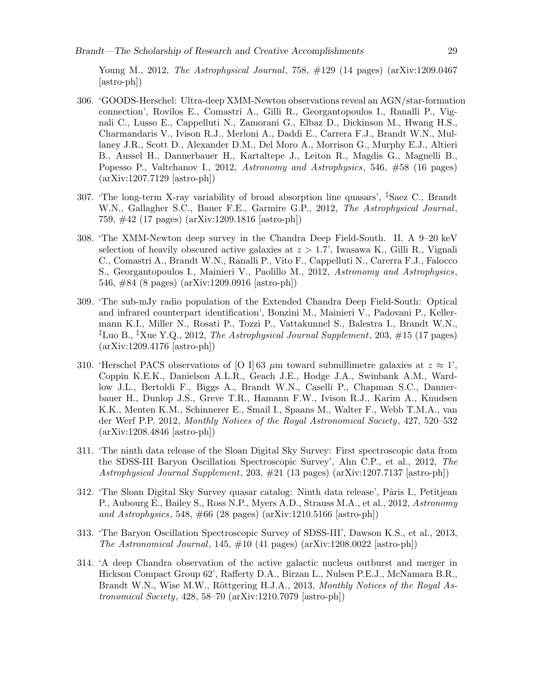Young M., 2012, *The Astrophysical Journal*, 758, #129 (14 pages) (arXiv:1209.0467 [astro-ph])

- 306. 'GOODS-Herschel: Ultra-deep XMM-Newton observations reveal an AGN/star-formation connection', Rovilos E., Comastri A., Gilli R., Georgantopoulos I., Ranalli P., Vignali C., Lusso E., Cappelluti N., Zamorani G., Elbaz D., Dickinson M., Hwang H.S., Charmandaris V., Ivison R.J., Merloni A., Daddi E., Carrera F.J., Brandt W.N., Mullaney J.R., Scott D., Alexander D.M., Del Moro A., Morrison G., Murphy E.J., Altieri B., Aussel H., Dannerbauer H., Kartaltepe J., Leiton R., Magdis G., Magnelli B., Popesso P., Valtchanov I., 2012, *Astronomy and Astrophysics*, 546, #58 (16 pages) (arXiv:1207.7129 [astro-ph])
- 307. 'The long-term X-ray variability of broad absorption line quasars', ‡Saez C., Brandt W.N., Gallagher S.C., Bauer F.E., Garmire G.P., 2012, *The Astrophysical Journal*, 759, #42 (17 pages) (arXiv:1209.1816 [astro-ph])
- 308. 'The XMM-Newton deep survey in the Chandra Deep Field-South. II. A 9–20 keV selection of heavily obscured active galaxies at  $z > 1.7$ , Iwasawa K., Gilli R., Vignali C., Comastri A., Brandt W.N., Ranalli P., Vito F., Cappelluti N., Carerra F.J., Falocco S., Georgantopoulos I., Mainieri V., Paolillo M., 2012, *Astronomy and Astrophysics*, 546, #84 (8 pages) (arXiv:1209.0916 [astro-ph])
- 309. 'The sub-mJy radio population of the Extended Chandra Deep Field-South: Optical and infrared counterpart identification', Bonzini M., Mainieri V., Padovani P., Kellermann K.I., Miller N., Rosati P., Tozzi P., Vattakunnel S., Balestra I., Brandt W.N., ‡Luo B., ‡Xue Y.Q., 2012, *The Astrophysical Journal Supplement*, 203, #15 (17 pages) (arXiv:1209.4176 [astro-ph])
- 310. 'Herschel PACS observations of [O I] 63  $\mu$ m toward submillimetre galaxies at  $z \approx 1'$ , Coppin K.E.K., Danielson A.L.R., Geach J.E., Hodge J.A., Swinbank A.M., Wardlow J.L., Bertoldi F., Biggs A., Brandt W.N., Caselli P., Chapman S.C., Dannerbauer H., Dunlop J.S., Greve T.R., Hamann F.W., Ivison R.J., Karim A., Knudsen K.K., Menten K.M., Schinnerer E., Smail I., Spaans M., Walter F., Webb T.M.A., van der Werf P.P. 2012, *Monthly Notices of the Royal Astronomical Society*, 427, 520–532 (arXiv:1208.4846 [astro-ph])
- 311. 'The ninth data release of the Sloan Digital Sky Survey: First spectroscopic data from the SDSS-III Baryon Oscillation Spectroscopic Survey', Ahn C.P., et al., 2012, *The Astrophysical Journal Supplement*, 203, #21 (13 pages) (arXiv:1207.7137 [astro-ph])
- 312. 'The Sloan Digital Sky Survey quasar catalog: Ninth data release', Pâris I., Petitjean P., Aubourg E., Bailey S., Ross N.P., Myers A.D., Strauss M.A., et al., 2012, Astronomy *and Astrophysics*, 548, #66 (28 pages) (arXiv:1210.5166 [astro-ph])
- 313. 'The Baryon Oscillation Spectroscopic Survey of SDSS-III', Dawson K.S., et al., 2013, *The Astronomical Journal*, 145, #10 (41 pages) (arXiv:1208.0022 [astro-ph])
- 314. 'A deep Chandra observation of the active galactic nucleus outburst and merger in Hickson Compact Group 62', Rafferty D.A., Bîrzan L., Nulsen P.E.J., McNamara B.R., Brandt W.N., Wise M.W., Röttgering H.J.A., 2013, *Monthly Notices of the Royal Astronomical Society*, 428, 58–70 (arXiv:1210.7079 [astro-ph])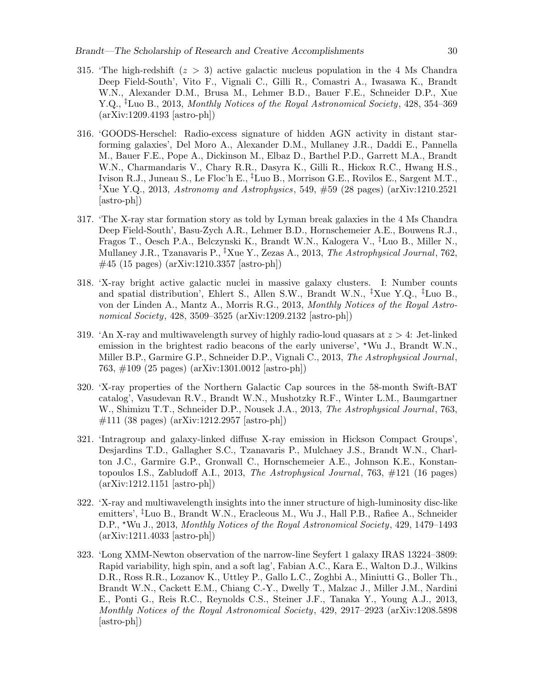- 315. The high-redshift  $(z > 3)$  active galactic nucleus population in the 4 Ms Chandra Deep Field-South', Vito F., Vignali C., Gilli R., Comastri A., Iwasawa K., Brandt W.N., Alexander D.M., Brusa M., Lehmer B.D., Bauer F.E., Schneider D.P., Xue Y.Q., ‡Luo B., 2013, *Monthly Notices of the Royal Astronomical Society*, 428, 354–369 (arXiv:1209.4193 [astro-ph])
- 316. 'GOODS-Herschel: Radio-excess signature of hidden AGN activity in distant starforming galaxies', Del Moro A., Alexander D.M., Mullaney J.R., Daddi E., Pannella M., Bauer F.E., Pope A., Dickinson M., Elbaz D., Barthel P.D., Garrett M.A., Brandt W.N., Charmandaris V., Chary R.R., Dasyra K., Gilli R., Hickox R.C., Hwang H.S., Ivison R.J., Juneau S., Le Floc'h E., ‡Luo B., Morrison G.E., Rovilos E., Sargent M.T., ‡Xue Y.Q., 2013, *Astronomy and Astrophysics*, 549, #59 (28 pages) (arXiv:1210.2521 [astro-ph])
- 317. 'The X-ray star formation story as told by Lyman break galaxies in the 4 Ms Chandra Deep Field-South', Basu-Zych A.R., Lehmer B.D., Hornschemeier A.E., Bouwens R.J., Fragos T., Oesch P.A., Belczynski K., Brandt W.N., Kalogera V., ‡Luo B., Miller N., Mullaney J.R., Tzanavaris P., ‡Xue Y., Zezas A., 2013, *The Astrophysical Journal*, 762, #45 (15 pages) (arXiv:1210.3357 [astro-ph])
- 318. 'X-ray bright active galactic nuclei in massive galaxy clusters. I: Number counts and spatial distribution', Ehlert S., Allen S.W., Brandt W.N.,  $^{\ddagger}$ Xue Y.Q.,  $^{\ddagger}$ Luo B., von der Linden A., Mantz A., Morris R.G., 2013, *Monthly Notices of the Royal Astronomical Society*, 428, 3509–3525 (arXiv:1209.2132 [astro-ph])
- 319. 'An X-ray and multiwavelength survey of highly radio-loud quasars at  $z > 4$ : Jet-linked emission in the brightest radio beacons of the early universe',  $*Wu$  J., Brandt W.N., Miller B.P., Garmire G.P., Schneider D.P., Vignali C., 2013, *The Astrophysical Journal*, 763, #109 (25 pages) (arXiv:1301.0012 [astro-ph])
- 320. 'X-ray properties of the Northern Galactic Cap sources in the 58-month Swift-BAT catalog', Vasudevan R.V., Brandt W.N., Mushotzky R.F., Winter L.M., Baumgartner W., Shimizu T.T., Schneider D.P., Nousek J.A., 2013, *The Astrophysical Journal*, 763, #111 (38 pages) (arXiv:1212.2957 [astro-ph])
- 321. 'Intragroup and galaxy-linked diffuse X-ray emission in Hickson Compact Groups', Desjardins T.D., Gallagher S.C., Tzanavaris P., Mulchaey J.S., Brandt W.N., Charlton J.C., Garmire G.P., Gronwall C., Hornschemeier A.E., Johnson K.E., Konstantopoulos I.S., Zabludoff A.I., 2013, *The Astrophysical Journal*, 763, #121 (16 pages) (arXiv:1212.1151 [astro-ph])
- 322. 'X-ray and multiwavelength insights into the inner structure of high-luminosity disc-like emitters', ‡Luo B., Brandt W.N., Eracleous M., Wu J., Hall P.B., Rafiee A., Schneider D.P., <sup>⋆</sup>Wu J., 2013, *Monthly Notices of the Royal Astronomical Society*, 429, 1479–1493 (arXiv:1211.4033 [astro-ph])
- 323. 'Long XMM-Newton observation of the narrow-line Seyfert 1 galaxy IRAS 13224–3809: Rapid variability, high spin, and a soft lag', Fabian A.C., Kara E., Walton D.J., Wilkins D.R., Ross R.R., Lozanov K., Uttley P., Gallo L.C., Zoghbi A., Miniutti G., Boller Th., Brandt W.N., Cackett E.M., Chiang C.-Y., Dwelly T., Malzac J., Miller J.M., Nardini E., Ponti G., Reis R.C., Reynolds C.S., Steiner J.F., Tanaka Y., Young A.J., 2013, *Monthly Notices of the Royal Astronomical Society*, 429, 2917–2923 (arXiv:1208.5898 [astro-ph])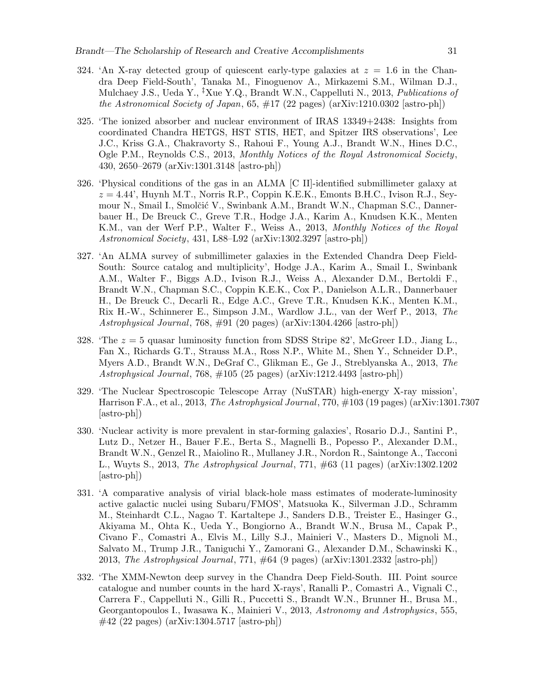- 324. 'An X-ray detected group of quiescent early-type galaxies at  $z = 1.6$  in the Chandra Deep Field-South', Tanaka M., Finoguenov A., Mirkazemi S.M., Wilman D.J., Mulchaey J.S., Ueda Y., ‡Xue Y.Q., Brandt W.N., Cappelluti N., 2013, *Publications of the Astronomical Society of Japan*, 65, #17 (22 pages) (arXiv:1210.0302 [astro-ph])
- 325. 'The ionized absorber and nuclear environment of IRAS 13349+2438: Insights from coordinated Chandra HETGS, HST STIS, HET, and Spitzer IRS observations', Lee J.C., Kriss G.A., Chakravorty S., Rahoui F., Young A.J., Brandt W.N., Hines D.C., Ogle P.M., Reynolds C.S., 2013, *Monthly Notices of the Royal Astronomical Society*, 430, 2650–2679 (arXiv:1301.3148 [astro-ph])
- 326. 'Physical conditions of the gas in an ALMA [C II]-identified submillimeter galaxy at  $z = 4.44$ ', Huynh M.T., Norris R.P., Coppin K.E.K., Emonts B.H.C., Ivison R.J., Seymour N., Smail I., Smolčić V., Swinbank A.M., Brandt W.N., Chapman S.C., Dannerbauer H., De Breuck C., Greve T.R., Hodge J.A., Karim A., Knudsen K.K., Menten K.M., van der Werf P.P., Walter F., Weiss A., 2013, *Monthly Notices of the Royal Astronomical Society*, 431, L88–L92 (arXiv:1302.3297 [astro-ph])
- 327. 'An ALMA survey of submillimeter galaxies in the Extended Chandra Deep Field-South: Source catalog and multiplicity', Hodge J.A., Karim A., Smail I., Swinbank A.M., Walter F., Biggs A.D., Ivison R.J., Weiss A., Alexander D.M., Bertoldi F., Brandt W.N., Chapman S.C., Coppin K.E.K., Cox P., Danielson A.L.R., Dannerbauer H., De Breuck C., Decarli R., Edge A.C., Greve T.R., Knudsen K.K., Menten K.M., Rix H.-W., Schinnerer E., Simpson J.M., Wardlow J.L., van der Werf P., 2013, *The Astrophysical Journal*, 768, #91 (20 pages) (arXiv:1304.4266 [astro-ph])
- 328. 'The  $z = 5$  quasar luminosity function from SDSS Stripe 82', McGreer I.D., Jiang L., Fan X., Richards G.T., Strauss M.A., Ross N.P., White M., Shen Y., Schneider D.P., Myers A.D., Brandt W.N., DeGraf C., Glikman E., Ge J., Streblyanska A., 2013, *The Astrophysical Journal*, 768, #105 (25 pages) (arXiv:1212.4493 [astro-ph])
- 329. 'The Nuclear Spectroscopic Telescope Array (NuSTAR) high-energy X-ray mission', Harrison F.A., et al., 2013, *The Astrophysical Journal*, 770, #103 (19 pages) (arXiv:1301.7307 [astro-ph])
- 330. 'Nuclear activity is more prevalent in star-forming galaxies', Rosario D.J., Santini P., Lutz D., Netzer H., Bauer F.E., Berta S., Magnelli B., Popesso P., Alexander D.M., Brandt W.N., Genzel R., Maiolino R., Mullaney J.R., Nordon R., Saintonge A., Tacconi L., Wuyts S., 2013, *The Astrophysical Journal*, 771, #63 (11 pages) (arXiv:1302.1202 [astro-ph])
- 331. 'A comparative analysis of virial black-hole mass estimates of moderate-luminosity active galactic nuclei using Subaru/FMOS', Matsuoka K., Silverman J.D., Schramm M., Steinhardt C.L., Nagao T. Kartaltepe J., Sanders D.B., Treister E., Hasinger G., Akiyama M., Ohta K., Ueda Y., Bongiorno A., Brandt W.N., Brusa M., Capak P., Civano F., Comastri A., Elvis M., Lilly S.J., Mainieri V., Masters D., Mignoli M., Salvato M., Trump J.R., Taniguchi Y., Zamorani G., Alexander D.M., Schawinski K., 2013, *The Astrophysical Journal*, 771, #64 (9 pages) (arXiv:1301.2332 [astro-ph])
- 332. 'The XMM-Newton deep survey in the Chandra Deep Field-South. III. Point source catalogue and number counts in the hard X-rays', Ranalli P., Comastri A., Vignali C., Carrera F., Cappelluti N., Gilli R., Puccetti S., Brandt W.N., Brunner H., Brusa M., Georgantopoulos I., Iwasawa K., Mainieri V., 2013, *Astronomy and Astrophysics*, 555, #42 (22 pages) (arXiv:1304.5717 [astro-ph])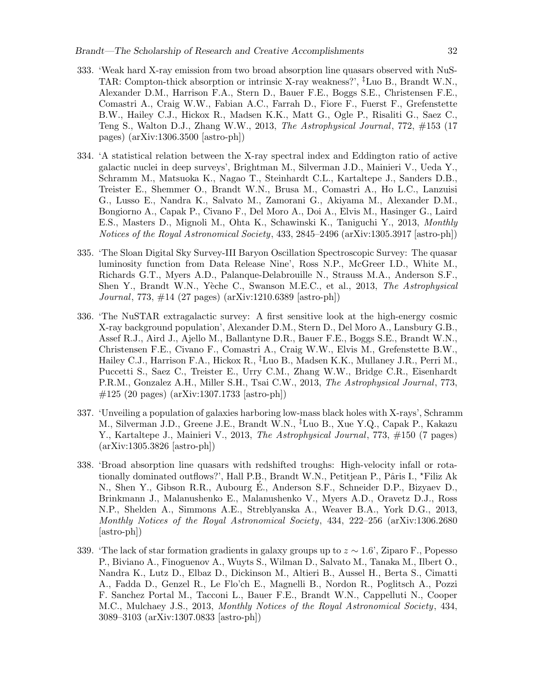- 333. 'Weak hard X-ray emission from two broad absorption line quasars observed with NuS-TAR: Compton-thick absorption or intrinsic X-ray weakness?', ‡Luo B., Brandt W.N., Alexander D.M., Harrison F.A., Stern D., Bauer F.E., Boggs S.E., Christensen F.E., Comastri A., Craig W.W., Fabian A.C., Farrah D., Fiore F., Fuerst F., Grefenstette B.W., Hailey C.J., Hickox R., Madsen K.K., Matt G., Ogle P., Risaliti G., Saez C., Teng S., Walton D.J., Zhang W.W., 2013, *The Astrophysical Journal*, 772, #153 (17 pages) (arXiv:1306.3500 [astro-ph])
- 334. 'A statistical relation between the X-ray spectral index and Eddington ratio of active galactic nuclei in deep surveys', Brightman M., Silverman J.D., Mainieri V., Ueda Y., Schramm M., Matsuoka K., Nagao T., Steinhardt C.L., Kartaltepe J., Sanders D.B., Treister E., Shemmer O., Brandt W.N., Brusa M., Comastri A., Ho L.C., Lanzuisi G., Lusso E., Nandra K., Salvato M., Zamorani G., Akiyama M., Alexander D.M., Bongiorno A., Capak P., Civano F., Del Moro A., Doi A., Elvis M., Hasinger G., Laird E.S., Masters D., Mignoli M., Ohta K., Schawinski K., Taniguchi Y., 2013, *Monthly Notices of the Royal Astronomical Society*, 433, 2845–2496 (arXiv:1305.3917 [astro-ph])
- 335. 'The Sloan Digital Sky Survey-III Baryon Oscillation Spectroscopic Survey: The quasar luminosity function from Data Release Nine', Ross N.P., McGreer I.D., White M., Richards G.T., Myers A.D., Palanque-Delabrouille N., Strauss M.A., Anderson S.F., Shen Y., Brandt W.N., Yèche C., Swanson M.E.C., et al., 2013, *The Astrophysical Journal*, 773, #14 (27 pages) (arXiv:1210.6389 [astro-ph])
- 336. 'The NuSTAR extragalactic survey: A first sensitive look at the high-energy cosmic X-ray background population', Alexander D.M., Stern D., Del Moro A., Lansbury G.B., Assef R.J., Aird J., Ajello M., Ballantyne D.R., Bauer F.E., Boggs S.E., Brandt W.N., Christensen F.E., Civano F., Comastri A., Craig W.W., Elvis M., Grefenstette B.W., Hailey C.J., Harrison F.A., Hickox R., ‡Luo B., Madsen K.K., Mullaney J.R., Perri M., Puccetti S., Saez C., Treister E., Urry C.M., Zhang W.W., Bridge C.R., Eisenhardt P.R.M., Gonzalez A.H., Miller S.H., Tsai C.W., 2013, *The Astrophysical Journal*, 773, #125 (20 pages) (arXiv:1307.1733 [astro-ph])
- 337. 'Unveiling a population of galaxies harboring low-mass black holes with X-rays', Schramm M., Silverman J.D., Greene J.E., Brandt W.N., ‡Luo B., Xue Y.Q., Capak P., Kakazu Y., Kartaltepe J., Mainieri V., 2013, *The Astrophysical Journal*, 773, #150 (7 pages) (arXiv:1305.3826 [astro-ph])
- 338. 'Broad absorption line quasars with redshifted troughs: High-velocity infall or rotationally dominated outflows?', Hall P.B., Brandt W.N., Petitjean P., Pâris I., \*Filiz Ak N., Shen Y., Gibson R.R., Aubourg E., Anderson S.F., Schneider D.P., Bizyaev D., ´ Brinkmann J., Malanushenko E., Malanushenko V., Myers A.D., Oravetz D.J., Ross N.P., Shelden A., Simmons A.E., Streblyanska A., Weaver B.A., York D.G., 2013, *Monthly Notices of the Royal Astronomical Society*, 434, 222–256 (arXiv:1306.2680 [astro-ph])
- 339. 'The lack of star formation gradients in galaxy groups up to  $z \sim 1.6$ ', Ziparo F., Popesso P., Biviano A., Finoguenov A., Wuyts S., Wilman D., Salvato M., Tanaka M., Ilbert O., Nandra K., Lutz D., Elbaz D., Dickinson M., Altieri B., Aussel H., Berta S., Cimatti A., Fadda D., Genzel R., Le Flo'ch E., Magnelli B., Nordon R., Poglitsch A., Pozzi F. Sanchez Portal M., Tacconi L., Bauer F.E., Brandt W.N., Cappelluti N., Cooper M.C., Mulchaey J.S., 2013, *Monthly Notices of the Royal Astronomical Society*, 434, 3089–3103 (arXiv:1307.0833 [astro-ph])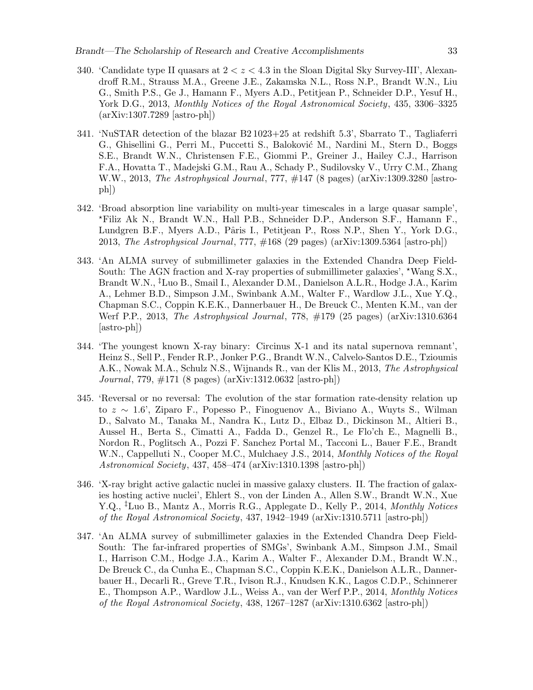- 340. 'Candidate type II quasars at  $2 < z < 4.3$  in the Sloan Digital Sky Survey-III', Alexandroff R.M., Strauss M.A., Greene J.E., Zakamska N.L., Ross N.P., Brandt W.N., Liu G., Smith P.S., Ge J., Hamann F., Myers A.D., Petitjean P., Schneider D.P., Yesuf H., York D.G., 2013, *Monthly Notices of the Royal Astronomical Society*, 435, 3306–3325 (arXiv:1307.7289 [astro-ph])
- 341. 'NuSTAR detection of the blazar B2 1023+25 at redshift 5.3', Sbarrato T., Tagliaferri G., Ghisellini G., Perri M., Puccetti S., Baloković M., Nardini M., Stern D., Boggs S.E., Brandt W.N., Christensen F.E., Giommi P., Greiner J., Hailey C.J., Harrison F.A., Hovatta T., Madejski G.M., Rau A., Schady P., Sudilovsky V., Urry C.M., Zhang W.W., 2013, *The Astrophysical Journal*, 777, #147 (8 pages) (arXiv:1309.3280 [astroph])
- 342. 'Broad absorption line variability on multi-year timescales in a large quasar sample', <sup>⋆</sup>Filiz Ak N., Brandt W.N., Hall P.B., Schneider D.P., Anderson S.F., Hamann F., Lundgren B.F., Myers A.D., Pâris I., Petitjean P., Ross N.P., Shen Y., York D.G., 2013, *The Astrophysical Journal*, 777, #168 (29 pages) (arXiv:1309.5364 [astro-ph])
- 343. 'An ALMA survey of submillimeter galaxies in the Extended Chandra Deep Field-South: The AGN fraction and X-ray properties of submillimeter galaxies', \*Wang S.X., Brandt W.N., ‡Luo B., Smail I., Alexander D.M., Danielson A.L.R., Hodge J.A., Karim A., Lehmer B.D., Simpson J.M., Swinbank A.M., Walter F., Wardlow J.L., Xue Y.Q., Chapman S.C., Coppin K.E.K., Dannerbauer H., De Breuck C., Menten K.M., van der Werf P.P., 2013, *The Astrophysical Journal*, 778, #179 (25 pages) (arXiv:1310.6364 [astro-ph])
- 344. 'The youngest known X-ray binary: Circinus X-1 and its natal supernova remnant', Heinz S., Sell P., Fender R.P., Jonker P.G., Brandt W.N., Calvelo-Santos D.E., Tzioumis A.K., Nowak M.A., Schulz N.S., Wijnands R., van der Klis M., 2013, *The Astrophysical Journal*, 779, #171 (8 pages) (arXiv:1312.0632 [astro-ph])
- 345. 'Reversal or no reversal: The evolution of the star formation rate-density relation up to z ∼ 1.6', Ziparo F., Popesso P., Finoguenov A., Biviano A., Wuyts S., Wilman D., Salvato M., Tanaka M., Nandra K., Lutz D., Elbaz D., Dickinson M., Altieri B., Aussel H., Berta S., Cimatti A., Fadda D., Genzel R., Le Flo'ch E., Magnelli B., Nordon R., Poglitsch A., Pozzi F. Sanchez Portal M., Tacconi L., Bauer F.E., Brandt W.N., Cappelluti N., Cooper M.C., Mulchaey J.S., 2014, *Monthly Notices of the Royal Astronomical Society*, 437, 458–474 (arXiv:1310.1398 [astro-ph])
- 346. 'X-ray bright active galactic nuclei in massive galaxy clusters. II. The fraction of galaxies hosting active nuclei', Ehlert S., von der Linden A., Allen S.W., Brandt W.N., Xue Y.Q., ‡Luo B., Mantz A., Morris R.G., Applegate D., Kelly P., 2014, *Monthly Notices of the Royal Astronomical Society*, 437, 1942–1949 (arXiv:1310.5711 [astro-ph])
- 347. 'An ALMA survey of submillimeter galaxies in the Extended Chandra Deep Field-South: The far-infrared properties of SMGs', Swinbank A.M., Simpson J.M., Smail I., Harrison C.M., Hodge J.A., Karim A., Walter F., Alexander D.M., Brandt W.N., De Breuck C., da Cunha E., Chapman S.C., Coppin K.E.K., Danielson A.L.R., Dannerbauer H., Decarli R., Greve T.R., Ivison R.J., Knudsen K.K., Lagos C.D.P., Schinnerer E., Thompson A.P., Wardlow J.L., Weiss A., van der Werf P.P., 2014, *Monthly Notices of the Royal Astronomical Society*, 438, 1267–1287 (arXiv:1310.6362 [astro-ph])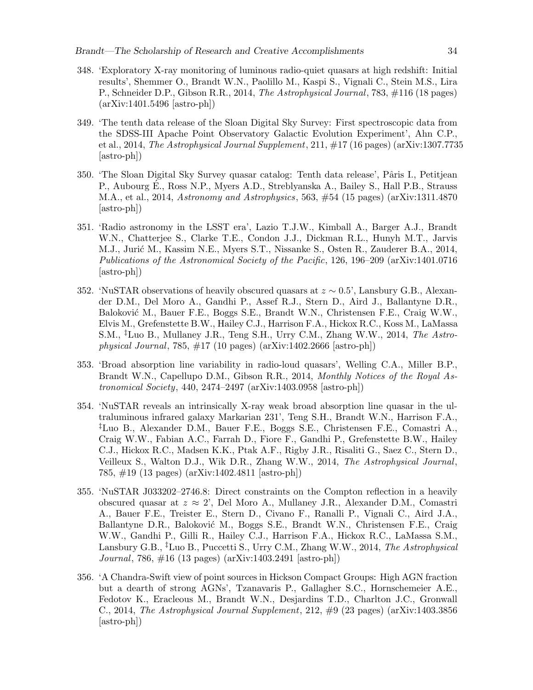- 348. 'Exploratory X-ray monitoring of luminous radio-quiet quasars at high redshift: Initial results', Shemmer O., Brandt W.N., Paolillo M., Kaspi S., Vignali C., Stein M.S., Lira P., Schneider D.P., Gibson R.R., 2014, *The Astrophysical Journal*, 783, #116 (18 pages) (arXiv:1401.5496 [astro-ph])
- 349. 'The tenth data release of the Sloan Digital Sky Survey: First spectroscopic data from the SDSS-III Apache Point Observatory Galactic Evolution Experiment', Ahn C.P., et al., 2014, *The Astrophysical Journal Supplement*, 211, #17 (16 pages) (arXiv:1307.7735 [astro-ph])
- 350. 'The Sloan Digital Sky Survey quasar catalog: Tenth data release', Pâris I., Petitiean P., Aubourg E., Ross N.P., Myers A.D., Streblyanska A., Bailey S., Hall P.B., Strauss M.A., et al., 2014, *Astronomy and Astrophysics*, 563, #54 (15 pages) (arXiv:1311.4870 [astro-ph])
- 351. 'Radio astronomy in the LSST era', Lazio T.J.W., Kimball A., Barger A.J., Brandt W.N., Chatterjee S., Clarke T.E., Condon J.J., Dickman R.L., Hunyh M.T., Jarvis M.J., Jurić M., Kassim N.E., Myers S.T., Nissanke S., Osten R., Zauderer B.A., 2014, *Publications of the Astronomical Society of the Pacific*, 126, 196–209 (arXiv:1401.0716 [astro-ph])
- 352. 'NuSTAR observations of heavily obscured quasars at  $z \sim 0.5$ ', Lansbury G.B., Alexander D.M., Del Moro A., Gandhi P., Assef R.J., Stern D., Aird J., Ballantyne D.R., Baloković M., Bauer F.E., Boggs S.E., Brandt W.N., Christensen F.E., Craig W.W., Elvis M., Grefenstette B.W., Hailey C.J., Harrison F.A., Hickox R.C., Koss M., LaMassa S.M., ‡Luo B., Mullaney J.R., Teng S.H., Urry C.M., Zhang W.W., 2014, *The Astrophysical Journal*, 785, #17 (10 pages) (arXiv:1402.2666 [astro-ph])
- 353. 'Broad absorption line variability in radio-loud quasars', Welling C.A., Miller B.P., Brandt W.N., Capellupo D.M., Gibson R.R., 2014, *Monthly Notices of the Royal Astronomical Society*, 440, 2474–2497 (arXiv:1403.0958 [astro-ph])
- 354. 'NuSTAR reveals an intrinsically X-ray weak broad absorption line quasar in the ultraluminous infrared galaxy Markarian 231', Teng S.H., Brandt W.N., Harrison F.A., ‡Luo B., Alexander D.M., Bauer F.E., Boggs S.E., Christensen F.E., Comastri A., Craig W.W., Fabian A.C., Farrah D., Fiore F., Gandhi P., Grefenstette B.W., Hailey C.J., Hickox R.C., Madsen K.K., Ptak A.F., Rigby J.R., Risaliti G., Saez C., Stern D., Veilleux S., Walton D.J., Wik D.R., Zhang W.W., 2014, *The Astrophysical Journal*, 785, #19 (13 pages) (arXiv:1402.4811 [astro-ph])
- 355. 'NuSTAR J033202–2746.8: Direct constraints on the Compton reflection in a heavily obscured quasar at  $z \approx 2$ ', Del Moro A., Mullaney J.R., Alexander D.M., Comastri A., Bauer F.E., Treister E., Stern D., Civano F., Ranalli P., Vignali C., Aird J.A., Ballantyne D.R., Baloković M., Boggs S.E., Brandt W.N., Christensen F.E., Craig W.W., Gandhi P., Gilli R., Hailey C.J., Harrison F.A., Hickox R.C., LaMassa S.M., Lansbury G.B., ‡Luo B., Puccetti S., Urry C.M., Zhang W.W., 2014, *The Astrophysical Journal*, 786, #16 (13 pages) (arXiv:1403.2491 [astro-ph])
- 356. 'A Chandra-Swift view of point sources in Hickson Compact Groups: High AGN fraction but a dearth of strong AGNs', Tzanavaris P., Gallagher S.C., Hornschemeier A.E., Fedotov K., Eracleous M., Brandt W.N., Desjardins T.D., Charlton J.C., Gronwall C., 2014, *The Astrophysical Journal Supplement*, 212, #9 (23 pages) (arXiv:1403.3856 [astro-ph])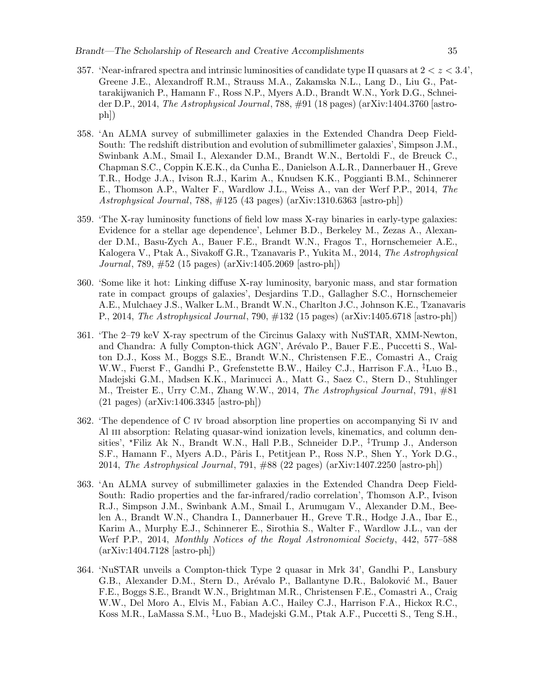- 357. 'Near-infrared spectra and intrinsic luminosities of candidate type II quasars at  $2 < z < 3.4'$ , Greene J.E., Alexandroff R.M., Strauss M.A., Zakamska N.L., Lang D., Liu G., Pattarakijwanich P., Hamann F., Ross N.P., Myers A.D., Brandt W.N., York D.G., Schneider D.P., 2014, *The Astrophysical Journal*, 788, #91 (18 pages) (arXiv:1404.3760 [astroph])
- 358. 'An ALMA survey of submillimeter galaxies in the Extended Chandra Deep Field-South: The redshift distribution and evolution of submillimeter galaxies', Simpson J.M., Swinbank A.M., Smail I., Alexander D.M., Brandt W.N., Bertoldi F., de Breuck C., Chapman S.C., Coppin K.E.K., da Cunha E., Danielson A.L.R., Dannerbauer H., Greve T.R., Hodge J.A., Ivison R.J., Karim A., Knudsen K.K., Poggianti B.M., Schinnerer E., Thomson A.P., Walter F., Wardlow J.L., Weiss A., van der Werf P.P., 2014, *The Astrophysical Journal*, 788, #125 (43 pages) (arXiv:1310.6363 [astro-ph])
- 359. 'The X-ray luminosity functions of field low mass X-ray binaries in early-type galaxies: Evidence for a stellar age dependence', Lehmer B.D., Berkeley M., Zezas A., Alexander D.M., Basu-Zych A., Bauer F.E., Brandt W.N., Fragos T., Hornschemeier A.E., Kalogera V., Ptak A., Sivakoff G.R., Tzanavaris P., Yukita M., 2014, *The Astrophysical Journal*, 789, #52 (15 pages) (arXiv:1405.2069 [astro-ph])
- 360. 'Some like it hot: Linking diffuse X-ray luminosity, baryonic mass, and star formation rate in compact groups of galaxies', Desjardins T.D., Gallagher S.C., Hornschemeier A.E., Mulchaey J.S., Walker L.M., Brandt W.N., Charlton J.C., Johnson K.E., Tzanavaris P., 2014, *The Astrophysical Journal*, 790, #132 (15 pages) (arXiv:1405.6718 [astro-ph])
- 361. 'The 2–79 keV X-ray spectrum of the Circinus Galaxy with NuSTAR, XMM-Newton, and Chandra: A fully Compton-thick AGN', Arévalo P., Bauer F.E., Puccetti S., Walton D.J., Koss M., Boggs S.E., Brandt W.N., Christensen F.E., Comastri A., Craig W.W., Fuerst F., Gandhi P., Grefenstette B.W., Hailey C.J., Harrison F.A., ‡Luo B., Madejski G.M., Madsen K.K., Marinucci A., Matt G., Saez C., Stern D., Stuhlinger M., Treister E., Urry C.M., Zhang W.W., 2014, *The Astrophysical Journal*, 791, #81 (21 pages) (arXiv:1406.3345 [astro-ph])
- 362. 'The dependence of C iv broad absorption line properties on accompanying Si iv and Al III absorption: Relating quasar-wind ionization levels, kinematics, and column densities', \*Filiz Ak N., Brandt W.N., Hall P.B., Schneider D.P., <sup>‡</sup>Trump J., Anderson S.F., Hamann F., Myers A.D., Pâris I., Petitjean P., Ross N.P., Shen Y., York D.G., 2014, *The Astrophysical Journal*, 791, #88 (22 pages) (arXiv:1407.2250 [astro-ph])
- 363. 'An ALMA survey of submillimeter galaxies in the Extended Chandra Deep Field-South: Radio properties and the far-infrared/radio correlation', Thomson A.P., Ivison R.J., Simpson J.M., Swinbank A.M., Smail I., Arumugam V., Alexander D.M., Beelen A., Brandt W.N., Chandra I., Dannerbauer H., Greve T.R., Hodge J.A., Ibar E., Karim A., Murphy E.J., Schinnerer E., Sirothia S., Walter F., Wardlow J.L., van der Werf P.P., 2014, *Monthly Notices of the Royal Astronomical Society*, 442, 577–588 (arXiv:1404.7128 [astro-ph])
- 364. 'NuSTAR unveils a Compton-thick Type 2 quasar in Mrk 34', Gandhi P., Lansbury G.B., Alexander D.M., Stern D., Arévalo P., Ballantyne D.R., Baloković M., Bauer F.E., Boggs S.E., Brandt W.N., Brightman M.R., Christensen F.E., Comastri A., Craig W.W., Del Moro A., Elvis M., Fabian A.C., Hailey C.J., Harrison F.A., Hickox R.C., Koss M.R., LaMassa S.M., ‡Luo B., Madejski G.M., Ptak A.F., Puccetti S., Teng S.H.,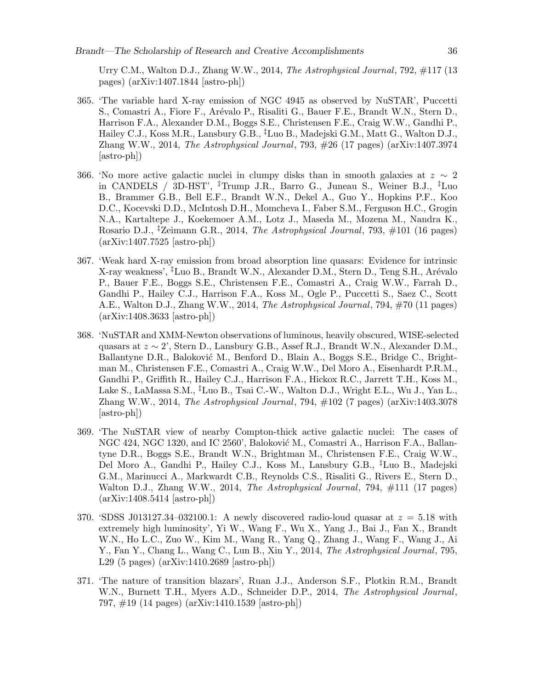Urry C.M., Walton D.J., Zhang W.W., 2014, *The Astrophysical Journal*, 792, #117 (13 pages) (arXiv:1407.1844 [astro-ph])

- 365. 'The variable hard X-ray emission of NGC 4945 as observed by NuSTAR', Puccetti S., Comastri A., Fiore F., Arévalo P., Risaliti G., Bauer F.E., Brandt W.N., Stern D., Harrison F.A., Alexander D.M., Boggs S.E., Christensen F.E., Craig W.W., Gandhi P., Hailey C.J., Koss M.R., Lansbury G.B., ‡Luo B., Madejski G.M., Matt G., Walton D.J., Zhang W.W., 2014, *The Astrophysical Journal*, 793, #26 (17 pages) (arXiv:1407.3974 [astro-ph])
- 366. 'No more active galactic nuclei in clumpy disks than in smooth galaxies at  $z \sim 2$ in CANDELS / 3D-HST', ‡Trump J.R., Barro G., Juneau S., Weiner B.J., ‡Luo B., Brammer G.B., Bell E.F., Brandt W.N., Dekel A., Guo Y., Hopkins P.F., Koo D.C., Kocevski D.D., McIntosh D.H., Momcheva I., Faber S.M., Ferguson H.C., Grogin N.A., Kartaltepe J., Koekemoer A.M., Lotz J., Maseda M., Mozena M., Nandra K., Rosario D.J., ‡Zeimann G.R., 2014, *The Astrophysical Journal*, 793, #101 (16 pages) (arXiv:1407.7525 [astro-ph])
- 367. 'Weak hard X-ray emission from broad absorption line quasars: Evidence for intrinsic X-ray weakness', <sup>‡</sup>Luo B., Brandt W.N., Alexander D.M., Stern D., Teng S.H., Arévalo P., Bauer F.E., Boggs S.E., Christensen F.E., Comastri A., Craig W.W., Farrah D., Gandhi P., Hailey C.J., Harrison F.A., Koss M., Ogle P., Puccetti S., Saez C., Scott A.E., Walton D.J., Zhang W.W., 2014, *The Astrophysical Journal*, 794, #70 (11 pages) (arXiv:1408.3633 [astro-ph])
- 368. 'NuSTAR and XMM-Newton observations of luminous, heavily obscured, WISE-selected quasars at z ∼ 2', Stern D., Lansbury G.B., Assef R.J., Brandt W.N., Alexander D.M., Ballantyne D.R., Baloković M., Benford D., Blain A., Boggs S.E., Bridge C., Brightman M., Christensen F.E., Comastri A., Craig W.W., Del Moro A., Eisenhardt P.R.M., Gandhi P., Griffith R., Hailey C.J., Harrison F.A., Hickox R.C., Jarrett T.H., Koss M., Lake S., LaMassa S.M., ‡Luo B., Tsai C.-W., Walton D.J., Wright E.L., Wu J., Yan L., Zhang W.W., 2014, *The Astrophysical Journal*, 794, #102 (7 pages) (arXiv:1403.3078 [astro-ph])
- 369. 'The NuSTAR view of nearby Compton-thick active galactic nuclei: The cases of NGC 424, NGC 1320, and IC 2560', Baloković M., Comastri A., Harrison F.A., Ballantyne D.R., Boggs S.E., Brandt W.N., Brightman M., Christensen F.E., Craig W.W., Del Moro A., Gandhi P., Hailey C.J., Koss M., Lansbury G.B., ‡Luo B., Madejski G.M., Marinucci A., Markwardt C.B., Reynolds C.S., Risaliti G., Rivers E., Stern D., Walton D.J., Zhang W.W., 2014, *The Astrophysical Journal*, 794, #111 (17 pages) (arXiv:1408.5414 [astro-ph])
- 370. 'SDSS J013127.34–032100.1: A newly discovered radio-loud quasar at  $z = 5.18$  with extremely high luminosity', Yi W., Wang F., Wu X., Yang J., Bai J., Fan X., Brandt W.N., Ho L.C., Zuo W., Kim M., Wang R., Yang Q., Zhang J., Wang F., Wang J., Ai Y., Fan Y., Chang L., Wang C., Lun B., Xin Y., 2014, *The Astrophysical Journal*, 795, L29 (5 pages) (arXiv:1410.2689 [astro-ph])
- 371. 'The nature of transition blazars', Ruan J.J., Anderson S.F., Plotkin R.M., Brandt W.N., Burnett T.H., Myers A.D., Schneider D.P., 2014, *The Astrophysical Journal*, 797, #19 (14 pages) (arXiv:1410.1539 [astro-ph])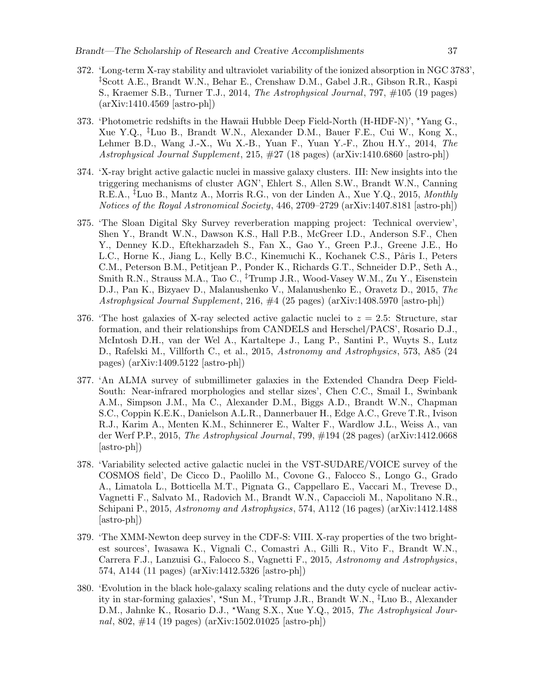- 372. 'Long-term X-ray stability and ultraviolet variability of the ionized absorption in NGC 3783', ‡Scott A.E., Brandt W.N., Behar E., Crenshaw D.M., Gabel J.R., Gibson R.R., Kaspi S., Kraemer S.B., Turner T.J., 2014, *The Astrophysical Journal*, 797, #105 (19 pages) (arXiv:1410.4569 [astro-ph])
- 373. 'Photometric redshifts in the Hawaii Hubble Deep Field-North  $(H-HDF-N)$ ',  $\star$ Yang G., Xue Y.Q., ‡Luo B., Brandt W.N., Alexander D.M., Bauer F.E., Cui W., Kong X., Lehmer B.D., Wang J.-X., Wu X.-B., Yuan F., Yuan Y.-F., Zhou H.Y., 2014, *The Astrophysical Journal Supplement*, 215, #27 (18 pages) (arXiv:1410.6860 [astro-ph])
- 374. 'X-ray bright active galactic nuclei in massive galaxy clusters. III: New insights into the triggering mechanisms of cluster AGN', Ehlert S., Allen S.W., Brandt W.N., Canning R.E.A., ‡Luo B., Mantz A., Morris R.G., von der Linden A., Xue Y.Q., 2015, *Monthly Notices of the Royal Astronomical Society*, 446, 2709–2729 (arXiv:1407.8181 [astro-ph])
- 375. 'The Sloan Digital Sky Survey reverberation mapping project: Technical overview', Shen Y., Brandt W.N., Dawson K.S., Hall P.B., McGreer I.D., Anderson S.F., Chen Y., Denney K.D., Eftekharzadeh S., Fan X., Gao Y., Green P.J., Greene J.E., Ho L.C., Horne K., Jiang L., Kelly B.C., Kinemuchi K., Kochanek C.S., Pâris I., Peters C.M., Peterson B.M., Petitjean P., Ponder K., Richards G.T., Schneider D.P., Seth A., Smith R.N., Strauss M.A., Tao C., ‡Trump J.R., Wood-Vasey W.M., Zu Y., Eisenstein D.J., Pan K., Bizyaev D., Malanushenko V., Malanushenko E., Oravetz D., 2015, *The Astrophysical Journal Supplement*, 216, #4 (25 pages) (arXiv:1408.5970 [astro-ph])
- 376. The host galaxies of X-ray selected active galactic nuclei to  $z = 2.5$ : Structure, star formation, and their relationships from CANDELS and Herschel/PACS', Rosario D.J., McIntosh D.H., van der Wel A., Kartaltepe J., Lang P., Santini P., Wuyts S., Lutz D., Rafelski M., Villforth C., et al., 2015, *Astronomy and Astrophysics*, 573, A85 (24 pages) (arXiv:1409.5122 [astro-ph])
- 377. 'An ALMA survey of submillimeter galaxies in the Extended Chandra Deep Field-South: Near-infrared morphologies and stellar sizes', Chen C.C., Smail I., Swinbank A.M., Simpson J.M., Ma C., Alexander D.M., Biggs A.D., Brandt W.N., Chapman S.C., Coppin K.E.K., Danielson A.L.R., Dannerbauer H., Edge A.C., Greve T.R., Ivison R.J., Karim A., Menten K.M., Schinnerer E., Walter F., Wardlow J.L., Weiss A., van der Werf P.P., 2015, *The Astrophysical Journal*, 799, #194 (28 pages) (arXiv:1412.0668 [astro-ph])
- 378. 'Variability selected active galactic nuclei in the VST-SUDARE/VOICE survey of the COSMOS field', De Cicco D., Paolillo M., Covone G., Falocco S., Longo G., Grado A., Limatola L., Botticella M.T., Pignata G., Cappellaro E., Vaccari M., Trevese D., Vagnetti F., Salvato M., Radovich M., Brandt W.N., Capaccioli M., Napolitano N.R., Schipani P., 2015, *Astronomy and Astrophysics*, 574, A112 (16 pages) (arXiv:1412.1488 [astro-ph])
- 379. 'The XMM-Newton deep survey in the CDF-S: VIII. X-ray properties of the two brightest sources', Iwasawa K., Vignali C., Comastri A., Gilli R., Vito F., Brandt W.N., Carrera F.J., Lanzuisi G., Falocco S., Vagnetti F., 2015, *Astronomy and Astrophysics*, 574, A144 (11 pages) (arXiv:1412.5326 [astro-ph])
- 380. 'Evolution in the black hole-galaxy scaling relations and the duty cycle of nuclear activity in star-forming galaxies', \*Sun M., <sup>‡</sup>Trump J.R., Brandt W.N., <sup>‡</sup>Luo B., Alexander D.M., Jahnke K., Rosario D.J., <sup>\*</sup>Wang S.X., Xue Y.Q., 2015, *The Astrophysical Journal*, 802, #14 (19 pages) (arXiv:1502.01025 [astro-ph])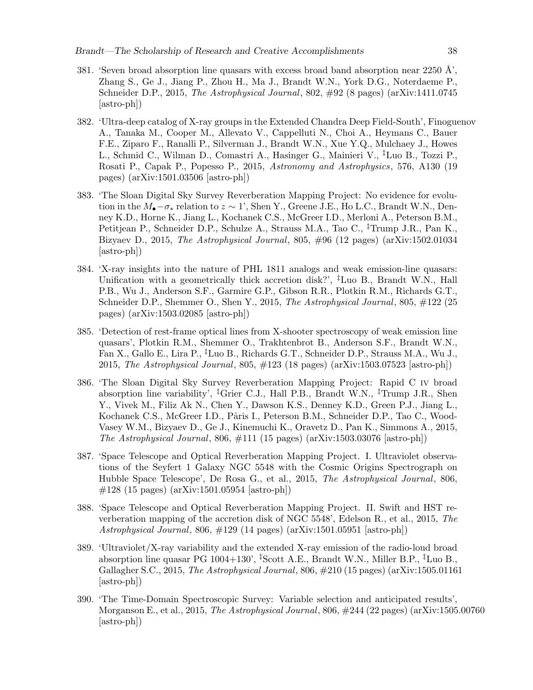- 381. 'Seven broad absorption line quasars with excess broad band absorption near 2250 Å', Zhang S., Ge J., Jiang P., Zhou H., Ma J., Brandt W.N., York D.G., Noterdaeme P., Schneider D.P., 2015, *The Astrophysical Journal*, 802, #92 (8 pages) (arXiv:1411.0745 [astro-ph])
- 382. 'Ultra-deep catalog of X-ray groups in the Extended Chandra Deep Field-South', Finoguenov A., Tanaka M., Cooper M., Allevato V., Cappelluti N., Choi A., Heymans C., Bauer F.E., Ziparo F., Ranalli P., Silverman J., Brandt W.N., Xue Y.Q., Mulchaey J., Howes L., Schmid C., Wilman D., Comastri A., Hasinger G., Mainieri V., ‡Luo B., Tozzi P., Rosati P., Capak P., Popesso P., 2015, *Astronomy and Astrophysics*, 576, A130 (19 pages) (arXiv:1501.03506 [astro-ph])
- 383. 'The Sloan Digital Sky Survey Reverberation Mapping Project: No evidence for evolution in the  $M_{\bullet}-\sigma_{*}$  relation to  $z \sim 1$ ', Shen Y., Greene J.E., Ho L.C., Brandt W.N., Denney K.D., Horne K., Jiang L., Kochanek C.S., McGreer I.D., Merloni A., Peterson B.M., Petitjean P., Schneider D.P., Schulze A., Strauss M.A., Tao C., ‡Trump J.R., Pan K., Bizyaev D., 2015, *The Astrophysical Journal*, 805, #96 (12 pages) (arXiv:1502.01034 [astro-ph])
- 384. 'X-ray insights into the nature of PHL 1811 analogs and weak emission-line quasars: Unification with a geometrically thick accretion disk?',  $\frac{1}{7}$ Luo B., Brandt W.N., Hall P.B., Wu J., Anderson S.F., Garmire G.P., Gibson R.R., Plotkin R.M., Richards G.T., Schneider D.P., Shemmer O., Shen Y., 2015, *The Astrophysical Journal*, 805, #122 (25 pages) (arXiv:1503.02085 [astro-ph])
- 385. 'Detection of rest-frame optical lines from X-shooter spectroscopy of weak emission line quasars', Plotkin R.M., Shemmer O., Trakhtenbrot B., Anderson S.F., Brandt W.N., Fan X., Gallo E., Lira P., ‡Luo B., Richards G.T., Schneider D.P., Strauss M.A., Wu J., 2015, *The Astrophysical Journal*, 805, #123 (18 pages) (arXiv:1503.07523 [astro-ph])
- 386. 'The Sloan Digital Sky Survey Reverberation Mapping Project: Rapid C iv broad absorption line variability',  ${}^{\ddagger}$ Grier C.J., Hall P.B., Brandt W.N.,  ${}^{\ddagger}$ Trump J.R., Shen Y., Vivek M., Filiz Ak N., Chen Y., Dawson K.S., Denney K.D., Green P.J., Jiang L., Kochanek C.S., McGreer I.D., Pâris I., Peterson B.M., Schneider D.P., Tao C., Wood-Vasey W.M., Bizyaev D., Ge J., Kinemuchi K., Oravetz D., Pan K., Simmons A., 2015, *The Astrophysical Journal*, 806, #111 (15 pages) (arXiv:1503.03076 [astro-ph])
- 387. 'Space Telescope and Optical Reverberation Mapping Project. I. Ultraviolet observations of the Seyfert 1 Galaxy NGC 5548 with the Cosmic Origins Spectrograph on Hubble Space Telescope', De Rosa G., et al., 2015, *The Astrophysical Journal*, 806, #128 (15 pages) (arXiv:1501.05954 [astro-ph])
- 388. 'Space Telescope and Optical Reverberation Mapping Project. II. Swift and HST reverberation mapping of the accretion disk of NGC 5548', Edelson R., et al., 2015, *The Astrophysical Journal*, 806, #129 (14 pages) (arXiv:1501.05951 [astro-ph])
- 389. 'Ultraviolet/X-ray variability and the extended X-ray emission of the radio-loud broad absorption line quasar PG 1004+130', ‡Scott A.E., Brandt W.N., Miller B.P., ‡Luo B., Gallagher S.C., 2015, *The Astrophysical Journal*, 806, #210 (15 pages) (arXiv:1505.01161 [astro-ph])
- 390. 'The Time-Domain Spectroscopic Survey: Variable selection and anticipated results', Morganson E., et al., 2015, *The Astrophysical Journal*, 806, #244 (22 pages) (arXiv:1505.00760 [astro-ph])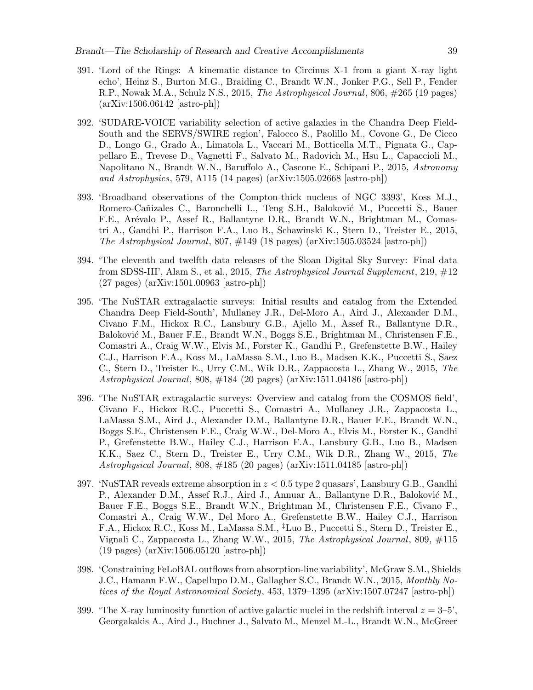- 391. 'Lord of the Rings: A kinematic distance to Circinus X-1 from a giant X-ray light echo', Heinz S., Burton M.G., Braiding C., Brandt W.N., Jonker P.G., Sell P., Fender R.P., Nowak M.A., Schulz N.S., 2015, *The Astrophysical Journal*, 806, #265 (19 pages) (arXiv:1506.06142 [astro-ph])
- 392. 'SUDARE-VOICE variability selection of active galaxies in the Chandra Deep Field-South and the SERVS/SWIRE region', Falocco S., Paolillo M., Covone G., De Cicco D., Longo G., Grado A., Limatola L., Vaccari M., Botticella M.T., Pignata G., Cappellaro E., Trevese D., Vagnetti F., Salvato M., Radovich M., Hsu L., Capaccioli M., Napolitano N., Brandt W.N., Baruffolo A., Cascone E., Schipani P., 2015, *Astronomy and Astrophysics*, 579, A115 (14 pages) (arXiv:1505.02668 [astro-ph])
- 393. 'Broadband observations of the Compton-thick nucleus of NGC 3393', Koss M.J., Romero-Cañizales C., Baronchelli L., Teng S.H., Baloković M., Puccetti S., Bauer F.E., Arévalo P., Assef R., Ballantyne D.R., Brandt W.N., Brightman M., Comastri A., Gandhi P., Harrison F.A., Luo B., Schawinski K., Stern D., Treister E., 2015, *The Astrophysical Journal*, 807, #149 (18 pages) (arXiv:1505.03524 [astro-ph])
- 394. 'The eleventh and twelfth data releases of the Sloan Digital Sky Survey: Final data from SDSS-III', Alam S., et al., 2015, *The Astrophysical Journal Supplement*, 219, #12 (27 pages) (arXiv:1501.00963 [astro-ph])
- 395. 'The NuSTAR extragalactic surveys: Initial results and catalog from the Extended Chandra Deep Field-South', Mullaney J.R., Del-Moro A., Aird J., Alexander D.M., Civano F.M., Hickox R.C., Lansbury G.B., Ajello M., Assef R., Ballantyne D.R., Baloković M., Bauer F.E., Brandt W.N., Boggs S.E., Brightman M., Christensen F.E., Comastri A., Craig W.W., Elvis M., Forster K., Gandhi P., Grefenstette B.W., Hailey C.J., Harrison F.A., Koss M., LaMassa S.M., Luo B., Madsen K.K., Puccetti S., Saez C., Stern D., Treister E., Urry C.M., Wik D.R., Zappacosta L., Zhang W., 2015, *The Astrophysical Journal*, 808, #184 (20 pages) (arXiv:1511.04186 [astro-ph])
- 396. 'The NuSTAR extragalactic surveys: Overview and catalog from the COSMOS field', Civano F., Hickox R.C., Puccetti S., Comastri A., Mullaney J.R., Zappacosta L., LaMassa S.M., Aird J., Alexander D.M., Ballantyne D.R., Bauer F.E., Brandt W.N., Boggs S.E., Christensen F.E., Craig W.W., Del-Moro A., Elvis M., Forster K., Gandhi P., Grefenstette B.W., Hailey C.J., Harrison F.A., Lansbury G.B., Luo B., Madsen K.K., Saez C., Stern D., Treister E., Urry C.M., Wik D.R., Zhang W., 2015, *The Astrophysical Journal*, 808, #185 (20 pages) (arXiv:1511.04185 [astro-ph])
- 397. 'NuSTAR reveals extreme absorption in  $z < 0.5$  type 2 quasars', Lansbury G.B., Gandhi P., Alexander D.M., Assef R.J., Aird J., Annuar A., Ballantyne D.R., Baloković M., Bauer F.E., Boggs S.E., Brandt W.N., Brightman M., Christensen F.E., Civano F., Comastri A., Craig W.W., Del Moro A., Grefenstette B.W., Hailey C.J., Harrison F.A., Hickox R.C., Koss M., LaMassa S.M., ‡Luo B., Puccetti S., Stern D., Treister E., Vignali C., Zappacosta L., Zhang W.W., 2015, *The Astrophysical Journal*, 809, #115 (19 pages) (arXiv:1506.05120 [astro-ph])
- 398. 'Constraining FeLoBAL outflows from absorption-line variability', McGraw S.M., Shields J.C., Hamann F.W., Capellupo D.M., Gallagher S.C., Brandt W.N., 2015, *Monthly Notices of the Royal Astronomical Society*, 453, 1379–1395 (arXiv:1507.07247 [astro-ph])
- 399. 'The X-ray luminosity function of active galactic nuclei in the redshift interval  $z = 3-5'$ , Georgakakis A., Aird J., Buchner J., Salvato M., Menzel M.-L., Brandt W.N., McGreer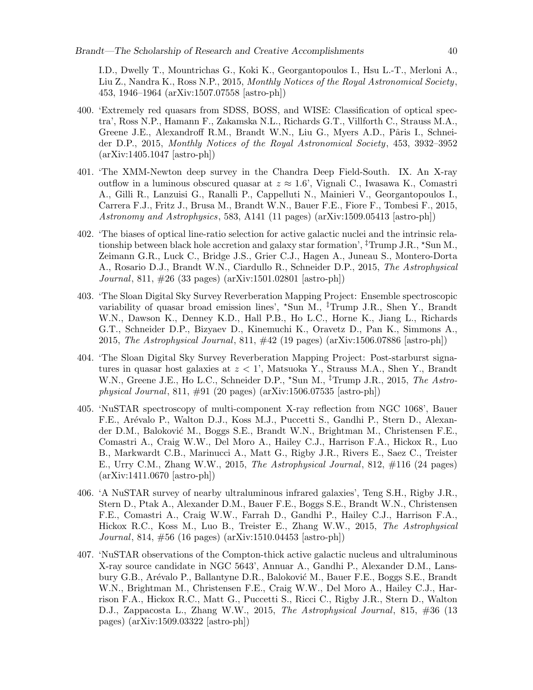I.D., Dwelly T., Mountrichas G., Koki K., Georgantopoulos I., Hsu L.-T., Merloni A., Liu Z., Nandra K., Ross N.P., 2015, *Monthly Notices of the Royal Astronomical Society*, 453, 1946–1964 (arXiv:1507.07558 [astro-ph])

- 400. 'Extremely red quasars from SDSS, BOSS, and WISE: Classification of optical spectra', Ross N.P., Hamann F., Zakamska N.L., Richards G.T., Villforth C., Strauss M.A., Greene J.E., Alexandroff R.M., Brandt W.N., Liu G., Myers A.D., Pâris I., Schneider D.P., 2015, *Monthly Notices of the Royal Astronomical Society*, 453, 3932–3952 (arXiv:1405.1047 [astro-ph])
- 401. 'The XMM-Newton deep survey in the Chandra Deep Field-South. IX. An X-ray outflow in a luminous obscured quasar at  $z \approx 1.6$ ', Vignali C., Iwasawa K., Comastri A., Gilli R., Lanzuisi G., Ranalli P., Cappelluti N., Mainieri V., Georgantopoulos I., Carrera F.J., Fritz J., Brusa M., Brandt W.N., Bauer F.E., Fiore F., Tombesi F., 2015, *Astronomy and Astrophysics*, 583, A141 (11 pages) (arXiv:1509.05413 [astro-ph])
- 402. 'The biases of optical line-ratio selection for active galactic nuclei and the intrinsic relationship between black hole accretion and galaxy star formation',  ${}^{\ddagger}$ Trump J.R.,  $*$ Sun M., Zeimann G.R., Luck C., Bridge J.S., Grier C.J., Hagen A., Juneau S., Montero-Dorta A., Rosario D.J., Brandt W.N., Ciardullo R., Schneider D.P., 2015, *The Astrophysical Journal*, 811, #26 (33 pages) (arXiv:1501.02801 [astro-ph])
- 403. 'The Sloan Digital Sky Survey Reverberation Mapping Project: Ensemble spectroscopic variability of quasar broad emission lines',  $*Sum M.,$   $*Turnp J.R.,$  Shen Y., Brandt W.N., Dawson K., Denney K.D., Hall P.B., Ho L.C., Horne K., Jiang L., Richards G.T., Schneider D.P., Bizyaev D., Kinemuchi K., Oravetz D., Pan K., Simmons A., 2015, *The Astrophysical Journal*, 811, #42 (19 pages) (arXiv:1506.07886 [astro-ph])
- 404. 'The Sloan Digital Sky Survey Reverberation Mapping Project: Post-starburst signatures in quasar host galaxies at z < 1', Matsuoka Y., Strauss M.A., Shen Y., Brandt W.N., Greene J.E., Ho L.C., Schneider D.P., <sup>\*</sup>Sun M., <sup>‡</sup>Trump J.R., 2015, *The Astrophysical Journal*, 811, #91 (20 pages) (arXiv:1506.07535 [astro-ph])
- 405. 'NuSTAR spectroscopy of multi-component X-ray reflection from NGC 1068', Bauer F.E., Arévalo P., Walton D.J., Koss M.J., Puccetti S., Gandhi P., Stern D., Alexander D.M., Baloković M., Boggs S.E., Brandt W.N., Brightman M., Christensen F.E., Comastri A., Craig W.W., Del Moro A., Hailey C.J., Harrison F.A., Hickox R., Luo B., Markwardt C.B., Marinucci A., Matt G., Rigby J.R., Rivers E., Saez C., Treister E., Urry C.M., Zhang W.W., 2015, *The Astrophysical Journal*, 812, #116 (24 pages) (arXiv:1411.0670 [astro-ph])
- 406. 'A NuSTAR survey of nearby ultraluminous infrared galaxies', Teng S.H., Rigby J.R., Stern D., Ptak A., Alexander D.M., Bauer F.E., Boggs S.E., Brandt W.N., Christensen F.E., Comastri A., Craig W.W., Farrah D., Gandhi P., Hailey C.J., Harrison F.A., Hickox R.C., Koss M., Luo B., Treister E., Zhang W.W., 2015, *The Astrophysical Journal*, 814, #56 (16 pages) (arXiv:1510.04453 [astro-ph])
- 407. 'NuSTAR observations of the Compton-thick active galactic nucleus and ultraluminous X-ray source candidate in NGC 5643', Annuar A., Gandhi P., Alexander D.M., Lansbury G.B., Arévalo P., Ballantyne D.R., Baloković M., Bauer F.E., Boggs S.E., Brandt W.N., Brightman M., Christensen F.E., Craig W.W., Del Moro A., Hailey C.J., Harrison F.A., Hickox R.C., Matt G., Puccetti S., Ricci C., Rigby J.R., Stern D., Walton D.J., Zappacosta L., Zhang W.W., 2015, *The Astrophysical Journal*, 815, #36 (13 pages) (arXiv:1509.03322 [astro-ph])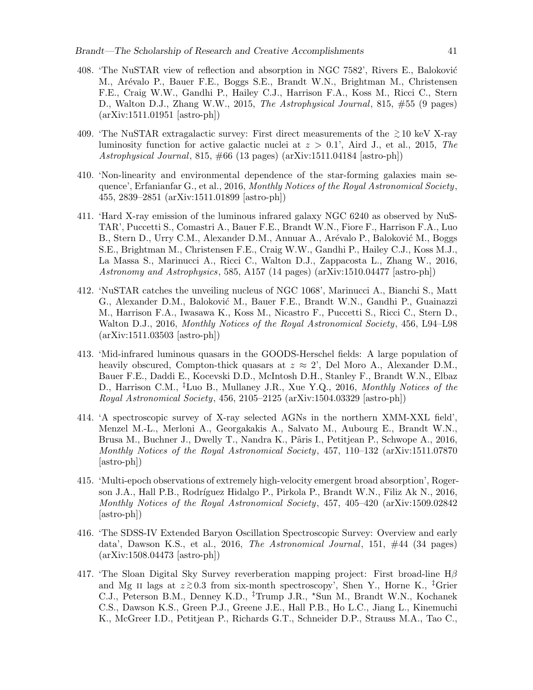- 408. 'The NuSTAR view of reflection and absorption in NGC 7582', Rivers E., Baloković M., Arévalo P., Bauer F.E., Boggs S.E., Brandt W.N., Brightman M., Christensen F.E., Craig W.W., Gandhi P., Hailey C.J., Harrison F.A., Koss M., Ricci C., Stern D., Walton D.J., Zhang W.W., 2015, *The Astrophysical Journal*, 815, #55 (9 pages) (arXiv:1511.01951 [astro-ph])
- 409. 'The NuSTAR extragalactic survey: First direct measurements of the <sup>&</sup>gt; <sup>∼</sup> 10 keV X-ray luminosity function for active galactic nuclei at z > 0.1', Aird J., et al., 2015, *The Astrophysical Journal*, 815, #66 (13 pages) (arXiv:1511.04184 [astro-ph])
- 410. 'Non-linearity and environmental dependence of the star-forming galaxies main sequence', Erfanianfar G., et al., 2016, *Monthly Notices of the Royal Astronomical Society*, 455, 2839–2851 (arXiv:1511.01899 [astro-ph])
- 411. 'Hard X-ray emission of the luminous infrared galaxy NGC 6240 as observed by NuS-TAR', Puccetti S., Comastri A., Bauer F.E., Brandt W.N., Fiore F., Harrison F.A., Luo B., Stern D., Urry C.M., Alexander D.M., Annuar A., Arévalo P., Baloković M., Boggs S.E., Brightman M., Christensen F.E., Craig W.W., Gandhi P., Hailey C.J., Koss M.J., La Massa S., Marinucci A., Ricci C., Walton D.J., Zappacosta L., Zhang W., 2016, *Astronomy and Astrophysics*, 585, A157 (14 pages) (arXiv:1510.04477 [astro-ph])
- 412. 'NuSTAR catches the unveiling nucleus of NGC 1068', Marinucci A., Bianchi S., Matt G., Alexander D.M., Baloković M., Bauer F.E., Brandt W.N., Gandhi P., Guainazzi M., Harrison F.A., Iwasawa K., Koss M., Nicastro F., Puccetti S., Ricci C., Stern D., Walton D.J., 2016, *Monthly Notices of the Royal Astronomical Society*, 456, L94–L98 (arXiv:1511.03503 [astro-ph])
- 413. 'Mid-infrared luminous quasars in the GOODS-Herschel fields: A large population of heavily obscured, Compton-thick quasars at  $z \approx 2$ ', Del Moro A., Alexander D.M., Bauer F.E., Daddi E., Kocevski D.D., McIntosh D.H., Stanley F., Brandt W.N., Elbaz D., Harrison C.M., ‡Luo B., Mullaney J.R., Xue Y.Q., 2016, *Monthly Notices of the Royal Astronomical Society*, 456, 2105–2125 (arXiv:1504.03329 [astro-ph])
- 414. 'A spectroscopic survey of X-ray selected AGNs in the northern XMM-XXL field', Menzel M.-L., Merloni A., Georgakakis A., Salvato M., Aubourg E., Brandt W.N., Brusa M., Buchner J., Dwelly T., Nandra K., Pâris I., Petitjean P., Schwope A., 2016, *Monthly Notices of the Royal Astronomical Society*, 457, 110–132 (arXiv:1511.07870 [astro-ph])
- 415. 'Multi-epoch observations of extremely high-velocity emergent broad absorption', Rogerson J.A., Hall P.B., Rodríguez Hidalgo P., Pirkola P., Brandt W.N., Filiz Ak N., 2016, *Monthly Notices of the Royal Astronomical Society*, 457, 405–420 (arXiv:1509.02842 [astro-ph])
- 416. 'The SDSS-IV Extended Baryon Oscillation Spectroscopic Survey: Overview and early data', Dawson K.S., et al., 2016, *The Astronomical Journal*, 151, #44 (34 pages) (arXiv:1508.04473 [astro-ph])
- 417. 'The Sloan Digital Sky Survey reverberation mapping project: First broad-line  $H\beta$ and Mg II lags at  $z \gtrsim 0.3$  from six-month spectroscopy', Shen Y., Horne K., <sup>‡</sup>Grier C.J., Peterson B.M., Denney K.D., <sup>‡</sup>Trump J.R., <sup>\*</sup>Sun M., Brandt W.N., Kochanek C.S., Dawson K.S., Green P.J., Greene J.E., Hall P.B., Ho L.C., Jiang L., Kinemuchi K., McGreer I.D., Petitjean P., Richards G.T., Schneider D.P., Strauss M.A., Tao C.,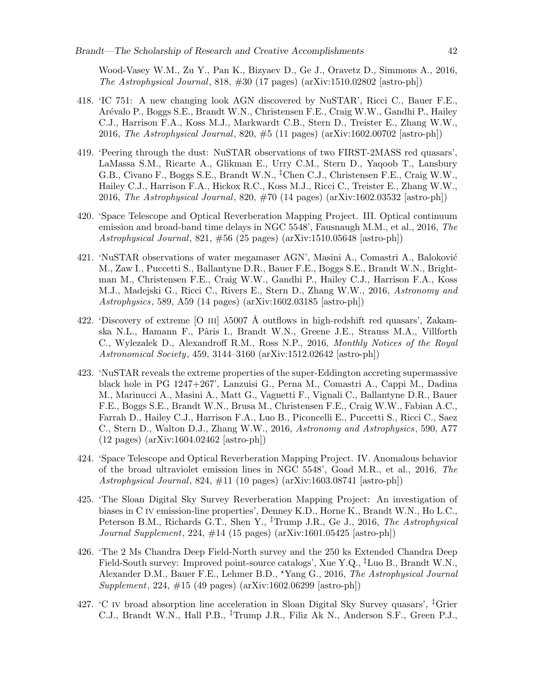Wood-Vasey W.M., Zu Y., Pan K., Bizyaev D., Ge J., Oravetz D., Simmons A., 2016, *The Astrophysical Journal*, 818, #30 (17 pages) (arXiv:1510.02802 [astro-ph])

- 418. 'IC 751: A new changing look AGN discovered by NuSTAR', Ricci C., Bauer F.E., Ar´evalo P., Boggs S.E., Brandt W.N., Christensen F.E., Craig W.W., Gandhi P., Hailey C.J., Harrison F.A., Koss M.J., Markwardt C.B., Stern D., Treister E., Zhang W.W., 2016, *The Astrophysical Journal*, 820, #5 (11 pages) (arXiv:1602.00702 [astro-ph])
- 419. 'Peering through the dust: NuSTAR observations of two FIRST-2MASS red quasars', LaMassa S.M., Ricarte A., Glikman E., Urry C.M., Stern D., Yaqoob T., Lansbury G.B., Civano F., Boggs S.E., Brandt W.N., ‡Chen C.J., Christensen F.E., Craig W.W., Hailey C.J., Harrison F.A., Hickox R.C., Koss M.J., Ricci C., Treister E., Zhang W.W., 2016, *The Astrophysical Journal*, 820, #70 (14 pages) (arXiv:1602.03532 [astro-ph])
- 420. 'Space Telescope and Optical Reverberation Mapping Project. III. Optical continuum emission and broad-band time delays in NGC 5548', Fausnaugh M.M., et al., 2016, *The Astrophysical Journal*, 821, #56 (25 pages) (arXiv:1510.05648 [astro-ph])
- 421. 'NuSTAR observations of water megamaser AGN', Masini A., Comastri A., Baloković M., Zaw I., Puccetti S., Ballantyne D.R., Bauer F.E., Boggs S.E., Brandt W.N., Brightman M., Christensen F.E., Craig W.W., Gandhi P., Hailey C.J., Harrison F.A., Koss M.J., Madejski G., Ricci C., Rivers E., Stern D., Zhang W.W., 2016, *Astronomy and Astrophysics*, 589, A59 (14 pages) (arXiv:1602.03185 [astro-ph])
- 422. 'Discovery of extreme [O III]  $\lambda$ 5007 Å outflows in high-redshift red quasars', Zakamska N.L., Hamann F., Pˆaris I., Brandt W.N., Greene J.E., Strauss M.A., Villforth C., Wylezalek D., Alexandroff R.M., Ross N.P., 2016, *Monthly Notices of the Royal Astronomical Society*, 459, 3144–3160 (arXiv:1512.02642 [astro-ph])
- 423. 'NuSTAR reveals the extreme properties of the super-Eddington accreting supermassive black hole in PG 1247+267', Lanzuisi G., Perna M., Comastri A., Cappi M., Dadina M., Marinucci A., Masini A., Matt G., Vagnetti F., Vignali C., Ballantyne D.R., Bauer F.E., Boggs S.E., Brandt W.N., Brusa M., Christensen F.E., Craig W.W., Fabian A.C., Farrah D., Hailey C.J., Harrison F.A., Luo B., Piconcelli E., Puccetti S., Ricci C., Saez C., Stern D., Walton D.J., Zhang W.W., 2016, *Astronomy and Astrophysics*, 590, A77 (12 pages) (arXiv:1604.02462 [astro-ph])
- 424. 'Space Telescope and Optical Reverberation Mapping Project. IV. Anomalous behavior of the broad ultraviolet emission lines in NGC 5548', Goad M.R., et al., 2016, *The Astrophysical Journal*, 824, #11 (10 pages) (arXiv:1603.08741 [astro-ph])
- 425. 'The Sloan Digital Sky Survey Reverberation Mapping Project: An investigation of biases in C iv emission-line properties', Denney K.D., Horne K., Brandt W.N., Ho L.C., Peterson B.M., Richards G.T., Shen Y., ‡Trump J.R., Ge J., 2016, *The Astrophysical Journal Supplement*, 224, #14 (15 pages) (arXiv:1601.05425 [astro-ph])
- 426. 'The 2 Ms Chandra Deep Field-North survey and the 250 ks Extended Chandra Deep Field-South survey: Improved point-source catalogs', Xue Y.Q., ‡Luo B., Brandt W.N., Alexander D.M., Bauer F.E., Lehmer B.D., <sup>⋆</sup>Yang G., 2016, *The Astrophysical Journal Supplement*, 224, #15 (49 pages) (arXiv:1602.06299 [astro-ph])
- 427. 'C iv broad absorption line acceleration in Sloan Digital Sky Survey quasars', ‡Grier C.J., Brandt W.N., Hall P.B., ‡Trump J.R., Filiz Ak N., Anderson S.F., Green P.J.,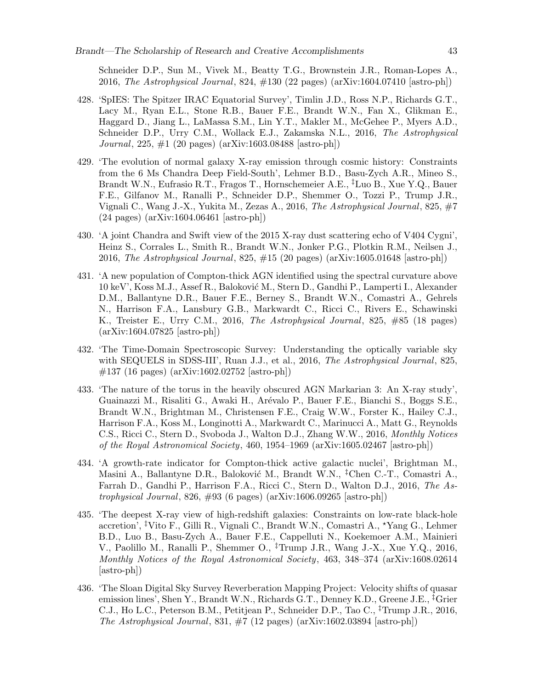Schneider D.P., Sun M., Vivek M., Beatty T.G., Brownstein J.R., Roman-Lopes A., 2016, *The Astrophysical Journal*, 824, #130 (22 pages) (arXiv:1604.07410 [astro-ph])

- 428. 'SpIES: The Spitzer IRAC Equatorial Survey', Timlin J.D., Ross N.P., Richards G.T., Lacy M., Ryan E.L., Stone R.B., Bauer F.E., Brandt W.N., Fan X., Glikman E., Haggard D., Jiang L., LaMassa S.M., Lin Y.T., Makler M., McGehee P., Myers A.D., Schneider D.P., Urry C.M., Wollack E.J., Zakamska N.L., 2016, *The Astrophysical Journal*, 225, #1 (20 pages) (arXiv:1603.08488 [astro-ph])
- 429. 'The evolution of normal galaxy X-ray emission through cosmic history: Constraints from the 6 Ms Chandra Deep Field-South', Lehmer B.D., Basu-Zych A.R., Mineo S., Brandt W.N., Eufrasio R.T., Fragos T., Hornschemeier A.E., ‡Luo B., Xue Y.Q., Bauer F.E., Gilfanov M., Ranalli P., Schneider D.P., Shemmer O., Tozzi P., Trump J.R., Vignali C., Wang J.-X., Yukita M., Zezas A., 2016, *The Astrophysical Journal*, 825, #7 (24 pages) (arXiv:1604.06461 [astro-ph])
- 430. 'A joint Chandra and Swift view of the 2015 X-ray dust scattering echo of V404 Cygni', Heinz S., Corrales L., Smith R., Brandt W.N., Jonker P.G., Plotkin R.M., Neilsen J., 2016, *The Astrophysical Journal*, 825, #15 (20 pages) (arXiv:1605.01648 [astro-ph])
- 431. 'A new population of Compton-thick AGN identified using the spectral curvature above 10 keV', Koss M.J., Assef R., Baloković M., Stern D., Gandhi P., Lamperti I., Alexander D.M., Ballantyne D.R., Bauer F.E., Berney S., Brandt W.N., Comastri A., Gehrels N., Harrison F.A., Lansbury G.B., Markwardt C., Ricci C., Rivers E., Schawinski K., Treister E., Urry C.M., 2016, *The Astrophysical Journal*, 825, #85 (18 pages) (arXiv:1604.07825 [astro-ph])
- 432. 'The Time-Domain Spectroscopic Survey: Understanding the optically variable sky with SEQUELS in SDSS-III', Ruan J.J., et al., 2016, *The Astrophysical Journal*, 825, #137 (16 pages) (arXiv:1602.02752 [astro-ph])
- 433. 'The nature of the torus in the heavily obscured AGN Markarian 3: An X-ray study', Guainazzi M., Risaliti G., Awaki H., Arévalo P., Bauer F.E., Bianchi S., Boggs S.E., Brandt W.N., Brightman M., Christensen F.E., Craig W.W., Forster K., Hailey C.J., Harrison F.A., Koss M., Longinotti A., Markwardt C., Marinucci A., Matt G., Reynolds C.S., Ricci C., Stern D., Svoboda J., Walton D.J., Zhang W.W., 2016, *Monthly Notices of the Royal Astronomical Society*, 460, 1954–1969 (arXiv:1605.02467 [astro-ph])
- 434. 'A growth-rate indicator for Compton-thick active galactic nuclei', Brightman M., Masini A., Ballantyne D.R., Baloković M., Brandt W.N.,  ${}^{\ddagger}$ Chen C.-T., Comastri A., Farrah D., Gandhi P., Harrison F.A., Ricci C., Stern D., Walton D.J., 2016, *The Astrophysical Journal*, 826, #93 (6 pages) (arXiv:1606.09265 [astro-ph])
- 435. 'The deepest X-ray view of high-redshift galaxies: Constraints on low-rate black-hole accretion', ‡Vito F., Gilli R., Vignali C., Brandt W.N., Comastri A., <sup>⋆</sup>Yang G., Lehmer B.D., Luo B., Basu-Zych A., Bauer F.E., Cappelluti N., Koekemoer A.M., Mainieri V., Paolillo M., Ranalli P., Shemmer O., ‡Trump J.R., Wang J.-X., Xue Y.Q., 2016, *Monthly Notices of the Royal Astronomical Society*, 463, 348–374 (arXiv:1608.02614 [astro-ph])
- 436. 'The Sloan Digital Sky Survey Reverberation Mapping Project: Velocity shifts of quasar emission lines', Shen Y., Brandt W.N., Richards G.T., Denney K.D., Greene J.E., ‡Grier C.J., Ho L.C., Peterson B.M., Petitjean P., Schneider D.P., Tao C., ‡Trump J.R., 2016, *The Astrophysical Journal*, 831, #7 (12 pages) (arXiv:1602.03894 [astro-ph])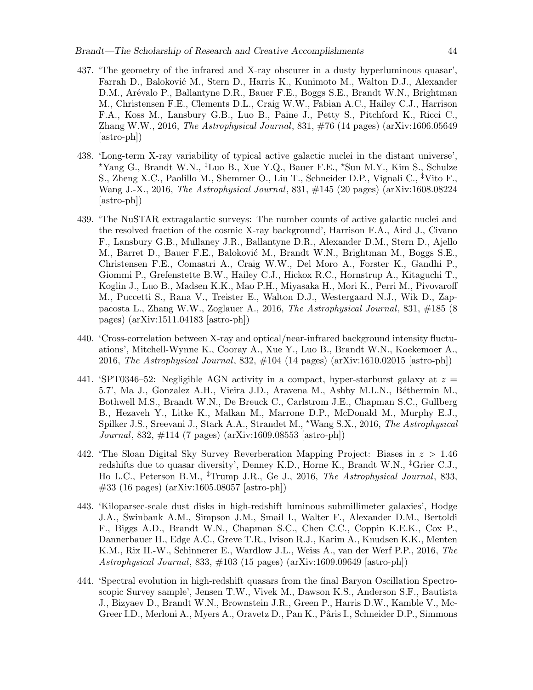- 437. 'The geometry of the infrared and X-ray obscurer in a dusty hyperluminous quasar', Farrah D., Baloković M., Stern D., Harris K., Kunimoto M., Walton D.J., Alexander D.M., Arévalo P., Ballantyne D.R., Bauer F.E., Boggs S.E., Brandt W.N., Brightman M., Christensen F.E., Clements D.L., Craig W.W., Fabian A.C., Hailey C.J., Harrison F.A., Koss M., Lansbury G.B., Luo B., Paine J., Petty S., Pitchford K., Ricci C., Zhang W.W., 2016, *The Astrophysical Journal*, 831, #76 (14 pages) (arXiv:1606.05649 [astro-ph])
- 438. 'Long-term X-ray variability of typical active galactic nuclei in the distant universe',  $\star$ Yang G., Brandt W.N.,  $\frac{1}{4}$ Luo B., Xue Y.Q., Bauer F.E.,  $\star$ Sun M.Y., Kim S., Schulze S., Zheng X.C., Paolillo M., Shemmer O., Liu T., Schneider D.P., Vignali C., ‡Vito F., Wang J.-X., 2016, *The Astrophysical Journal*, 831, #145 (20 pages) (arXiv:1608.08224 [astro-ph])
- 439. 'The NuSTAR extragalactic surveys: The number counts of active galactic nuclei and the resolved fraction of the cosmic X-ray background', Harrison F.A., Aird J., Civano F., Lansbury G.B., Mullaney J.R., Ballantyne D.R., Alexander D.M., Stern D., Ajello M., Barret D., Bauer F.E., Baloković M., Brandt W.N., Brightman M., Boggs S.E., Christensen F.E., Comastri A., Craig W.W., Del Moro A., Forster K., Gandhi P., Giommi P., Grefenstette B.W., Hailey C.J., Hickox R.C., Hornstrup A., Kitaguchi T., Koglin J., Luo B., Madsen K.K., Mao P.H., Miyasaka H., Mori K., Perri M., Pivovaroff M., Puccetti S., Rana V., Treister E., Walton D.J., Westergaard N.J., Wik D., Zappacosta L., Zhang W.W., Zoglauer A., 2016, *The Astrophysical Journal*, 831, #185 (8 pages) (arXiv:1511.04183 [astro-ph])
- 440. 'Cross-correlation between X-ray and optical/near-infrared background intensity fluctuations', Mitchell-Wynne K., Cooray A., Xue Y., Luo B., Brandt W.N., Koekemoer A., 2016, *The Astrophysical Journal*, 832, #104 (14 pages) (arXiv:1610.02015 [astro-ph])
- 441. 'SPT0346–52: Negligible AGN activity in a compact, hyper-starburst galaxy at  $z =$ 5.7', Ma J., Gonzalez A.H., Vieira J.D., Aravena M., Ashby M.L.N., Béthermin M., Bothwell M.S., Brandt W.N., De Breuck C., Carlstrom J.E., Chapman S.C., Gullberg B., Hezaveh Y., Litke K., Malkan M., Marrone D.P., McDonald M., Murphy E.J., Spilker J.S., Sreevani J., Stark A.A., Strandet M., <sup>⋆</sup>Wang S.X., 2016, *The Astrophysical Journal*, 832, #114 (7 pages) (arXiv:1609.08553 [astro-ph])
- 442. 'The Sloan Digital Sky Survey Reverberation Mapping Project: Biases in z > 1.46 redshifts due to quasar diversity', Denney K.D., Horne K., Brandt W.N., ‡Grier C.J., Ho L.C., Peterson B.M., ‡Trump J.R., Ge J., 2016, *The Astrophysical Journal*, 833, #33 (16 pages) (arXiv:1605.08057 [astro-ph])
- 443. 'Kiloparsec-scale dust disks in high-redshift luminous submillimeter galaxies', Hodge J.A., Swinbank A.M., Simpson J.M., Smail I., Walter F., Alexander D.M., Bertoldi F., Biggs A.D., Brandt W.N., Chapman S.C., Chen C.C., Coppin K.E.K., Cox P., Dannerbauer H., Edge A.C., Greve T.R., Ivison R.J., Karim A., Knudsen K.K., Menten K.M., Rix H.-W., Schinnerer E., Wardlow J.L., Weiss A., van der Werf P.P., 2016, *The Astrophysical Journal*, 833, #103 (15 pages) (arXiv:1609.09649 [astro-ph])
- 444. 'Spectral evolution in high-redshift quasars from the final Baryon Oscillation Spectroscopic Survey sample', Jensen T.W., Vivek M., Dawson K.S., Anderson S.F., Bautista J., Bizyaev D., Brandt W.N., Brownstein J.R., Green P., Harris D.W., Kamble V., Mc-Greer I.D., Merloni A., Myers A., Oravetz D., Pan K., Pâris I., Schneider D.P., Simmons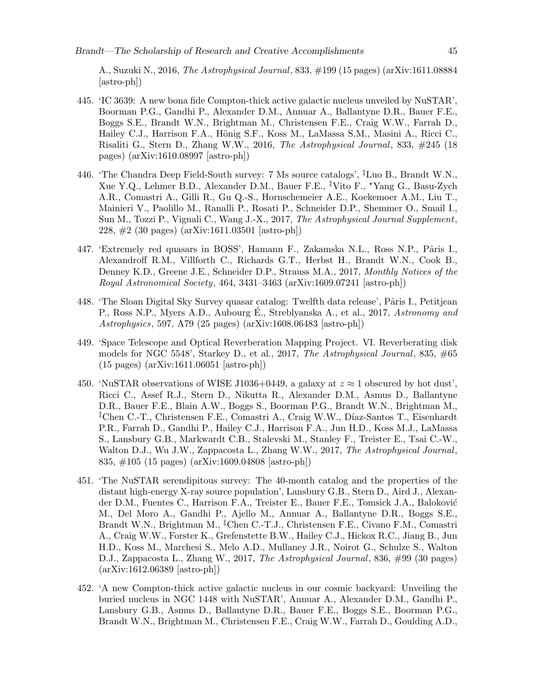A., Suzuki N., 2016, *The Astrophysical Journal*, 833, #199 (15 pages) (arXiv:1611.08884 [astro-ph])

- 445. 'IC 3639: A new bona fide Compton-thick active galactic nucleus unveiled by NuSTAR', Boorman P.G., Gandhi P., Alexander D.M., Annuar A., Ballantyne D.R., Bauer F.E., Boggs S.E., Brandt W.N., Brightman M., Christensen F.E., Craig W.W., Farrah D., Hailey C.J., Harrison F.A., Hönig S.F., Koss M., LaMassa S.M., Masini A., Ricci C., Risaliti G., Stern D., Zhang W.W., 2016, *The Astrophysical Journal*, 833, #245 (18 pages) (arXiv:1610.08997 [astro-ph])
- 446. 'The Chandra Deep Field-South survey: 7 Ms source catalogs',  $\frac{1}{7}$ Luo B., Brandt W.N., Xue Y.Q., Lehmer B.D., Alexander D.M., Bauer F.E., <sup>‡</sup>Vito F., <sup>\*</sup>Yang G., Basu-Zych A.R., Comastri A., Gilli R., Gu Q.-S., Hornschemeier A.E., Koekemoer A.M., Liu T., Mainieri V., Paolillo M., Ranalli P., Rosati P., Schneider D.P., Shemmer O., Smail I., Sun M., Tozzi P., Vignali C., Wang J.-X., 2017, *The Astrophysical Journal Supplement*, 228, #2 (30 pages) (arXiv:1611.03501 [astro-ph])
- 447. 'Extremely red quasars in BOSS', Hamann F., Zakamska N.L., Ross N.P., Pâris I., Alexandroff R.M., Villforth C., Richards G.T., Herbst H., Brandt W.N., Cook B., Denney K.D., Greene J.E., Schneider D.P., Strauss M.A., 2017, *Monthly Notices of the Royal Astronomical Society*, 464, 3431–3463 (arXiv:1609.07241 [astro-ph])
- 448. 'The Sloan Digital Sky Survey quasar catalog: Twelfth data release', Pâris I., Petitjean P., Ross N.P., Myers A.D., Aubourg E., Streblyanska A., et al., 2017, Astronomy and *Astrophysics*, 597, A79 (25 pages) (arXiv:1608.06483 [astro-ph])
- 449. 'Space Telescope and Optical Reverberation Mapping Project. VI. Reverberating disk models for NGC 5548', Starkey D., et al., 2017, *The Astrophysical Journal*, 835, #65 (15 pages) (arXiv:1611.06051 [astro-ph])
- 450. 'NuSTAR observations of WISE J1036+0449, a galaxy at  $z \approx 1$  obscured by hot dust', Ricci C., Assef R.J., Stern D., Nikutta R., Alexander D.M., Asmus D., Ballantyne D.R., Bauer F.E., Blain A.W., Boggs S., Boorman P.G., Brandt W.N., Brightman M., <sup>‡</sup>Chen C.-T., Christensen F.E., Comastri A., Craig W.W., Díaz-Santos T., Eisenhardt P.R., Farrah D., Gandhi P., Hailey C.J., Harrison F.A., Jun H.D., Koss M.J., LaMassa S., Lansbury G.B., Markwardt C.B., Stalevski M., Stanley F., Treister E., Tsai C.-W., Walton D.J., Wu J.W., Zappacosta L., Zhang W.W., 2017, *The Astrophysical Journal*, 835, #105 (15 pages) (arXiv:1609.04808 [astro-ph])
- 451. 'The NuSTAR serendipitous survey: The 40-month catalog and the properties of the distant high-energy X-ray source population', Lansbury G.B., Stern D., Aird J., Alexander D.M., Fuentes C., Harrison F.A., Treister E., Bauer F.E., Tomsick J.A., Baloković M., Del Moro A., Gandhi P., Ajello M., Annuar A., Ballantyne D.R., Boggs S.E., Brandt W.N., Brightman M., ‡Chen C.-T.J., Christensen F.E., Civano F.M., Comastri A., Craig W.W., Forster K., Grefenstette B.W., Hailey C.J., Hickox R.C., Jiang B., Jun H.D., Koss M., Marchesi S., Melo A.D., Mullaney J.R., Noirot G., Schulze S., Walton D.J., Zappacosta L., Zhang W., 2017, *The Astrophysical Journal*, 836, #99 (30 pages) (arXiv:1612.06389 [astro-ph])
- 452. 'A new Compton-thick active galactic nucleus in our cosmic backyard: Unveiling the buried nucleus in NGC 1448 with NuSTAR', Annuar A., Alexander D.M., Gandhi P., Lansbury G.B., Asmus D., Ballantyne D.R., Bauer F.E., Boggs S.E., Boorman P.G., Brandt W.N., Brightman M., Christensen F.E., Craig W.W., Farrah D., Goulding A.D.,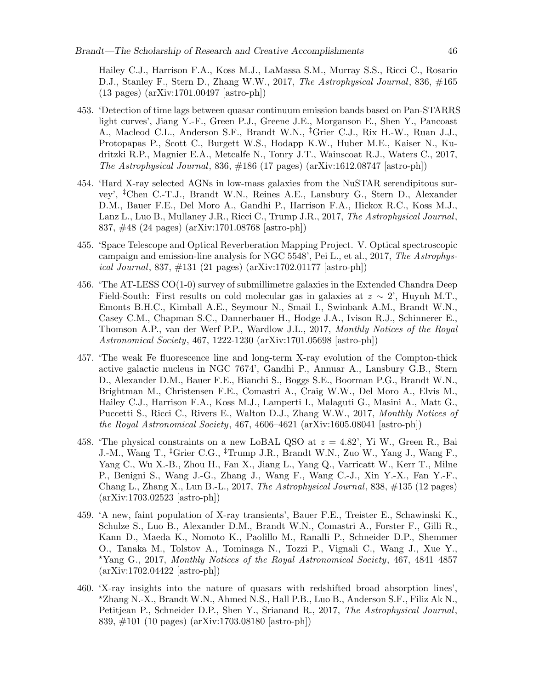Hailey C.J., Harrison F.A., Koss M.J., LaMassa S.M., Murray S.S., Ricci C., Rosario D.J., Stanley F., Stern D., Zhang W.W., 2017, *The Astrophysical Journal*, 836, #165 (13 pages) (arXiv:1701.00497 [astro-ph])

- 453. 'Detection of time lags between quasar continuum emission bands based on Pan-STARRS light curves', Jiang Y.-F., Green P.J., Greene J.E., Morganson E., Shen Y., Pancoast A., Macleod C.L., Anderson S.F., Brandt W.N., ‡Grier C.J., Rix H.-W., Ruan J.J., Protopapas P., Scott C., Burgett W.S., Hodapp K.W., Huber M.E., Kaiser N., Kudritzki R.P., Magnier E.A., Metcalfe N., Tonry J.T., Wainscoat R.J., Waters C., 2017, *The Astrophysical Journal*, 836, #186 (17 pages) (arXiv:1612.08747 [astro-ph])
- 454. 'Hard X-ray selected AGNs in low-mass galaxies from the NuSTAR serendipitous survey', ‡Chen C.-T.J., Brandt W.N., Reines A.E., Lansbury G., Stern D., Alexander D.M., Bauer F.E., Del Moro A., Gandhi P., Harrison F.A., Hickox R.C., Koss M.J., Lanz L., Luo B., Mullaney J.R., Ricci C., Trump J.R., 2017, *The Astrophysical Journal*, 837, #48 (24 pages) (arXiv:1701.08768 [astro-ph])
- 455. 'Space Telescope and Optical Reverberation Mapping Project. V. Optical spectroscopic campaign and emission-line analysis for NGC 5548', Pei L., et al., 2017, *The Astrophysical Journal*, 837, #131 (21 pages) (arXiv:1702.01177 [astro-ph])
- 456. 'The AT-LESS CO(1-0) survey of submillimetre galaxies in the Extended Chandra Deep Field-South: First results on cold molecular gas in galaxies at  $z \sim 2$ ', Huynh M.T., Emonts B.H.C., Kimball A.E., Seymour N., Smail I., Swinbank A.M., Brandt W.N., Casey C.M., Chapman S.C., Dannerbauer H., Hodge J.A., Ivison R.J., Schinnerer E., Thomson A.P., van der Werf P.P., Wardlow J.L., 2017, *Monthly Notices of the Royal Astronomical Society*, 467, 1222-1230 (arXiv:1701.05698 [astro-ph])
- 457. 'The weak Fe fluorescence line and long-term X-ray evolution of the Compton-thick active galactic nucleus in NGC 7674', Gandhi P., Annuar A., Lansbury G.B., Stern D., Alexander D.M., Bauer F.E., Bianchi S., Boggs S.E., Boorman P.G., Brandt W.N., Brightman M., Christensen F.E., Comastri A., Craig W.W., Del Moro A., Elvis M., Hailey C.J., Harrison F.A., Koss M.J., Lamperti I., Malaguti G., Masini A., Matt G., Puccetti S., Ricci C., Rivers E., Walton D.J., Zhang W.W., 2017, *Monthly Notices of the Royal Astronomical Society*, 467, 4606–4621 (arXiv:1605.08041 [astro-ph])
- 458. 'The physical constraints on a new LoBAL QSO at  $z = 4.82$ ', Yi W., Green R., Bai J.-M., Wang T., ‡Grier C.G., ‡Trump J.R., Brandt W.N., Zuo W., Yang J., Wang F., Yang C., Wu X.-B., Zhou H., Fan X., Jiang L., Yang Q., Varricatt W., Kerr T., Milne P., Benigni S., Wang J.-G., Zhang J., Wang F., Wang C.-J., Xin Y.-X., Fan Y.-F., Chang L., Zhang X., Lun B.-L., 2017, *The Astrophysical Journal*, 838, #135 (12 pages) (arXiv:1703.02523 [astro-ph])
- 459. 'A new, faint population of X-ray transients', Bauer F.E., Treister E., Schawinski K., Schulze S., Luo B., Alexander D.M., Brandt W.N., Comastri A., Forster F., Gilli R., Kann D., Maeda K., Nomoto K., Paolillo M., Ranalli P., Schneider D.P., Shemmer O., Tanaka M., Tolstov A., Tominaga N., Tozzi P., Vignali C., Wang J., Xue Y., <sup>⋆</sup>Yang G., 2017, *Monthly Notices of the Royal Astronomical Society*, 467, 4841–4857 (arXiv:1702.04422 [astro-ph])
- 460. 'X-ray insights into the nature of quasars with redshifted broad absorption lines', <sup>⋆</sup>Zhang N.-X., Brandt W.N., Ahmed N.S., Hall P.B., Luo B., Anderson S.F., Filiz Ak N., Petitjean P., Schneider D.P., Shen Y., Srianand R., 2017, *The Astrophysical Journal*, 839, #101 (10 pages) (arXiv:1703.08180 [astro-ph])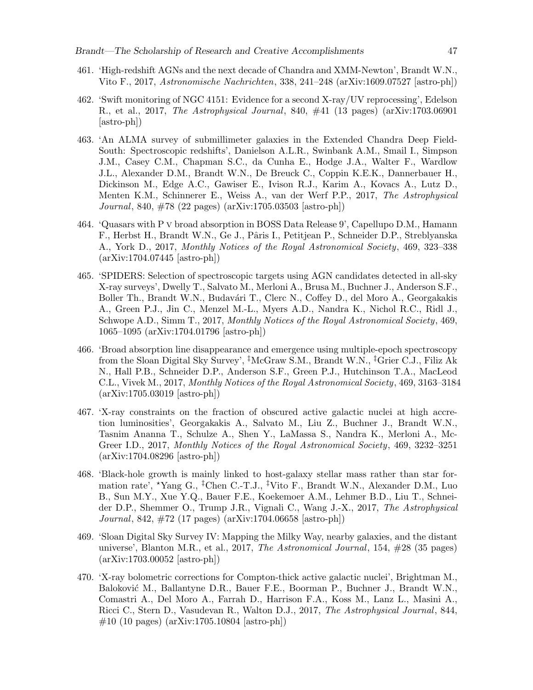- 461. 'High-redshift AGNs and the next decade of Chandra and XMM-Newton', Brandt W.N., Vito F., 2017, *Astronomische Nachrichten*, 338, 241–248 (arXiv:1609.07527 [astro-ph])
- 462. 'Swift monitoring of NGC 4151: Evidence for a second X-ray/UV reprocessing', Edelson R., et al., 2017, *The Astrophysical Journal*, 840, #41 (13 pages) (arXiv:1703.06901 [astro-ph])
- 463. 'An ALMA survey of submillimeter galaxies in the Extended Chandra Deep Field-South: Spectroscopic redshifts', Danielson A.L.R., Swinbank A.M., Smail I., Simpson J.M., Casey C.M., Chapman S.C., da Cunha E., Hodge J.A., Walter F., Wardlow J.L., Alexander D.M., Brandt W.N., De Breuck C., Coppin K.E.K., Dannerbauer H., Dickinson M., Edge A.C., Gawiser E., Ivison R.J., Karim A., Kovacs A., Lutz D., Menten K.M., Schinnerer E., Weiss A., van der Werf P.P., 2017, *The Astrophysical Journal*, 840, #78 (22 pages) (arXiv:1705.03503 [astro-ph])
- 464. 'Quasars with P v broad absorption in BOSS Data Release 9', Capellupo D.M., Hamann F., Herbst H., Brandt W.N., Ge J., Pâris I., Petitjean P., Schneider D.P., Streblyanska A., York D., 2017, *Monthly Notices of the Royal Astronomical Society*, 469, 323–338 (arXiv:1704.07445 [astro-ph])
- 465. 'SPIDERS: Selection of spectroscopic targets using AGN candidates detected in all-sky X-ray surveys', Dwelly T., Salvato M., Merloni A., Brusa M., Buchner J., Anderson S.F., Boller Th., Brandt W.N., Budavári T., Clerc N., Coffey D., del Moro A., Georgakakis A., Green P.J., Jin C., Menzel M.-L., Myers A.D., Nandra K., Nichol R.C., Ridl J., Schwope A.D., Simm T., 2017, *Monthly Notices of the Royal Astronomical Society*, 469, 1065–1095 (arXiv:1704.01796 [astro-ph])
- 466. 'Broad absorption line disappearance and emergence using multiple-epoch spectroscopy from the Sloan Digital Sky Survey', ‡McGraw S.M., Brandt W.N., ‡Grier C.J., Filiz Ak N., Hall P.B., Schneider D.P., Anderson S.F., Green P.J., Hutchinson T.A., MacLeod C.L., Vivek M., 2017, *Monthly Notices of the Royal Astronomical Society*, 469, 3163–3184 (arXiv:1705.03019 [astro-ph])
- 467. 'X-ray constraints on the fraction of obscured active galactic nuclei at high accretion luminosities', Georgakakis A., Salvato M., Liu Z., Buchner J., Brandt W.N., Tasnim Ananna T., Schulze A., Shen Y., LaMassa S., Nandra K., Merloni A., Mc-Greer I.D., 2017, *Monthly Notices of the Royal Astronomical Society*, 469, 3232–3251 (arXiv:1704.08296 [astro-ph])
- 468. 'Black-hole growth is mainly linked to host-galaxy stellar mass rather than star formation rate', \*Yang G., <sup>‡</sup>Chen C.-T.J., <sup>‡</sup>Vito F., Brandt W.N., Alexander D.M., Luo B., Sun M.Y., Xue Y.Q., Bauer F.E., Koekemoer A.M., Lehmer B.D., Liu T., Schneider D.P., Shemmer O., Trump J.R., Vignali C., Wang J.-X., 2017, *The Astrophysical Journal*, 842, #72 (17 pages) (arXiv:1704.06658 [astro-ph])
- 469. 'Sloan Digital Sky Survey IV: Mapping the Milky Way, nearby galaxies, and the distant universe', Blanton M.R., et al., 2017, *The Astronomical Journal*, 154, #28 (35 pages) (arXiv:1703.00052 [astro-ph])
- 470. 'X-ray bolometric corrections for Compton-thick active galactic nuclei', Brightman M., Baloković M., Ballantyne D.R., Bauer F.E., Boorman P., Buchner J., Brandt W.N., Comastri A., Del Moro A., Farrah D., Harrison F.A., Koss M., Lanz L., Masini A., Ricci C., Stern D., Vasudevan R., Walton D.J., 2017, *The Astrophysical Journal*, 844, #10 (10 pages) (arXiv:1705.10804 [astro-ph])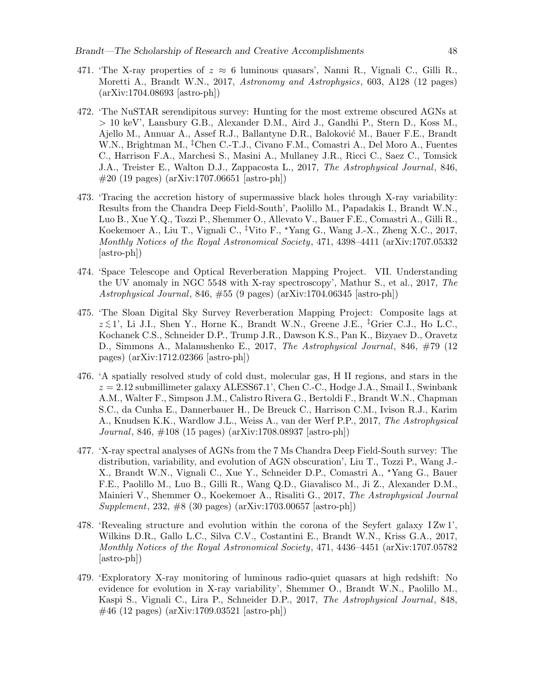- 471. 'The X-ray properties of  $z \approx 6$  luminous quasars', Nanni R., Vignali C., Gilli R., Moretti A., Brandt W.N., 2017, *Astronomy and Astrophysics*, 603, A128 (12 pages) (arXiv:1704.08693 [astro-ph])
- 472. 'The NuSTAR serendipitous survey: Hunting for the most extreme obscured AGNs at > 10 keV', Lansbury G.B., Alexander D.M., Aird J., Gandhi P., Stern D., Koss M., Ajello M., Annuar A., Assef R.J., Ballantyne D.R., Baloković M., Bauer F.E., Brandt W.N., Brightman M., ‡Chen C.-T.J., Civano F.M., Comastri A., Del Moro A., Fuentes C., Harrison F.A., Marchesi S., Masini A., Mullaney J.R., Ricci C., Saez C., Tomsick J.A., Treister E., Walton D.J., Zappacosta L., 2017, *The Astrophysical Journal*, 846, #20 (19 pages) (arXiv:1707.06651 [astro-ph])
- 473. 'Tracing the accretion history of supermassive black holes through X-ray variability: Results from the Chandra Deep Field-South', Paolillo M., Papadakis I., Brandt W.N., Luo B., Xue Y.Q., Tozzi P., Shemmer O., Allevato V., Bauer F.E., Comastri A., Gilli R., Koekemoer A., Liu T., Vignali C., <sup>‡</sup>Vito F., <sup>\*</sup>Yang G., Wang J.-X., Zheng X.C., 2017, *Monthly Notices of the Royal Astronomical Society*, 471, 4398–4411 (arXiv:1707.05332 [astro-ph])
- 474. 'Space Telescope and Optical Reverberation Mapping Project. VII. Understanding the UV anomaly in NGC 5548 with X-ray spectroscopy', Mathur S., et al., 2017, *The Astrophysical Journal*, 846, #55 (9 pages) (arXiv:1704.06345 [astro-ph])
- 475. 'The Sloan Digital Sky Survey Reverberation Mapping Project: Composite lags at  $z \lesssim 1$ ', Li J.I., Shen Y., Horne K., Brandt W.N., Greene J.E., <sup>‡</sup>Grier C.J., Ho L.C., Kochanek C.S., Schneider D.P., Trump J.R., Dawson K.S., Pan K., Bizyaev D., Oravetz D., Simmons A., Malanushenko E., 2017, *The Astrophysical Journal*, 846, #79 (12 pages) (arXiv:1712.02366 [astro-ph])
- 476. 'A spatially resolved study of cold dust, molecular gas, H II regions, and stars in the  $z = 2.12$  submillimeter galaxy ALESS67.1', Chen C.-C., Hodge J.A., Smail I., Swinbank A.M., Walter F., Simpson J.M., Calistro Rivera G., Bertoldi F., Brandt W.N., Chapman S.C., da Cunha E., Dannerbauer H., De Breuck C., Harrison C.M., Ivison R.J., Karim A., Knudsen K.K., Wardlow J.L., Weiss A., van der Werf P.P., 2017, *The Astrophysical Journal*, 846, #108 (15 pages) (arXiv:1708.08937 [astro-ph])
- 477. 'X-ray spectral analyses of AGNs from the 7 Ms Chandra Deep Field-South survey: The distribution, variability, and evolution of AGN obscuration', Liu T., Tozzi P., Wang J.- X., Brandt W.N., Vignali C., Xue Y., Schneider D.P., Comastri A., <sup>\*</sup>Yang G., Bauer F.E., Paolillo M., Luo B., Gilli R., Wang Q.D., Giavalisco M., Ji Z., Alexander D.M., Mainieri V., Shemmer O., Koekemoer A., Risaliti G., 2017, *The Astrophysical Journal Supplement*, 232, #8 (30 pages) (arXiv:1703.00657 [astro-ph])
- 478. 'Revealing structure and evolution within the corona of the Seyfert galaxy I Zw 1', Wilkins D.R., Gallo L.C., Silva C.V., Costantini E., Brandt W.N., Kriss G.A., 2017, *Monthly Notices of the Royal Astronomical Society*, 471, 4436–4451 (arXiv:1707.05782 [astro-ph])
- 479. 'Exploratory X-ray monitoring of luminous radio-quiet quasars at high redshift: No evidence for evolution in X-ray variability', Shemmer O., Brandt W.N., Paolillo M., Kaspi S., Vignali C., Lira P., Schneider D.P., 2017, *The Astrophysical Journal*, 848, #46 (12 pages) (arXiv:1709.03521 [astro-ph])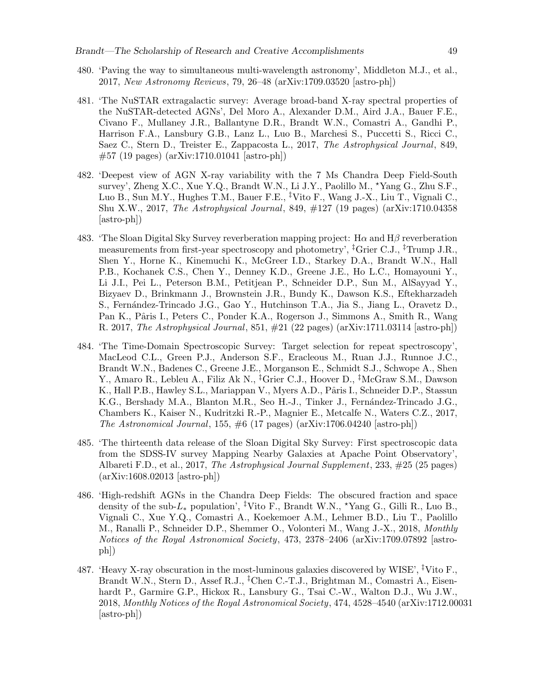- 480. 'Paving the way to simultaneous multi-wavelength astronomy', Middleton M.J., et al., 2017, *New Astronomy Reviews*, 79, 26–48 (arXiv:1709.03520 [astro-ph])
- 481. 'The NuSTAR extragalactic survey: Average broad-band X-ray spectral properties of the NuSTAR-detected AGNs', Del Moro A., Alexander D.M., Aird J.A., Bauer F.E., Civano F., Mullaney J.R., Ballantyne D.R., Brandt W.N., Comastri A., Gandhi P., Harrison F.A., Lansbury G.B., Lanz L., Luo B., Marchesi S., Puccetti S., Ricci C., Saez C., Stern D., Treister E., Zappacosta L., 2017, *The Astrophysical Journal*, 849, #57 (19 pages) (arXiv:1710.01041 [astro-ph])
- 482. 'Deepest view of AGN X-ray variability with the 7 Ms Chandra Deep Field-South survey', Zheng X.C., Xue Y.Q., Brandt W.N., Li J.Y., Paolillo M.,  $\star$ Yang G., Zhu S.F., Luo B., Sun M.Y., Hughes T.M., Bauer F.E., ‡Vito F., Wang J.-X., Liu T., Vignali C., Shu X.W., 2017, *The Astrophysical Journal*, 849, #127 (19 pages) (arXiv:1710.04358 [astro-ph])
- 483. 'The Sloan Digital Sky Survey reverberation mapping project:  $H\alpha$  and  $H\beta$  reverberation measurements from first-year spectroscopy and photometry', ‡Grier C.J., ‡Trump J.R., Shen Y., Horne K., Kinemuchi K., McGreer I.D., Starkey D.A., Brandt W.N., Hall P.B., Kochanek C.S., Chen Y., Denney K.D., Greene J.E., Ho L.C., Homayouni Y., Li J.I., Pei L., Peterson B.M., Petitjean P., Schneider D.P., Sun M., AlSayyad Y., Bizyaev D., Brinkmann J., Brownstein J.R., Bundy K., Dawson K.S., Eftekharzadeh S., Fern´andez-Trincado J.G., Gao Y., Hutchinson T.A., Jia S., Jiang L., Oravetz D., Pan K., Pâris I., Peters C., Ponder K.A., Rogerson J., Simmons A., Smith R., Wang R. 2017, *The Astrophysical Journal*, 851, #21 (22 pages) (arXiv:1711.03114 [astro-ph])
- 484. 'The Time-Domain Spectroscopic Survey: Target selection for repeat spectroscopy', MacLeod C.L., Green P.J., Anderson S.F., Eracleous M., Ruan J.J., Runnoe J.C., Brandt W.N., Badenes C., Greene J.E., Morganson E., Schmidt S.J., Schwope A., Shen Y., Amaro R., Lebleu A., Filiz Ak N., ‡Grier C.J., Hoover D., ‡McGraw S.M., Dawson K., Hall P.B., Hawley S.L., Mariappan V., Myers A.D., Pâris I., Schneider D.P., Stassun K.G., Bershady M.A., Blanton M.R., Seo H.-J., Tinker J., Fernández-Trincado J.G., Chambers K., Kaiser N., Kudritzki R.-P., Magnier E., Metcalfe N., Waters C.Z., 2017, *The Astronomical Journal*, 155, #6 (17 pages) (arXiv:1706.04240 [astro-ph])
- 485. 'The thirteenth data release of the Sloan Digital Sky Survey: First spectroscopic data from the SDSS-IV survey Mapping Nearby Galaxies at Apache Point Observatory', Albareti F.D., et al., 2017, *The Astrophysical Journal Supplement*, 233, #25 (25 pages) (arXiv:1608.02013 [astro-ph])
- 486. 'High-redshift AGNs in the Chandra Deep Fields: The obscured fraction and space density of the sub- $L_*$  population', <sup>‡</sup>Vito F., Brandt W.N., <sup>\*</sup>Yang G., Gilli R., Luo B., Vignali C., Xue Y.Q., Comastri A., Koekemoer A.M., Lehmer B.D., Liu T., Paolillo M., Ranalli P., Schneider D.P., Shemmer O., Volonteri M., Wang J.-X., 2018, *Monthly Notices of the Royal Astronomical Society*, 473, 2378–2406 (arXiv:1709.07892 [astroph])
- 487. 'Heavy X-ray obscuration in the most-luminous galaxies discovered by WISE',  $\frac{1}{7}$ Vito F., Brandt W.N., Stern D., Assef R.J., ‡Chen C.-T.J., Brightman M., Comastri A., Eisenhardt P., Garmire G.P., Hickox R., Lansbury G., Tsai C.-W., Walton D.J., Wu J.W., 2018, *Monthly Notices of the Royal Astronomical Society*, 474, 4528–4540 (arXiv:1712.00031 [astro-ph])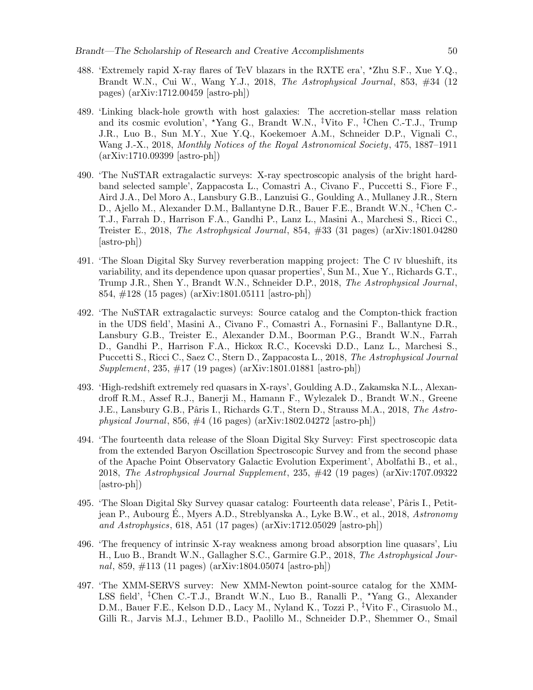- 488. 'Extremely rapid X-ray flares of TeV blazars in the RXTE era',  $*Zhu S.F., Xue Y.Q.,$ Brandt W.N., Cui W., Wang Y.J., 2018, *The Astrophysical Journal*, 853, #34 (12 pages) (arXiv:1712.00459 [astro-ph])
- 489. 'Linking black-hole growth with host galaxies: The accretion-stellar mass relation and its cosmic evolution',  $*Yang G$ , Brandt W.N.,  $*V$ ito F.,  $*Chen C.-T.J., Trump$ J.R., Luo B., Sun M.Y., Xue Y.Q., Koekemoer A.M., Schneider D.P., Vignali C., Wang J.-X., 2018, *Monthly Notices of the Royal Astronomical Society*, 475, 1887–1911 (arXiv:1710.09399 [astro-ph])
- 490. 'The NuSTAR extragalactic surveys: X-ray spectroscopic analysis of the bright hardband selected sample', Zappacosta L., Comastri A., Civano F., Puccetti S., Fiore F., Aird J.A., Del Moro A., Lansbury G.B., Lanzuisi G., Goulding A., Mullaney J.R., Stern D., Ajello M., Alexander D.M., Ballantyne D.R., Bauer F.E., Brandt W.N., ‡Chen C.- T.J., Farrah D., Harrison F.A., Gandhi P., Lanz L., Masini A., Marchesi S., Ricci C., Treister E., 2018, *The Astrophysical Journal*, 854, #33 (31 pages) (arXiv:1801.04280 [astro-ph])
- 491. 'The Sloan Digital Sky Survey reverberation mapping project: The C iv blueshift, its variability, and its dependence upon quasar properties', Sun M., Xue Y., Richards G.T., Trump J.R., Shen Y., Brandt W.N., Schneider D.P., 2018, *The Astrophysical Journal*, 854, #128 (15 pages) (arXiv:1801.05111 [astro-ph])
- 492. 'The NuSTAR extragalactic surveys: Source catalog and the Compton-thick fraction in the UDS field', Masini A., Civano F., Comastri A., Fornasini F., Ballantyne D.R., Lansbury G.B., Treister E., Alexander D.M., Boorman P.G., Brandt W.N., Farrah D., Gandhi P., Harrison F.A., Hickox R.C., Kocevski D.D., Lanz L., Marchesi S., Puccetti S., Ricci C., Saez C., Stern D., Zappacosta L., 2018, *The Astrophysical Journal Supplement*, 235, #17 (19 pages) (arXiv:1801.01881 [astro-ph])
- 493. 'High-redshift extremely red quasars in X-rays', Goulding A.D., Zakamska N.L., Alexandroff R.M., Assef R.J., Banerji M., Hamann F., Wylezalek D., Brandt W.N., Greene J.E., Lansbury G.B., Pˆaris I., Richards G.T., Stern D., Strauss M.A., 2018, *The Astrophysical Journal*, 856, #4 (16 pages) (arXiv:1802.04272 [astro-ph])
- 494. 'The fourteenth data release of the Sloan Digital Sky Survey: First spectroscopic data from the extended Baryon Oscillation Spectroscopic Survey and from the second phase of the Apache Point Observatory Galactic Evolution Experiment', Abolfathi B., et al., 2018, *The Astrophysical Journal Supplement*, 235, #42 (19 pages) (arXiv:1707.09322 [astro-ph])
- 495. 'The Sloan Digital Sky Survey quasar catalog: Fourteenth data release', Pâris I., Petitjean P., Aubourg E., Myers A.D., Streblyanska A., Lyke B.W., et al., 2018, Astronomy *and Astrophysics*, 618, A51 (17 pages) (arXiv:1712.05029 [astro-ph])
- 496. 'The frequency of intrinsic X-ray weakness among broad absorption line quasars', Liu H., Luo B., Brandt W.N., Gallagher S.C., Garmire G.P., 2018, *The Astrophysical Journal*, 859, #113 (11 pages) (arXiv:1804.05074 [astro-ph])
- 497. 'The XMM-SERVS survey: New XMM-Newton point-source catalog for the XMM-LSS field', <sup>‡</sup>Chen C.-T.J., Brandt W.N., Luo B., Ranalli P., <sup>\*</sup>Yang G., Alexander D.M., Bauer F.E., Kelson D.D., Lacy M., Nyland K., Tozzi P., ‡Vito F., Cirasuolo M., Gilli R., Jarvis M.J., Lehmer B.D., Paolillo M., Schneider D.P., Shemmer O., Smail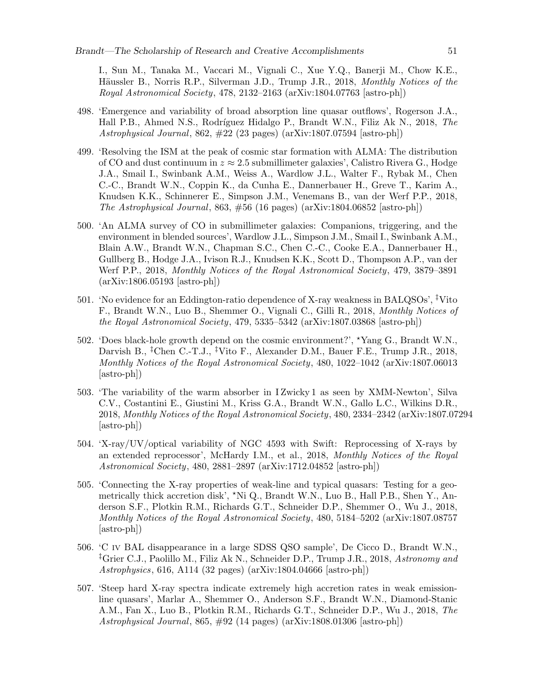I., Sun M., Tanaka M., Vaccari M., Vignali C., Xue Y.Q., Banerji M., Chow K.E., Häussler B., Norris R.P., Silverman J.D., Trump J.R., 2018, *Monthly Notices of the Royal Astronomical Society*, 478, 2132–2163 (arXiv:1804.07763 [astro-ph])

- 498. 'Emergence and variability of broad absorption line quasar outflows', Rogerson J.A., Hall P.B., Ahmed N.S., Rodríguez Hidalgo P., Brandt W.N., Filiz Ak N., 2018, *The Astrophysical Journal*, 862, #22 (23 pages) (arXiv:1807.07594 [astro-ph])
- 499. 'Resolving the ISM at the peak of cosmic star formation with ALMA: The distribution of CO and dust continuum in  $z \approx 2.5$  submillimeter galaxies', Calistro Rivera G., Hodge J.A., Smail I., Swinbank A.M., Weiss A., Wardlow J.L., Walter F., Rybak M., Chen C.-C., Brandt W.N., Coppin K., da Cunha E., Dannerbauer H., Greve T., Karim A., Knudsen K.K., Schinnerer E., Simpson J.M., Venemans B., van der Werf P.P., 2018, *The Astrophysical Journal*, 863, #56 (16 pages) (arXiv:1804.06852 [astro-ph])
- 500. 'An ALMA survey of CO in submillimeter galaxies: Companions, triggering, and the environment in blended sources', Wardlow J.L., Simpson J.M., Smail I., Swinbank A.M., Blain A.W., Brandt W.N., Chapman S.C., Chen C.-C., Cooke E.A., Dannerbauer H., Gullberg B., Hodge J.A., Ivison R.J., Knudsen K.K., Scott D., Thompson A.P., van der Werf P.P., 2018, *Monthly Notices of the Royal Astronomical Society*, 479, 3879–3891 (arXiv:1806.05193 [astro-ph])
- 501. 'No evidence for an Eddington-ratio dependence of X-ray weakness in BALQSOs',  $\frac{1}{7}$ Vito F., Brandt W.N., Luo B., Shemmer O., Vignali C., Gilli R., 2018, *Monthly Notices of the Royal Astronomical Society*, 479, 5335–5342 (arXiv:1807.03868 [astro-ph])
- 502. 'Does black-hole growth depend on the cosmic environment?',  $*Yang G$ , Brandt W.N., Darvish B., ‡Chen C.-T.J., ‡Vito F., Alexander D.M., Bauer F.E., Trump J.R., 2018, *Monthly Notices of the Royal Astronomical Society*, 480, 1022–1042 (arXiv:1807.06013 [astro-ph])
- 503. 'The variability of the warm absorber in I Zwicky 1 as seen by XMM-Newton', Silva C.V., Costantini E., Giustini M., Kriss G.A., Brandt W.N., Gallo L.C., Wilkins D.R., 2018, *Monthly Notices of the Royal Astronomical Society*, 480, 2334–2342 (arXiv:1807.07294 [astro-ph])
- 504. 'X-ray/UV/optical variability of NGC 4593 with Swift: Reprocessing of X-rays by an extended reprocessor', McHardy I.M., et al., 2018, *Monthly Notices of the Royal Astronomical Society*, 480, 2881–2897 (arXiv:1712.04852 [astro-ph])
- 505. 'Connecting the X-ray properties of weak-line and typical quasars: Testing for a geometrically thick accretion disk',  $*$ Ni Q., Brandt W.N., Luo B., Hall P.B., Shen Y., Anderson S.F., Plotkin R.M., Richards G.T., Schneider D.P., Shemmer O., Wu J., 2018, *Monthly Notices of the Royal Astronomical Society*, 480, 5184–5202 (arXiv:1807.08757 [astro-ph])
- 506. 'C iv BAL disappearance in a large SDSS QSO sample', De Cicco D., Brandt W.N., ‡Grier C.J., Paolillo M., Filiz Ak N., Schneider D.P., Trump J.R., 2018, *Astronomy and Astrophysics*, 616, A114 (32 pages) (arXiv:1804.04666 [astro-ph])
- 507. 'Steep hard X-ray spectra indicate extremely high accretion rates in weak emissionline quasars', Marlar A., Shemmer O., Anderson S.F., Brandt W.N., Diamond-Stanic A.M., Fan X., Luo B., Plotkin R.M., Richards G.T., Schneider D.P., Wu J., 2018, *The Astrophysical Journal*, 865, #92 (14 pages) (arXiv:1808.01306 [astro-ph])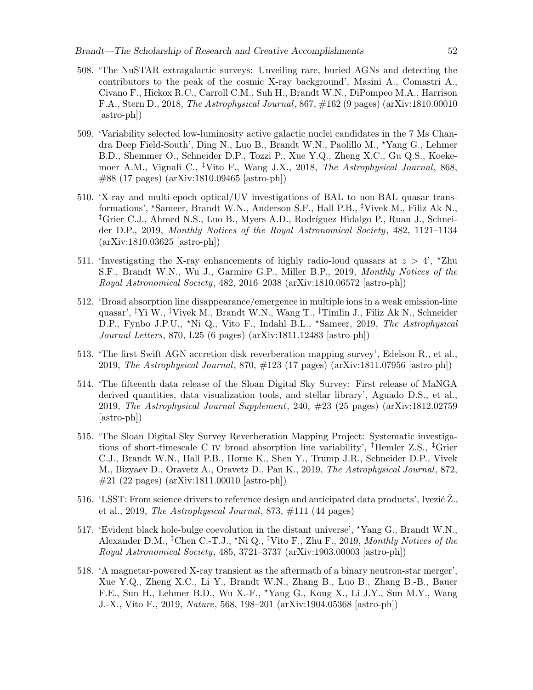- 508. 'The NuSTAR extragalactic surveys: Unveiling rare, buried AGNs and detecting the contributors to the peak of the cosmic X-ray background', Masini A., Comastri A., Civano F., Hickox R.C., Carroll C.M., Suh H., Brandt W.N., DiPompeo M.A., Harrison F.A., Stern D., 2018, *The Astrophysical Journal*, 867, #162 (9 pages) (arXiv:1810.00010 [astro-ph])
- 509. 'Variability selected low-luminosity active galactic nuclei candidates in the 7 Ms Chandra Deep Field-South', Ding N., Luo B., Brandt W.N., Paolillo M., <sup>⋆</sup>Yang G., Lehmer B.D., Shemmer O., Schneider D.P., Tozzi P., Xue Y.Q., Zheng X.C., Gu Q.S., Koekemoer A.M., Vignali C., ‡Vito F., Wang J.X., 2018, *The Astrophysical Journal*, 868, #88 (17 pages) (arXiv:1810.09465 [astro-ph])
- 510. 'X-ray and multi-epoch optical/UV investigations of BAL to non-BAL quasar transformations', \*Sameer, Brandt W.N., Anderson S.F., Hall P.B., <sup>‡</sup>Vivek M., Filiz Ak N., <sup>‡</sup>Grier C.J., Ahmed N.S., Luo B., Myers A.D., Rodríguez Hidalgo P., Ruan J., Schneider D.P., 2019, *Monthly Notices of the Royal Astronomical Society*, 482, 1121–1134 (arXiv:1810.03625 [astro-ph])
- 511. 'Investigating the X-ray enhancements of highly radio-loud quasars at  $z > 4$ ',  $*$ Zhu S.F., Brandt W.N., Wu J., Garmire G.P., Miller B.P., 2019, *Monthly Notices of the Royal Astronomical Society*, 482, 2016–2038 (arXiv:1810.06572 [astro-ph])
- 512. 'Broad absorption line disappearance/emergence in multiple ions in a weak emission-line quasar', ‡Yi W., ‡Vivek M., Brandt W.N., Wang T., ‡Timlin J., Filiz Ak N., Schneider D.P., Fynbo J.P.U., <sup>\*</sup>Ni Q., Vito F., Indahl B.L., <sup>\*</sup>Sameer, 2019, *The Astrophysical Journal Letters*, 870, L25 (6 pages) (arXiv:1811.12483 [astro-ph])
- 513. 'The first Swift AGN accretion disk reverberation mapping survey', Edelson R., et al., 2019, *The Astrophysical Journal*, 870, #123 (17 pages) (arXiv:1811.07956 [astro-ph])
- 514. 'The fifteenth data release of the Sloan Digital Sky Survey: First release of MaNGA derived quantities, data visualization tools, and stellar library', Aguado D.S., et al., 2019, *The Astrophysical Journal Supplement*, 240, #23 (25 pages) (arXiv:1812.02759 [astro-ph])
- 515. 'The Sloan Digital Sky Survey Reverberation Mapping Project: Systematic investigations of short-timescale C IV broad absorption line variability', <sup>†</sup>Hemler Z.S., <sup>‡</sup>Grier C.J., Brandt W.N., Hall P.B., Horne K., Shen Y., Trump J.R., Schneider D.P., Vivek M., Bizyaev D., Oravetz A., Oravetz D., Pan K., 2019, *The Astrophysical Journal*, 872, #21 (22 pages) (arXiv:1811.00010 [astro-ph])
- 516. 'LSST: From science drivers to reference design and anticipated data products', Ivezic  $\tilde{Z}$ . et al., 2019, *The Astrophysical Journal*, 873, #111 (44 pages)
- 517. 'Evident black hole-bulge coevolution in the distant universe',  $*$ Yang G., Brandt W.N., Alexander D.M., ‡Chen C.-T.J., <sup>⋆</sup>Ni Q., ‡Vito F., Zhu F., 2019, *Monthly Notices of the Royal Astronomical Society*, 485, 3721–3737 (arXiv:1903.00003 [astro-ph])
- 518. 'A magnetar-powered X-ray transient as the aftermath of a binary neutron-star merger', Xue Y.Q., Zheng X.C., Li Y., Brandt W.N., Zhang B., Luo B., Zhang B.-B., Bauer F.E., Sun H., Lehmer B.D., Wu X.-F., \*Yang G., Kong X., Li J.Y., Sun M.Y., Wang J.-X., Vito F., 2019, *Nature*, 568, 198–201 (arXiv:1904.05368 [astro-ph])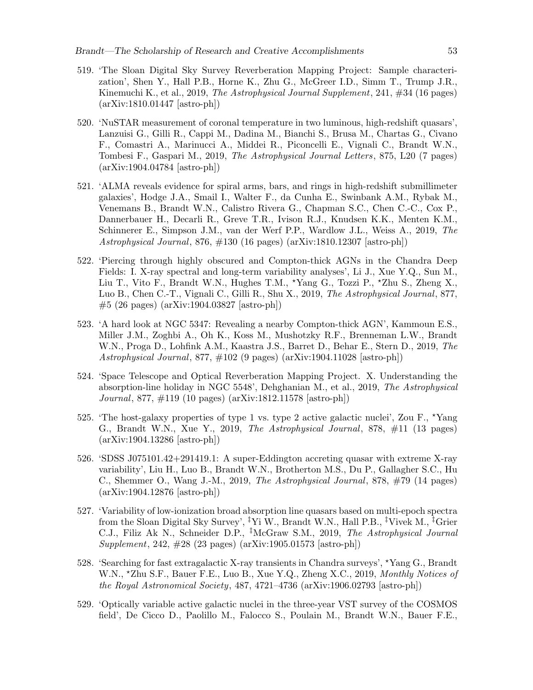- 519. 'The Sloan Digital Sky Survey Reverberation Mapping Project: Sample characterization', Shen Y., Hall P.B., Horne K., Zhu G., McGreer I.D., Simm T., Trump J.R., Kinemuchi K., et al., 2019, *The Astrophysical Journal Supplement*, 241, #34 (16 pages) (arXiv:1810.01447 [astro-ph])
- 520. 'NuSTAR measurement of coronal temperature in two luminous, high-redshift quasars', Lanzuisi G., Gilli R., Cappi M., Dadina M., Bianchi S., Brusa M., Chartas G., Civano F., Comastri A., Marinucci A., Middei R., Piconcelli E., Vignali C., Brandt W.N., Tombesi F., Gaspari M., 2019, *The Astrophysical Journal Letters*, 875, L20 (7 pages) (arXiv:1904.04784 [astro-ph])
- 521. 'ALMA reveals evidence for spiral arms, bars, and rings in high-redshift submillimeter galaxies', Hodge J.A., Smail I., Walter F., da Cunha E., Swinbank A.M., Rybak M., Venemans B., Brandt W.N., Calistro Rivera G., Chapman S.C., Chen C.-C., Cox P., Dannerbauer H., Decarli R., Greve T.R., Ivison R.J., Knudsen K.K., Menten K.M., Schinnerer E., Simpson J.M., van der Werf P.P., Wardlow J.L., Weiss A., 2019, *The Astrophysical Journal*, 876, #130 (16 pages) (arXiv:1810.12307 [astro-ph])
- 522. 'Piercing through highly obscured and Compton-thick AGNs in the Chandra Deep Fields: I. X-ray spectral and long-term variability analyses', Li J., Xue Y.Q., Sun M., Liu T., Vito F., Brandt W.N., Hughes T.M., \*Yang G., Tozzi P., \*Zhu S., Zheng X., Luo B., Chen C.-T., Vignali C., Gilli R., Shu X., 2019, *The Astrophysical Journal*, 877, #5 (26 pages) (arXiv:1904.03827 [astro-ph])
- 523. 'A hard look at NGC 5347: Revealing a nearby Compton-thick AGN', Kammoun E.S., Miller J.M., Zoghbi A., Oh K., Koss M., Mushotzky R.F., Brenneman L.W., Brandt W.N., Proga D., Lohfink A.M., Kaastra J.S., Barret D., Behar E., Stern D., 2019, *The Astrophysical Journal*, 877, #102 (9 pages) (arXiv:1904.11028 [astro-ph])
- 524. 'Space Telescope and Optical Reverberation Mapping Project. X. Understanding the absorption-line holiday in NGC 5548', Dehghanian M., et al., 2019, *The Astrophysical Journal*, 877, #119 (10 pages) (arXiv:1812.11578 [astro-ph])
- 525. 'The host-galaxy properties of type 1 vs. type 2 active galactic nuclei', Zou F.,  $\star$ Yang G., Brandt W.N., Xue Y., 2019, *The Astrophysical Journal*, 878, #11 (13 pages) (arXiv:1904.13286 [astro-ph])
- 526. 'SDSS J075101.42+291419.1: A super-Eddington accreting quasar with extreme X-ray variability', Liu H., Luo B., Brandt W.N., Brotherton M.S., Du P., Gallagher S.C., Hu C., Shemmer O., Wang J.-M., 2019, *The Astrophysical Journal*, 878, #79 (14 pages) (arXiv:1904.12876 [astro-ph])
- 527. 'Variability of low-ionization broad absorption line quasars based on multi-epoch spectra from the Sloan Digital Sky Survey', ‡Yi W., Brandt W.N., Hall P.B., ‡Vivek M., ‡Grier C.J., Filiz Ak N., Schneider D.P., ‡McGraw S.M., 2019, *The Astrophysical Journal Supplement*, 242, #28 (23 pages) (arXiv:1905.01573 [astro-ph])
- 528. 'Searching for fast extragalactic X-ray transients in Chandra surveys', \*Yang G., Brandt W.N., <sup>\*</sup>Zhu S.F., Bauer F.E., Luo B., Xue Y.Q., Zheng X.C., 2019, *Monthly Notices of the Royal Astronomical Society*, 487, 4721–4736 (arXiv:1906.02793 [astro-ph])
- 529. 'Optically variable active galactic nuclei in the three-year VST survey of the COSMOS field', De Cicco D., Paolillo M., Falocco S., Poulain M., Brandt W.N., Bauer F.E.,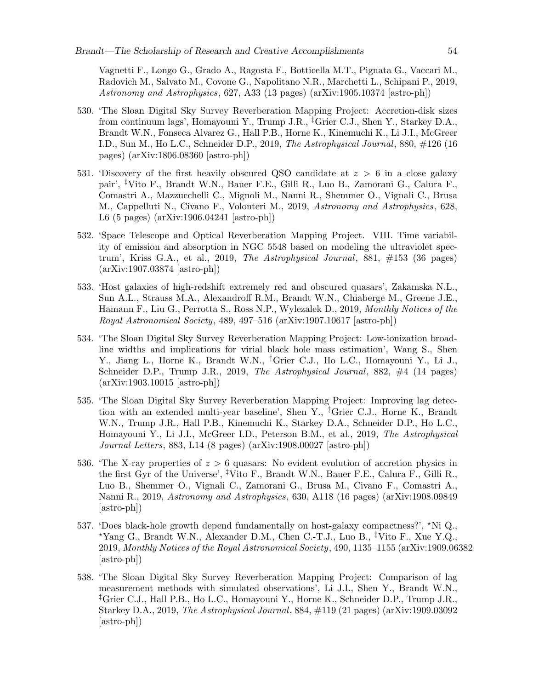Vagnetti F., Longo G., Grado A., Ragosta F., Botticella M.T., Pignata G., Vaccari M., Radovich M., Salvato M., Covone G., Napolitano N.R., Marchetti L., Schipani P., 2019, *Astronomy and Astrophysics*, 627, A33 (13 pages) (arXiv:1905.10374 [astro-ph])

- 530. 'The Sloan Digital Sky Survey Reverberation Mapping Project: Accretion-disk sizes from continuum lags', Homayouni Y., Trump J.R., ‡Grier C.J., Shen Y., Starkey D.A., Brandt W.N., Fonseca Alvarez G., Hall P.B., Horne K., Kinemuchi K., Li J.I., McGreer I.D., Sun M., Ho L.C., Schneider D.P., 2019, *The Astrophysical Journal*, 880, #126 (16 pages) (arXiv:1806.08360 [astro-ph])
- 531. 'Discovery of the first heavily obscured QSO candidate at  $z > 6$  in a close galaxy pair', ‡Vito F., Brandt W.N., Bauer F.E., Gilli R., Luo B., Zamorani G., Calura F., Comastri A., Mazzucchelli C., Mignoli M., Nanni R., Shemmer O., Vignali C., Brusa M., Cappelluti N., Civano F., Volonteri M., 2019, *Astronomy and Astrophysics*, 628, L6 (5 pages) (arXiv:1906.04241 [astro-ph])
- 532. 'Space Telescope and Optical Reverberation Mapping Project. VIII. Time variability of emission and absorption in NGC 5548 based on modeling the ultraviolet spectrum', Kriss G.A., et al., 2019, *The Astrophysical Journal*, 881, #153 (36 pages) (arXiv:1907.03874 [astro-ph])
- 533. 'Host galaxies of high-redshift extremely red and obscured quasars', Zakamska N.L., Sun A.L., Strauss M.A., Alexandroff R.M., Brandt W.N., Chiaberge M., Greene J.E., Hamann F., Liu G., Perrotta S., Ross N.P., Wylezalek D., 2019, *Monthly Notices of the Royal Astronomical Society*, 489, 497–516 (arXiv:1907.10617 [astro-ph])
- 534. 'The Sloan Digital Sky Survey Reverberation Mapping Project: Low-ionization broadline widths and implications for virial black hole mass estimation', Wang S., Shen Y., Jiang L., Horne K., Brandt W.N., ‡Grier C.J., Ho L.C., Homayouni Y., Li J., Schneider D.P., Trump J.R., 2019, *The Astrophysical Journal*, 882, #4 (14 pages) (arXiv:1903.10015 [astro-ph])
- 535. 'The Sloan Digital Sky Survey Reverberation Mapping Project: Improving lag detection with an extended multi-year baseline', Shen Y., ‡Grier C.J., Horne K., Brandt W.N., Trump J.R., Hall P.B., Kinemuchi K., Starkey D.A., Schneider D.P., Ho L.C., Homayouni Y., Li J.I., McGreer I.D., Peterson B.M., et al., 2019, *The Astrophysical Journal Letters*, 883, L14 (8 pages) (arXiv:1908.00027 [astro-ph])
- 536. 'The X-ray properties of  $z > 6$  quasars: No evident evolution of accretion physics in the first Gyr of the Universe', ‡Vito F., Brandt W.N., Bauer F.E., Calura F., Gilli R., Luo B., Shemmer O., Vignali C., Zamorani G., Brusa M., Civano F., Comastri A., Nanni R., 2019, *Astronomy and Astrophysics*, 630, A118 (16 pages) (arXiv:1908.09849 [astro-ph])
- 537. 'Does black-hole growth depend fundamentally on host-galaxy compactness?', \*Ni Q., \*Yang G., Brandt W.N., Alexander D.M., Chen C.-T.J., Luo B.,  ${}^{\ddagger}$ Vito F., Xue Y.Q., 2019, *Monthly Notices of the Royal Astronomical Society*, 490, 1135–1155 (arXiv:1909.06382 [astro-ph])
- 538. 'The Sloan Digital Sky Survey Reverberation Mapping Project: Comparison of lag measurement methods with simulated observations', Li J.I., Shen Y., Brandt W.N., ‡Grier C.J., Hall P.B., Ho L.C., Homayouni Y., Horne K., Schneider D.P., Trump J.R., Starkey D.A., 2019, *The Astrophysical Journal*, 884, #119 (21 pages) (arXiv:1909.03092 [astro-ph])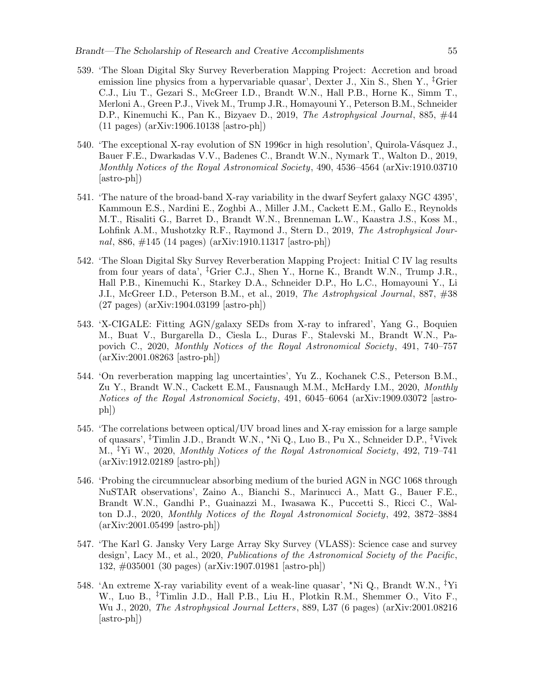- 539. 'The Sloan Digital Sky Survey Reverberation Mapping Project: Accretion and broad emission line physics from a hypervariable quasar', Dexter J., Xin S., Shen Y., ‡Grier C.J., Liu T., Gezari S., McGreer I.D., Brandt W.N., Hall P.B., Horne K., Simm T., Merloni A., Green P.J., Vivek M., Trump J.R., Homayouni Y., Peterson B.M., Schneider D.P., Kinemuchi K., Pan K., Bizyaev D., 2019, *The Astrophysical Journal*, 885, #44 (11 pages) (arXiv:1906.10138 [astro-ph])
- 540. 'The exceptional X-ray evolution of SN 1996cr in high resolution', Quirola-Vásquez J., Bauer F.E., Dwarkadas V.V., Badenes C., Brandt W.N., Nymark T., Walton D., 2019, *Monthly Notices of the Royal Astronomical Society*, 490, 4536–4564 (arXiv:1910.03710 [astro-ph])
- 541. 'The nature of the broad-band X-ray variability in the dwarf Seyfert galaxy NGC 4395', Kammoun E.S., Nardini E., Zoghbi A., Miller J.M., Cackett E.M., Gallo E., Reynolds M.T., Risaliti G., Barret D., Brandt W.N., Brenneman L.W., Kaastra J.S., Koss M., Lohfink A.M., Mushotzky R.F., Raymond J., Stern D., 2019, *The Astrophysical Journal*, 886, #145 (14 pages) (arXiv:1910.11317 [astro-ph])
- 542. 'The Sloan Digital Sky Survey Reverberation Mapping Project: Initial C IV lag results from four years of data', ‡Grier C.J., Shen Y., Horne K., Brandt W.N., Trump J.R., Hall P.B., Kinemuchi K., Starkey D.A., Schneider D.P., Ho L.C., Homayouni Y., Li J.I., McGreer I.D., Peterson B.M., et al., 2019, *The Astrophysical Journal*, 887, #38 (27 pages) (arXiv:1904.03199 [astro-ph])
- 543. 'X-CIGALE: Fitting AGN/galaxy SEDs from X-ray to infrared', Yang G., Boquien M., Buat V., Burgarella D., Ciesla L., Duras F., Stalevski M., Brandt W.N., Papovich C., 2020, *Monthly Notices of the Royal Astronomical Society*, 491, 740–757 (arXiv:2001.08263 [astro-ph])
- 544. 'On reverberation mapping lag uncertainties', Yu Z., Kochanek C.S., Peterson B.M., Zu Y., Brandt W.N., Cackett E.M., Fausnaugh M.M., McHardy I.M., 2020, *Monthly Notices of the Royal Astronomical Society*, 491, 6045–6064 (arXiv:1909.03072 [astroph])
- 545. 'The correlations between optical/UV broad lines and X-ray emission for a large sample of quasars', ‡Timlin J.D., Brandt W.N., <sup>⋆</sup>Ni Q., Luo B., Pu X., Schneider D.P., ‡Vivek M., ‡Yi W., 2020, *Monthly Notices of the Royal Astronomical Society*, 492, 719–741 (arXiv:1912.02189 [astro-ph])
- 546. 'Probing the circumnuclear absorbing medium of the buried AGN in NGC 1068 through NuSTAR observations', Zaino A., Bianchi S., Marinucci A., Matt G., Bauer F.E., Brandt W.N., Gandhi P., Guainazzi M., Iwasawa K., Puccetti S., Ricci C., Walton D.J., 2020, *Monthly Notices of the Royal Astronomical Society*, 492, 3872–3884 (arXiv:2001.05499 [astro-ph])
- 547. 'The Karl G. Jansky Very Large Array Sky Survey (VLASS): Science case and survey design', Lacy M., et al., 2020, *Publications of the Astronomical Society of the Pacific*, 132, #035001 (30 pages) (arXiv:1907.01981 [astro-ph])
- 548. 'An extreme X-ray variability event of a weak-line quasar',  $*Ni Q$ ., Brandt W.N.,  $*Yi$ W., Luo B., ‡Timlin J.D., Hall P.B., Liu H., Plotkin R.M., Shemmer O., Vito F., Wu J., 2020, *The Astrophysical Journal Letters*, 889, L37 (6 pages) (arXiv:2001.08216 [astro-ph])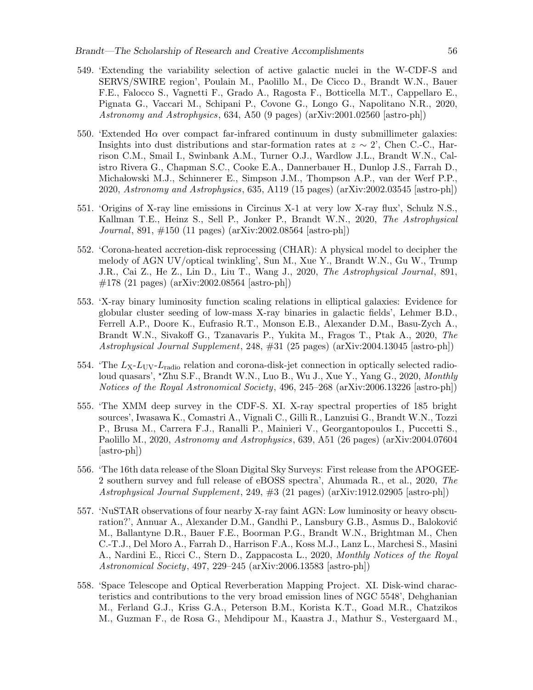- 549. 'Extending the variability selection of active galactic nuclei in the W-CDF-S and SERVS/SWIRE region', Poulain M., Paolillo M., De Cicco D., Brandt W.N., Bauer F.E., Falocco S., Vagnetti F., Grado A., Ragosta F., Botticella M.T., Cappellaro E., Pignata G., Vaccari M., Schipani P., Covone G., Longo G., Napolitano N.R., 2020, *Astronomy and Astrophysics*, 634, A50 (9 pages) (arXiv:2001.02560 [astro-ph])
- 550. 'Extended H $\alpha$  over compact far-infrared continuum in dusty submillimeter galaxies: Insights into dust distributions and star-formation rates at  $z \sim 2$ ', Chen C.-C., Harrison C.M., Smail I., Swinbank A.M., Turner O.J., Wardlow J.L., Brandt W.N., Calistro Rivera G., Chapman S.C., Cooke E.A., Dannerbauer H., Dunlop J.S., Farrah D., Micha lowski M.J., Schinnerer E., Simpson J.M., Thompson A.P., van der Werf P.P., 2020, *Astronomy and Astrophysics*, 635, A119 (15 pages) (arXiv:2002.03545 [astro-ph])
- 551. 'Origins of X-ray line emissions in Circinus X-1 at very low X-ray flux', Schulz N.S., Kallman T.E., Heinz S., Sell P., Jonker P., Brandt W.N., 2020, *The Astrophysical Journal*, 891, #150 (11 pages) (arXiv:2002.08564 [astro-ph])
- 552. 'Corona-heated accretion-disk reprocessing (CHAR): A physical model to decipher the melody of AGN UV/optical twinkling', Sun M., Xue Y., Brandt W.N., Gu W., Trump J.R., Cai Z., He Z., Lin D., Liu T., Wang J., 2020, *The Astrophysical Journal*, 891, #178 (21 pages) (arXiv:2002.08564 [astro-ph])
- 553. 'X-ray binary luminosity function scaling relations in elliptical galaxies: Evidence for globular cluster seeding of low-mass X-ray binaries in galactic fields', Lehmer B.D., Ferrell A.P., Doore K., Eufrasio R.T., Monson E.B., Alexander D.M., Basu-Zych A., Brandt W.N., Sivakoff G., Tzanavaris P., Yukita M., Fragos T., Ptak A., 2020, *The Astrophysical Journal Supplement*, 248, #31 (25 pages) (arXiv:2004.13045 [astro-ph])
- 554. 'The  $L_X-L_{\text{UV}}-L_{\text{radio}}$  relation and corona-disk-jet connection in optically selected radioloud quasars', <sup>\*</sup>Zhu S.F., Brandt W.N., Luo B., Wu J., Xue Y., Yang G., 2020, *Monthly Notices of the Royal Astronomical Society*, 496, 245–268 (arXiv:2006.13226 [astro-ph])
- 555. 'The XMM deep survey in the CDF-S. XI. X-ray spectral properties of 185 bright sources', Iwasawa K., Comastri A., Vignali C., Gilli R., Lanzuisi G., Brandt W.N., Tozzi P., Brusa M., Carrera F.J., Ranalli P., Mainieri V., Georgantopoulos I., Puccetti S., Paolillo M., 2020, *Astronomy and Astrophysics*, 639, A51 (26 pages) (arXiv:2004.07604 [astro-ph])
- 556. 'The 16th data release of the Sloan Digital Sky Surveys: First release from the APOGEE-2 southern survey and full release of eBOSS spectra', Ahumada R., et al., 2020, *The Astrophysical Journal Supplement*, 249, #3 (21 pages) (arXiv:1912.02905 [astro-ph])
- 557. 'NuSTAR observations of four nearby X-ray faint AGN: Low luminosity or heavy obscuration?', Annuar A., Alexander D.M., Gandhi P., Lansbury G.B., Asmus D., Baloković M., Ballantyne D.R., Bauer F.E., Boorman P.G., Brandt W.N., Brightman M., Chen C.-T.J., Del Moro A., Farrah D., Harrison F.A., Koss M.J., Lanz L., Marchesi S., Masini A., Nardini E., Ricci C., Stern D., Zappacosta L., 2020, *Monthly Notices of the Royal Astronomical Society*, 497, 229–245 (arXiv:2006.13583 [astro-ph])
- 558. 'Space Telescope and Optical Reverberation Mapping Project. XI. Disk-wind characteristics and contributions to the very broad emission lines of NGC 5548', Dehghanian M., Ferland G.J., Kriss G.A., Peterson B.M., Korista K.T., Goad M.R., Chatzikos M., Guzman F., de Rosa G., Mehdipour M., Kaastra J., Mathur S., Vestergaard M.,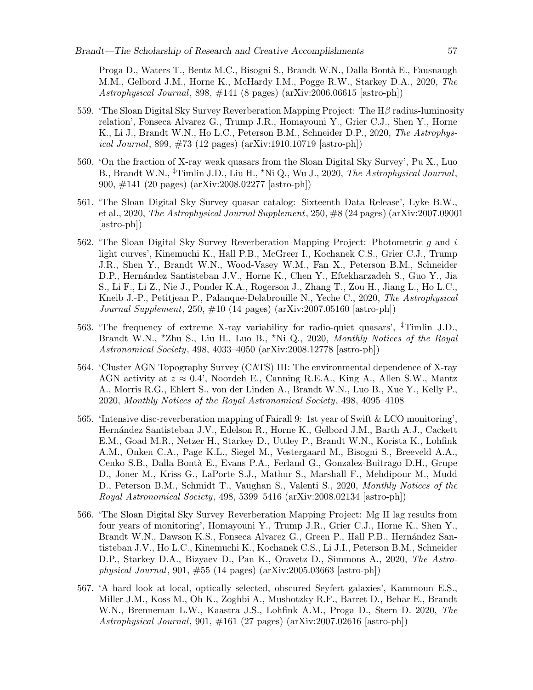Proga D., Waters T., Bentz M.C., Bisogni S., Brandt W.N., Dalla Bontà E., Fausnaugh M.M., Gelbord J.M., Horne K., McHardy I.M., Pogge R.W., Starkey D.A., 2020, *The Astrophysical Journal*, 898, #141 (8 pages) (arXiv:2006.06615 [astro-ph])

- 559. 'The Sloan Digital Sky Survey Reverberation Mapping Project: The  $H\beta$  radius-luminosity relation', Fonseca Alvarez G., Trump J.R., Homayouni Y., Grier C.J., Shen Y., Horne K., Li J., Brandt W.N., Ho L.C., Peterson B.M., Schneider D.P., 2020, *The Astrophysical Journal*, 899, #73 (12 pages) (arXiv:1910.10719 [astro-ph])
- 560. 'On the fraction of X-ray weak quasars from the Sloan Digital Sky Survey', Pu X., Luo B., Brandt W.N., ‡Timlin J.D., Liu H., <sup>⋆</sup>Ni Q., Wu J., 2020, *The Astrophysical Journal*, 900, #141 (20 pages) (arXiv:2008.02277 [astro-ph])
- 561. 'The Sloan Digital Sky Survey quasar catalog: Sixteenth Data Release', Lyke B.W., et al., 2020, *The Astrophysical Journal Supplement*, 250, #8 (24 pages) (arXiv:2007.09001 [astro-ph])
- 562. 'The Sloan Digital Sky Survey Reverberation Mapping Project: Photometric g and i light curves', Kinemuchi K., Hall P.B., McGreer I., Kochanek C.S., Grier C.J., Trump J.R., Shen Y., Brandt W.N., Wood-Vasey W.M., Fan X., Peterson B.M., Schneider D.P., Hern´andez Santisteban J.V., Horne K., Chen Y., Eftekharzadeh S., Guo Y., Jia S., Li F., Li Z., Nie J., Ponder K.A., Rogerson J., Zhang T., Zou H., Jiang L., Ho L.C., Kneib J.-P., Petitjean P., Palanque-Delabrouille N., Yeche C., 2020, *The Astrophysical Journal Supplement*, 250, #10 (14 pages) (arXiv:2007.05160 [astro-ph])
- 563. 'The frequency of extreme X-ray variability for radio-quiet quasars', ‡Timlin J.D., Brandt W.N., <sup>\*</sup>Zhu S., Liu H., Luo B., <sup>\*</sup>Ni Q., 2020, *Monthly Notices of the Royal Astronomical Society*, 498, 4033–4050 (arXiv:2008.12778 [astro-ph])
- 564. 'Cluster AGN Topography Survey (CATS) III: The environmental dependence of X-ray AGN activity at  $z \approx 0.4$ ', Noordeh E., Canning R.E.A., King A., Allen S.W., Mantz A., Morris R.G., Ehlert S., von der Linden A., Brandt W.N., Luo B., Xue Y., Kelly P., 2020, *Monthly Notices of the Royal Astronomical Society*, 498, 4095–4108
- 565. 'Intensive disc-reverberation mapping of Fairall 9: 1st year of Swift & LCO monitoring', Hern´andez Santisteban J.V., Edelson R., Horne K., Gelbord J.M., Barth A.J., Cackett E.M., Goad M.R., Netzer H., Starkey D., Uttley P., Brandt W.N., Korista K., Lohfink A.M., Onken C.A., Page K.L., Siegel M., Vestergaard M., Bisogni S., Breeveld A.A., Cenko S.B., Dalla Bont`a E., Evans P.A., Ferland G., Gonzalez-Buitrago D.H., Grupe D., Joner M., Kriss G., LaPorte S.J., Mathur S., Marshall F., Mehdipour M., Mudd D., Peterson B.M., Schmidt T., Vaughan S., Valenti S., 2020, *Monthly Notices of the Royal Astronomical Society*, 498, 5399–5416 (arXiv:2008.02134 [astro-ph])
- 566. 'The Sloan Digital Sky Survey Reverberation Mapping Project: Mg II lag results from four years of monitoring', Homayouni Y., Trump J.R., Grier C.J., Horne K., Shen Y., Brandt W.N., Dawson K.S., Fonseca Alvarez G., Green P., Hall P.B., Hernández Santisteban J.V., Ho L.C., Kinemuchi K., Kochanek C.S., Li J.I., Peterson B.M., Schneider D.P., Starkey D.A., Bizyaev D., Pan K., Oravetz D., Simmons A., 2020, *The Astrophysical Journal*, 901, #55 (14 pages) (arXiv:2005.03663 [astro-ph])
- 567. 'A hard look at local, optically selected, obscured Seyfert galaxies', Kammoun E.S., Miller J.M., Koss M., Oh K., Zoghbi A., Mushotzky R.F., Barret D., Behar E., Brandt W.N., Brenneman L.W., Kaastra J.S., Lohfink A.M., Proga D., Stern D. 2020, *The Astrophysical Journal*, 901, #161 (27 pages) (arXiv:2007.02616 [astro-ph])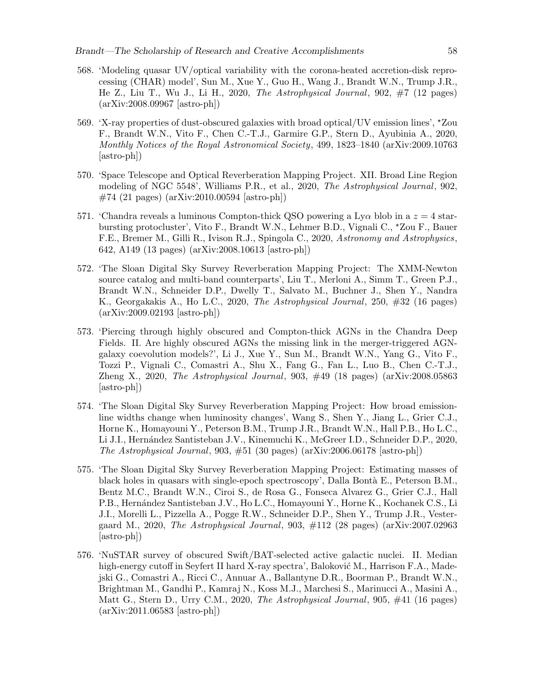- 568. 'Modeling quasar UV/optical variability with the corona-heated accretion-disk reprocessing (CHAR) model', Sun M., Xue Y., Guo H., Wang J., Brandt W.N., Trump J.R., He Z., Liu T., Wu J., Li H., 2020, *The Astrophysical Journal*, 902, #7 (12 pages) (arXiv:2008.09967 [astro-ph])
- 569. 'X-ray properties of dust-obscured galaxies with broad optical/UV emission lines',  $*Z$ ou F., Brandt W.N., Vito F., Chen C.-T.J., Garmire G.P., Stern D., Ayubinia A., 2020, *Monthly Notices of the Royal Astronomical Society*, 499, 1823–1840 (arXiv:2009.10763 [astro-ph])
- 570. 'Space Telescope and Optical Reverberation Mapping Project. XII. Broad Line Region modeling of NGC 5548', Williams P.R., et al., 2020, *The Astrophysical Journal*, 902, #74 (21 pages) (arXiv:2010.00594 [astro-ph])
- 571. 'Chandra reveals a luminous Compton-thick QSO powering a Ly $\alpha$  blob in a  $z = 4$  starbursting protocluster', Vito F., Brandt W.N., Lehmer B.D., Vignali C., \*Zou F., Bauer F.E., Bremer M., Gilli R., Ivison R.J., Spingola C., 2020, *Astronomy and Astrophysics*, 642, A149 (13 pages) (arXiv:2008.10613 [astro-ph])
- 572. 'The Sloan Digital Sky Survey Reverberation Mapping Project: The XMM-Newton source catalog and multi-band counterparts', Liu T., Merloni A., Simm T., Green P.J., Brandt W.N., Schneider D.P., Dwelly T., Salvato M., Buchner J., Shen Y., Nandra K., Georgakakis A., Ho L.C., 2020, *The Astrophysical Journal*, 250, #32 (16 pages) (arXiv:2009.02193 [astro-ph])
- 573. 'Piercing through highly obscured and Compton-thick AGNs in the Chandra Deep Fields. II. Are highly obscured AGNs the missing link in the merger-triggered AGNgalaxy coevolution models?', Li J., Xue Y., Sun M., Brandt W.N., Yang G., Vito F., Tozzi P., Vignali C., Comastri A., Shu X., Fang G., Fan L., Luo B., Chen C.-T.J., Zheng X., 2020, *The Astrophysical Journal*, 903, #49 (18 pages) (arXiv:2008.05863 [astro-ph])
- 574. 'The Sloan Digital Sky Survey Reverberation Mapping Project: How broad emissionline widths change when luminosity changes', Wang S., Shen Y., Jiang L., Grier C.J., Horne K., Homayouni Y., Peterson B.M., Trump J.R., Brandt W.N., Hall P.B., Ho L.C., Li J.I., Hernández Santisteban J.V., Kinemuchi K., McGreer I.D., Schneider D.P., 2020, *The Astrophysical Journal*, 903, #51 (30 pages) (arXiv:2006.06178 [astro-ph])
- 575. 'The Sloan Digital Sky Survey Reverberation Mapping Project: Estimating masses of black holes in quasars with single-epoch spectroscopy', Dalla Bontà E., Peterson B.M., Bentz M.C., Brandt W.N., Ciroi S., de Rosa G., Fonseca Alvarez G., Grier C.J., Hall P.B., Hernández Santisteban J.V., Ho L.C., Homayouni Y., Horne K., Kochanek C.S., Li J.I., Morelli L., Pizzella A., Pogge R.W., Schneider D.P., Shen Y., Trump J.R., Vestergaard M., 2020, *The Astrophysical Journal*, 903, #112 (28 pages) (arXiv:2007.02963 [astro-ph])
- 576. 'NuSTAR survey of obscured Swift/BAT-selected active galactic nuclei. II. Median high-energy cutoff in Seyfert II hard X-ray spectra', Baloković M., Harrison F.A., Madejski G., Comastri A., Ricci C., Annuar A., Ballantyne D.R., Boorman P., Brandt W.N., Brightman M., Gandhi P., Kamraj N., Koss M.J., Marchesi S., Marinucci A., Masini A., Matt G., Stern D., Urry C.M., 2020, *The Astrophysical Journal*, 905, #41 (16 pages) (arXiv:2011.06583 [astro-ph])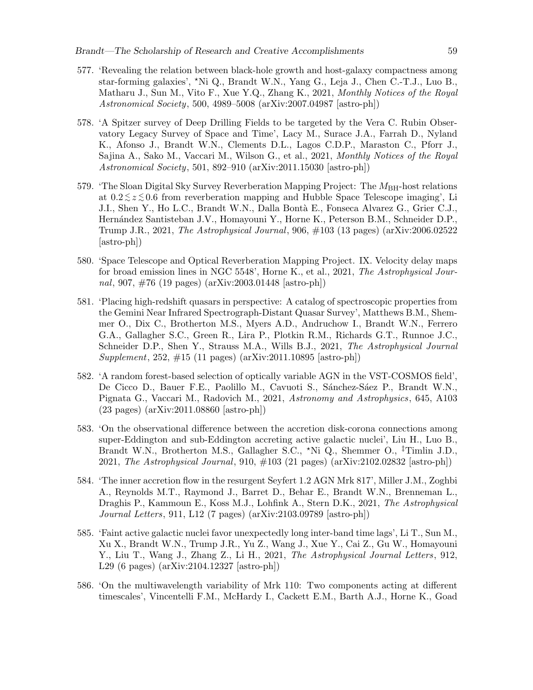- 577. 'Revealing the relation between black-hole growth and host-galaxy compactness among star-forming galaxies', \*Ni Q., Brandt W.N., Yang G., Leja J., Chen C.-T.J., Luo B., Matharu J., Sun M., Vito F., Xue Y.Q., Zhang K., 2021, *Monthly Notices of the Royal Astronomical Society*, 500, 4989–5008 (arXiv:2007.04987 [astro-ph])
- 578. 'A Spitzer survey of Deep Drilling Fields to be targeted by the Vera C. Rubin Observatory Legacy Survey of Space and Time', Lacy M., Surace J.A., Farrah D., Nyland K., Afonso J., Brandt W.N., Clements D.L., Lagos C.D.P., Maraston C., Pforr J., Sajina A., Sako M., Vaccari M., Wilson G., et al., 2021, *Monthly Notices of the Royal Astronomical Society*, 501, 892–910 (arXiv:2011.15030 [astro-ph])
- 579. 'The Sloan Digital Sky Survey Reverberation Mapping Project: The  $M_{\rm BH}$ -host relations at  $0.2 \lesssim z \lesssim 0.6$  from reverberation mapping and Hubble Space Telescope imaging', Li J.I., Shen Y., Ho L.C., Brandt W.N., Dalla Bont`a E., Fonseca Alvarez G., Grier C.J., Hern´andez Santisteban J.V., Homayouni Y., Horne K., Peterson B.M., Schneider D.P., Trump J.R., 2021, *The Astrophysical Journal*, 906, #103 (13 pages) (arXiv:2006.02522 [astro-ph])
- 580. 'Space Telescope and Optical Reverberation Mapping Project. IX. Velocity delay maps for broad emission lines in NGC 5548', Horne K., et al., 2021, *The Astrophysical Journal*, 907, #76 (19 pages) (arXiv:2003.01448 [astro-ph])
- 581. 'Placing high-redshift quasars in perspective: A catalog of spectroscopic properties from the Gemini Near Infrared Spectrograph-Distant Quasar Survey', Matthews B.M., Shemmer O., Dix C., Brotherton M.S., Myers A.D., Andruchow I., Brandt W.N., Ferrero G.A., Gallagher S.C., Green R., Lira P., Plotkin R.M., Richards G.T., Runnoe J.C., Schneider D.P., Shen Y., Strauss M.A., Wills B.J., 2021, *The Astrophysical Journal Supplement*, 252, #15 (11 pages) (arXiv:2011.10895 [astro-ph])
- 582. 'A random forest-based selection of optically variable AGN in the VST-COSMOS field', De Cicco D., Bauer F.E., Paolillo M., Cavuoti S., Sánchez-Sáez P., Brandt W.N., Pignata G., Vaccari M., Radovich M., 2021, *Astronomy and Astrophysics*, 645, A103 (23 pages) (arXiv:2011.08860 [astro-ph])
- 583. 'On the observational difference between the accretion disk-corona connections among super-Eddington and sub-Eddington accreting active galactic nuclei', Liu H., Luo B., Brandt W.N., Brotherton M.S., Gallagher S.C., \*Ni Q., Shemmer O., <sup>‡</sup>Timlin J.D., 2021, *The Astrophysical Journal*, 910, #103 (21 pages) (arXiv:2102.02832 [astro-ph])
- 584. 'The inner accretion flow in the resurgent Seyfert 1.2 AGN Mrk 817', Miller J.M., Zoghbi A., Reynolds M.T., Raymond J., Barret D., Behar E., Brandt W.N., Brenneman L., Draghis P., Kammoun E., Koss M.J., Lohfink A., Stern D.K., 2021, *The Astrophysical Journal Letters*, 911, L12 (7 pages) (arXiv:2103.09789 [astro-ph])
- 585. 'Faint active galactic nuclei favor unexpectedly long inter-band time lags', Li T., Sun M., Xu X., Brandt W.N., Trump J.R., Yu Z., Wang J., Xue Y., Cai Z., Gu W., Homayouni Y., Liu T., Wang J., Zhang Z., Li H., 2021, *The Astrophysical Journal Letters*, 912, L29 (6 pages) (arXiv:2104.12327 [astro-ph])
- 586. 'On the multiwavelength variability of Mrk 110: Two components acting at different timescales', Vincentelli F.M., McHardy I., Cackett E.M., Barth A.J., Horne K., Goad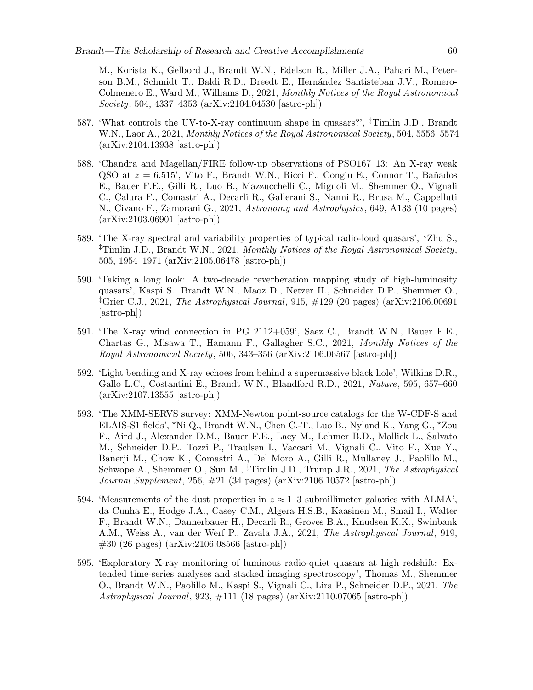M., Korista K., Gelbord J., Brandt W.N., Edelson R., Miller J.A., Pahari M., Peterson B.M., Schmidt T., Baldi R.D., Breedt E., Hernández Santisteban J.V., Romero-Colmenero E., Ward M., Williams D., 2021, *Monthly Notices of the Royal Astronomical Society*, 504, 4337–4353 (arXiv:2104.04530 [astro-ph])

- 587. 'What controls the UV-to-X-ray continuum shape in quasars?', ‡Timlin J.D., Brandt W.N., Laor A., 2021, *Monthly Notices of the Royal Astronomical Society*, 504, 5556–5574 (arXiv:2104.13938 [astro-ph])
- 588. 'Chandra and Magellan/FIRE follow-up observations of PSO167–13: An X-ray weak QSO at  $z = 6.515$ ', Vito F., Brandt W.N., Ricci F., Congiu E., Connor T., Bañados E., Bauer F.E., Gilli R., Luo B., Mazzucchelli C., Mignoli M., Shemmer O., Vignali C., Calura F., Comastri A., Decarli R., Gallerani S., Nanni R., Brusa M., Cappelluti N., Civano F., Zamorani G., 2021, *Astronomy and Astrophysics*, 649, A133 (10 pages) (arXiv:2103.06901 [astro-ph])
- 589. 'The X-ray spectral and variability properties of typical radio-loud quasars',  $*Zhu S$ , ‡Timlin J.D., Brandt W.N., 2021, *Monthly Notices of the Royal Astronomical Society*, 505, 1954–1971 (arXiv:2105.06478 [astro-ph])
- 590. 'Taking a long look: A two-decade reverberation mapping study of high-luminosity quasars', Kaspi S., Brandt W.N., Maoz D., Netzer H., Schneider D.P., Shemmer O., ‡Grier C.J., 2021, *The Astrophysical Journal*, 915, #129 (20 pages) (arXiv:2106.00691 [astro-ph])
- 591. 'The X-ray wind connection in PG 2112+059', Saez C., Brandt W.N., Bauer F.E., Chartas G., Misawa T., Hamann F., Gallagher S.C., 2021, *Monthly Notices of the Royal Astronomical Society*, 506, 343–356 (arXiv:2106.06567 [astro-ph])
- 592. 'Light bending and X-ray echoes from behind a supermassive black hole', Wilkins D.R., Gallo L.C., Costantini E., Brandt W.N., Blandford R.D., 2021, *Nature*, 595, 657–660 (arXiv:2107.13555 [astro-ph])
- 593. 'The XMM-SERVS survey: XMM-Newton point-source catalogs for the W-CDF-S and ELAIS-S1 fields', \*Ni Q., Brandt W.N., Chen C.-T., Luo B., Nyland K., Yang G., \*Zou F., Aird J., Alexander D.M., Bauer F.E., Lacy M., Lehmer B.D., Mallick L., Salvato M., Schneider D.P., Tozzi P., Traulsen I., Vaccari M., Vignali C., Vito F., Xue Y., Banerji M., Chow K., Comastri A., Del Moro A., Gilli R., Mullaney J., Paolillo M., Schwope A., Shemmer O., Sun M., ‡Timlin J.D., Trump J.R., 2021, *The Astrophysical Journal Supplement*, 256, #21 (34 pages) (arXiv:2106.10572 [astro-ph])
- 594. 'Measurements of the dust properties in  $z \approx 1$ –3 submillimeter galaxies with ALMA', da Cunha E., Hodge J.A., Casey C.M., Algera H.S.B., Kaasinen M., Smail I., Walter F., Brandt W.N., Dannerbauer H., Decarli R., Groves B.A., Knudsen K.K., Swinbank A.M., Weiss A., van der Werf P., Zavala J.A., 2021, *The Astrophysical Journal*, 919, #30 (26 pages) (arXiv:2106.08566 [astro-ph])
- 595. 'Exploratory X-ray monitoring of luminous radio-quiet quasars at high redshift: Extended time-series analyses and stacked imaging spectroscopy', Thomas M., Shemmer O., Brandt W.N., Paolillo M., Kaspi S., Vignali C., Lira P., Schneider D.P., 2021, *The Astrophysical Journal*, 923, #111 (18 pages) (arXiv:2110.07065 [astro-ph])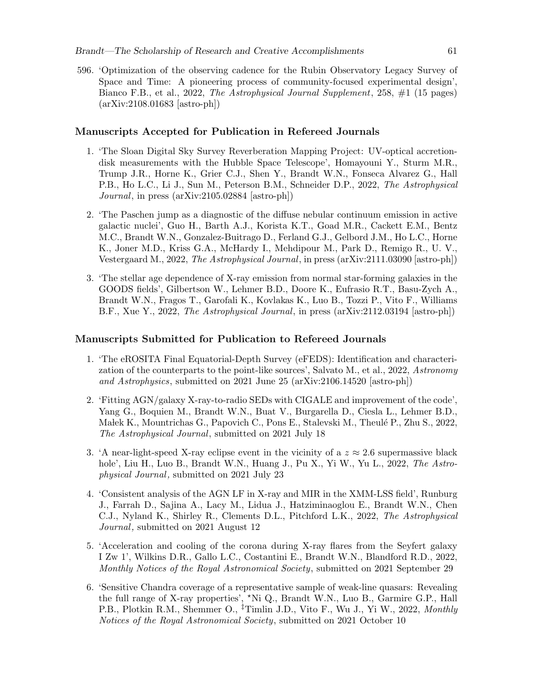596. 'Optimization of the observing cadence for the Rubin Observatory Legacy Survey of Space and Time: A pioneering process of community-focused experimental design', Bianco F.B., et al., 2022, *The Astrophysical Journal Supplement*, 258, #1 (15 pages) (arXiv:2108.01683 [astro-ph])

#### Manuscripts Accepted for Publication in Refereed Journals

- 1. 'The Sloan Digital Sky Survey Reverberation Mapping Project: UV-optical accretiondisk measurements with the Hubble Space Telescope', Homayouni Y., Sturm M.R., Trump J.R., Horne K., Grier C.J., Shen Y., Brandt W.N., Fonseca Alvarez G., Hall P.B., Ho L.C., Li J., Sun M., Peterson B.M., Schneider D.P., 2022, *The Astrophysical Journal*, in press (arXiv:2105.02884 [astro-ph])
- 2. 'The Paschen jump as a diagnostic of the diffuse nebular continuum emission in active galactic nuclei', Guo H., Barth A.J., Korista K.T., Goad M.R., Cackett E.M., Bentz M.C., Brandt W.N., Gonzalez-Buitrago D., Ferland G.J., Gelbord J.M., Ho L.C., Horne K., Joner M.D., Kriss G.A., McHardy I., Mehdipour M., Park D., Remigo R., U. V., Vestergaard M., 2022, *The Astrophysical Journal*, in press (arXiv:2111.03090 [astro-ph])
- 3. 'The stellar age dependence of X-ray emission from normal star-forming galaxies in the GOODS fields', Gilbertson W., Lehmer B.D., Doore K., Eufrasio R.T., Basu-Zych A., Brandt W.N., Fragos T., Garofali K., Kovlakas K., Luo B., Tozzi P., Vito F., Williams B.F., Xue Y., 2022, *The Astrophysical Journal*, in press (arXiv:2112.03194 [astro-ph])

#### Manuscripts Submitted for Publication to Refereed Journals

- 1. 'The eROSITA Final Equatorial-Depth Survey (eFEDS): Identification and characterization of the counterparts to the point-like sources', Salvato M., et al., 2022, *Astronomy and Astrophysics*, submitted on 2021 June 25 (arXiv:2106.14520 [astro-ph])
- 2. 'Fitting AGN/galaxy X-ray-to-radio SEDs with CIGALE and improvement of the code', Yang G., Boquien M., Brandt W.N., Buat V., Burgarella D., Ciesla L., Lehmer B.D., Małek K., Mountrichas G., Papovich C., Pons E., Stalevski M., Theulé P., Zhu S., 2022, *The Astrophysical Journal*, submitted on 2021 July 18
- 3. 'A near-light-speed X-ray eclipse event in the vicinity of a  $z \approx 2.6$  supermassive black hole', Liu H., Luo B., Brandt W.N., Huang J., Pu X., Yi W., Yu L., 2022, *The Astrophysical Journal ,* submitted on 2021 July 23
- 4. 'Consistent analysis of the AGN LF in X-ray and MIR in the XMM-LSS field', Runburg J., Farrah D., Sajina A., Lacy M., Lidua J., Hatziminaoglou E., Brandt W.N., Chen C.J., Nyland K., Shirley R., Clements D.L., Pitchford L.K., 2022, *The Astrophysical Journal*, submitted on 2021 August 12
- 5. 'Acceleration and cooling of the corona during X-ray flares from the Seyfert galaxy I Zw 1', Wilkins D.R., Gallo L.C., Costantini E., Brandt W.N., Blandford R.D., 2022, *Monthly Notices of the Royal Astronomical Society*, submitted on 2021 September 29
- 6. 'Sensitive Chandra coverage of a representative sample of weak-line quasars: Revealing the full range of X-ray properties', \*Ni Q., Brandt W.N., Luo B., Garmire G.P., Hall P.B., Plotkin R.M., Shemmer O., ‡Timlin J.D., Vito F., Wu J., Yi W., 2022, *Monthly Notices of the Royal Astronomical Society*, submitted on 2021 October 10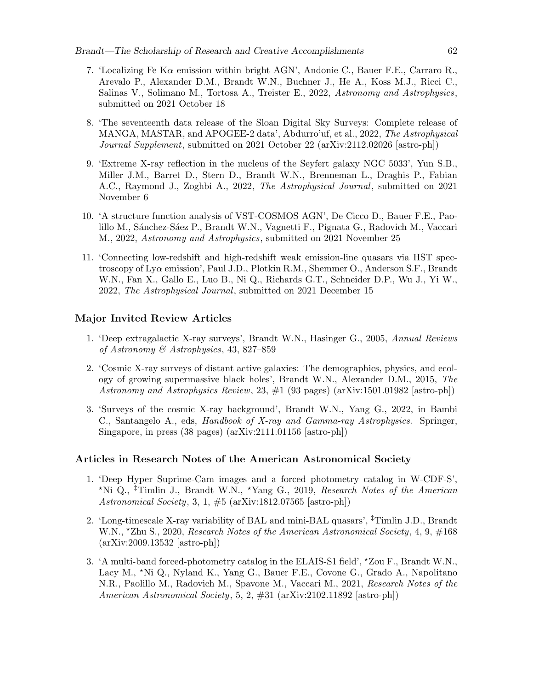- 7. 'Localizing Fe K $\alpha$  emission within bright AGN', Andonie C., Bauer F.E., Carraro R., Arevalo P., Alexander D.M., Brandt W.N., Buchner J., He A., Koss M.J., Ricci C., Salinas V., Solimano M., Tortosa A., Treister E., 2022, *Astronomy and Astrophysics*, submitted on 2021 October 18
- 8. 'The seventeenth data release of the Sloan Digital Sky Surveys: Complete release of MANGA, MASTAR, and APOGEE-2 data', Abdurro'uf, et al., 2022, *The Astrophysical Journal Supplement*, submitted on 2021 October 22 (arXiv:2112.02026 [astro-ph])
- 9. 'Extreme X-ray reflection in the nucleus of the Seyfert galaxy NGC 5033', Yun S.B., Miller J.M., Barret D., Stern D., Brandt W.N., Brenneman L., Draghis P., Fabian A.C., Raymond J., Zoghbi A., 2022, *The Astrophysical Journal*, submitted on 2021 November 6
- 10. 'A structure function analysis of VST-COSMOS AGN', De Cicco D., Bauer F.E., Paolillo M., Sánchez-Sáez P., Brandt W.N., Vagnetti F., Pignata G., Radovich M., Vaccari M., 2022, *Astronomy and Astrophysics*, submitted on 2021 November 25
- 11. 'Connecting low-redshift and high-redshift weak emission-line quasars via HST spectroscopy of Lyα emission', Paul J.D., Plotkin R.M., Shemmer O., Anderson S.F., Brandt W.N., Fan X., Gallo E., Luo B., Ni Q., Richards G.T., Schneider D.P., Wu J., Yi W., 2022, *The Astrophysical Journal*, submitted on 2021 December 15

### Major Invited Review Articles

- 1. 'Deep extragalactic X-ray surveys', Brandt W.N., Hasinger G., 2005, *Annual Reviews of Astronomy & Astrophysics*, 43, 827–859
- 2. 'Cosmic X-ray surveys of distant active galaxies: The demographics, physics, and ecology of growing supermassive black holes', Brandt W.N., Alexander D.M., 2015, *The Astronomy and Astrophysics Review*, 23, #1 (93 pages) (arXiv:1501.01982 [astro-ph])
- 3. 'Surveys of the cosmic X-ray background', Brandt W.N., Yang G., 2022, in Bambi C., Santangelo A., eds, *Handbook of X-ray and Gamma-ray Astrophysics.* Springer, Singapore, in press (38 pages) (arXiv:2111.01156 [astro-ph])

### Articles in Research Notes of the American Astronomical Society

- 1. 'Deep Hyper Suprime-Cam images and a forced photometry catalog in W-CDF-S', <sup>⋆</sup>Ni Q., ‡Timlin J., Brandt W.N., <sup>⋆</sup>Yang G., 2019, *Research Notes of the American Astronomical Society*, 3, 1, #5 (arXiv:1812.07565 [astro-ph])
- 2. 'Long-timescale X-ray variability of BAL and mini-BAL quasars', ‡Timlin J.D., Brandt W.N., <sup>\*</sup>Zhu S., 2020, *Research Notes of the American Astronomical Society*, 4, 9,  $\#168$ (arXiv:2009.13532 [astro-ph])
- 3. 'A multi-band forced-photometry catalog in the ELAIS-S1 field',  $*Z_{\text{OU}}$  F., Brandt W.N., Lacy M., \*Ni Q., Nyland K., Yang G., Bauer F.E., Covone G., Grado A., Napolitano N.R., Paolillo M., Radovich M., Spavone M., Vaccari M., 2021, *Research Notes of the American Astronomical Society*, 5, 2, #31 (arXiv:2102.11892 [astro-ph])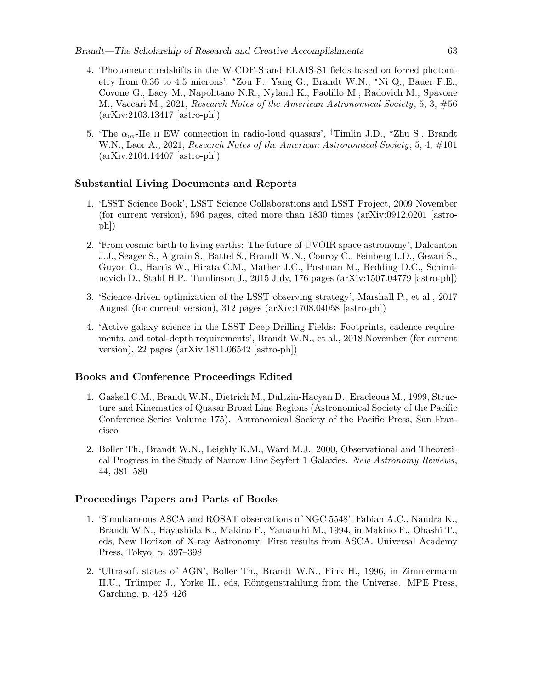- 4. 'Photometric redshifts in the W-CDF-S and ELAIS-S1 fields based on forced photometry from 0.36 to 4.5 microns', \*Zou F., Yang G., Brandt W.N., \*Ni Q., Bauer F.E., Covone G., Lacy M., Napolitano N.R., Nyland K., Paolillo M., Radovich M., Spavone M., Vaccari M., 2021, *Research Notes of the American Astronomical Society*, 5, 3, #56 (arXiv:2103.13417 [astro-ph])
- 5. 'The  $\alpha_{\text{ox}}$ -He II EW connection in radio-loud quasars', <sup>‡</sup>Timlin J.D.,  $*$ Zhu S., Brandt W.N., Laor A., 2021, *Research Notes of the American Astronomical Society*, 5, 4, #101 (arXiv:2104.14407 [astro-ph])

# Substantial Living Documents and Reports

- 1. 'LSST Science Book', LSST Science Collaborations and LSST Project, 2009 November (for current version), 596 pages, cited more than 1830 times (arXiv:0912.0201 [astroph])
- 2. 'From cosmic birth to living earths: The future of UVOIR space astronomy', Dalcanton J.J., Seager S., Aigrain S., Battel S., Brandt W.N., Conroy C., Feinberg L.D., Gezari S., Guyon O., Harris W., Hirata C.M., Mather J.C., Postman M., Redding D.C., Schiminovich D., Stahl H.P., Tumlinson J., 2015 July, 176 pages (arXiv:1507.04779 [astro-ph])
- 3. 'Science-driven optimization of the LSST observing strategy', Marshall P., et al., 2017 August (for current version), 312 pages (arXiv:1708.04058 [astro-ph])
- 4. 'Active galaxy science in the LSST Deep-Drilling Fields: Footprints, cadence requirements, and total-depth requirements', Brandt W.N., et al., 2018 November (for current version), 22 pages (arXiv:1811.06542 [astro-ph])

## Books and Conference Proceedings Edited

- 1. Gaskell C.M., Brandt W.N., Dietrich M., Dultzin-Hacyan D., Eracleous M., 1999, Structure and Kinematics of Quasar Broad Line Regions (Astronomical Society of the Pacific Conference Series Volume 175). Astronomical Society of the Pacific Press, San Francisco
- 2. Boller Th., Brandt W.N., Leighly K.M., Ward M.J., 2000, Observational and Theoretical Progress in the Study of Narrow-Line Seyfert 1 Galaxies. *New Astronomy Reviews*, 44, 381–580

## Proceedings Papers and Parts of Books

- 1. 'Simultaneous ASCA and ROSAT observations of NGC 5548', Fabian A.C., Nandra K., Brandt W.N., Hayashida K., Makino F., Yamauchi M., 1994, in Makino F., Ohashi T., eds, New Horizon of X-ray Astronomy: First results from ASCA. Universal Academy Press, Tokyo, p. 397–398
- 2. 'Ultrasoft states of AGN', Boller Th., Brandt W.N., Fink H., 1996, in Zimmermann H.U., Trümper J., Yorke H., eds, Röntgenstrahlung from the Universe. MPE Press, Garching, p. 425–426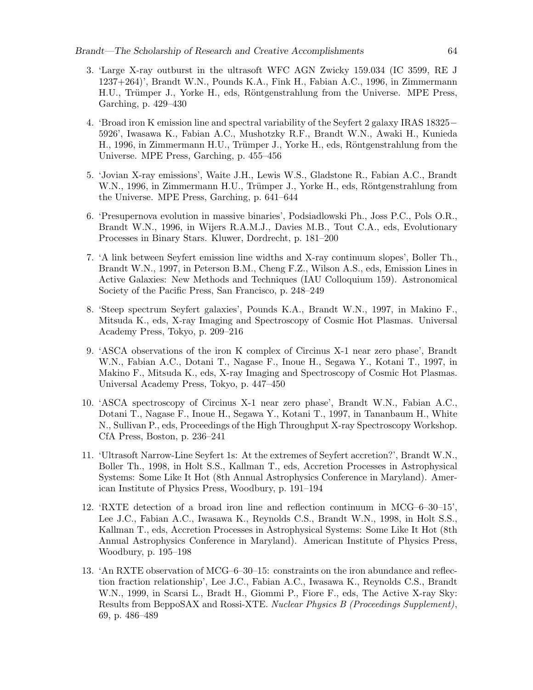- 3. 'Large X-ray outburst in the ultrasoft WFC AGN Zwicky 159.034 (IC 3599, RE J 1237+264)', Brandt W.N., Pounds K.A., Fink H., Fabian A.C., 1996, in Zimmermann H.U., Trümper J., Yorke H., eds, Röntgenstrahlung from the Universe. MPE Press, Garching, p. 429–430
- 4. 'Broad iron K emission line and spectral variability of the Seyfert 2 galaxy IRAS 18325− 5926', Iwasawa K., Fabian A.C., Mushotzky R.F., Brandt W.N., Awaki H., Kunieda H., 1996, in Zimmermann H.U., Trümper J., Yorke H., eds, Röntgenstrahlung from the Universe. MPE Press, Garching, p. 455–456
- 5. 'Jovian X-ray emissions', Waite J.H., Lewis W.S., Gladstone R., Fabian A.C., Brandt W.N., 1996, in Zimmermann H.U., Trümper J., Yorke H., eds, Röntgenstrahlung from the Universe. MPE Press, Garching, p. 641–644
- 6. 'Presupernova evolution in massive binaries', Podsiadlowski Ph., Joss P.C., Pols O.R., Brandt W.N., 1996, in Wijers R.A.M.J., Davies M.B., Tout C.A., eds, Evolutionary Processes in Binary Stars. Kluwer, Dordrecht, p. 181–200
- 7. 'A link between Seyfert emission line widths and X-ray continuum slopes', Boller Th., Brandt W.N., 1997, in Peterson B.M., Cheng F.Z., Wilson A.S., eds, Emission Lines in Active Galaxies: New Methods and Techniques (IAU Colloquium 159). Astronomical Society of the Pacific Press, San Francisco, p. 248–249
- 8. 'Steep spectrum Seyfert galaxies', Pounds K.A., Brandt W.N., 1997, in Makino F., Mitsuda K., eds, X-ray Imaging and Spectroscopy of Cosmic Hot Plasmas. Universal Academy Press, Tokyo, p. 209–216
- 9. 'ASCA observations of the iron K complex of Circinus X-1 near zero phase', Brandt W.N., Fabian A.C., Dotani T., Nagase F., Inoue H., Segawa Y., Kotani T., 1997, in Makino F., Mitsuda K., eds, X-ray Imaging and Spectroscopy of Cosmic Hot Plasmas. Universal Academy Press, Tokyo, p. 447–450
- 10. 'ASCA spectroscopy of Circinus X-1 near zero phase', Brandt W.N., Fabian A.C., Dotani T., Nagase F., Inoue H., Segawa Y., Kotani T., 1997, in Tananbaum H., White N., Sullivan P., eds, Proceedings of the High Throughput X-ray Spectroscopy Workshop. CfA Press, Boston, p. 236–241
- 11. 'Ultrasoft Narrow-Line Seyfert 1s: At the extremes of Seyfert accretion?', Brandt W.N., Boller Th., 1998, in Holt S.S., Kallman T., eds, Accretion Processes in Astrophysical Systems: Some Like It Hot (8th Annual Astrophysics Conference in Maryland). American Institute of Physics Press, Woodbury, p. 191–194
- 12. 'RXTE detection of a broad iron line and reflection continuum in MCG–6–30–15', Lee J.C., Fabian A.C., Iwasawa K., Reynolds C.S., Brandt W.N., 1998, in Holt S.S., Kallman T., eds, Accretion Processes in Astrophysical Systems: Some Like It Hot (8th Annual Astrophysics Conference in Maryland). American Institute of Physics Press, Woodbury, p. 195–198
- 13. 'An RXTE observation of MCG–6–30–15: constraints on the iron abundance and reflection fraction relationship', Lee J.C., Fabian A.C., Iwasawa K., Reynolds C.S., Brandt W.N., 1999, in Scarsi L., Bradt H., Giommi P., Fiore F., eds, The Active X-ray Sky: Results from BeppoSAX and Rossi-XTE. *Nuclear Physics B (Proceedings Supplement)*, 69, p. 486–489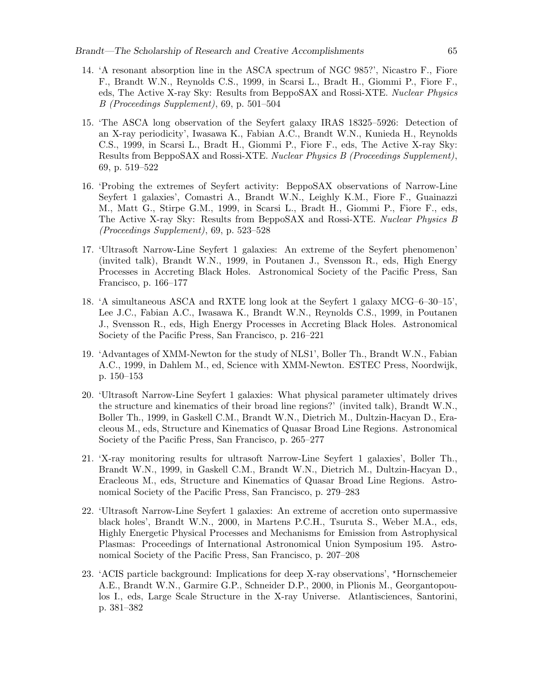- 14. 'A resonant absorption line in the ASCA spectrum of NGC 985?', Nicastro F., Fiore F., Brandt W.N., Reynolds C.S., 1999, in Scarsi L., Bradt H., Giommi P., Fiore F., eds, The Active X-ray Sky: Results from BeppoSAX and Rossi-XTE. *Nuclear Physics B (Proceedings Supplement)*, 69, p. 501–504
- 15. 'The ASCA long observation of the Seyfert galaxy IRAS 18325–5926: Detection of an X-ray periodicity', Iwasawa K., Fabian A.C., Brandt W.N., Kunieda H., Reynolds C.S., 1999, in Scarsi L., Bradt H., Giommi P., Fiore F., eds, The Active X-ray Sky: Results from BeppoSAX and Rossi-XTE. *Nuclear Physics B (Proceedings Supplement)*, 69, p. 519–522
- 16. 'Probing the extremes of Seyfert activity: BeppoSAX observations of Narrow-Line Seyfert 1 galaxies', Comastri A., Brandt W.N., Leighly K.M., Fiore F., Guainazzi M., Matt G., Stirpe G.M., 1999, in Scarsi L., Bradt H., Giommi P., Fiore F., eds, The Active X-ray Sky: Results from BeppoSAX and Rossi-XTE. *Nuclear Physics B (Proceedings Supplement)*, 69, p. 523–528
- 17. 'Ultrasoft Narrow-Line Seyfert 1 galaxies: An extreme of the Seyfert phenomenon' (invited talk), Brandt W.N., 1999, in Poutanen J., Svensson R., eds, High Energy Processes in Accreting Black Holes. Astronomical Society of the Pacific Press, San Francisco, p. 166–177
- 18. 'A simultaneous ASCA and RXTE long look at the Seyfert 1 galaxy MCG–6–30–15', Lee J.C., Fabian A.C., Iwasawa K., Brandt W.N., Reynolds C.S., 1999, in Poutanen J., Svensson R., eds, High Energy Processes in Accreting Black Holes. Astronomical Society of the Pacific Press, San Francisco, p. 216–221
- 19. 'Advantages of XMM-Newton for the study of NLS1', Boller Th., Brandt W.N., Fabian A.C., 1999, in Dahlem M., ed, Science with XMM-Newton. ESTEC Press, Noordwijk, p. 150–153
- 20. 'Ultrasoft Narrow-Line Seyfert 1 galaxies: What physical parameter ultimately drives the structure and kinematics of their broad line regions?' (invited talk), Brandt W.N., Boller Th., 1999, in Gaskell C.M., Brandt W.N., Dietrich M., Dultzin-Hacyan D., Eracleous M., eds, Structure and Kinematics of Quasar Broad Line Regions. Astronomical Society of the Pacific Press, San Francisco, p. 265–277
- 21. 'X-ray monitoring results for ultrasoft Narrow-Line Seyfert 1 galaxies', Boller Th., Brandt W.N., 1999, in Gaskell C.M., Brandt W.N., Dietrich M., Dultzin-Hacyan D., Eracleous M., eds, Structure and Kinematics of Quasar Broad Line Regions. Astronomical Society of the Pacific Press, San Francisco, p. 279–283
- 22. 'Ultrasoft Narrow-Line Seyfert 1 galaxies: An extreme of accretion onto supermassive black holes', Brandt W.N., 2000, in Martens P.C.H., Tsuruta S., Weber M.A., eds, Highly Energetic Physical Processes and Mechanisms for Emission from Astrophysical Plasmas: Proceedings of International Astronomical Union Symposium 195. Astronomical Society of the Pacific Press, San Francisco, p. 207–208
- 23. 'ACIS particle background: Implications for deep X-ray observations', \*Hornschemeier A.E., Brandt W.N., Garmire G.P., Schneider D.P., 2000, in Plionis M., Georgantopoulos I., eds, Large Scale Structure in the X-ray Universe. Atlantisciences, Santorini, p. 381–382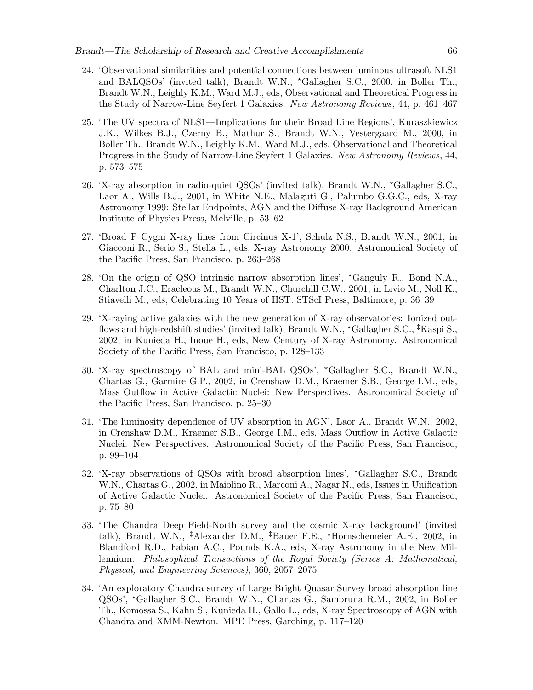- 24. 'Observational similarities and potential connections between luminous ultrasoft NLS1 and BALQSOs' (invited talk), Brandt W.N., \*Gallagher S.C., 2000, in Boller Th., Brandt W.N., Leighly K.M., Ward M.J., eds, Observational and Theoretical Progress in the Study of Narrow-Line Seyfert 1 Galaxies. *New Astronomy Reviews*, 44, p. 461–467
- 25. 'The UV spectra of NLS1—Implications for their Broad Line Regions', Kuraszkiewicz J.K., Wilkes B.J., Czerny B., Mathur S., Brandt W.N., Vestergaard M., 2000, in Boller Th., Brandt W.N., Leighly K.M., Ward M.J., eds, Observational and Theoretical Progress in the Study of Narrow-Line Seyfert 1 Galaxies. *New Astronomy Reviews*, 44, p. 573–575
- 26. 'X-ray absorption in radio-quiet QSOs' (invited talk), Brandt W.N., <sup>⋆</sup>Gallagher S.C., Laor A., Wills B.J., 2001, in White N.E., Malaguti G., Palumbo G.G.C., eds, X-ray Astronomy 1999: Stellar Endpoints, AGN and the Diffuse X-ray Background American Institute of Physics Press, Melville, p. 53–62
- 27. 'Broad P Cygni X-ray lines from Circinus X-1', Schulz N.S., Brandt W.N., 2001, in Giacconi R., Serio S., Stella L., eds, X-ray Astronomy 2000. Astronomical Society of the Pacific Press, San Francisco, p. 263–268
- 28. 'On the origin of QSO intrinsic narrow absorption lines',  $*$ Ganguly R., Bond N.A., Charlton J.C., Eracleous M., Brandt W.N., Churchill C.W., 2001, in Livio M., Noll K., Stiavelli M., eds, Celebrating 10 Years of HST. STScI Press, Baltimore, p. 36–39
- 29. 'X-raying active galaxies with the new generation of X-ray observatories: Ionized outflows and high-redshift studies' (invited talk), Brandt W.N.,  $*G$ allagher S.C.,  $*K$ aspi S., 2002, in Kunieda H., Inoue H., eds, New Century of X-ray Astronomy. Astronomical Society of the Pacific Press, San Francisco, p. 128–133
- 30. 'X-ray spectroscopy of BAL and mini-BAL QSOs',  $*Gallagher S.C., Brandt W.N.,$ Chartas G., Garmire G.P., 2002, in Crenshaw D.M., Kraemer S.B., George I.M., eds, Mass Outflow in Active Galactic Nuclei: New Perspectives. Astronomical Society of the Pacific Press, San Francisco, p. 25–30
- 31. 'The luminosity dependence of UV absorption in AGN', Laor A., Brandt W.N., 2002, in Crenshaw D.M., Kraemer S.B., George I.M., eds, Mass Outflow in Active Galactic Nuclei: New Perspectives. Astronomical Society of the Pacific Press, San Francisco, p. 99–104
- 32. 'X-ray observations of QSOs with broad absorption lines',  $\star$ Gallagher S.C., Brandt W.N., Chartas G., 2002, in Maiolino R., Marconi A., Nagar N., eds, Issues in Unification of Active Galactic Nuclei. Astronomical Society of the Pacific Press, San Francisco, p. 75–80
- 33. 'The Chandra Deep Field-North survey and the cosmic X-ray background' (invited talk), Brandt W.N., <sup>‡</sup>Alexander D.M., <sup>‡</sup>Bauer F.E., <sup>\*</sup>Hornschemeier A.E., 2002, in Blandford R.D., Fabian A.C., Pounds K.A., eds, X-ray Astronomy in the New Millennium. *Philosophical Transactions of the Royal Society (Series A: Mathematical, Physical, and Engineering Sciences)*, 360, 2057–2075
- 34. 'An exploratory Chandra survey of Large Bright Quasar Survey broad absorption line QSOs', <sup>⋆</sup>Gallagher S.C., Brandt W.N., Chartas G., Sambruna R.M., 2002, in Boller Th., Komossa S., Kahn S., Kunieda H., Gallo L., eds, X-ray Spectroscopy of AGN with Chandra and XMM-Newton. MPE Press, Garching, p. 117–120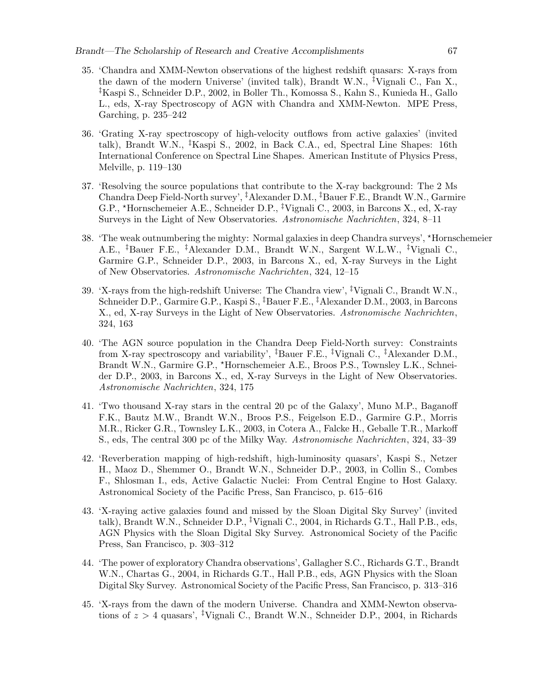- 35. 'Chandra and XMM-Newton observations of the highest redshift quasars: X-rays from the dawn of the modern Universe' (invited talk), Brandt W.N., ‡Vignali C., Fan X., ‡Kaspi S., Schneider D.P., 2002, in Boller Th., Komossa S., Kahn S., Kunieda H., Gallo L., eds, X-ray Spectroscopy of AGN with Chandra and XMM-Newton. MPE Press, Garching, p. 235–242
- 36. 'Grating X-ray spectroscopy of high-velocity outflows from active galaxies' (invited talk), Brandt W.N., ‡Kaspi S., 2002, in Back C.A., ed, Spectral Line Shapes: 16th International Conference on Spectral Line Shapes. American Institute of Physics Press, Melville, p. 119–130
- 37. 'Resolving the source populations that contribute to the X-ray background: The 2 Ms Chandra Deep Field-North survey', ‡Alexander D.M., ‡Bauer F.E., Brandt W.N., Garmire G.P., \*Hornschemeier A.E., Schneider D.P., <sup>‡</sup>Vignali C., 2003, in Barcons X., ed, X-ray Surveys in the Light of New Observatories. *Astronomische Nachrichten*, 324, 8–11
- 38. 'The weak outnumbering the mighty: Normal galaxies in deep Chandra surveys', \*Hornschemeier A.E., ‡Bauer F.E., ‡Alexander D.M., Brandt W.N., Sargent W.L.W., ‡Vignali C., Garmire G.P., Schneider D.P., 2003, in Barcons X., ed, X-ray Surveys in the Light of New Observatories. *Astronomische Nachrichten*, 324, 12–15
- 39. 'X-rays from the high-redshift Universe: The Chandra view', ‡Vignali C., Brandt W.N., Schneider D.P., Garmire G.P., Kaspi S., ‡Bauer F.E., ‡Alexander D.M., 2003, in Barcons X., ed, X-ray Surveys in the Light of New Observatories. *Astronomische Nachrichten*, 324, 163
- 40. 'The AGN source population in the Chandra Deep Field-North survey: Constraints from X-ray spectroscopy and variability', ‡Bauer F.E., ‡Vignali C., ‡Alexander D.M., Brandt W.N., Garmire G.P., \*Hornschemeier A.E., Broos P.S., Townsley L.K., Schneider D.P., 2003, in Barcons X., ed, X-ray Surveys in the Light of New Observatories. *Astronomische Nachrichten*, 324, 175
- 41. 'Two thousand X-ray stars in the central 20 pc of the Galaxy', Muno M.P., Baganoff F.K., Bautz M.W., Brandt W.N., Broos P.S., Feigelson E.D., Garmire G.P., Morris M.R., Ricker G.R., Townsley L.K., 2003, in Cotera A., Falcke H., Geballe T.R., Markoff S., eds, The central 300 pc of the Milky Way. *Astronomische Nachrichten*, 324, 33–39
- 42. 'Reverberation mapping of high-redshift, high-luminosity quasars', Kaspi S., Netzer H., Maoz D., Shemmer O., Brandt W.N., Schneider D.P., 2003, in Collin S., Combes F., Shlosman I., eds, Active Galactic Nuclei: From Central Engine to Host Galaxy. Astronomical Society of the Pacific Press, San Francisco, p. 615–616
- 43. 'X-raying active galaxies found and missed by the Sloan Digital Sky Survey' (invited talk), Brandt W.N., Schneider D.P., ‡Vignali C., 2004, in Richards G.T., Hall P.B., eds, AGN Physics with the Sloan Digital Sky Survey. Astronomical Society of the Pacific Press, San Francisco, p. 303–312
- 44. 'The power of exploratory Chandra observations', Gallagher S.C., Richards G.T., Brandt W.N., Chartas G., 2004, in Richards G.T., Hall P.B., eds, AGN Physics with the Sloan Digital Sky Survey. Astronomical Society of the Pacific Press, San Francisco, p. 313–316
- 45. 'X-rays from the dawn of the modern Universe. Chandra and XMM-Newton observations of  $z > 4$  quasars', <sup>‡</sup>Vignali C., Brandt W.N., Schneider D.P., 2004, in Richards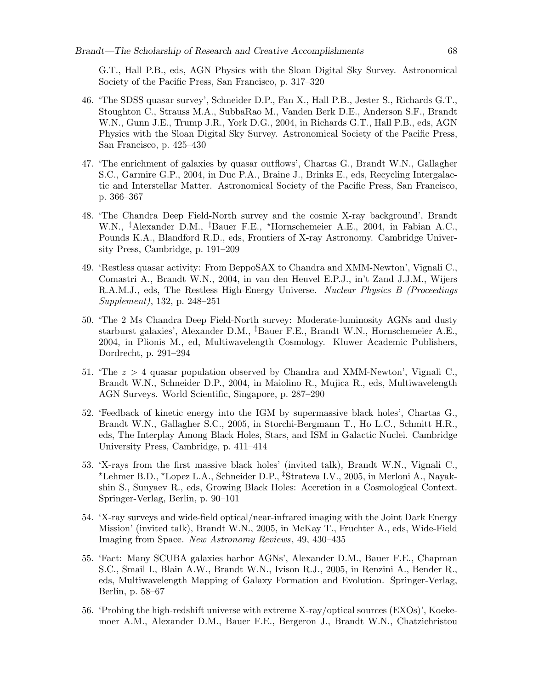G.T., Hall P.B., eds, AGN Physics with the Sloan Digital Sky Survey. Astronomical Society of the Pacific Press, San Francisco, p. 317–320

- 46. 'The SDSS quasar survey', Schneider D.P., Fan X., Hall P.B., Jester S., Richards G.T., Stoughton C., Strauss M.A., SubbaRao M., Vanden Berk D.E., Anderson S.F., Brandt W.N., Gunn J.E., Trump J.R., York D.G., 2004, in Richards G.T., Hall P.B., eds, AGN Physics with the Sloan Digital Sky Survey. Astronomical Society of the Pacific Press, San Francisco, p. 425–430
- 47. 'The enrichment of galaxies by quasar outflows', Chartas G., Brandt W.N., Gallagher S.C., Garmire G.P., 2004, in Duc P.A., Braine J., Brinks E., eds, Recycling Intergalactic and Interstellar Matter. Astronomical Society of the Pacific Press, San Francisco, p. 366–367
- 48. 'The Chandra Deep Field-North survey and the cosmic X-ray background', Brandt W.N., <sup>‡</sup>Alexander D.M., <sup>‡</sup>Bauer F.E., <sup>\*</sup>Hornschemeier A.E., 2004, in Fabian A.C., Pounds K.A., Blandford R.D., eds, Frontiers of X-ray Astronomy. Cambridge University Press, Cambridge, p. 191–209
- 49. 'Restless quasar activity: From BeppoSAX to Chandra and XMM-Newton', Vignali C., Comastri A., Brandt W.N., 2004, in van den Heuvel E.P.J., in't Zand J.J.M., Wijers R.A.M.J., eds, The Restless High-Energy Universe. *Nuclear Physics B (Proceedings Supplement)*, 132, p. 248–251
- 50. 'The 2 Ms Chandra Deep Field-North survey: Moderate-luminosity AGNs and dusty starburst galaxies', Alexander D.M.,  ${}^{\ddagger}$ Bauer F.E., Brandt W.N., Hornschemeier A.E., 2004, in Plionis M., ed, Multiwavelength Cosmology. Kluwer Academic Publishers, Dordrecht, p. 291–294
- 51. 'The  $z > 4$  quasar population observed by Chandra and XMM-Newton', Vignali C., Brandt W.N., Schneider D.P., 2004, in Maiolino R., Mujica R., eds, Multiwavelength AGN Surveys. World Scientific, Singapore, p. 287–290
- 52. 'Feedback of kinetic energy into the IGM by supermassive black holes', Chartas G., Brandt W.N., Gallagher S.C., 2005, in Storchi-Bergmann T., Ho L.C., Schmitt H.R., eds, The Interplay Among Black Holes, Stars, and ISM in Galactic Nuclei. Cambridge University Press, Cambridge, p. 411–414
- 53. 'X-rays from the first massive black holes' (invited talk), Brandt W.N., Vignali C., <sup>⋆</sup>Lehmer B.D., <sup>⋆</sup>Lopez L.A., Schneider D.P., ‡Strateva I.V., 2005, in Merloni A., Nayakshin S., Sunyaev R., eds, Growing Black Holes: Accretion in a Cosmological Context. Springer-Verlag, Berlin, p. 90–101
- 54. 'X-ray surveys and wide-field optical/near-infrared imaging with the Joint Dark Energy Mission' (invited talk), Brandt W.N., 2005, in McKay T., Fruchter A., eds, Wide-Field Imaging from Space. *New Astronomy Reviews*, 49, 430–435
- 55. 'Fact: Many SCUBA galaxies harbor AGNs', Alexander D.M., Bauer F.E., Chapman S.C., Smail I., Blain A.W., Brandt W.N., Ivison R.J., 2005, in Renzini A., Bender R., eds, Multiwavelength Mapping of Galaxy Formation and Evolution. Springer-Verlag, Berlin, p. 58–67
- 56. 'Probing the high-redshift universe with extreme X-ray/optical sources (EXOs)', Koekemoer A.M., Alexander D.M., Bauer F.E., Bergeron J., Brandt W.N., Chatzichristou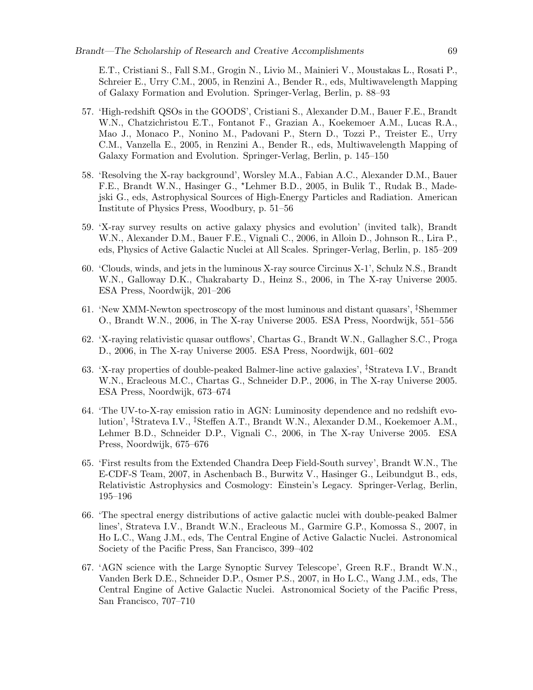E.T., Cristiani S., Fall S.M., Grogin N., Livio M., Mainieri V., Moustakas L., Rosati P., Schreier E., Urry C.M., 2005, in Renzini A., Bender R., eds, Multiwavelength Mapping of Galaxy Formation and Evolution. Springer-Verlag, Berlin, p. 88–93

- 57. 'High-redshift QSOs in the GOODS', Cristiani S., Alexander D.M., Bauer F.E., Brandt W.N., Chatzichristou E.T., Fontanot F., Grazian A., Koekemoer A.M., Lucas R.A., Mao J., Monaco P., Nonino M., Padovani P., Stern D., Tozzi P., Treister E., Urry C.M., Vanzella E., 2005, in Renzini A., Bender R., eds, Multiwavelength Mapping of Galaxy Formation and Evolution. Springer-Verlag, Berlin, p. 145–150
- 58. 'Resolving the X-ray background', Worsley M.A., Fabian A.C., Alexander D.M., Bauer F.E., Brandt W.N., Hasinger G., \*Lehmer B.D., 2005, in Bulik T., Rudak B., Madejski G., eds, Astrophysical Sources of High-Energy Particles and Radiation. American Institute of Physics Press, Woodbury, p. 51–56
- 59. 'X-ray survey results on active galaxy physics and evolution' (invited talk), Brandt W.N., Alexander D.M., Bauer F.E., Vignali C., 2006, in Alloin D., Johnson R., Lira P., eds, Physics of Active Galactic Nuclei at All Scales. Springer-Verlag, Berlin, p. 185–209
- 60. 'Clouds, winds, and jets in the luminous X-ray source Circinus X-1', Schulz N.S., Brandt W.N., Galloway D.K., Chakrabarty D., Heinz S., 2006, in The X-ray Universe 2005. ESA Press, Noordwijk, 201–206
- 61. 'New XMM-Newton spectroscopy of the most luminous and distant quasars', ‡Shemmer O., Brandt W.N., 2006, in The X-ray Universe 2005. ESA Press, Noordwijk, 551–556
- 62. 'X-raying relativistic quasar outflows', Chartas G., Brandt W.N., Gallagher S.C., Proga D., 2006, in The X-ray Universe 2005. ESA Press, Noordwijk, 601–602
- 63. 'X-ray properties of double-peaked Balmer-line active galaxies', ‡Strateva I.V., Brandt W.N., Eracleous M.C., Chartas G., Schneider D.P., 2006, in The X-ray Universe 2005. ESA Press, Noordwijk, 673–674
- 64. 'The UV-to-X-ray emission ratio in AGN: Luminosity dependence and no redshift evolution', ‡Strateva I.V., ‡Steffen A.T., Brandt W.N., Alexander D.M., Koekemoer A.M., Lehmer B.D., Schneider D.P., Vignali C., 2006, in The X-ray Universe 2005. ESA Press, Noordwijk, 675–676
- 65. 'First results from the Extended Chandra Deep Field-South survey', Brandt W.N., The E-CDF-S Team, 2007, in Aschenbach B., Burwitz V., Hasinger G., Leibundgut B., eds, Relativistic Astrophysics and Cosmology: Einstein's Legacy. Springer-Verlag, Berlin, 195–196
- 66. 'The spectral energy distributions of active galactic nuclei with double-peaked Balmer lines', Strateva I.V., Brandt W.N., Eracleous M., Garmire G.P., Komossa S., 2007, in Ho L.C., Wang J.M., eds, The Central Engine of Active Galactic Nuclei. Astronomical Society of the Pacific Press, San Francisco, 399–402
- 67. 'AGN science with the Large Synoptic Survey Telescope', Green R.F., Brandt W.N., Vanden Berk D.E., Schneider D.P., Osmer P.S., 2007, in Ho L.C., Wang J.M., eds, The Central Engine of Active Galactic Nuclei. Astronomical Society of the Pacific Press, San Francisco, 707–710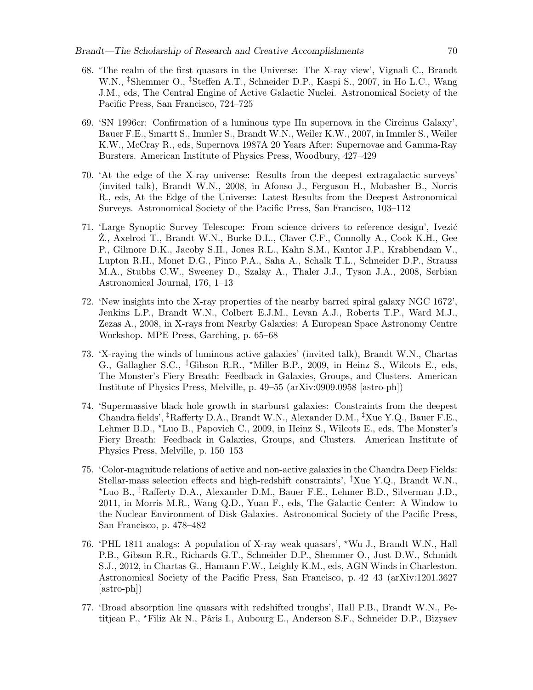- 68. 'The realm of the first quasars in the Universe: The X-ray view', Vignali C., Brandt W.N., ‡Shemmer O., ‡Steffen A.T., Schneider D.P., Kaspi S., 2007, in Ho L.C., Wang J.M., eds, The Central Engine of Active Galactic Nuclei. Astronomical Society of the Pacific Press, San Francisco, 724–725
- 69. 'SN 1996cr: Confirmation of a luminous type IIn supernova in the Circinus Galaxy', Bauer F.E., Smartt S., Immler S., Brandt W.N., Weiler K.W., 2007, in Immler S., Weiler K.W., McCray R., eds, Supernova 1987A 20 Years After: Supernovae and Gamma-Ray Bursters. American Institute of Physics Press, Woodbury, 427–429
- 70. 'At the edge of the X-ray universe: Results from the deepest extragalactic surveys' (invited talk), Brandt W.N., 2008, in Afonso J., Ferguson H., Mobasher B., Norris R., eds, At the Edge of the Universe: Latest Results from the Deepest Astronomical Surveys. Astronomical Society of the Pacific Press, San Francisco, 103–112
- 71. 'Large Synoptic Survey Telescope: From science drivers to reference design', Ivezi´c Z., Axelrod T., Brandt W.N., Burke D.L., Claver C.F., Connolly A., Cook K.H., Gee P., Gilmore D.K., Jacoby S.H., Jones R.L., Kahn S.M., Kantor J.P., Krabbendam V., Lupton R.H., Monet D.G., Pinto P.A., Saha A., Schalk T.L., Schneider D.P., Strauss M.A., Stubbs C.W., Sweeney D., Szalay A., Thaler J.J., Tyson J.A., 2008, Serbian Astronomical Journal, 176, 1–13
- 72. 'New insights into the X-ray properties of the nearby barred spiral galaxy NGC 1672', Jenkins L.P., Brandt W.N., Colbert E.J.M., Levan A.J., Roberts T.P., Ward M.J., Zezas A., 2008, in X-rays from Nearby Galaxies: A European Space Astronomy Centre Workshop. MPE Press, Garching, p. 65–68
- 73. 'X-raying the winds of luminous active galaxies' (invited talk), Brandt W.N., Chartas G., Gallagher S.C.,  ${}^{\ddagger}$ Gibson R.R.,  ${}^{\star}$ Miller B.P., 2009, in Heinz S., Wilcots E., eds, The Monster's Fiery Breath: Feedback in Galaxies, Groups, and Clusters. American Institute of Physics Press, Melville, p. 49–55 (arXiv:0909.0958 [astro-ph])
- 74. 'Supermassive black hole growth in starburst galaxies: Constraints from the deepest Chandra fields', ‡Rafferty D.A., Brandt W.N., Alexander D.M., ‡Xue Y.Q., Bauer F.E., Lehmer B.D.,  $\star$ Luo B., Papovich C., 2009, in Heinz S., Wilcots E., eds, The Monster's Fiery Breath: Feedback in Galaxies, Groups, and Clusters. American Institute of Physics Press, Melville, p. 150–153
- 75. 'Color-magnitude relations of active and non-active galaxies in the Chandra Deep Fields: Stellar-mass selection effects and high-redshift constraints', ‡Xue Y.Q., Brandt W.N., <sup>⋆</sup>Luo B., ‡Rafferty D.A., Alexander D.M., Bauer F.E., Lehmer B.D., Silverman J.D., 2011, in Morris M.R., Wang Q.D., Yuan F., eds, The Galactic Center: A Window to the Nuclear Environment of Disk Galaxies. Astronomical Society of the Pacific Press, San Francisco, p. 478–482
- 76. 'PHL 1811 analogs: A population of X-ray weak quasars', <sup>⋆</sup>Wu J., Brandt W.N., Hall P.B., Gibson R.R., Richards G.T., Schneider D.P., Shemmer O., Just D.W., Schmidt S.J., 2012, in Chartas G., Hamann F.W., Leighly K.M., eds, AGN Winds in Charleston. Astronomical Society of the Pacific Press, San Francisco, p. 42–43 (arXiv:1201.3627 [astro-ph])
- 77. 'Broad absorption line quasars with redshifted troughs', Hall P.B., Brandt W.N., Petitjean P., \*Filiz Ak N., Pâris I., Aubourg E., Anderson S.F., Schneider D.P., Bizyaev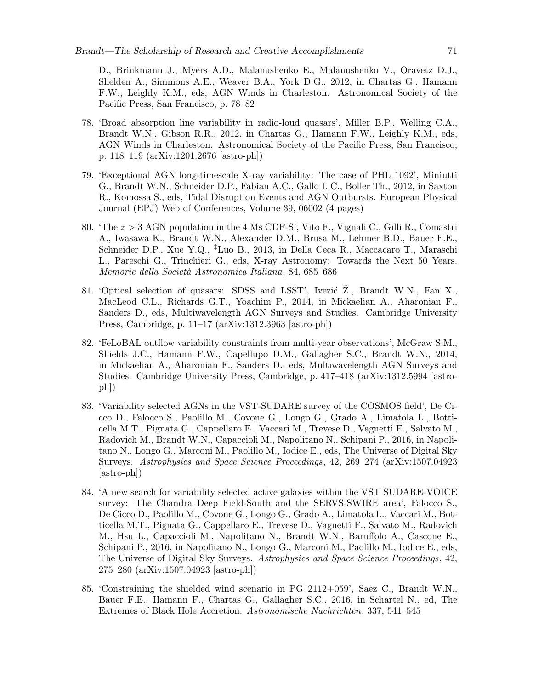D., Brinkmann J., Myers A.D., Malanushenko E., Malanushenko V., Oravetz D.J., Shelden A., Simmons A.E., Weaver B.A., York D.G., 2012, in Chartas G., Hamann F.W., Leighly K.M., eds, AGN Winds in Charleston. Astronomical Society of the Pacific Press, San Francisco, p. 78–82

- 78. 'Broad absorption line variability in radio-loud quasars', Miller B.P., Welling C.A., Brandt W.N., Gibson R.R., 2012, in Chartas G., Hamann F.W., Leighly K.M., eds, AGN Winds in Charleston. Astronomical Society of the Pacific Press, San Francisco, p. 118–119 (arXiv:1201.2676 [astro-ph])
- 79. 'Exceptional AGN long-timescale X-ray variability: The case of PHL 1092', Miniutti G., Brandt W.N., Schneider D.P., Fabian A.C., Gallo L.C., Boller Th., 2012, in Saxton R., Komossa S., eds, Tidal Disruption Events and AGN Outbursts. European Physical Journal (EPJ) Web of Conferences, Volume 39, 06002 (4 pages)
- 80. 'The z > 3 AGN population in the 4 Ms CDF-S', Vito F., Vignali C., Gilli R., Comastri A., Iwasawa K., Brandt W.N., Alexander D.M., Brusa M., Lehmer B.D., Bauer F.E., Schneider D.P., Xue Y.Q., ‡Luo B., 2013, in Della Ceca R., Maccacaro T., Maraschi L., Pareschi G., Trinchieri G., eds, X-ray Astronomy: Towards the Next 50 Years. *Memorie della Societ`a Astronomica Italiana*, 84, 685–686
- 81. 'Optical selection of quasars: SDSS and LSST', Ivezic Z., Brandt W.N., Fan X., MacLeod C.L., Richards G.T., Yoachim P., 2014, in Mickaelian A., Aharonian F., Sanders D., eds, Multiwavelength AGN Surveys and Studies. Cambridge University Press, Cambridge, p. 11–17 (arXiv:1312.3963 [astro-ph])
- 82. 'FeLoBAL outflow variability constraints from multi-year observations', McGraw S.M., Shields J.C., Hamann F.W., Capellupo D.M., Gallagher S.C., Brandt W.N., 2014, in Mickaelian A., Aharonian F., Sanders D., eds, Multiwavelength AGN Surveys and Studies. Cambridge University Press, Cambridge, p. 417–418 (arXiv:1312.5994 [astroph])
- 83. 'Variability selected AGNs in the VST-SUDARE survey of the COSMOS field', De Cicco D., Falocco S., Paolillo M., Covone G., Longo G., Grado A., Limatola L., Botticella M.T., Pignata G., Cappellaro E., Vaccari M., Trevese D., Vagnetti F., Salvato M., Radovich M., Brandt W.N., Capaccioli M., Napolitano N., Schipani P., 2016, in Napolitano N., Longo G., Marconi M., Paolillo M., Iodice E., eds, The Universe of Digital Sky Surveys. *Astrophysics and Space Science Proceedings*, 42, 269–274 (arXiv:1507.04923 [astro-ph])
- 84. 'A new search for variability selected active galaxies within the VST SUDARE-VOICE survey: The Chandra Deep Field-South and the SERVS-SWIRE area', Falocco S., De Cicco D., Paolillo M., Covone G., Longo G., Grado A., Limatola L., Vaccari M., Botticella M.T., Pignata G., Cappellaro E., Trevese D., Vagnetti F., Salvato M., Radovich M., Hsu L., Capaccioli M., Napolitano N., Brandt W.N., Baruffolo A., Cascone E., Schipani P., 2016, in Napolitano N., Longo G., Marconi M., Paolillo M., Iodice E., eds, The Universe of Digital Sky Surveys. *Astrophysics and Space Science Proceedings*, 42, 275–280 (arXiv:1507.04923 [astro-ph])
- 85. 'Constraining the shielded wind scenario in PG 2112+059', Saez C., Brandt W.N., Bauer F.E., Hamann F., Chartas G., Gallagher S.C., 2016, in Schartel N., ed, The Extremes of Black Hole Accretion. *Astronomische Nachrichten*, 337, 541–545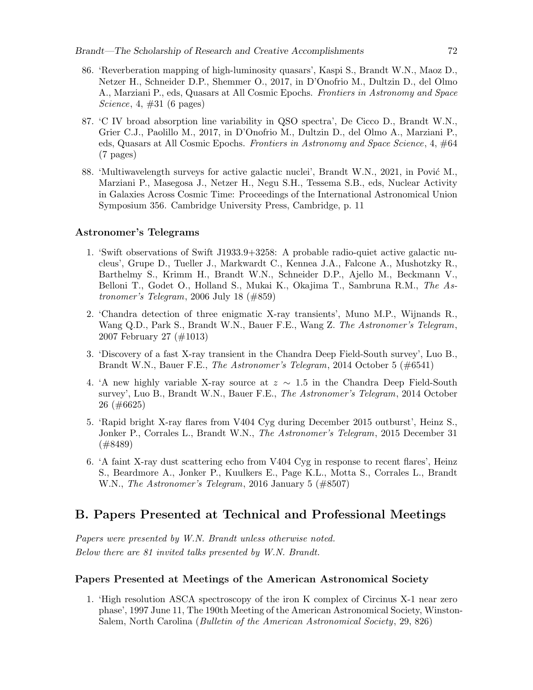- 86. 'Reverberation mapping of high-luminosity quasars', Kaspi S., Brandt W.N., Maoz D., Netzer H., Schneider D.P., Shemmer O., 2017, in D'Onofrio M., Dultzin D., del Olmo A., Marziani P., eds, Quasars at All Cosmic Epochs. *Frontiers in Astronomy and Space Science*, 4, #31 (6 pages)
- 87. 'C IV broad absorption line variability in QSO spectra', De Cicco D., Brandt W.N., Grier C.J., Paolillo M., 2017, in D'Onofrio M., Dultzin D., del Olmo A., Marziani P., eds, Quasars at All Cosmic Epochs. *Frontiers in Astronomy and Space Science*, 4, #64 (7 pages)
- 88. 'Multiwavelength surveys for active galactic nuclei', Brandt W.N., 2021, in Pović M., Marziani P., Masegosa J., Netzer H., Negu S.H., Tessema S.B., eds, Nuclear Activity in Galaxies Across Cosmic Time: Proceedings of the International Astronomical Union Symposium 356. Cambridge University Press, Cambridge, p. 11

#### Astronomer's Telegrams

- 1. 'Swift observations of Swift J1933.9+3258: A probable radio-quiet active galactic nucleus', Grupe D., Tueller J., Markwardt C., Kennea J.A., Falcone A., Mushotzky R., Barthelmy S., Krimm H., Brandt W.N., Schneider D.P., Ajello M., Beckmann V., Belloni T., Godet O., Holland S., Mukai K., Okajima T., Sambruna R.M., *The Astronomer's Telegram*, 2006 July 18 (#859)
- 2. 'Chandra detection of three enigmatic X-ray transients', Muno M.P., Wijnands R., Wang Q.D., Park S., Brandt W.N., Bauer F.E., Wang Z. *The Astronomer's Telegram*, 2007 February 27 (#1013)
- 3. 'Discovery of a fast X-ray transient in the Chandra Deep Field-South survey', Luo B., Brandt W.N., Bauer F.E., *The Astronomer's Telegram*, 2014 October 5 (#6541)
- 4. 'A new highly variable X-ray source at  $z \sim 1.5$  in the Chandra Deep Field-South survey', Luo B., Brandt W.N., Bauer F.E., *The Astronomer's Telegram*, 2014 October 26 (#6625)
- 5. 'Rapid bright X-ray flares from V404 Cyg during December 2015 outburst', Heinz S., Jonker P., Corrales L., Brandt W.N., *The Astronomer's Telegram*, 2015 December 31 (#8489)
- 6. 'A faint X-ray dust scattering echo from V404 Cyg in response to recent flares', Heinz S., Beardmore A., Jonker P., Kuulkers E., Page K.L., Motta S., Corrales L., Brandt W.N., *The Astronomer's Telegram*, 2016 January 5 (#8507)

#### B. Papers Presented at Technical and Professional Meetings

*Papers were presented by W.N. Brandt unless otherwise noted. Below there are 81 invited talks presented by W.N. Brandt.*

#### Papers Presented at Meetings of the American Astronomical Society

1. 'High resolution ASCA spectroscopy of the iron K complex of Circinus X-1 near zero phase', 1997 June 11, The 190th Meeting of the American Astronomical Society, Winston-Salem, North Carolina (*Bulletin of the American Astronomical Society*, 29, 826)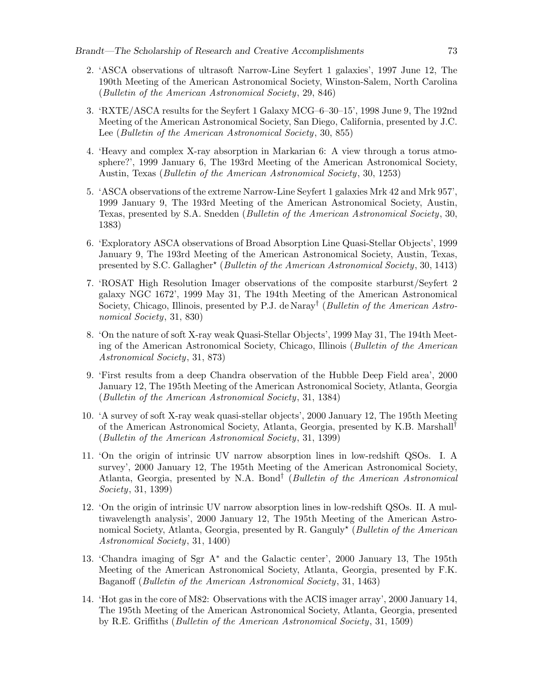- 2. 'ASCA observations of ultrasoft Narrow-Line Seyfert 1 galaxies', 1997 June 12, The 190th Meeting of the American Astronomical Society, Winston-Salem, North Carolina (*Bulletin of the American Astronomical Society*, 29, 846)
- 3. 'RXTE/ASCA results for the Seyfert 1 Galaxy MCG–6–30–15', 1998 June 9, The 192nd Meeting of the American Astronomical Society, San Diego, California, presented by J.C. Lee (*Bulletin of the American Astronomical Society*, 30, 855)
- 4. 'Heavy and complex X-ray absorption in Markarian 6: A view through a torus atmosphere?', 1999 January 6, The 193rd Meeting of the American Astronomical Society, Austin, Texas (*Bulletin of the American Astronomical Society*, 30, 1253)
- 5. 'ASCA observations of the extreme Narrow-Line Seyfert 1 galaxies Mrk 42 and Mrk 957', 1999 January 9, The 193rd Meeting of the American Astronomical Society, Austin, Texas, presented by S.A. Snedden (*Bulletin of the American Astronomical Society*, 30, 1383)
- 6. 'Exploratory ASCA observations of Broad Absorption Line Quasi-Stellar Objects', 1999 January 9, The 193rd Meeting of the American Astronomical Society, Austin, Texas, presented by S.C. Gallagher<sup>\*</sup> (*Bulletin of the American Astronomical Society*, 30, 1413)
- 7. 'ROSAT High Resolution Imager observations of the composite starburst/Seyfert 2 galaxy NGC 1672', 1999 May 31, The 194th Meeting of the American Astronomical Society, Chicago, Illinois, presented by P.J. de Naray† (*Bulletin of the American Astronomical Society*, 31, 830)
- 8. 'On the nature of soft X-ray weak Quasi-Stellar Objects', 1999 May 31, The 194th Meeting of the American Astronomical Society, Chicago, Illinois (*Bulletin of the American Astronomical Society*, 31, 873)
- 9. 'First results from a deep Chandra observation of the Hubble Deep Field area', 2000 January 12, The 195th Meeting of the American Astronomical Society, Atlanta, Georgia (*Bulletin of the American Astronomical Society*, 31, 1384)
- 10. 'A survey of soft X-ray weak quasi-stellar objects', 2000 January 12, The 195th Meeting of the American Astronomical Society, Atlanta, Georgia, presented by K.B. Marshall† (*Bulletin of the American Astronomical Society*, 31, 1399)
- 11. 'On the origin of intrinsic UV narrow absorption lines in low-redshift QSOs. I. A survey', 2000 January 12, The 195th Meeting of the American Astronomical Society, Atlanta, Georgia, presented by N.A. Bond† (*Bulletin of the American Astronomical Society*, 31, 1399)
- 12. 'On the origin of intrinsic UV narrow absorption lines in low-redshift QSOs. II. A multiwavelength analysis', 2000 January 12, The 195th Meeting of the American Astronomical Society, Atlanta, Georgia, presented by R. Ganguly<sup>\*</sup> (*Bulletin of the American Astronomical Society*, 31, 1400)
- 13. 'Chandra imaging of Sgr A<sup>∗</sup> and the Galactic center', 2000 January 13, The 195th Meeting of the American Astronomical Society, Atlanta, Georgia, presented by F.K. Baganoff (*Bulletin of the American Astronomical Society*, 31, 1463)
- 14. 'Hot gas in the core of M82: Observations with the ACIS imager array', 2000 January 14, The 195th Meeting of the American Astronomical Society, Atlanta, Georgia, presented by R.E. Griffiths (*Bulletin of the American Astronomical Society*, 31, 1509)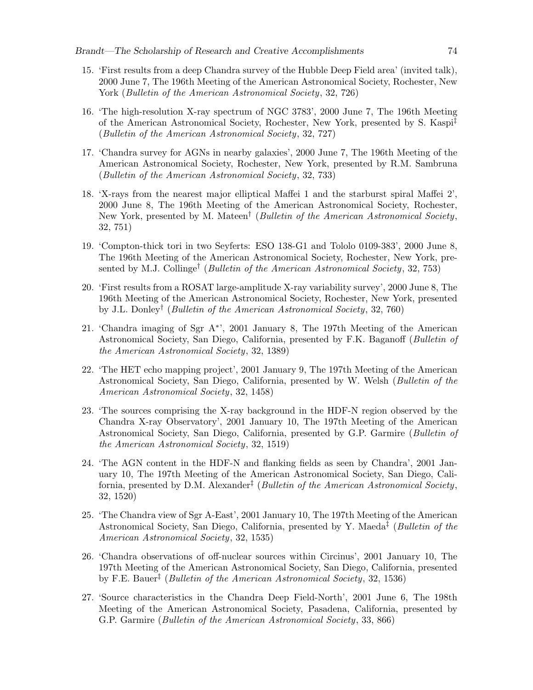- 15. 'First results from a deep Chandra survey of the Hubble Deep Field area' (invited talk), 2000 June 7, The 196th Meeting of the American Astronomical Society, Rochester, New York (*Bulletin of the American Astronomical Society*, 32, 726)
- 16. 'The high-resolution X-ray spectrum of NGC 3783', 2000 June 7, The 196th Meeting of the American Astronomical Society, Rochester, New York, presented by S. Kaspi‡ (*Bulletin of the American Astronomical Society*, 32, 727)
- 17. 'Chandra survey for AGNs in nearby galaxies', 2000 June 7, The 196th Meeting of the American Astronomical Society, Rochester, New York, presented by R.M. Sambruna (*Bulletin of the American Astronomical Society*, 32, 733)
- 18. 'X-rays from the nearest major elliptical Maffei 1 and the starburst spiral Maffei 2', 2000 June 8, The 196th Meeting of the American Astronomical Society, Rochester, New York, presented by M. Mateen† (*Bulletin of the American Astronomical Society*, 32, 751)
- 19. 'Compton-thick tori in two Seyferts: ESO 138-G1 and Tololo 0109-383', 2000 June 8, The 196th Meeting of the American Astronomical Society, Rochester, New York, presented by M.J. Collinge† (*Bulletin of the American Astronomical Society*, 32, 753)
- 20. 'First results from a ROSAT large-amplitude X-ray variability survey', 2000 June 8, The 196th Meeting of the American Astronomical Society, Rochester, New York, presented by J.L. Donley† (*Bulletin of the American Astronomical Society*, 32, 760)
- 21. 'Chandra imaging of Sgr A<sup>∗</sup> ', 2001 January 8, The 197th Meeting of the American Astronomical Society, San Diego, California, presented by F.K. Baganoff (*Bulletin of the American Astronomical Society*, 32, 1389)
- 22. 'The HET echo mapping project', 2001 January 9, The 197th Meeting of the American Astronomical Society, San Diego, California, presented by W. Welsh (*Bulletin of the American Astronomical Society*, 32, 1458)
- 23. 'The sources comprising the X-ray background in the HDF-N region observed by the Chandra X-ray Observatory', 2001 January 10, The 197th Meeting of the American Astronomical Society, San Diego, California, presented by G.P. Garmire (*Bulletin of the American Astronomical Society*, 32, 1519)
- 24. 'The AGN content in the HDF-N and flanking fields as seen by Chandra', 2001 January 10, The 197th Meeting of the American Astronomical Society, San Diego, California, presented by D.M. Alexander‡ (*Bulletin of the American Astronomical Society*, 32, 1520)
- 25. 'The Chandra view of Sgr A-East', 2001 January 10, The 197th Meeting of the American Astronomical Society, San Diego, California, presented by Y. Maeda‡ (*Bulletin of the American Astronomical Society*, 32, 1535)
- 26. 'Chandra observations of off-nuclear sources within Circinus', 2001 January 10, The 197th Meeting of the American Astronomical Society, San Diego, California, presented by F.E. Bauer‡ (*Bulletin of the American Astronomical Society*, 32, 1536)
- 27. 'Source characteristics in the Chandra Deep Field-North', 2001 June 6, The 198th Meeting of the American Astronomical Society, Pasadena, California, presented by G.P. Garmire (*Bulletin of the American Astronomical Society*, 33, 866)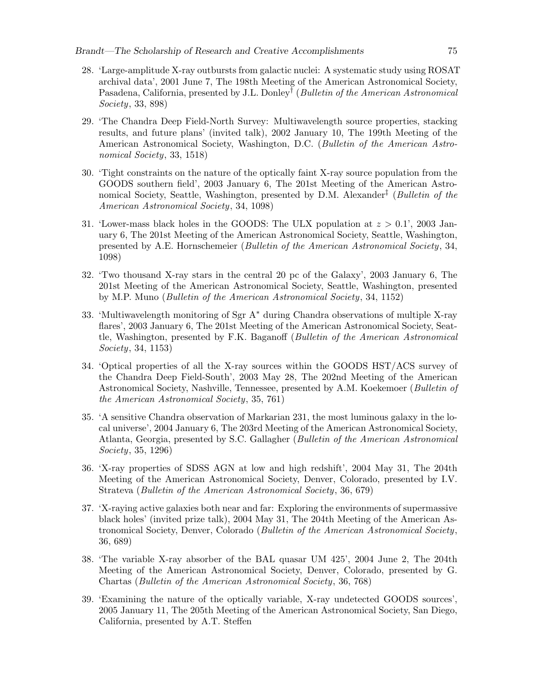- 28. 'Large-amplitude X-ray outbursts from galactic nuclei: A systematic study using ROSAT archival data', 2001 June 7, The 198th Meeting of the American Astronomical Society, Pasadena, California, presented by J.L. Donley† (*Bulletin of the American Astronomical Society*, 33, 898)
- 29. 'The Chandra Deep Field-North Survey: Multiwavelength source properties, stacking results, and future plans' (invited talk), 2002 January 10, The 199th Meeting of the American Astronomical Society, Washington, D.C. (*Bulletin of the American Astronomical Society*, 33, 1518)
- 30. 'Tight constraints on the nature of the optically faint X-ray source population from the GOODS southern field', 2003 January 6, The 201st Meeting of the American Astronomical Society, Seattle, Washington, presented by D.M. Alexander‡ (*Bulletin of the American Astronomical Society*, 34, 1098)
- 31. 'Lower-mass black holes in the GOODS: The ULX population at  $z > 0.1$ ', 2003 January 6, The 201st Meeting of the American Astronomical Society, Seattle, Washington, presented by A.E. Hornschemeier (*Bulletin of the American Astronomical Society*, 34, 1098)
- 32. 'Two thousand X-ray stars in the central 20 pc of the Galaxy', 2003 January 6, The 201st Meeting of the American Astronomical Society, Seattle, Washington, presented by M.P. Muno (*Bulletin of the American Astronomical Society*, 34, 1152)
- 33. 'Multiwavelength monitoring of Sgr A<sup>∗</sup> during Chandra observations of multiple X-ray flares', 2003 January 6, The 201st Meeting of the American Astronomical Society, Seattle, Washington, presented by F.K. Baganoff (*Bulletin of the American Astronomical Society*, 34, 1153)
- 34. 'Optical properties of all the X-ray sources within the GOODS HST/ACS survey of the Chandra Deep Field-South', 2003 May 28, The 202nd Meeting of the American Astronomical Society, Nashville, Tennessee, presented by A.M. Koekemoer (*Bulletin of the American Astronomical Society*, 35, 761)
- 35. 'A sensitive Chandra observation of Markarian 231, the most luminous galaxy in the local universe', 2004 January 6, The 203rd Meeting of the American Astronomical Society, Atlanta, Georgia, presented by S.C. Gallagher (*Bulletin of the American Astronomical Society*, 35, 1296)
- 36. 'X-ray properties of SDSS AGN at low and high redshift', 2004 May 31, The 204th Meeting of the American Astronomical Society, Denver, Colorado, presented by I.V. Strateva (*Bulletin of the American Astronomical Society*, 36, 679)
- 37. 'X-raying active galaxies both near and far: Exploring the environments of supermassive black holes' (invited prize talk), 2004 May 31, The 204th Meeting of the American Astronomical Society, Denver, Colorado (*Bulletin of the American Astronomical Society*, 36, 689)
- 38. 'The variable X-ray absorber of the BAL quasar UM 425', 2004 June 2, The 204th Meeting of the American Astronomical Society, Denver, Colorado, presented by G. Chartas (*Bulletin of the American Astronomical Society*, 36, 768)
- 39. 'Examining the nature of the optically variable, X-ray undetected GOODS sources', 2005 January 11, The 205th Meeting of the American Astronomical Society, San Diego, California, presented by A.T. Steffen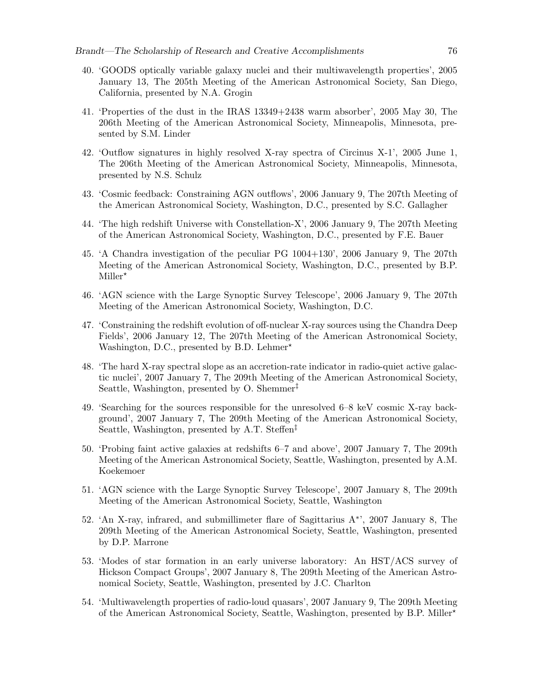- 40. 'GOODS optically variable galaxy nuclei and their multiwavelength properties', 2005 January 13, The 205th Meeting of the American Astronomical Society, San Diego, California, presented by N.A. Grogin
- 41. 'Properties of the dust in the IRAS 13349+2438 warm absorber', 2005 May 30, The 206th Meeting of the American Astronomical Society, Minneapolis, Minnesota, presented by S.M. Linder
- 42. 'Outflow signatures in highly resolved X-ray spectra of Circinus X-1', 2005 June 1, The 206th Meeting of the American Astronomical Society, Minneapolis, Minnesota, presented by N.S. Schulz
- 43. 'Cosmic feedback: Constraining AGN outflows', 2006 January 9, The 207th Meeting of the American Astronomical Society, Washington, D.C., presented by S.C. Gallagher
- 44. 'The high redshift Universe with Constellation-X', 2006 January 9, The 207th Meeting of the American Astronomical Society, Washington, D.C., presented by F.E. Bauer
- 45. 'A Chandra investigation of the peculiar PG 1004+130', 2006 January 9, The 207th Meeting of the American Astronomical Society, Washington, D.C., presented by B.P.  $Miller^{\star}$
- 46. 'AGN science with the Large Synoptic Survey Telescope', 2006 January 9, The 207th Meeting of the American Astronomical Society, Washington, D.C.
- 47. 'Constraining the redshift evolution of off-nuclear X-ray sources using the Chandra Deep Fields', 2006 January 12, The 207th Meeting of the American Astronomical Society, Washington, D.C., presented by B.D. Lehmer<sup>\*</sup>
- 48. 'The hard X-ray spectral slope as an accretion-rate indicator in radio-quiet active galactic nuclei', 2007 January 7, The 209th Meeting of the American Astronomical Society, Seattle, Washington, presented by O. Shemmer‡
- 49. 'Searching for the sources responsible for the unresolved 6–8 keV cosmic X-ray background', 2007 January 7, The 209th Meeting of the American Astronomical Society, Seattle, Washington, presented by A.T. Steffen‡
- 50. 'Probing faint active galaxies at redshifts 6–7 and above', 2007 January 7, The 209th Meeting of the American Astronomical Society, Seattle, Washington, presented by A.M. Koekemoer
- 51. 'AGN science with the Large Synoptic Survey Telescope', 2007 January 8, The 209th Meeting of the American Astronomical Society, Seattle, Washington
- 52. 'An X-ray, infrared, and submillimeter flare of Sagittarius A<sup>∗</sup> ', 2007 January 8, The 209th Meeting of the American Astronomical Society, Seattle, Washington, presented by D.P. Marrone
- 53. 'Modes of star formation in an early universe laboratory: An HST/ACS survey of Hickson Compact Groups', 2007 January 8, The 209th Meeting of the American Astronomical Society, Seattle, Washington, presented by J.C. Charlton
- 54. 'Multiwavelength properties of radio-loud quasars', 2007 January 9, The 209th Meeting of the American Astronomical Society, Seattle, Washington, presented by B.P. Miller<sup>\*</sup>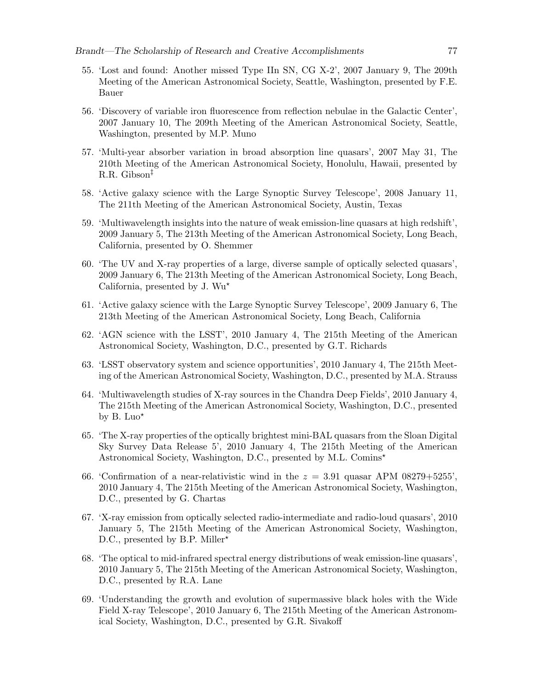- 55. 'Lost and found: Another missed Type IIn SN, CG X-2', 2007 January 9, The 209th Meeting of the American Astronomical Society, Seattle, Washington, presented by F.E. Bauer
- 56. 'Discovery of variable iron fluorescence from reflection nebulae in the Galactic Center', 2007 January 10, The 209th Meeting of the American Astronomical Society, Seattle, Washington, presented by M.P. Muno
- 57. 'Multi-year absorber variation in broad absorption line quasars', 2007 May 31, The 210th Meeting of the American Astronomical Society, Honolulu, Hawaii, presented by R.R. Gibson‡
- 58. 'Active galaxy science with the Large Synoptic Survey Telescope', 2008 January 11, The 211th Meeting of the American Astronomical Society, Austin, Texas
- 59. 'Multiwavelength insights into the nature of weak emission-line quasars at high redshift', 2009 January 5, The 213th Meeting of the American Astronomical Society, Long Beach, California, presented by O. Shemmer
- 60. 'The UV and X-ray properties of a large, diverse sample of optically selected quasars', 2009 January 6, The 213th Meeting of the American Astronomical Society, Long Beach, California, presented by J. Wu<sup> $\star$ </sup>
- 61. 'Active galaxy science with the Large Synoptic Survey Telescope', 2009 January 6, The 213th Meeting of the American Astronomical Society, Long Beach, California
- 62. 'AGN science with the LSST', 2010 January 4, The 215th Meeting of the American Astronomical Society, Washington, D.C., presented by G.T. Richards
- 63. 'LSST observatory system and science opportunities', 2010 January 4, The 215th Meeting of the American Astronomical Society, Washington, D.C., presented by M.A. Strauss
- 64. 'Multiwavelength studies of X-ray sources in the Chandra Deep Fields', 2010 January 4, The 215th Meeting of the American Astronomical Society, Washington, D.C., presented by B. Luo $\star$
- 65. 'The X-ray properties of the optically brightest mini-BAL quasars from the Sloan Digital Sky Survey Data Release 5', 2010 January 4, The 215th Meeting of the American Astronomical Society, Washington, D.C., presented by M.L. Comins<sup>\*</sup>
- 66. 'Confirmation of a near-relativistic wind in the  $z = 3.91$  quasar APM 08279+5255', 2010 January 4, The 215th Meeting of the American Astronomical Society, Washington, D.C., presented by G. Chartas
- 67. 'X-ray emission from optically selected radio-intermediate and radio-loud quasars', 2010 January 5, The 215th Meeting of the American Astronomical Society, Washington, D.C., presented by B.P. Miller<sup>\*</sup>
- 68. 'The optical to mid-infrared spectral energy distributions of weak emission-line quasars', 2010 January 5, The 215th Meeting of the American Astronomical Society, Washington, D.C., presented by R.A. Lane
- 69. 'Understanding the growth and evolution of supermassive black holes with the Wide Field X-ray Telescope', 2010 January 6, The 215th Meeting of the American Astronomical Society, Washington, D.C., presented by G.R. Sivakoff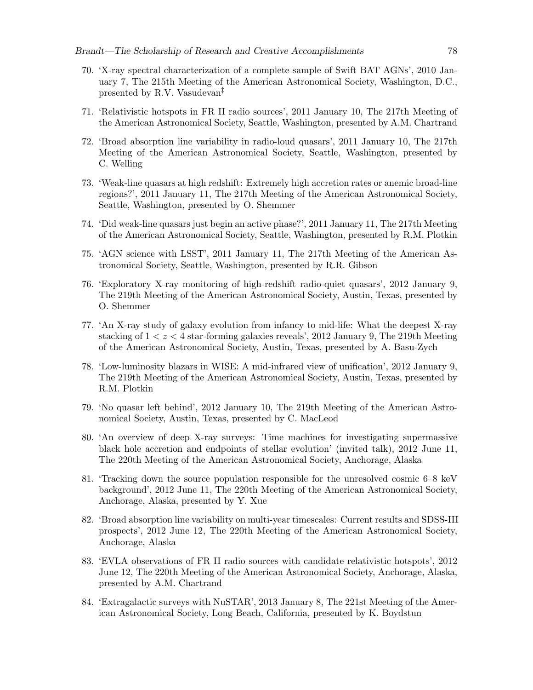- 70. 'X-ray spectral characterization of a complete sample of Swift BAT AGNs', 2010 January 7, The 215th Meeting of the American Astronomical Society, Washington, D.C., presented by R.V. Vasudevan‡
- 71. 'Relativistic hotspots in FR II radio sources', 2011 January 10, The 217th Meeting of the American Astronomical Society, Seattle, Washington, presented by A.M. Chartrand
- 72. 'Broad absorption line variability in radio-loud quasars', 2011 January 10, The 217th Meeting of the American Astronomical Society, Seattle, Washington, presented by C. Welling
- 73. 'Weak-line quasars at high redshift: Extremely high accretion rates or anemic broad-line regions?', 2011 January 11, The 217th Meeting of the American Astronomical Society, Seattle, Washington, presented by O. Shemmer
- 74. 'Did weak-line quasars just begin an active phase?', 2011 January 11, The 217th Meeting of the American Astronomical Society, Seattle, Washington, presented by R.M. Plotkin
- 75. 'AGN science with LSST', 2011 January 11, The 217th Meeting of the American Astronomical Society, Seattle, Washington, presented by R.R. Gibson
- 76. 'Exploratory X-ray monitoring of high-redshift radio-quiet quasars', 2012 January 9, The 219th Meeting of the American Astronomical Society, Austin, Texas, presented by O. Shemmer
- 77. 'An X-ray study of galaxy evolution from infancy to mid-life: What the deepest X-ray stacking of  $1 < z < 4$  star-forming galaxies reveals', 2012 January 9, The 219th Meeting of the American Astronomical Society, Austin, Texas, presented by A. Basu-Zych
- 78. 'Low-luminosity blazars in WISE: A mid-infrared view of unification', 2012 January 9, The 219th Meeting of the American Astronomical Society, Austin, Texas, presented by R.M. Plotkin
- 79. 'No quasar left behind', 2012 January 10, The 219th Meeting of the American Astronomical Society, Austin, Texas, presented by C. MacLeod
- 80. 'An overview of deep X-ray surveys: Time machines for investigating supermassive black hole accretion and endpoints of stellar evolution' (invited talk), 2012 June 11, The 220th Meeting of the American Astronomical Society, Anchorage, Alaska
- 81. 'Tracking down the source population responsible for the unresolved cosmic 6–8 keV background', 2012 June 11, The 220th Meeting of the American Astronomical Society, Anchorage, Alaska, presented by Y. Xue
- 82. 'Broad absorption line variability on multi-year timescales: Current results and SDSS-III prospects', 2012 June 12, The 220th Meeting of the American Astronomical Society, Anchorage, Alaska
- 83. 'EVLA observations of FR II radio sources with candidate relativistic hotspots', 2012 June 12, The 220th Meeting of the American Astronomical Society, Anchorage, Alaska, presented by A.M. Chartrand
- 84. 'Extragalactic surveys with NuSTAR', 2013 January 8, The 221st Meeting of the American Astronomical Society, Long Beach, California, presented by K. Boydstun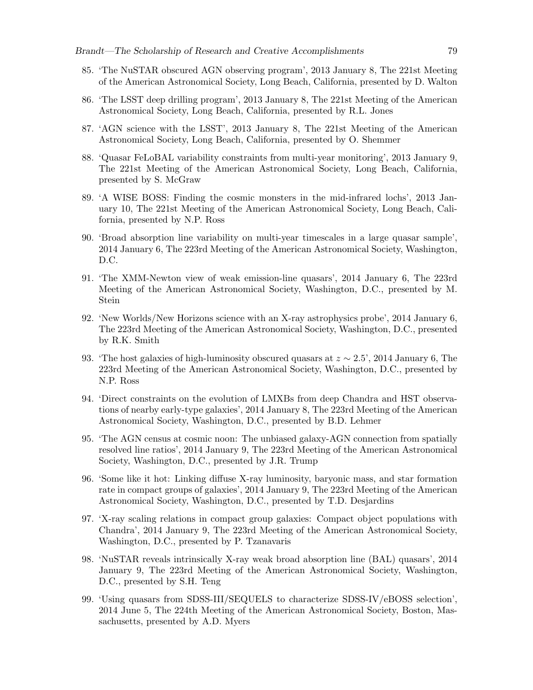- 85. 'The NuSTAR obscured AGN observing program', 2013 January 8, The 221st Meeting of the American Astronomical Society, Long Beach, California, presented by D. Walton
- 86. 'The LSST deep drilling program', 2013 January 8, The 221st Meeting of the American Astronomical Society, Long Beach, California, presented by R.L. Jones
- 87. 'AGN science with the LSST', 2013 January 8, The 221st Meeting of the American Astronomical Society, Long Beach, California, presented by O. Shemmer
- 88. 'Quasar FeLoBAL variability constraints from multi-year monitoring', 2013 January 9, The 221st Meeting of the American Astronomical Society, Long Beach, California, presented by S. McGraw
- 89. 'A WISE BOSS: Finding the cosmic monsters in the mid-infrared lochs', 2013 January 10, The 221st Meeting of the American Astronomical Society, Long Beach, California, presented by N.P. Ross
- 90. 'Broad absorption line variability on multi-year timescales in a large quasar sample', 2014 January 6, The 223rd Meeting of the American Astronomical Society, Washington, D.C.
- 91. 'The XMM-Newton view of weak emission-line quasars', 2014 January 6, The 223rd Meeting of the American Astronomical Society, Washington, D.C., presented by M. Stein
- 92. 'New Worlds/New Horizons science with an X-ray astrophysics probe', 2014 January 6, The 223rd Meeting of the American Astronomical Society, Washington, D.C., presented by R.K. Smith
- 93. 'The host galaxies of high-luminosity obscured quasars at  $z \sim 2.5$ ', 2014 January 6, The 223rd Meeting of the American Astronomical Society, Washington, D.C., presented by N.P. Ross
- 94. 'Direct constraints on the evolution of LMXBs from deep Chandra and HST observations of nearby early-type galaxies', 2014 January 8, The 223rd Meeting of the American Astronomical Society, Washington, D.C., presented by B.D. Lehmer
- 95. 'The AGN census at cosmic noon: The unbiased galaxy-AGN connection from spatially resolved line ratios', 2014 January 9, The 223rd Meeting of the American Astronomical Society, Washington, D.C., presented by J.R. Trump
- 96. 'Some like it hot: Linking diffuse X-ray luminosity, baryonic mass, and star formation rate in compact groups of galaxies', 2014 January 9, The 223rd Meeting of the American Astronomical Society, Washington, D.C., presented by T.D. Desjardins
- 97. 'X-ray scaling relations in compact group galaxies: Compact object populations with Chandra', 2014 January 9, The 223rd Meeting of the American Astronomical Society, Washington, D.C., presented by P. Tzanavaris
- 98. 'NuSTAR reveals intrinsically X-ray weak broad absorption line (BAL) quasars', 2014 January 9, The 223rd Meeting of the American Astronomical Society, Washington, D.C., presented by S.H. Teng
- 99. 'Using quasars from SDSS-III/SEQUELS to characterize SDSS-IV/eBOSS selection', 2014 June 5, The 224th Meeting of the American Astronomical Society, Boston, Massachusetts, presented by A.D. Myers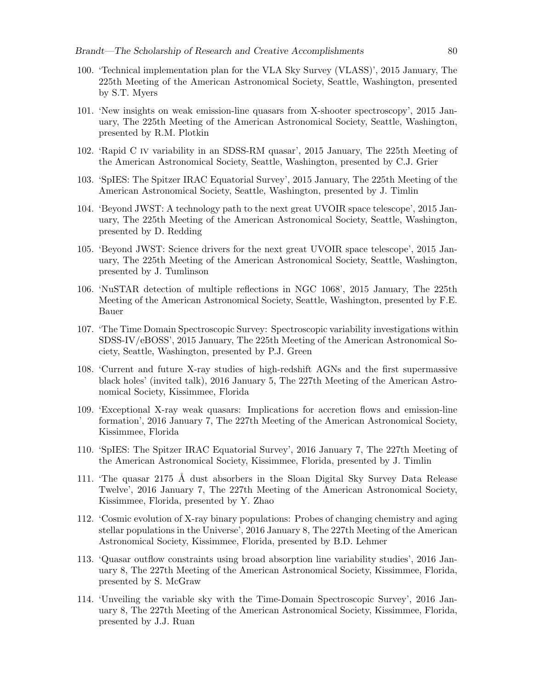- 100. 'Technical implementation plan for the VLA Sky Survey (VLASS)', 2015 January, The 225th Meeting of the American Astronomical Society, Seattle, Washington, presented by S.T. Myers
- 101. 'New insights on weak emission-line quasars from X-shooter spectroscopy', 2015 January, The 225th Meeting of the American Astronomical Society, Seattle, Washington, presented by R.M. Plotkin
- 102. 'Rapid C iv variability in an SDSS-RM quasar', 2015 January, The 225th Meeting of the American Astronomical Society, Seattle, Washington, presented by C.J. Grier
- 103. 'SpIES: The Spitzer IRAC Equatorial Survey', 2015 January, The 225th Meeting of the American Astronomical Society, Seattle, Washington, presented by J. Timlin
- 104. 'Beyond JWST: A technology path to the next great UVOIR space telescope', 2015 January, The 225th Meeting of the American Astronomical Society, Seattle, Washington, presented by D. Redding
- 105. 'Beyond JWST: Science drivers for the next great UVOIR space telescope', 2015 January, The 225th Meeting of the American Astronomical Society, Seattle, Washington, presented by J. Tumlinson
- 106. 'NuSTAR detection of multiple reflections in NGC 1068', 2015 January, The 225th Meeting of the American Astronomical Society, Seattle, Washington, presented by F.E. Bauer
- 107. 'The Time Domain Spectroscopic Survey: Spectroscopic variability investigations within SDSS-IV/eBOSS', 2015 January, The 225th Meeting of the American Astronomical Society, Seattle, Washington, presented by P.J. Green
- 108. 'Current and future X-ray studies of high-redshift AGNs and the first supermassive black holes' (invited talk), 2016 January 5, The 227th Meeting of the American Astronomical Society, Kissimmee, Florida
- 109. 'Exceptional X-ray weak quasars: Implications for accretion flows and emission-line formation', 2016 January 7, The 227th Meeting of the American Astronomical Society, Kissimmee, Florida
- 110. 'SpIES: The Spitzer IRAC Equatorial Survey', 2016 January 7, The 227th Meeting of the American Astronomical Society, Kissimmee, Florida, presented by J. Timlin
- 111. 'The quasar 2175 Å dust absorbers in the Sloan Digital Sky Survey Data Release Twelve', 2016 January 7, The 227th Meeting of the American Astronomical Society, Kissimmee, Florida, presented by Y. Zhao
- 112. 'Cosmic evolution of X-ray binary populations: Probes of changing chemistry and aging stellar populations in the Universe', 2016 January 8, The 227th Meeting of the American Astronomical Society, Kissimmee, Florida, presented by B.D. Lehmer
- 113. 'Quasar outflow constraints using broad absorption line variability studies', 2016 January 8, The 227th Meeting of the American Astronomical Society, Kissimmee, Florida, presented by S. McGraw
- 114. 'Unveiling the variable sky with the Time-Domain Spectroscopic Survey', 2016 January 8, The 227th Meeting of the American Astronomical Society, Kissimmee, Florida, presented by J.J. Ruan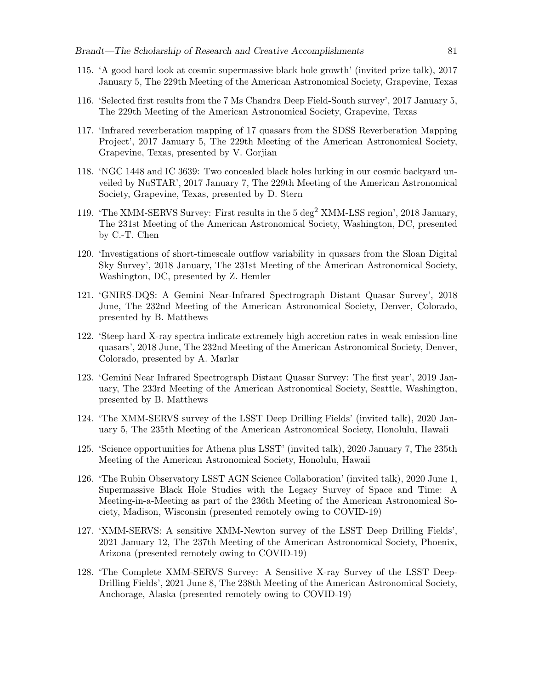- 115. 'A good hard look at cosmic supermassive black hole growth' (invited prize talk), 2017 January 5, The 229th Meeting of the American Astronomical Society, Grapevine, Texas
- 116. 'Selected first results from the 7 Ms Chandra Deep Field-South survey', 2017 January 5, The 229th Meeting of the American Astronomical Society, Grapevine, Texas
- 117. 'Infrared reverberation mapping of 17 quasars from the SDSS Reverberation Mapping Project', 2017 January 5, The 229th Meeting of the American Astronomical Society, Grapevine, Texas, presented by V. Gorjian
- 118. 'NGC 1448 and IC 3639: Two concealed black holes lurking in our cosmic backyard unveiled by NuSTAR', 2017 January 7, The 229th Meeting of the American Astronomical Society, Grapevine, Texas, presented by D. Stern
- 119. 'The XMM-SERVS Survey: First results in the 5 deg<sup>2</sup> XMM-LSS region', 2018 January, The 231st Meeting of the American Astronomical Society, Washington, DC, presented by C.-T. Chen
- 120. 'Investigations of short-timescale outflow variability in quasars from the Sloan Digital Sky Survey', 2018 January, The 231st Meeting of the American Astronomical Society, Washington, DC, presented by Z. Hemler
- 121. 'GNIRS-DQS: A Gemini Near-Infrared Spectrograph Distant Quasar Survey', 2018 June, The 232nd Meeting of the American Astronomical Society, Denver, Colorado, presented by B. Matthews
- 122. 'Steep hard X-ray spectra indicate extremely high accretion rates in weak emission-line quasars', 2018 June, The 232nd Meeting of the American Astronomical Society, Denver, Colorado, presented by A. Marlar
- 123. 'Gemini Near Infrared Spectrograph Distant Quasar Survey: The first year', 2019 January, The 233rd Meeting of the American Astronomical Society, Seattle, Washington, presented by B. Matthews
- 124. 'The XMM-SERVS survey of the LSST Deep Drilling Fields' (invited talk), 2020 January 5, The 235th Meeting of the American Astronomical Society, Honolulu, Hawaii
- 125. 'Science opportunities for Athena plus LSST' (invited talk), 2020 January 7, The 235th Meeting of the American Astronomical Society, Honolulu, Hawaii
- 126. 'The Rubin Observatory LSST AGN Science Collaboration' (invited talk), 2020 June 1, Supermassive Black Hole Studies with the Legacy Survey of Space and Time: A Meeting-in-a-Meeting as part of the 236th Meeting of the American Astronomical Society, Madison, Wisconsin (presented remotely owing to COVID-19)
- 127. 'XMM-SERVS: A sensitive XMM-Newton survey of the LSST Deep Drilling Fields', 2021 January 12, The 237th Meeting of the American Astronomical Society, Phoenix, Arizona (presented remotely owing to COVID-19)
- 128. 'The Complete XMM-SERVS Survey: A Sensitive X-ray Survey of the LSST Deep-Drilling Fields', 2021 June 8, The 238th Meeting of the American Astronomical Society, Anchorage, Alaska (presented remotely owing to COVID-19)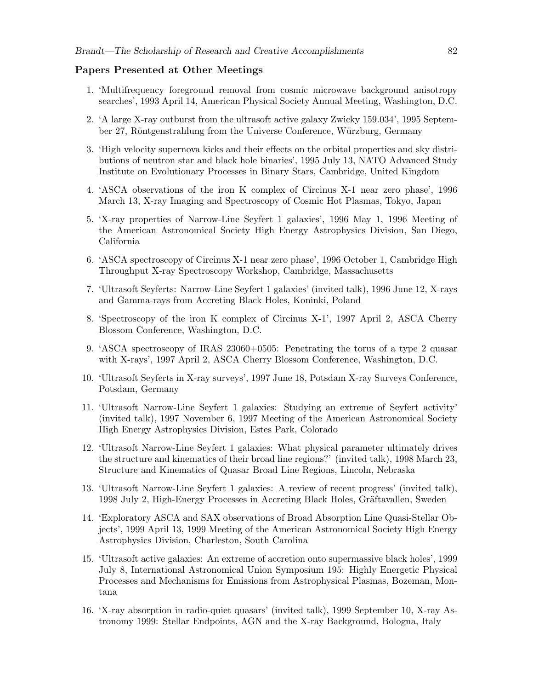#### Papers Presented at Other Meetings

- 1. 'Multifrequency foreground removal from cosmic microwave background anisotropy searches', 1993 April 14, American Physical Society Annual Meeting, Washington, D.C.
- 2. 'A large X-ray outburst from the ultrasoft active galaxy Zwicky 159.034', 1995 September 27, Röntgenstrahlung from the Universe Conference, Würzburg, Germany
- 3. 'High velocity supernova kicks and their effects on the orbital properties and sky distributions of neutron star and black hole binaries', 1995 July 13, NATO Advanced Study Institute on Evolutionary Processes in Binary Stars, Cambridge, United Kingdom
- 4. 'ASCA observations of the iron K complex of Circinus X-1 near zero phase', 1996 March 13, X-ray Imaging and Spectroscopy of Cosmic Hot Plasmas, Tokyo, Japan
- 5. 'X-ray properties of Narrow-Line Seyfert 1 galaxies', 1996 May 1, 1996 Meeting of the American Astronomical Society High Energy Astrophysics Division, San Diego, California
- 6. 'ASCA spectroscopy of Circinus X-1 near zero phase', 1996 October 1, Cambridge High Throughput X-ray Spectroscopy Workshop, Cambridge, Massachusetts
- 7. 'Ultrasoft Seyferts: Narrow-Line Seyfert 1 galaxies' (invited talk), 1996 June 12, X-rays and Gamma-rays from Accreting Black Holes, Koninki, Poland
- 8. 'Spectroscopy of the iron K complex of Circinus X-1', 1997 April 2, ASCA Cherry Blossom Conference, Washington, D.C.
- 9. 'ASCA spectroscopy of IRAS 23060+0505: Penetrating the torus of a type 2 quasar with X-rays', 1997 April 2, ASCA Cherry Blossom Conference, Washington, D.C.
- 10. 'Ultrasoft Seyferts in X-ray surveys', 1997 June 18, Potsdam X-ray Surveys Conference, Potsdam, Germany
- 11. 'Ultrasoft Narrow-Line Seyfert 1 galaxies: Studying an extreme of Seyfert activity' (invited talk), 1997 November 6, 1997 Meeting of the American Astronomical Society High Energy Astrophysics Division, Estes Park, Colorado
- 12. 'Ultrasoft Narrow-Line Seyfert 1 galaxies: What physical parameter ultimately drives the structure and kinematics of their broad line regions?' (invited talk), 1998 March 23, Structure and Kinematics of Quasar Broad Line Regions, Lincoln, Nebraska
- 13. 'Ultrasoft Narrow-Line Seyfert 1 galaxies: A review of recent progress' (invited talk), 1998 July 2, High-Energy Processes in Accreting Black Holes, Gräftavallen, Sweden
- 14. 'Exploratory ASCA and SAX observations of Broad Absorption Line Quasi-Stellar Objects', 1999 April 13, 1999 Meeting of the American Astronomical Society High Energy Astrophysics Division, Charleston, South Carolina
- 15. 'Ultrasoft active galaxies: An extreme of accretion onto supermassive black holes', 1999 July 8, International Astronomical Union Symposium 195: Highly Energetic Physical Processes and Mechanisms for Emissions from Astrophysical Plasmas, Bozeman, Montana
- 16. 'X-ray absorption in radio-quiet quasars' (invited talk), 1999 September 10, X-ray Astronomy 1999: Stellar Endpoints, AGN and the X-ray Background, Bologna, Italy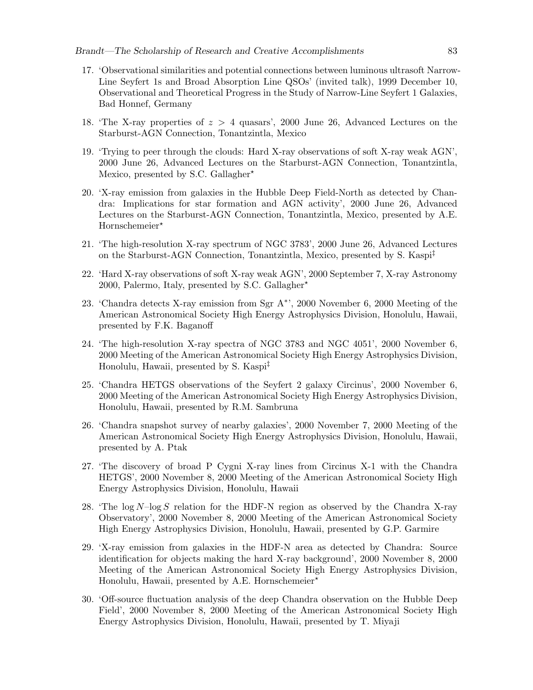- 17. 'Observational similarities and potential connections between luminous ultrasoft Narrow-Line Seyfert 1s and Broad Absorption Line QSOs' (invited talk), 1999 December 10, Observational and Theoretical Progress in the Study of Narrow-Line Seyfert 1 Galaxies, Bad Honnef, Germany
- 18. 'The X-ray properties of z > 4 quasars', 2000 June 26, Advanced Lectures on the Starburst-AGN Connection, Tonantzintla, Mexico
- 19. 'Trying to peer through the clouds: Hard X-ray observations of soft X-ray weak AGN', 2000 June 26, Advanced Lectures on the Starburst-AGN Connection, Tonantzintla, Mexico, presented by S.C. Gallagher<sup>\*</sup>
- 20. 'X-ray emission from galaxies in the Hubble Deep Field-North as detected by Chandra: Implications for star formation and AGN activity', 2000 June 26, Advanced Lectures on the Starburst-AGN Connection, Tonantzintla, Mexico, presented by A.E. Hornschemeier\*
- 21. 'The high-resolution X-ray spectrum of NGC 3783', 2000 June 26, Advanced Lectures on the Starburst-AGN Connection, Tonantzintla, Mexico, presented by S. Kaspi‡
- 22. 'Hard X-ray observations of soft X-ray weak AGN', 2000 September 7, X-ray Astronomy 2000, Palermo, Italy, presented by S.C. Gallagher<sup>\*</sup>
- 23. 'Chandra detects X-ray emission from Sgr A<sup>∗</sup> ', 2000 November 6, 2000 Meeting of the American Astronomical Society High Energy Astrophysics Division, Honolulu, Hawaii, presented by F.K. Baganoff
- 24. 'The high-resolution X-ray spectra of NGC 3783 and NGC 4051', 2000 November 6, 2000 Meeting of the American Astronomical Society High Energy Astrophysics Division, Honolulu, Hawaii, presented by S. Kaspi‡
- 25. 'Chandra HETGS observations of the Seyfert 2 galaxy Circinus', 2000 November 6, 2000 Meeting of the American Astronomical Society High Energy Astrophysics Division, Honolulu, Hawaii, presented by R.M. Sambruna
- 26. 'Chandra snapshot survey of nearby galaxies', 2000 November 7, 2000 Meeting of the American Astronomical Society High Energy Astrophysics Division, Honolulu, Hawaii, presented by A. Ptak
- 27. 'The discovery of broad P Cygni X-ray lines from Circinus X-1 with the Chandra HETGS', 2000 November 8, 2000 Meeting of the American Astronomical Society High Energy Astrophysics Division, Honolulu, Hawaii
- 28. 'The  $\log N$ -log S relation for the HDF-N region as observed by the Chandra X-ray Observatory', 2000 November 8, 2000 Meeting of the American Astronomical Society High Energy Astrophysics Division, Honolulu, Hawaii, presented by G.P. Garmire
- 29. 'X-ray emission from galaxies in the HDF-N area as detected by Chandra: Source identification for objects making the hard X-ray background', 2000 November 8, 2000 Meeting of the American Astronomical Society High Energy Astrophysics Division, Honolulu, Hawaii, presented by A.E. Hornschemeier<sup>\*</sup>
- 30. 'Off-source fluctuation analysis of the deep Chandra observation on the Hubble Deep Field', 2000 November 8, 2000 Meeting of the American Astronomical Society High Energy Astrophysics Division, Honolulu, Hawaii, presented by T. Miyaji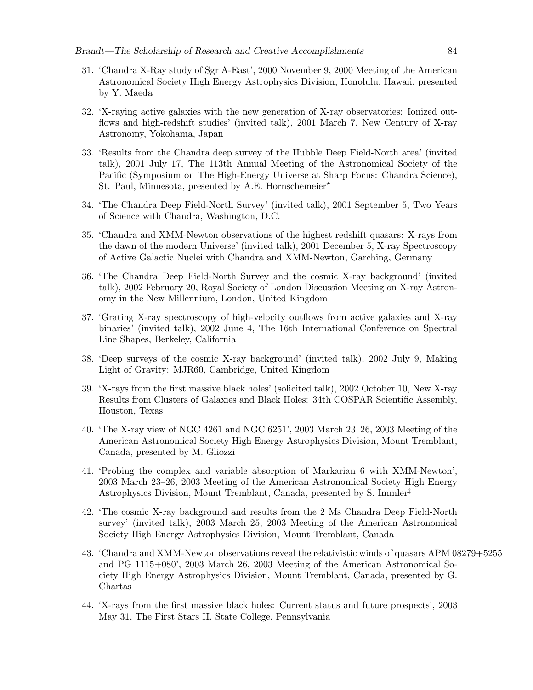- 31. 'Chandra X-Ray study of Sgr A-East', 2000 November 9, 2000 Meeting of the American Astronomical Society High Energy Astrophysics Division, Honolulu, Hawaii, presented by Y. Maeda
- 32. 'X-raying active galaxies with the new generation of X-ray observatories: Ionized outflows and high-redshift studies' (invited talk), 2001 March 7, New Century of X-ray Astronomy, Yokohama, Japan
- 33. 'Results from the Chandra deep survey of the Hubble Deep Field-North area' (invited talk), 2001 July 17, The 113th Annual Meeting of the Astronomical Society of the Pacific (Symposium on The High-Energy Universe at Sharp Focus: Chandra Science), St. Paul, Minnesota, presented by A.E. Hornschemeier<sup>\*</sup>
- 34. 'The Chandra Deep Field-North Survey' (invited talk), 2001 September 5, Two Years of Science with Chandra, Washington, D.C.
- 35. 'Chandra and XMM-Newton observations of the highest redshift quasars: X-rays from the dawn of the modern Universe' (invited talk), 2001 December 5, X-ray Spectroscopy of Active Galactic Nuclei with Chandra and XMM-Newton, Garching, Germany
- 36. 'The Chandra Deep Field-North Survey and the cosmic X-ray background' (invited talk), 2002 February 20, Royal Society of London Discussion Meeting on X-ray Astronomy in the New Millennium, London, United Kingdom
- 37. 'Grating X-ray spectroscopy of high-velocity outflows from active galaxies and X-ray binaries' (invited talk), 2002 June 4, The 16th International Conference on Spectral Line Shapes, Berkeley, California
- 38. 'Deep surveys of the cosmic X-ray background' (invited talk), 2002 July 9, Making Light of Gravity: MJR60, Cambridge, United Kingdom
- 39. 'X-rays from the first massive black holes' (solicited talk), 2002 October 10, New X-ray Results from Clusters of Galaxies and Black Holes: 34th COSPAR Scientific Assembly, Houston, Texas
- 40. 'The X-ray view of NGC 4261 and NGC 6251', 2003 March 23–26, 2003 Meeting of the American Astronomical Society High Energy Astrophysics Division, Mount Tremblant, Canada, presented by M. Gliozzi
- 41. 'Probing the complex and variable absorption of Markarian 6 with XMM-Newton', 2003 March 23–26, 2003 Meeting of the American Astronomical Society High Energy Astrophysics Division, Mount Tremblant, Canada, presented by S. Immler‡
- 42. 'The cosmic X-ray background and results from the 2 Ms Chandra Deep Field-North survey' (invited talk), 2003 March 25, 2003 Meeting of the American Astronomical Society High Energy Astrophysics Division, Mount Tremblant, Canada
- 43. 'Chandra and XMM-Newton observations reveal the relativistic winds of quasars APM 08279+5255 and PG 1115+080', 2003 March 26, 2003 Meeting of the American Astronomical Society High Energy Astrophysics Division, Mount Tremblant, Canada, presented by G. Chartas
- 44. 'X-rays from the first massive black holes: Current status and future prospects', 2003 May 31, The First Stars II, State College, Pennsylvania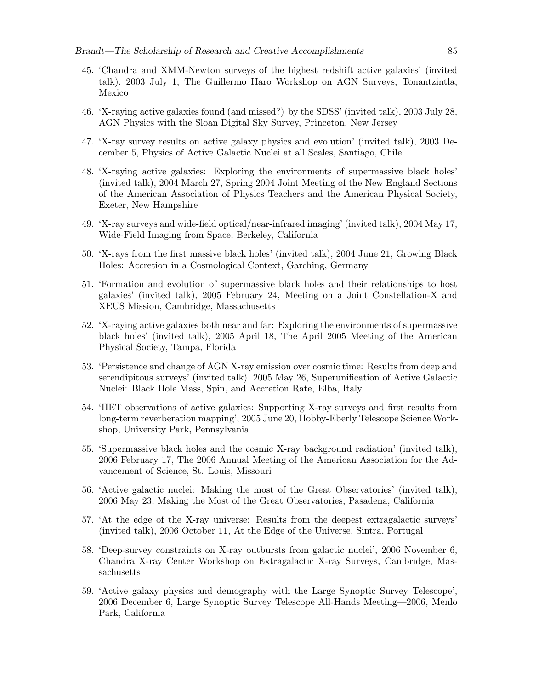- 45. 'Chandra and XMM-Newton surveys of the highest redshift active galaxies' (invited talk), 2003 July 1, The Guillermo Haro Workshop on AGN Surveys, Tonantzintla, Mexico
- 46. 'X-raying active galaxies found (and missed?) by the SDSS' (invited talk), 2003 July 28, AGN Physics with the Sloan Digital Sky Survey, Princeton, New Jersey
- 47. 'X-ray survey results on active galaxy physics and evolution' (invited talk), 2003 December 5, Physics of Active Galactic Nuclei at all Scales, Santiago, Chile
- 48. 'X-raying active galaxies: Exploring the environments of supermassive black holes' (invited talk), 2004 March 27, Spring 2004 Joint Meeting of the New England Sections of the American Association of Physics Teachers and the American Physical Society, Exeter, New Hampshire
- 49. 'X-ray surveys and wide-field optical/near-infrared imaging' (invited talk), 2004 May 17, Wide-Field Imaging from Space, Berkeley, California
- 50. 'X-rays from the first massive black holes' (invited talk), 2004 June 21, Growing Black Holes: Accretion in a Cosmological Context, Garching, Germany
- 51. 'Formation and evolution of supermassive black holes and their relationships to host galaxies' (invited talk), 2005 February 24, Meeting on a Joint Constellation-X and XEUS Mission, Cambridge, Massachusetts
- 52. 'X-raying active galaxies both near and far: Exploring the environments of supermassive black holes' (invited talk), 2005 April 18, The April 2005 Meeting of the American Physical Society, Tampa, Florida
- 53. 'Persistence and change of AGN X-ray emission over cosmic time: Results from deep and serendipitous surveys' (invited talk), 2005 May 26, Superunification of Active Galactic Nuclei: Black Hole Mass, Spin, and Accretion Rate, Elba, Italy
- 54. 'HET observations of active galaxies: Supporting X-ray surveys and first results from long-term reverberation mapping', 2005 June 20, Hobby-Eberly Telescope Science Workshop, University Park, Pennsylvania
- 55. 'Supermassive black holes and the cosmic X-ray background radiation' (invited talk), 2006 February 17, The 2006 Annual Meeting of the American Association for the Advancement of Science, St. Louis, Missouri
- 56. 'Active galactic nuclei: Making the most of the Great Observatories' (invited talk), 2006 May 23, Making the Most of the Great Observatories, Pasadena, California
- 57. 'At the edge of the X-ray universe: Results from the deepest extragalactic surveys' (invited talk), 2006 October 11, At the Edge of the Universe, Sintra, Portugal
- 58. 'Deep-survey constraints on X-ray outbursts from galactic nuclei', 2006 November 6, Chandra X-ray Center Workshop on Extragalactic X-ray Surveys, Cambridge, Massachusetts
- 59. 'Active galaxy physics and demography with the Large Synoptic Survey Telescope', 2006 December 6, Large Synoptic Survey Telescope All-Hands Meeting—2006, Menlo Park, California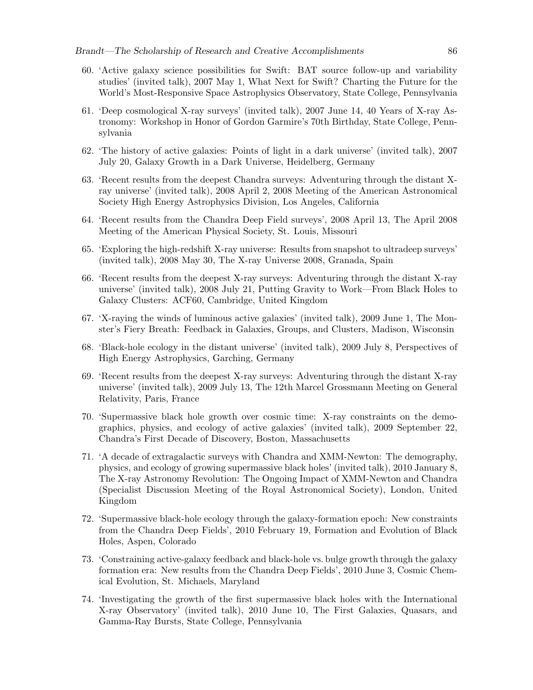- 60. 'Active galaxy science possibilities for Swift: BAT source follow-up and variability studies' (invited talk), 2007 May 1, What Next for Swift? Charting the Future for the World's Most-Responsive Space Astrophysics Observatory, State College, Pennsylvania
- 61. 'Deep cosmological X-ray surveys' (invited talk), 2007 June 14, 40 Years of X-ray Astronomy: Workshop in Honor of Gordon Garmire's 70th Birthday, State College, Pennsylvania
- 62. 'The history of active galaxies: Points of light in a dark universe' (invited talk), 2007 July 20, Galaxy Growth in a Dark Universe, Heidelberg, Germany
- 63. 'Recent results from the deepest Chandra surveys: Adventuring through the distant Xray universe' (invited talk), 2008 April 2, 2008 Meeting of the American Astronomical Society High Energy Astrophysics Division, Los Angeles, California
- 64. 'Recent results from the Chandra Deep Field surveys', 2008 April 13, The April 2008 Meeting of the American Physical Society, St. Louis, Missouri
- 65. 'Exploring the high-redshift X-ray universe: Results from snapshot to ultradeep surveys' (invited talk), 2008 May 30, The X-ray Universe 2008, Granada, Spain
- 66. 'Recent results from the deepest X-ray surveys: Adventuring through the distant X-ray universe' (invited talk), 2008 July 21, Putting Gravity to Work—From Black Holes to Galaxy Clusters: ACF60, Cambridge, United Kingdom
- 67. 'X-raying the winds of luminous active galaxies' (invited talk), 2009 June 1, The Monster's Fiery Breath: Feedback in Galaxies, Groups, and Clusters, Madison, Wisconsin
- 68. 'Black-hole ecology in the distant universe' (invited talk), 2009 July 8, Perspectives of High Energy Astrophysics, Garching, Germany
- 69. 'Recent results from the deepest X-ray surveys: Adventuring through the distant X-ray universe' (invited talk), 2009 July 13, The 12th Marcel Grossmann Meeting on General Relativity, Paris, France
- 70. 'Supermassive black hole growth over cosmic time: X-ray constraints on the demographics, physics, and ecology of active galaxies' (invited talk), 2009 September 22, Chandra's First Decade of Discovery, Boston, Massachusetts
- 71. 'A decade of extragalactic surveys with Chandra and XMM-Newton: The demography, physics, and ecology of growing supermassive black holes' (invited talk), 2010 January 8, The X-ray Astronomy Revolution: The Ongoing Impact of XMM-Newton and Chandra (Specialist Discussion Meeting of the Royal Astronomical Society), London, United Kingdom
- 72. 'Supermassive black-hole ecology through the galaxy-formation epoch: New constraints from the Chandra Deep Fields', 2010 February 19, Formation and Evolution of Black Holes, Aspen, Colorado
- 73. 'Constraining active-galaxy feedback and black-hole vs. bulge growth through the galaxy formation era: New results from the Chandra Deep Fields', 2010 June 3, Cosmic Chemical Evolution, St. Michaels, Maryland
- 74. 'Investigating the growth of the first supermassive black holes with the International X-ray Observatory' (invited talk), 2010 June 10, The First Galaxies, Quasars, and Gamma-Ray Bursts, State College, Pennsylvania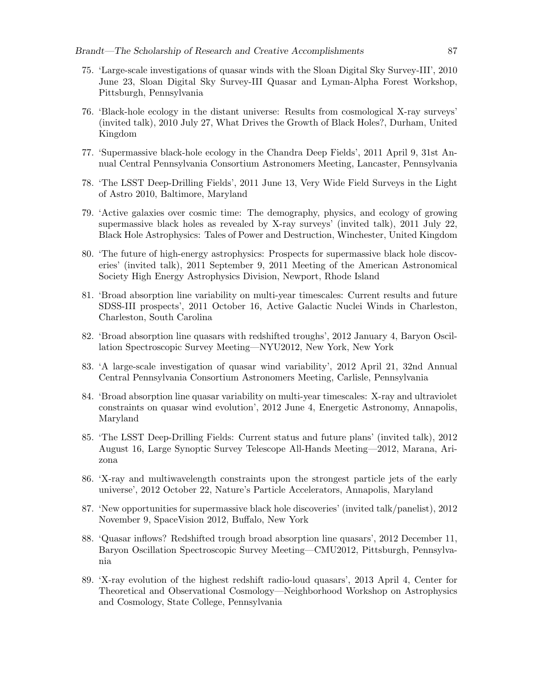- 75. 'Large-scale investigations of quasar winds with the Sloan Digital Sky Survey-III', 2010 June 23, Sloan Digital Sky Survey-III Quasar and Lyman-Alpha Forest Workshop, Pittsburgh, Pennsylvania
- 76. 'Black-hole ecology in the distant universe: Results from cosmological X-ray surveys' (invited talk), 2010 July 27, What Drives the Growth of Black Holes?, Durham, United Kingdom
- 77. 'Supermassive black-hole ecology in the Chandra Deep Fields', 2011 April 9, 31st Annual Central Pennsylvania Consortium Astronomers Meeting, Lancaster, Pennsylvania
- 78. 'The LSST Deep-Drilling Fields', 2011 June 13, Very Wide Field Surveys in the Light of Astro 2010, Baltimore, Maryland
- 79. 'Active galaxies over cosmic time: The demography, physics, and ecology of growing supermassive black holes as revealed by X-ray surveys' (invited talk), 2011 July 22, Black Hole Astrophysics: Tales of Power and Destruction, Winchester, United Kingdom
- 80. 'The future of high-energy astrophysics: Prospects for supermassive black hole discoveries' (invited talk), 2011 September 9, 2011 Meeting of the American Astronomical Society High Energy Astrophysics Division, Newport, Rhode Island
- 81. 'Broad absorption line variability on multi-year timescales: Current results and future SDSS-III prospects', 2011 October 16, Active Galactic Nuclei Winds in Charleston, Charleston, South Carolina
- 82. 'Broad absorption line quasars with redshifted troughs', 2012 January 4, Baryon Oscillation Spectroscopic Survey Meeting—NYU2012, New York, New York
- 83. 'A large-scale investigation of quasar wind variability', 2012 April 21, 32nd Annual Central Pennsylvania Consortium Astronomers Meeting, Carlisle, Pennsylvania
- 84. 'Broad absorption line quasar variability on multi-year timescales: X-ray and ultraviolet constraints on quasar wind evolution', 2012 June 4, Energetic Astronomy, Annapolis, Maryland
- 85. 'The LSST Deep-Drilling Fields: Current status and future plans' (invited talk), 2012 August 16, Large Synoptic Survey Telescope All-Hands Meeting—2012, Marana, Arizona
- 86. 'X-ray and multiwavelength constraints upon the strongest particle jets of the early universe', 2012 October 22, Nature's Particle Accelerators, Annapolis, Maryland
- 87. 'New opportunities for supermassive black hole discoveries' (invited talk/panelist), 2012 November 9, SpaceVision 2012, Buffalo, New York
- 88. 'Quasar inflows? Redshifted trough broad absorption line quasars', 2012 December 11, Baryon Oscillation Spectroscopic Survey Meeting—CMU2012, Pittsburgh, Pennsylvania
- 89. 'X-ray evolution of the highest redshift radio-loud quasars', 2013 April 4, Center for Theoretical and Observational Cosmology—Neighborhood Workshop on Astrophysics and Cosmology, State College, Pennsylvania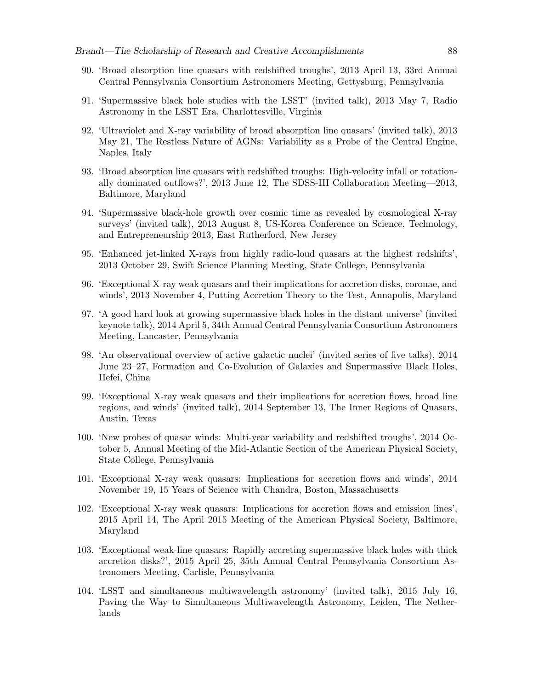- 90. 'Broad absorption line quasars with redshifted troughs', 2013 April 13, 33rd Annual Central Pennsylvania Consortium Astronomers Meeting, Gettysburg, Pennsylvania
- 91. 'Supermassive black hole studies with the LSST' (invited talk), 2013 May 7, Radio Astronomy in the LSST Era, Charlottesville, Virginia
- 92. 'Ultraviolet and X-ray variability of broad absorption line quasars' (invited talk), 2013 May 21, The Restless Nature of AGNs: Variability as a Probe of the Central Engine, Naples, Italy
- 93. 'Broad absorption line quasars with redshifted troughs: High-velocity infall or rotationally dominated outflows?', 2013 June 12, The SDSS-III Collaboration Meeting—2013, Baltimore, Maryland
- 94. 'Supermassive black-hole growth over cosmic time as revealed by cosmological X-ray surveys' (invited talk), 2013 August 8, US-Korea Conference on Science, Technology, and Entrepreneurship 2013, East Rutherford, New Jersey
- 95. 'Enhanced jet-linked X-rays from highly radio-loud quasars at the highest redshifts', 2013 October 29, Swift Science Planning Meeting, State College, Pennsylvania
- 96. 'Exceptional X-ray weak quasars and their implications for accretion disks, coronae, and winds', 2013 November 4, Putting Accretion Theory to the Test, Annapolis, Maryland
- 97. 'A good hard look at growing supermassive black holes in the distant universe' (invited keynote talk), 2014 April 5, 34th Annual Central Pennsylvania Consortium Astronomers Meeting, Lancaster, Pennsylvania
- 98. 'An observational overview of active galactic nuclei' (invited series of five talks), 2014 June 23–27, Formation and Co-Evolution of Galaxies and Supermassive Black Holes, Hefei, China
- 99. 'Exceptional X-ray weak quasars and their implications for accretion flows, broad line regions, and winds' (invited talk), 2014 September 13, The Inner Regions of Quasars, Austin, Texas
- 100. 'New probes of quasar winds: Multi-year variability and redshifted troughs', 2014 October 5, Annual Meeting of the Mid-Atlantic Section of the American Physical Society, State College, Pennsylvania
- 101. 'Exceptional X-ray weak quasars: Implications for accretion flows and winds', 2014 November 19, 15 Years of Science with Chandra, Boston, Massachusetts
- 102. 'Exceptional X-ray weak quasars: Implications for accretion flows and emission lines', 2015 April 14, The April 2015 Meeting of the American Physical Society, Baltimore, Maryland
- 103. 'Exceptional weak-line quasars: Rapidly accreting supermassive black holes with thick accretion disks?', 2015 April 25, 35th Annual Central Pennsylvania Consortium Astronomers Meeting, Carlisle, Pennsylvania
- 104. 'LSST and simultaneous multiwavelength astronomy' (invited talk), 2015 July 16, Paving the Way to Simultaneous Multiwavelength Astronomy, Leiden, The Netherlands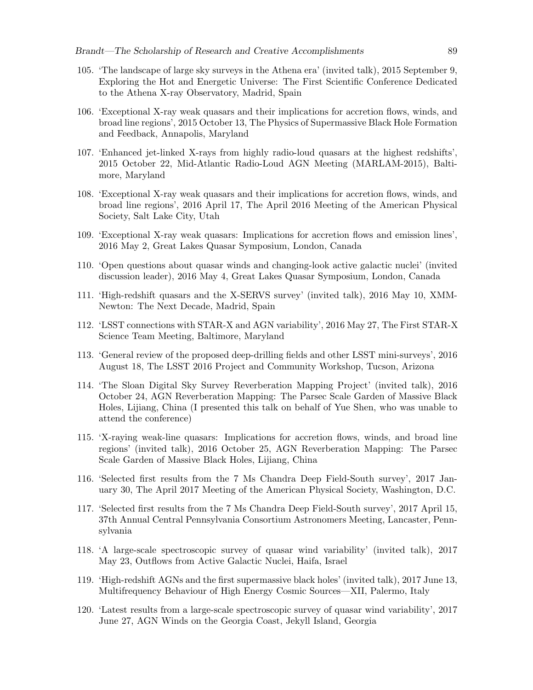- 105. 'The landscape of large sky surveys in the Athena era' (invited talk), 2015 September 9, Exploring the Hot and Energetic Universe: The First Scientific Conference Dedicated to the Athena X-ray Observatory, Madrid, Spain
- 106. 'Exceptional X-ray weak quasars and their implications for accretion flows, winds, and broad line regions', 2015 October 13, The Physics of Supermassive Black Hole Formation and Feedback, Annapolis, Maryland
- 107. 'Enhanced jet-linked X-rays from highly radio-loud quasars at the highest redshifts', 2015 October 22, Mid-Atlantic Radio-Loud AGN Meeting (MARLAM-2015), Baltimore, Maryland
- 108. 'Exceptional X-ray weak quasars and their implications for accretion flows, winds, and broad line regions', 2016 April 17, The April 2016 Meeting of the American Physical Society, Salt Lake City, Utah
- 109. 'Exceptional X-ray weak quasars: Implications for accretion flows and emission lines', 2016 May 2, Great Lakes Quasar Symposium, London, Canada
- 110. 'Open questions about quasar winds and changing-look active galactic nuclei' (invited discussion leader), 2016 May 4, Great Lakes Quasar Symposium, London, Canada
- 111. 'High-redshift quasars and the X-SERVS survey' (invited talk), 2016 May 10, XMM-Newton: The Next Decade, Madrid, Spain
- 112. 'LSST connections with STAR-X and AGN variability', 2016 May 27, The First STAR-X Science Team Meeting, Baltimore, Maryland
- 113. 'General review of the proposed deep-drilling fields and other LSST mini-surveys', 2016 August 18, The LSST 2016 Project and Community Workshop, Tucson, Arizona
- 114. 'The Sloan Digital Sky Survey Reverberation Mapping Project' (invited talk), 2016 October 24, AGN Reverberation Mapping: The Parsec Scale Garden of Massive Black Holes, Lijiang, China (I presented this talk on behalf of Yue Shen, who was unable to attend the conference)
- 115. 'X-raying weak-line quasars: Implications for accretion flows, winds, and broad line regions' (invited talk), 2016 October 25, AGN Reverberation Mapping: The Parsec Scale Garden of Massive Black Holes, Lijiang, China
- 116. 'Selected first results from the 7 Ms Chandra Deep Field-South survey', 2017 January 30, The April 2017 Meeting of the American Physical Society, Washington, D.C.
- 117. 'Selected first results from the 7 Ms Chandra Deep Field-South survey', 2017 April 15, 37th Annual Central Pennsylvania Consortium Astronomers Meeting, Lancaster, Pennsylvania
- 118. 'A large-scale spectroscopic survey of quasar wind variability' (invited talk), 2017 May 23, Outflows from Active Galactic Nuclei, Haifa, Israel
- 119. 'High-redshift AGNs and the first supermassive black holes' (invited talk), 2017 June 13, Multifrequency Behaviour of High Energy Cosmic Sources—XII, Palermo, Italy
- 120. 'Latest results from a large-scale spectroscopic survey of quasar wind variability', 2017 June 27, AGN Winds on the Georgia Coast, Jekyll Island, Georgia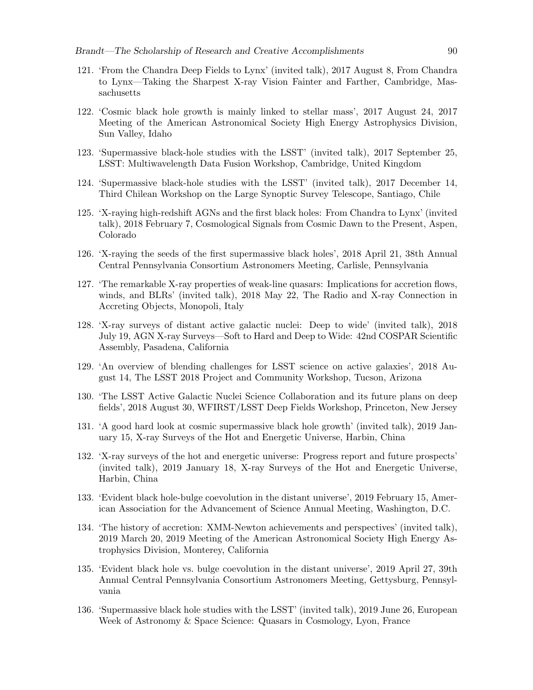- 121. 'From the Chandra Deep Fields to Lynx' (invited talk), 2017 August 8, From Chandra to Lynx—Taking the Sharpest X-ray Vision Fainter and Farther, Cambridge, Massachusetts
- 122. 'Cosmic black hole growth is mainly linked to stellar mass', 2017 August 24, 2017 Meeting of the American Astronomical Society High Energy Astrophysics Division, Sun Valley, Idaho
- 123. 'Supermassive black-hole studies with the LSST' (invited talk), 2017 September 25, LSST: Multiwavelength Data Fusion Workshop, Cambridge, United Kingdom
- 124. 'Supermassive black-hole studies with the LSST' (invited talk), 2017 December 14, Third Chilean Workshop on the Large Synoptic Survey Telescope, Santiago, Chile
- 125. 'X-raying high-redshift AGNs and the first black holes: From Chandra to Lynx' (invited talk), 2018 February 7, Cosmological Signals from Cosmic Dawn to the Present, Aspen, Colorado
- 126. 'X-raying the seeds of the first supermassive black holes', 2018 April 21, 38th Annual Central Pennsylvania Consortium Astronomers Meeting, Carlisle, Pennsylvania
- 127. 'The remarkable X-ray properties of weak-line quasars: Implications for accretion flows, winds, and BLRs' (invited talk), 2018 May 22, The Radio and X-ray Connection in Accreting Objects, Monopoli, Italy
- 128. 'X-ray surveys of distant active galactic nuclei: Deep to wide' (invited talk), 2018 July 19, AGN X-ray Surveys—Soft to Hard and Deep to Wide: 42nd COSPAR Scientific Assembly, Pasadena, California
- 129. 'An overview of blending challenges for LSST science on active galaxies', 2018 August 14, The LSST 2018 Project and Community Workshop, Tucson, Arizona
- 130. 'The LSST Active Galactic Nuclei Science Collaboration and its future plans on deep fields', 2018 August 30, WFIRST/LSST Deep Fields Workshop, Princeton, New Jersey
- 131. 'A good hard look at cosmic supermassive black hole growth' (invited talk), 2019 January 15, X-ray Surveys of the Hot and Energetic Universe, Harbin, China
- 132. 'X-ray surveys of the hot and energetic universe: Progress report and future prospects' (invited talk), 2019 January 18, X-ray Surveys of the Hot and Energetic Universe, Harbin, China
- 133. 'Evident black hole-bulge coevolution in the distant universe', 2019 February 15, American Association for the Advancement of Science Annual Meeting, Washington, D.C.
- 134. 'The history of accretion: XMM-Newton achievements and perspectives' (invited talk), 2019 March 20, 2019 Meeting of the American Astronomical Society High Energy Astrophysics Division, Monterey, California
- 135. 'Evident black hole vs. bulge coevolution in the distant universe', 2019 April 27, 39th Annual Central Pennsylvania Consortium Astronomers Meeting, Gettysburg, Pennsylvania
- 136. 'Supermassive black hole studies with the LSST' (invited talk), 2019 June 26, European Week of Astronomy & Space Science: Quasars in Cosmology, Lyon, France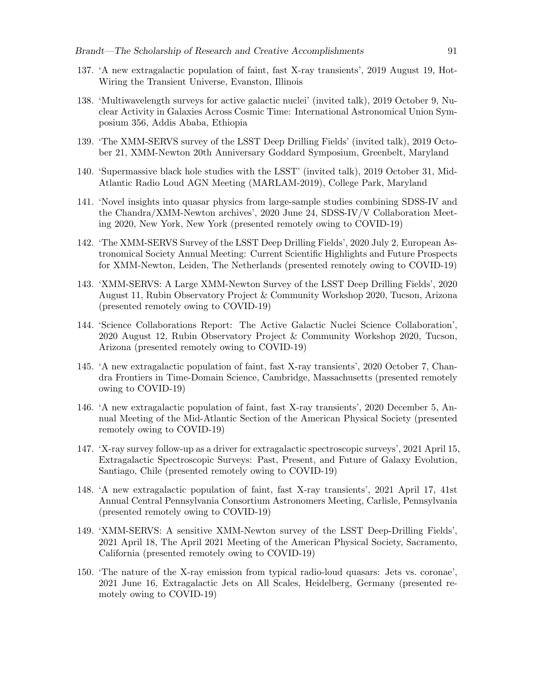- 137. 'A new extragalactic population of faint, fast X-ray transients', 2019 August 19, Hot-Wiring the Transient Universe, Evanston, Illinois
- 138. 'Multiwavelength surveys for active galactic nuclei' (invited talk), 2019 October 9, Nuclear Activity in Galaxies Across Cosmic Time: International Astronomical Union Symposium 356, Addis Ababa, Ethiopia
- 139. 'The XMM-SERVS survey of the LSST Deep Drilling Fields' (invited talk), 2019 October 21, XMM-Newton 20th Anniversary Goddard Symposium, Greenbelt, Maryland
- 140. 'Supermassive black hole studies with the LSST' (invited talk), 2019 October 31, Mid-Atlantic Radio Loud AGN Meeting (MARLAM-2019), College Park, Maryland
- 141. 'Novel insights into quasar physics from large-sample studies combining SDSS-IV and the Chandra/XMM-Newton archives', 2020 June 24, SDSS-IV/V Collaboration Meeting 2020, New York, New York (presented remotely owing to COVID-19)
- 142. 'The XMM-SERVS Survey of the LSST Deep Drilling Fields', 2020 July 2, European Astronomical Society Annual Meeting: Current Scientific Highlights and Future Prospects for XMM-Newton, Leiden, The Netherlands (presented remotely owing to COVID-19)
- 143. 'XMM-SERVS: A Large XMM-Newton Survey of the LSST Deep Drilling Fields', 2020 August 11, Rubin Observatory Project & Community Workshop 2020, Tucson, Arizona (presented remotely owing to COVID-19)
- 144. 'Science Collaborations Report: The Active Galactic Nuclei Science Collaboration', 2020 August 12, Rubin Observatory Project & Community Workshop 2020, Tucson, Arizona (presented remotely owing to COVID-19)
- 145. 'A new extragalactic population of faint, fast X-ray transients', 2020 October 7, Chandra Frontiers in Time-Domain Science, Cambridge, Massachusetts (presented remotely owing to COVID-19)
- 146. 'A new extragalactic population of faint, fast X-ray transients', 2020 December 5, Annual Meeting of the Mid-Atlantic Section of the American Physical Society (presented remotely owing to COVID-19)
- 147. 'X-ray survey follow-up as a driver for extragalactic spectroscopic surveys', 2021 April 15, Extragalactic Spectroscopic Surveys: Past, Present, and Future of Galaxy Evolution, Santiago, Chile (presented remotely owing to COVID-19)
- 148. 'A new extragalactic population of faint, fast X-ray transients', 2021 April 17, 41st Annual Central Pennsylvania Consortium Astronomers Meeting, Carlisle, Pennsylvania (presented remotely owing to COVID-19)
- 149. 'XMM-SERVS: A sensitive XMM-Newton survey of the LSST Deep-Drilling Fields', 2021 April 18, The April 2021 Meeting of the American Physical Society, Sacramento, California (presented remotely owing to COVID-19)
- 150. 'The nature of the X-ray emission from typical radio-loud quasars: Jets vs. coronae', 2021 June 16, Extragalactic Jets on All Scales, Heidelberg, Germany (presented remotely owing to COVID-19)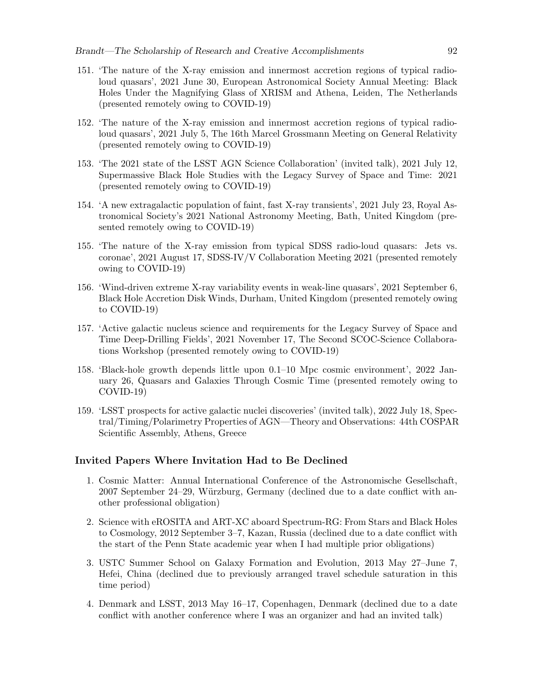- 151. 'The nature of the X-ray emission and innermost accretion regions of typical radioloud quasars', 2021 June 30, European Astronomical Society Annual Meeting: Black Holes Under the Magnifying Glass of XRISM and Athena, Leiden, The Netherlands (presented remotely owing to COVID-19)
- 152. 'The nature of the X-ray emission and innermost accretion regions of typical radioloud quasars', 2021 July 5, The 16th Marcel Grossmann Meeting on General Relativity (presented remotely owing to COVID-19)
- 153. 'The 2021 state of the LSST AGN Science Collaboration' (invited talk), 2021 July 12, Supermassive Black Hole Studies with the Legacy Survey of Space and Time: 2021 (presented remotely owing to COVID-19)
- 154. 'A new extragalactic population of faint, fast X-ray transients', 2021 July 23, Royal Astronomical Society's 2021 National Astronomy Meeting, Bath, United Kingdom (presented remotely owing to COVID-19)
- 155. 'The nature of the X-ray emission from typical SDSS radio-loud quasars: Jets vs. coronae', 2021 August 17, SDSS-IV/V Collaboration Meeting 2021 (presented remotely owing to COVID-19)
- 156. 'Wind-driven extreme X-ray variability events in weak-line quasars', 2021 September 6, Black Hole Accretion Disk Winds, Durham, United Kingdom (presented remotely owing to COVID-19)
- 157. 'Active galactic nucleus science and requirements for the Legacy Survey of Space and Time Deep-Drilling Fields', 2021 November 17, The Second SCOC-Science Collaborations Workshop (presented remotely owing to COVID-19)
- 158. 'Black-hole growth depends little upon 0.1–10 Mpc cosmic environment', 2022 January 26, Quasars and Galaxies Through Cosmic Time (presented remotely owing to COVID-19)
- 159. 'LSST prospects for active galactic nuclei discoveries' (invited talk), 2022 July 18, Spectral/Timing/Polarimetry Properties of AGN—Theory and Observations: 44th COSPAR Scientific Assembly, Athens, Greece

#### Invited Papers Where Invitation Had to Be Declined

- 1. Cosmic Matter: Annual International Conference of the Astronomische Gesellschaft, 2007 September 24–29, W¨urzburg, Germany (declined due to a date conflict with another professional obligation)
- 2. Science with eROSITA and ART-XC aboard Spectrum-RG: From Stars and Black Holes to Cosmology, 2012 September 3–7, Kazan, Russia (declined due to a date conflict with the start of the Penn State academic year when I had multiple prior obligations)
- 3. USTC Summer School on Galaxy Formation and Evolution, 2013 May 27–June 7, Hefei, China (declined due to previously arranged travel schedule saturation in this time period)
- 4. Denmark and LSST, 2013 May 16–17, Copenhagen, Denmark (declined due to a date conflict with another conference where I was an organizer and had an invited talk)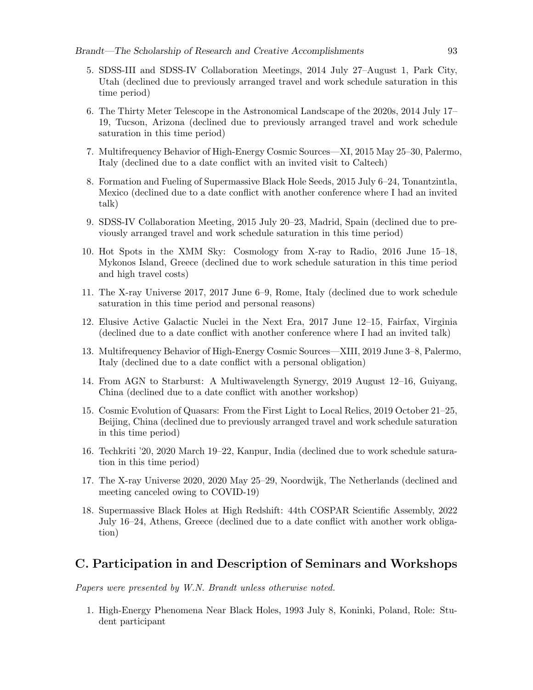- 5. SDSS-III and SDSS-IV Collaboration Meetings, 2014 July 27–August 1, Park City, Utah (declined due to previously arranged travel and work schedule saturation in this time period)
- 6. The Thirty Meter Telescope in the Astronomical Landscape of the 2020s, 2014 July 17– 19, Tucson, Arizona (declined due to previously arranged travel and work schedule saturation in this time period)
- 7. Multifrequency Behavior of High-Energy Cosmic Sources—XI, 2015 May 25–30, Palermo, Italy (declined due to a date conflict with an invited visit to Caltech)
- 8. Formation and Fueling of Supermassive Black Hole Seeds, 2015 July 6–24, Tonantzintla, Mexico (declined due to a date conflict with another conference where I had an invited talk)
- 9. SDSS-IV Collaboration Meeting, 2015 July 20–23, Madrid, Spain (declined due to previously arranged travel and work schedule saturation in this time period)
- 10. Hot Spots in the XMM Sky: Cosmology from X-ray to Radio, 2016 June 15–18, Mykonos Island, Greece (declined due to work schedule saturation in this time period and high travel costs)
- 11. The X-ray Universe 2017, 2017 June 6–9, Rome, Italy (declined due to work schedule saturation in this time period and personal reasons)
- 12. Elusive Active Galactic Nuclei in the Next Era, 2017 June 12–15, Fairfax, Virginia (declined due to a date conflict with another conference where I had an invited talk)
- 13. Multifrequency Behavior of High-Energy Cosmic Sources—XIII, 2019 June 3–8, Palermo, Italy (declined due to a date conflict with a personal obligation)
- 14. From AGN to Starburst: A Multiwavelength Synergy, 2019 August 12–16, Guiyang, China (declined due to a date conflict with another workshop)
- 15. Cosmic Evolution of Quasars: From the First Light to Local Relics, 2019 October 21–25, Beijing, China (declined due to previously arranged travel and work schedule saturation in this time period)
- 16. Techkriti '20, 2020 March 19–22, Kanpur, India (declined due to work schedule saturation in this time period)
- 17. The X-ray Universe 2020, 2020 May 25–29, Noordwijk, The Netherlands (declined and meeting canceled owing to COVID-19)
- 18. Supermassive Black Holes at High Redshift: 44th COSPAR Scientific Assembly, 2022 July 16–24, Athens, Greece (declined due to a date conflict with another work obligation)

### C. Participation in and Description of Seminars and Workshops

*Papers were presented by W.N. Brandt unless otherwise noted.*

1. High-Energy Phenomena Near Black Holes, 1993 July 8, Koninki, Poland, Role: Student participant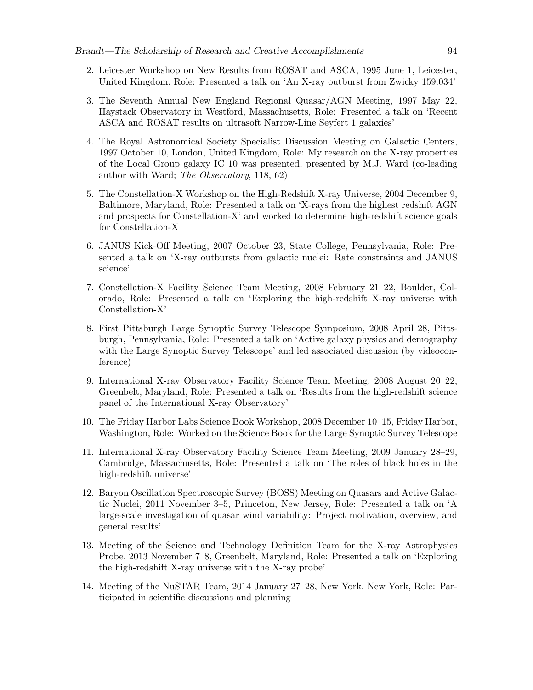- 2. Leicester Workshop on New Results from ROSAT and ASCA, 1995 June 1, Leicester, United Kingdom, Role: Presented a talk on 'An X-ray outburst from Zwicky 159.034'
- 3. The Seventh Annual New England Regional Quasar/AGN Meeting, 1997 May 22, Haystack Observatory in Westford, Massachusetts, Role: Presented a talk on 'Recent ASCA and ROSAT results on ultrasoft Narrow-Line Seyfert 1 galaxies'
- 4. The Royal Astronomical Society Specialist Discussion Meeting on Galactic Centers, 1997 October 10, London, United Kingdom, Role: My research on the X-ray properties of the Local Group galaxy IC 10 was presented, presented by M.J. Ward (co-leading author with Ward; *The Observatory*, 118, 62)
- 5. The Constellation-X Workshop on the High-Redshift X-ray Universe, 2004 December 9, Baltimore, Maryland, Role: Presented a talk on 'X-rays from the highest redshift AGN and prospects for Constellation-X' and worked to determine high-redshift science goals for Constellation-X
- 6. JANUS Kick-Off Meeting, 2007 October 23, State College, Pennsylvania, Role: Presented a talk on 'X-ray outbursts from galactic nuclei: Rate constraints and JANUS science'
- 7. Constellation-X Facility Science Team Meeting, 2008 February 21–22, Boulder, Colorado, Role: Presented a talk on 'Exploring the high-redshift X-ray universe with Constellation-X'
- 8. First Pittsburgh Large Synoptic Survey Telescope Symposium, 2008 April 28, Pittsburgh, Pennsylvania, Role: Presented a talk on 'Active galaxy physics and demography with the Large Synoptic Survey Telescope' and led associated discussion (by videoconference)
- 9. International X-ray Observatory Facility Science Team Meeting, 2008 August 20–22, Greenbelt, Maryland, Role: Presented a talk on 'Results from the high-redshift science panel of the International X-ray Observatory'
- 10. The Friday Harbor Labs Science Book Workshop, 2008 December 10–15, Friday Harbor, Washington, Role: Worked on the Science Book for the Large Synoptic Survey Telescope
- 11. International X-ray Observatory Facility Science Team Meeting, 2009 January 28–29, Cambridge, Massachusetts, Role: Presented a talk on 'The roles of black holes in the high-redshift universe'
- 12. Baryon Oscillation Spectroscopic Survey (BOSS) Meeting on Quasars and Active Galactic Nuclei, 2011 November 3–5, Princeton, New Jersey, Role: Presented a talk on 'A large-scale investigation of quasar wind variability: Project motivation, overview, and general results'
- 13. Meeting of the Science and Technology Definition Team for the X-ray Astrophysics Probe, 2013 November 7–8, Greenbelt, Maryland, Role: Presented a talk on 'Exploring the high-redshift X-ray universe with the X-ray probe'
- 14. Meeting of the NuSTAR Team, 2014 January 27–28, New York, New York, Role: Participated in scientific discussions and planning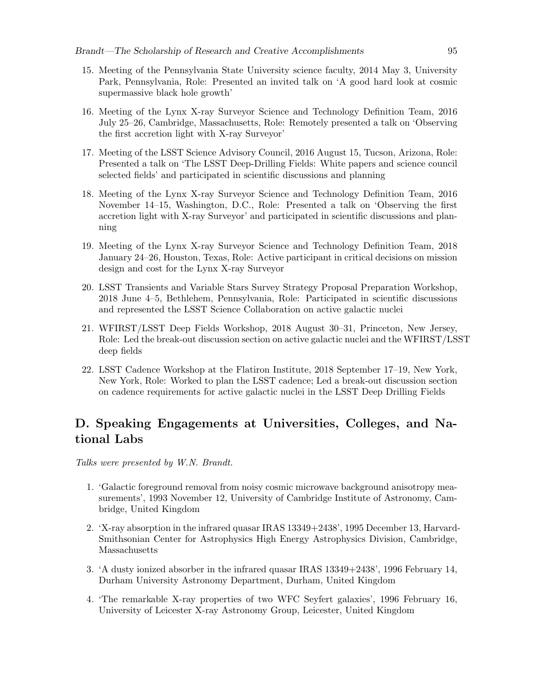- 15. Meeting of the Pennsylvania State University science faculty, 2014 May 3, University Park, Pennsylvania, Role: Presented an invited talk on 'A good hard look at cosmic supermassive black hole growth'
- 16. Meeting of the Lynx X-ray Surveyor Science and Technology Definition Team, 2016 July 25–26, Cambridge, Massachusetts, Role: Remotely presented a talk on 'Observing the first accretion light with X-ray Surveyor'
- 17. Meeting of the LSST Science Advisory Council, 2016 August 15, Tucson, Arizona, Role: Presented a talk on 'The LSST Deep-Drilling Fields: White papers and science council selected fields' and participated in scientific discussions and planning
- 18. Meeting of the Lynx X-ray Surveyor Science and Technology Definition Team, 2016 November 14–15, Washington, D.C., Role: Presented a talk on 'Observing the first accretion light with X-ray Surveyor' and participated in scientific discussions and planning
- 19. Meeting of the Lynx X-ray Surveyor Science and Technology Definition Team, 2018 January 24–26, Houston, Texas, Role: Active participant in critical decisions on mission design and cost for the Lynx X-ray Surveyor
- 20. LSST Transients and Variable Stars Survey Strategy Proposal Preparation Workshop, 2018 June 4–5, Bethlehem, Pennsylvania, Role: Participated in scientific discussions and represented the LSST Science Collaboration on active galactic nuclei
- 21. WFIRST/LSST Deep Fields Workshop, 2018 August 30–31, Princeton, New Jersey, Role: Led the break-out discussion section on active galactic nuclei and the WFIRST/LSST deep fields
- 22. LSST Cadence Workshop at the Flatiron Institute, 2018 September 17–19, New York, New York, Role: Worked to plan the LSST cadence; Led a break-out discussion section on cadence requirements for active galactic nuclei in the LSST Deep Drilling Fields

## D. Speaking Engagements at Universities, Colleges, and National Labs

*Talks were presented by W.N. Brandt.*

- 1. 'Galactic foreground removal from noisy cosmic microwave background anisotropy measurements', 1993 November 12, University of Cambridge Institute of Astronomy, Cambridge, United Kingdom
- 2. 'X-ray absorption in the infrared quasar IRAS 13349+2438', 1995 December 13, Harvard-Smithsonian Center for Astrophysics High Energy Astrophysics Division, Cambridge, Massachusetts
- 3. 'A dusty ionized absorber in the infrared quasar IRAS 13349+2438', 1996 February 14, Durham University Astronomy Department, Durham, United Kingdom
- 4. 'The remarkable X-ray properties of two WFC Seyfert galaxies', 1996 February 16, University of Leicester X-ray Astronomy Group, Leicester, United Kingdom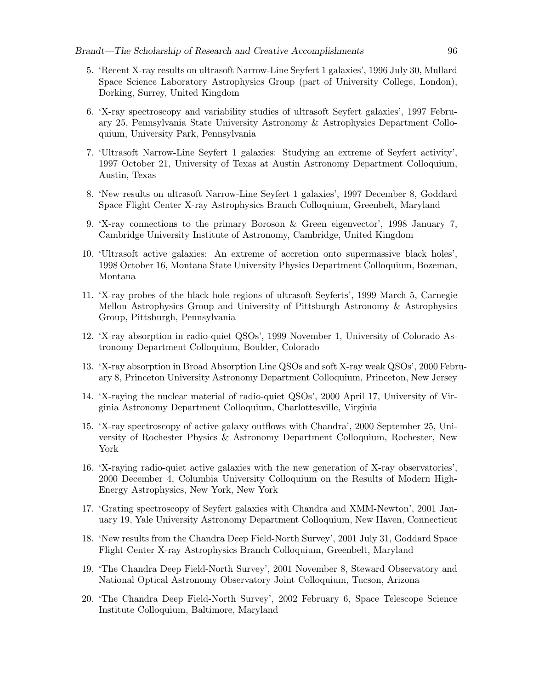- 5. 'Recent X-ray results on ultrasoft Narrow-Line Seyfert 1 galaxies', 1996 July 30, Mullard Space Science Laboratory Astrophysics Group (part of University College, London), Dorking, Surrey, United Kingdom
- 6. 'X-ray spectroscopy and variability studies of ultrasoft Seyfert galaxies', 1997 February 25, Pennsylvania State University Astronomy & Astrophysics Department Colloquium, University Park, Pennsylvania
- 7. 'Ultrasoft Narrow-Line Seyfert 1 galaxies: Studying an extreme of Seyfert activity', 1997 October 21, University of Texas at Austin Astronomy Department Colloquium, Austin, Texas
- 8. 'New results on ultrasoft Narrow-Line Seyfert 1 galaxies', 1997 December 8, Goddard Space Flight Center X-ray Astrophysics Branch Colloquium, Greenbelt, Maryland
- 9. 'X-ray connections to the primary Boroson & Green eigenvector', 1998 January 7, Cambridge University Institute of Astronomy, Cambridge, United Kingdom
- 10. 'Ultrasoft active galaxies: An extreme of accretion onto supermassive black holes', 1998 October 16, Montana State University Physics Department Colloquium, Bozeman, Montana
- 11. 'X-ray probes of the black hole regions of ultrasoft Seyferts', 1999 March 5, Carnegie Mellon Astrophysics Group and University of Pittsburgh Astronomy & Astrophysics Group, Pittsburgh, Pennsylvania
- 12. 'X-ray absorption in radio-quiet QSOs', 1999 November 1, University of Colorado Astronomy Department Colloquium, Boulder, Colorado
- 13. 'X-ray absorption in Broad Absorption Line QSOs and soft X-ray weak QSOs', 2000 February 8, Princeton University Astronomy Department Colloquium, Princeton, New Jersey
- 14. 'X-raying the nuclear material of radio-quiet QSOs', 2000 April 17, University of Virginia Astronomy Department Colloquium, Charlottesville, Virginia
- 15. 'X-ray spectroscopy of active galaxy outflows with Chandra', 2000 September 25, University of Rochester Physics & Astronomy Department Colloquium, Rochester, New York
- 16. 'X-raying radio-quiet active galaxies with the new generation of X-ray observatories', 2000 December 4, Columbia University Colloquium on the Results of Modern High-Energy Astrophysics, New York, New York
- 17. 'Grating spectroscopy of Seyfert galaxies with Chandra and XMM-Newton', 2001 January 19, Yale University Astronomy Department Colloquium, New Haven, Connecticut
- 18. 'New results from the Chandra Deep Field-North Survey', 2001 July 31, Goddard Space Flight Center X-ray Astrophysics Branch Colloquium, Greenbelt, Maryland
- 19. 'The Chandra Deep Field-North Survey', 2001 November 8, Steward Observatory and National Optical Astronomy Observatory Joint Colloquium, Tucson, Arizona
- 20. 'The Chandra Deep Field-North Survey', 2002 February 6, Space Telescope Science Institute Colloquium, Baltimore, Maryland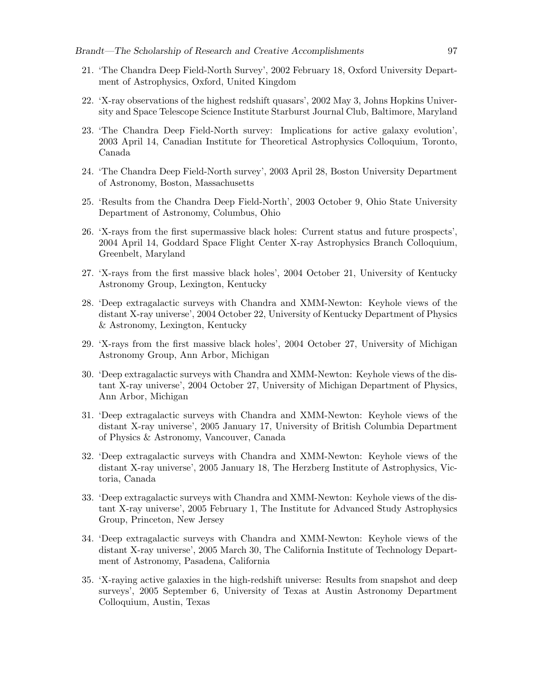- 21. 'The Chandra Deep Field-North Survey', 2002 February 18, Oxford University Department of Astrophysics, Oxford, United Kingdom
- 22. 'X-ray observations of the highest redshift quasars', 2002 May 3, Johns Hopkins University and Space Telescope Science Institute Starburst Journal Club, Baltimore, Maryland
- 23. 'The Chandra Deep Field-North survey: Implications for active galaxy evolution', 2003 April 14, Canadian Institute for Theoretical Astrophysics Colloquium, Toronto, Canada
- 24. 'The Chandra Deep Field-North survey', 2003 April 28, Boston University Department of Astronomy, Boston, Massachusetts
- 25. 'Results from the Chandra Deep Field-North', 2003 October 9, Ohio State University Department of Astronomy, Columbus, Ohio
- 26. 'X-rays from the first supermassive black holes: Current status and future prospects', 2004 April 14, Goddard Space Flight Center X-ray Astrophysics Branch Colloquium, Greenbelt, Maryland
- 27. 'X-rays from the first massive black holes', 2004 October 21, University of Kentucky Astronomy Group, Lexington, Kentucky
- 28. 'Deep extragalactic surveys with Chandra and XMM-Newton: Keyhole views of the distant X-ray universe', 2004 October 22, University of Kentucky Department of Physics & Astronomy, Lexington, Kentucky
- 29. 'X-rays from the first massive black holes', 2004 October 27, University of Michigan Astronomy Group, Ann Arbor, Michigan
- 30. 'Deep extragalactic surveys with Chandra and XMM-Newton: Keyhole views of the distant X-ray universe', 2004 October 27, University of Michigan Department of Physics, Ann Arbor, Michigan
- 31. 'Deep extragalactic surveys with Chandra and XMM-Newton: Keyhole views of the distant X-ray universe', 2005 January 17, University of British Columbia Department of Physics & Astronomy, Vancouver, Canada
- 32. 'Deep extragalactic surveys with Chandra and XMM-Newton: Keyhole views of the distant X-ray universe', 2005 January 18, The Herzberg Institute of Astrophysics, Victoria, Canada
- 33. 'Deep extragalactic surveys with Chandra and XMM-Newton: Keyhole views of the distant X-ray universe', 2005 February 1, The Institute for Advanced Study Astrophysics Group, Princeton, New Jersey
- 34. 'Deep extragalactic surveys with Chandra and XMM-Newton: Keyhole views of the distant X-ray universe', 2005 March 30, The California Institute of Technology Department of Astronomy, Pasadena, California
- 35. 'X-raying active galaxies in the high-redshift universe: Results from snapshot and deep surveys', 2005 September 6, University of Texas at Austin Astronomy Department Colloquium, Austin, Texas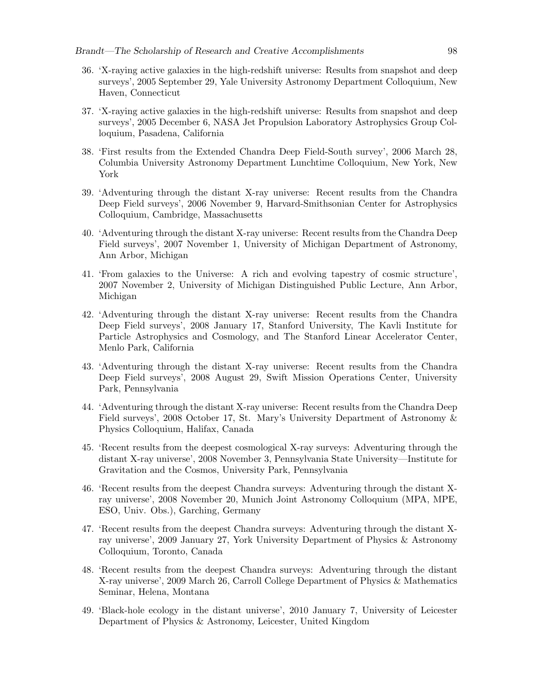- 36. 'X-raying active galaxies in the high-redshift universe: Results from snapshot and deep surveys', 2005 September 29, Yale University Astronomy Department Colloquium, New Haven, Connecticut
- 37. 'X-raying active galaxies in the high-redshift universe: Results from snapshot and deep surveys', 2005 December 6, NASA Jet Propulsion Laboratory Astrophysics Group Colloquium, Pasadena, California
- 38. 'First results from the Extended Chandra Deep Field-South survey', 2006 March 28, Columbia University Astronomy Department Lunchtime Colloquium, New York, New York
- 39. 'Adventuring through the distant X-ray universe: Recent results from the Chandra Deep Field surveys', 2006 November 9, Harvard-Smithsonian Center for Astrophysics Colloquium, Cambridge, Massachusetts
- 40. 'Adventuring through the distant X-ray universe: Recent results from the Chandra Deep Field surveys', 2007 November 1, University of Michigan Department of Astronomy, Ann Arbor, Michigan
- 41. 'From galaxies to the Universe: A rich and evolving tapestry of cosmic structure', 2007 November 2, University of Michigan Distinguished Public Lecture, Ann Arbor, Michigan
- 42. 'Adventuring through the distant X-ray universe: Recent results from the Chandra Deep Field surveys', 2008 January 17, Stanford University, The Kavli Institute for Particle Astrophysics and Cosmology, and The Stanford Linear Accelerator Center, Menlo Park, California
- 43. 'Adventuring through the distant X-ray universe: Recent results from the Chandra Deep Field surveys', 2008 August 29, Swift Mission Operations Center, University Park, Pennsylvania
- 44. 'Adventuring through the distant X-ray universe: Recent results from the Chandra Deep Field surveys', 2008 October 17, St. Mary's University Department of Astronomy & Physics Colloquium, Halifax, Canada
- 45. 'Recent results from the deepest cosmological X-ray surveys: Adventuring through the distant X-ray universe', 2008 November 3, Pennsylvania State University—Institute for Gravitation and the Cosmos, University Park, Pennsylvania
- 46. 'Recent results from the deepest Chandra surveys: Adventuring through the distant Xray universe', 2008 November 20, Munich Joint Astronomy Colloquium (MPA, MPE, ESO, Univ. Obs.), Garching, Germany
- 47. 'Recent results from the deepest Chandra surveys: Adventuring through the distant Xray universe', 2009 January 27, York University Department of Physics & Astronomy Colloquium, Toronto, Canada
- 48. 'Recent results from the deepest Chandra surveys: Adventuring through the distant X-ray universe', 2009 March 26, Carroll College Department of Physics & Mathematics Seminar, Helena, Montana
- 49. 'Black-hole ecology in the distant universe', 2010 January 7, University of Leicester Department of Physics & Astronomy, Leicester, United Kingdom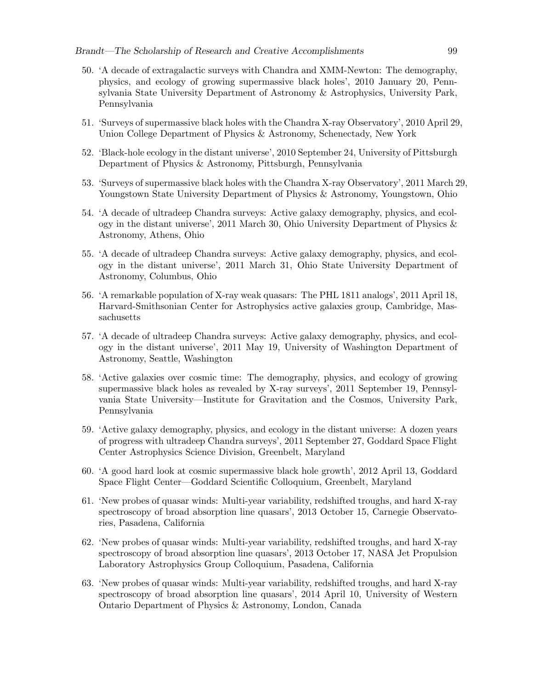- 50. 'A decade of extragalactic surveys with Chandra and XMM-Newton: The demography, physics, and ecology of growing supermassive black holes', 2010 January 20, Pennsylvania State University Department of Astronomy & Astrophysics, University Park, Pennsylvania
- 51. 'Surveys of supermassive black holes with the Chandra X-ray Observatory', 2010 April 29, Union College Department of Physics & Astronomy, Schenectady, New York
- 52. 'Black-hole ecology in the distant universe', 2010 September 24, University of Pittsburgh Department of Physics & Astronomy, Pittsburgh, Pennsylvania
- 53. 'Surveys of supermassive black holes with the Chandra X-ray Observatory', 2011 March 29, Youngstown State University Department of Physics & Astronomy, Youngstown, Ohio
- 54. 'A decade of ultradeep Chandra surveys: Active galaxy demography, physics, and ecology in the distant universe', 2011 March 30, Ohio University Department of Physics & Astronomy, Athens, Ohio
- 55. 'A decade of ultradeep Chandra surveys: Active galaxy demography, physics, and ecology in the distant universe', 2011 March 31, Ohio State University Department of Astronomy, Columbus, Ohio
- 56. 'A remarkable population of X-ray weak quasars: The PHL 1811 analogs', 2011 April 18, Harvard-Smithsonian Center for Astrophysics active galaxies group, Cambridge, Massachusetts
- 57. 'A decade of ultradeep Chandra surveys: Active galaxy demography, physics, and ecology in the distant universe', 2011 May 19, University of Washington Department of Astronomy, Seattle, Washington
- 58. 'Active galaxies over cosmic time: The demography, physics, and ecology of growing supermassive black holes as revealed by X-ray surveys', 2011 September 19, Pennsylvania State University—Institute for Gravitation and the Cosmos, University Park, Pennsylvania
- 59. 'Active galaxy demography, physics, and ecology in the distant universe: A dozen years of progress with ultradeep Chandra surveys', 2011 September 27, Goddard Space Flight Center Astrophysics Science Division, Greenbelt, Maryland
- 60. 'A good hard look at cosmic supermassive black hole growth', 2012 April 13, Goddard Space Flight Center—Goddard Scientific Colloquium, Greenbelt, Maryland
- 61. 'New probes of quasar winds: Multi-year variability, redshifted troughs, and hard X-ray spectroscopy of broad absorption line quasars', 2013 October 15, Carnegie Observatories, Pasadena, California
- 62. 'New probes of quasar winds: Multi-year variability, redshifted troughs, and hard X-ray spectroscopy of broad absorption line quasars', 2013 October 17, NASA Jet Propulsion Laboratory Astrophysics Group Colloquium, Pasadena, California
- 63. 'New probes of quasar winds: Multi-year variability, redshifted troughs, and hard X-ray spectroscopy of broad absorption line quasars', 2014 April 10, University of Western Ontario Department of Physics & Astronomy, London, Canada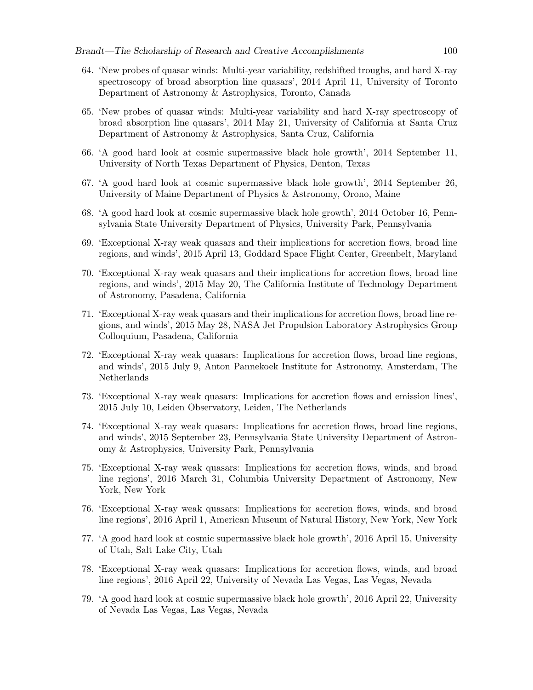- 64. 'New probes of quasar winds: Multi-year variability, redshifted troughs, and hard X-ray spectroscopy of broad absorption line quasars', 2014 April 11, University of Toronto Department of Astronomy & Astrophysics, Toronto, Canada
- 65. 'New probes of quasar winds: Multi-year variability and hard X-ray spectroscopy of broad absorption line quasars', 2014 May 21, University of California at Santa Cruz Department of Astronomy & Astrophysics, Santa Cruz, California
- 66. 'A good hard look at cosmic supermassive black hole growth', 2014 September 11, University of North Texas Department of Physics, Denton, Texas
- 67. 'A good hard look at cosmic supermassive black hole growth', 2014 September 26, University of Maine Department of Physics & Astronomy, Orono, Maine
- 68. 'A good hard look at cosmic supermassive black hole growth', 2014 October 16, Pennsylvania State University Department of Physics, University Park, Pennsylvania
- 69. 'Exceptional X-ray weak quasars and their implications for accretion flows, broad line regions, and winds', 2015 April 13, Goddard Space Flight Center, Greenbelt, Maryland
- 70. 'Exceptional X-ray weak quasars and their implications for accretion flows, broad line regions, and winds', 2015 May 20, The California Institute of Technology Department of Astronomy, Pasadena, California
- 71. 'Exceptional X-ray weak quasars and their implications for accretion flows, broad line regions, and winds', 2015 May 28, NASA Jet Propulsion Laboratory Astrophysics Group Colloquium, Pasadena, California
- 72. 'Exceptional X-ray weak quasars: Implications for accretion flows, broad line regions, and winds', 2015 July 9, Anton Pannekoek Institute for Astronomy, Amsterdam, The Netherlands
- 73. 'Exceptional X-ray weak quasars: Implications for accretion flows and emission lines', 2015 July 10, Leiden Observatory, Leiden, The Netherlands
- 74. 'Exceptional X-ray weak quasars: Implications for accretion flows, broad line regions, and winds', 2015 September 23, Pennsylvania State University Department of Astronomy & Astrophysics, University Park, Pennsylvania
- 75. 'Exceptional X-ray weak quasars: Implications for accretion flows, winds, and broad line regions', 2016 March 31, Columbia University Department of Astronomy, New York, New York
- 76. 'Exceptional X-ray weak quasars: Implications for accretion flows, winds, and broad line regions', 2016 April 1, American Museum of Natural History, New York, New York
- 77. 'A good hard look at cosmic supermassive black hole growth', 2016 April 15, University of Utah, Salt Lake City, Utah
- 78. 'Exceptional X-ray weak quasars: Implications for accretion flows, winds, and broad line regions', 2016 April 22, University of Nevada Las Vegas, Las Vegas, Nevada
- 79. 'A good hard look at cosmic supermassive black hole growth', 2016 April 22, University of Nevada Las Vegas, Las Vegas, Nevada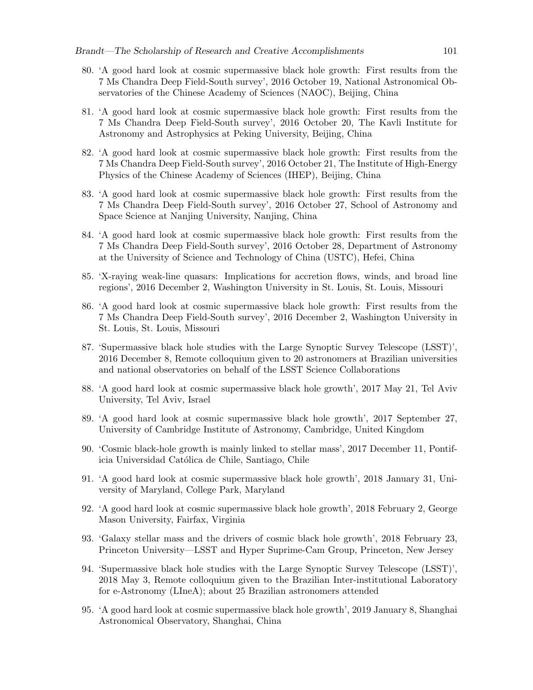- 80. 'A good hard look at cosmic supermassive black hole growth: First results from the 7 Ms Chandra Deep Field-South survey', 2016 October 19, National Astronomical Observatories of the Chinese Academy of Sciences (NAOC), Beijing, China
- 81. 'A good hard look at cosmic supermassive black hole growth: First results from the 7 Ms Chandra Deep Field-South survey', 2016 October 20, The Kavli Institute for Astronomy and Astrophysics at Peking University, Beijing, China
- 82. 'A good hard look at cosmic supermassive black hole growth: First results from the 7 Ms Chandra Deep Field-South survey', 2016 October 21, The Institute of High-Energy Physics of the Chinese Academy of Sciences (IHEP), Beijing, China
- 83. 'A good hard look at cosmic supermassive black hole growth: First results from the 7 Ms Chandra Deep Field-South survey', 2016 October 27, School of Astronomy and Space Science at Nanjing University, Nanjing, China
- 84. 'A good hard look at cosmic supermassive black hole growth: First results from the 7 Ms Chandra Deep Field-South survey', 2016 October 28, Department of Astronomy at the University of Science and Technology of China (USTC), Hefei, China
- 85. 'X-raying weak-line quasars: Implications for accretion flows, winds, and broad line regions', 2016 December 2, Washington University in St. Louis, St. Louis, Missouri
- 86. 'A good hard look at cosmic supermassive black hole growth: First results from the 7 Ms Chandra Deep Field-South survey', 2016 December 2, Washington University in St. Louis, St. Louis, Missouri
- 87. 'Supermassive black hole studies with the Large Synoptic Survey Telescope (LSST)', 2016 December 8, Remote colloquium given to 20 astronomers at Brazilian universities and national observatories on behalf of the LSST Science Collaborations
- 88. 'A good hard look at cosmic supermassive black hole growth', 2017 May 21, Tel Aviv University, Tel Aviv, Israel
- 89. 'A good hard look at cosmic supermassive black hole growth', 2017 September 27, University of Cambridge Institute of Astronomy, Cambridge, United Kingdom
- 90. 'Cosmic black-hole growth is mainly linked to stellar mass', 2017 December 11, Pontificia Universidad Católica de Chile, Santiago, Chile
- 91. 'A good hard look at cosmic supermassive black hole growth', 2018 January 31, University of Maryland, College Park, Maryland
- 92. 'A good hard look at cosmic supermassive black hole growth', 2018 February 2, George Mason University, Fairfax, Virginia
- 93. 'Galaxy stellar mass and the drivers of cosmic black hole growth', 2018 February 23, Princeton University—LSST and Hyper Suprime-Cam Group, Princeton, New Jersey
- 94. 'Supermassive black hole studies with the Large Synoptic Survey Telescope (LSST)', 2018 May 3, Remote colloquium given to the Brazilian Inter-institutional Laboratory for e-Astronomy (LIneA); about 25 Brazilian astronomers attended
- 95. 'A good hard look at cosmic supermassive black hole growth', 2019 January 8, Shanghai Astronomical Observatory, Shanghai, China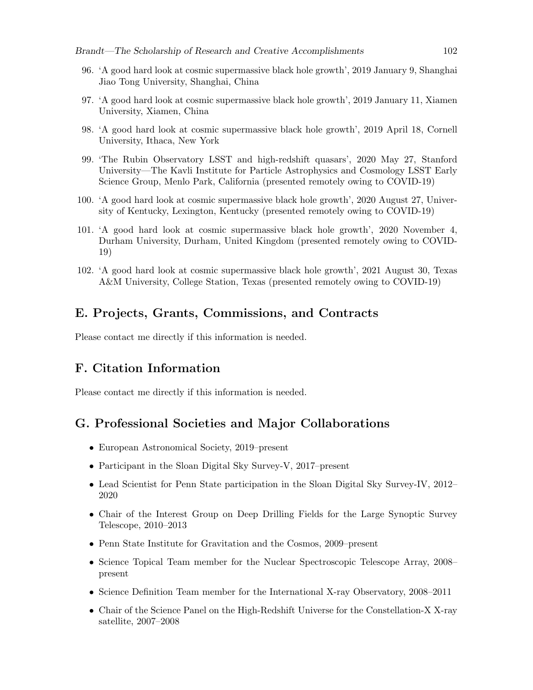- 96. 'A good hard look at cosmic supermassive black hole growth', 2019 January 9, Shanghai Jiao Tong University, Shanghai, China
- 97. 'A good hard look at cosmic supermassive black hole growth', 2019 January 11, Xiamen University, Xiamen, China
- 98. 'A good hard look at cosmic supermassive black hole growth', 2019 April 18, Cornell University, Ithaca, New York
- 99. 'The Rubin Observatory LSST and high-redshift quasars', 2020 May 27, Stanford University—The Kavli Institute for Particle Astrophysics and Cosmology LSST Early Science Group, Menlo Park, California (presented remotely owing to COVID-19)
- 100. 'A good hard look at cosmic supermassive black hole growth', 2020 August 27, University of Kentucky, Lexington, Kentucky (presented remotely owing to COVID-19)
- 101. 'A good hard look at cosmic supermassive black hole growth', 2020 November 4, Durham University, Durham, United Kingdom (presented remotely owing to COVID-19)
- 102. 'A good hard look at cosmic supermassive black hole growth', 2021 August 30, Texas A&M University, College Station, Texas (presented remotely owing to COVID-19)

## E. Projects, Grants, Commissions, and Contracts

Please contact me directly if this information is needed.

## F. Citation Information

Please contact me directly if this information is needed.

## G. Professional Societies and Major Collaborations

- European Astronomical Society, 2019–present
- Participant in the Sloan Digital Sky Survey-V, 2017–present
- Lead Scientist for Penn State participation in the Sloan Digital Sky Survey-IV, 2012– 2020
- Chair of the Interest Group on Deep Drilling Fields for the Large Synoptic Survey Telescope, 2010–2013
- Penn State Institute for Gravitation and the Cosmos, 2009–present
- Science Topical Team member for the Nuclear Spectroscopic Telescope Array, 2008– present
- Science Definition Team member for the International X-ray Observatory, 2008–2011
- Chair of the Science Panel on the High-Redshift Universe for the Constellation-X X-ray satellite, 2007–2008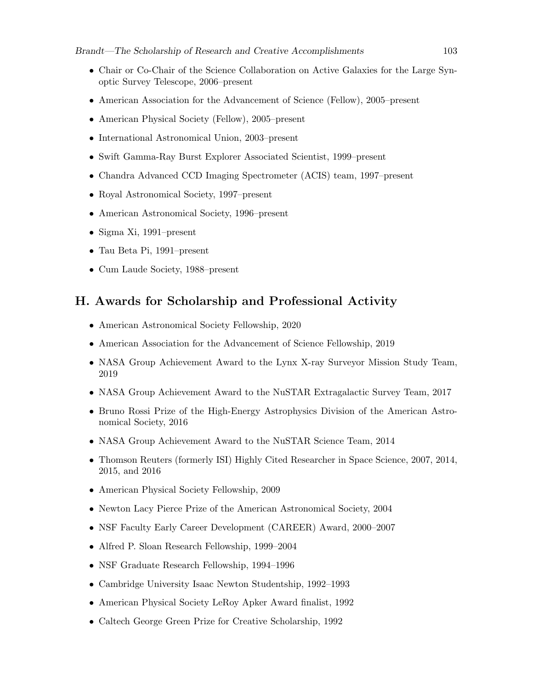- Chair or Co-Chair of the Science Collaboration on Active Galaxies for the Large Synoptic Survey Telescope, 2006–present
- American Association for the Advancement of Science (Fellow), 2005–present
- American Physical Society (Fellow), 2005–present
- International Astronomical Union, 2003–present
- Swift Gamma-Ray Burst Explorer Associated Scientist, 1999–present
- Chandra Advanced CCD Imaging Spectrometer (ACIS) team, 1997–present
- Royal Astronomical Society, 1997–present
- American Astronomical Society, 1996–present
- Sigma Xi, 1991–present
- Tau Beta Pi, 1991–present
- Cum Laude Society, 1988–present

### H. Awards for Scholarship and Professional Activity

- American Astronomical Society Fellowship, 2020
- American Association for the Advancement of Science Fellowship, 2019
- NASA Group Achievement Award to the Lynx X-ray Surveyor Mission Study Team, 2019
- NASA Group Achievement Award to the NuSTAR Extragalactic Survey Team, 2017
- Bruno Rossi Prize of the High-Energy Astrophysics Division of the American Astronomical Society, 2016
- NASA Group Achievement Award to the NuSTAR Science Team, 2014
- Thomson Reuters (formerly ISI) Highly Cited Researcher in Space Science, 2007, 2014, 2015, and 2016
- American Physical Society Fellowship, 2009
- Newton Lacy Pierce Prize of the American Astronomical Society, 2004
- NSF Faculty Early Career Development (CAREER) Award, 2000–2007
- Alfred P. Sloan Research Fellowship, 1999–2004
- NSF Graduate Research Fellowship, 1994–1996
- Cambridge University Isaac Newton Studentship, 1992–1993
- American Physical Society LeRoy Apker Award finalist, 1992
- Caltech George Green Prize for Creative Scholarship, 1992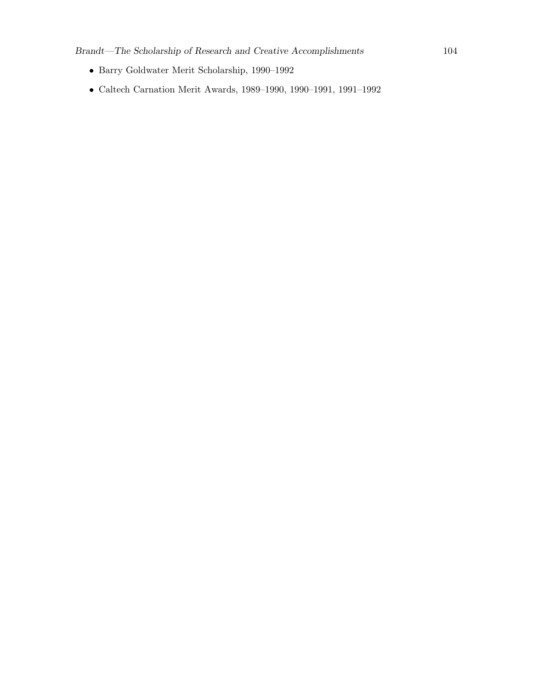- Barry Goldwater Merit Scholarship, 1990–1992
- Caltech Carnation Merit Awards, 1989–1990, 1990–1991, 1991–1992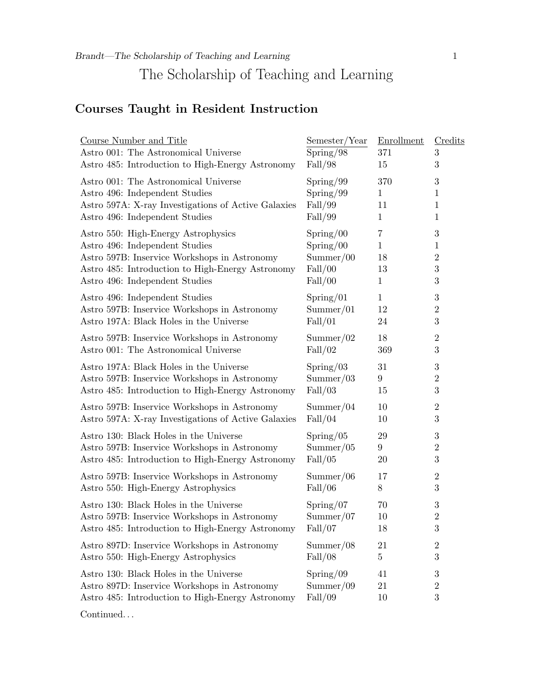The Scholarship of Teaching and Learning

# Courses Taught in Resident Instruction

| Course Number and Title                             | Semester/Year | Enrollment      | Credits          |
|-----------------------------------------------------|---------------|-----------------|------------------|
| Astro 001: The Astronomical Universe                | Spring/98     | 371             | 3                |
| Astro 485: Introduction to High-Energy Astronomy    | Fall/98       | 15              | 3                |
| Astro 001: The Astronomical Universe                | Spring/99     | 370             | 3                |
| Astro 496: Independent Studies                      | Spring/99     | $\mathbf{1}$    | 1                |
| Astro 597A: X-ray Investigations of Active Galaxies | Fall/99       | 11              | $\mathbf{1}$     |
| Astro 496: Independent Studies                      | Fall/99       | $\mathbf{1}$    | 1                |
| Astro 550: High-Energy Astrophysics                 | Spring/00     | 7               | 3                |
| Astro 496: Independent Studies                      | Spring/00     | $\mathbf{1}$    | 1                |
| Astro 597B: Inservice Workshops in Astronomy        | Summer/00     | 18              | $\boldsymbol{2}$ |
| Astro 485: Introduction to High-Energy Astronomy    | Fall/00       | 13              | $\boldsymbol{3}$ |
| Astro 496: Independent Studies                      | Fall/00       | $\mathbf 1$     | 3                |
| Astro 496: Independent Studies                      | Spring/01     | $\mathbf{1}$    | $\boldsymbol{3}$ |
| Astro 597B: Inservice Workshops in Astronomy        | Summer/01     | 12              | $\boldsymbol{2}$ |
| Astro 197A: Black Holes in the Universe             | Fall/01       | 24              | $\boldsymbol{3}$ |
| Astro 597B: Inservice Workshops in Astronomy        | Summer/02     | 18              | $\sqrt{2}$       |
| Astro 001: The Astronomical Universe                | Fall/02       | 369             | $\boldsymbol{3}$ |
| Astro 197A: Black Holes in the Universe             | Spring/03     | 31              | $\sqrt{3}$       |
| Astro 597B: Inservice Workshops in Astronomy        | Summer/03     | $9\phantom{.0}$ | $\sqrt{2}$       |
| Astro 485: Introduction to High-Energy Astronomy    | Fall/03       | 15              | 3                |
| Astro 597B: Inservice Workshops in Astronomy        | Summer/04     | 10              | $\sqrt{2}$       |
| Astro 597A: X-ray Investigations of Active Galaxies | Fall/04       | 10              | 3                |
| Astro 130: Black Holes in the Universe              | Spring/05     | 29              | $\sqrt{3}$       |
| Astro 597B: Inservice Workshops in Astronomy        | Summer/05     | 9               | $\sqrt{2}$       |
| Astro 485: Introduction to High-Energy Astronomy    | Fall/05       | 20              | $\boldsymbol{3}$ |
| Astro 597B: Inservice Workshops in Astronomy        | Summer/06     | 17              | $\mathbf{2}$     |
| Astro 550: High-Energy Astrophysics                 | Fall/06       | $8\,$           | $\boldsymbol{3}$ |
| Astro 130: Black Holes in the Universe              | Spring/07     | 70              | $\sqrt{3}$       |
| Astro 597B: Inservice Workshops in Astronomy        | Summer/07     | 10              | $\overline{2}$   |
| Astro 485: Introduction to High-Energy Astronomy    | Fall/07       | 18              | $\sqrt{3}$       |
| Astro 897D: Inservice Workshops in Astronomy        | Summer/08     | 21              | $\sqrt{2}$       |
| Astro 550: High-Energy Astrophysics                 | Fall/08       | $5\overline{)}$ | 3                |
| Astro 130: Black Holes in the Universe              | Spring/09     | 41              | $\boldsymbol{3}$ |
| Astro 897D: Inservice Workshops in Astronomy        | Summer/09     | 21              | $\overline{2}$   |
| Astro 485: Introduction to High-Energy Astronomy    | Fall/09       | 10              | 3                |
|                                                     |               |                 |                  |

Continued. . .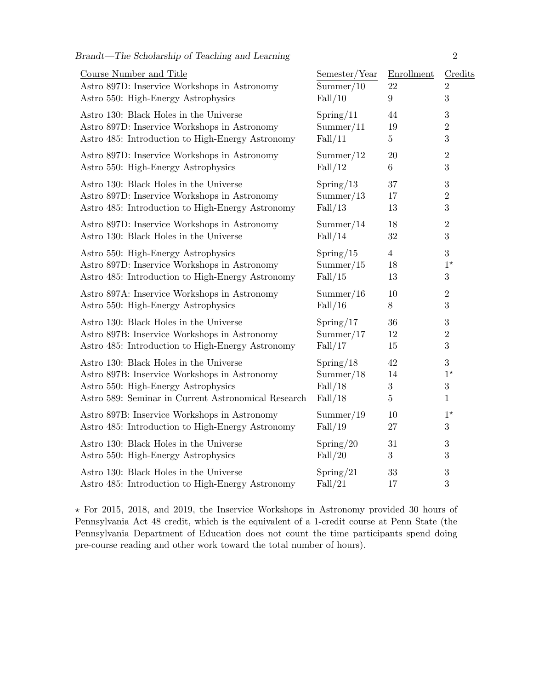Brandt—The Scholarship of Teaching and Learning 2

| Course Number and Title                             | Semester/Year | Enrollment      | Credits          |
|-----------------------------------------------------|---------------|-----------------|------------------|
| Astro 897D: Inservice Workshops in Astronomy        | Summer/10     | 22              | $\overline{2}$   |
| Astro 550: High-Energy Astrophysics                 | Fall/10       | $9\phantom{.0}$ | 3                |
| Astro 130: Black Holes in the Universe              | Spring/11     | 44              | $\sqrt{3}$       |
| Astro 897D: Inservice Workshops in Astronomy        | Summer/11     | 19              | $\sqrt{2}$       |
| Astro 485: Introduction to High-Energy Astronomy    | Fall/11       | $5\overline{)}$ | 3                |
| Astro 897D: Inservice Workshops in Astronomy        | Summer/12     | 20              | $\,2$            |
| Astro 550: High-Energy Astrophysics                 | Fall/12       | 6               | $\boldsymbol{3}$ |
| Astro 130: Black Holes in the Universe              | Spring/13     | 37              | $\sqrt{3}$       |
| Astro 897D: Inservice Workshops in Astronomy        | Summer/13     | 17              | $\overline{2}$   |
| Astro 485: Introduction to High-Energy Astronomy    | Fall/13       | 13              | 3                |
| Astro 897D: Inservice Workshops in Astronomy        | Summer/14     | 18              | $\sqrt{2}$       |
| Astro 130: Black Holes in the Universe              | Fall/14       | 32              | 3                |
| Astro 550: High-Energy Astrophysics                 | Spring/15     | $\overline{4}$  | $\sqrt{3}$       |
| Astro 897D: Inservice Workshops in Astronomy        | Summer/15     | 18              | $1^{\star}$      |
| Astro 485: Introduction to High-Energy Astronomy    | Fall/15       | 13              | 3                |
| Astro 897A: Inservice Workshops in Astronomy        | Summer/16     | 10              | $\sqrt{2}$       |
| Astro 550: High-Energy Astrophysics                 | Fall/16       | $8\,$           | 3                |
| Astro 130: Black Holes in the Universe              | Spring/17     | 36              | $\boldsymbol{3}$ |
| Astro 897B: Inservice Workshops in Astronomy        | Summer/17     | 12              | $\overline{2}$   |
| Astro 485: Introduction to High-Energy Astronomy    | Fall/17       | 15              | 3                |
| Astro 130: Black Holes in the Universe              | Spring/18     | 42              | $\boldsymbol{3}$ |
| Astro 897B: Inservice Workshops in Astronomy        | Summer/18     | 14              | $1^{\star}$      |
| Astro 550: High-Energy Astrophysics                 | Fall/18       | 3               | $\sqrt{3}$       |
| Astro 589: Seminar in Current Astronomical Research | Fall/18       | $\overline{5}$  | $\mathbf{1}$     |
| Astro 897B: Inservice Workshops in Astronomy        | Summer/19     | 10              | $1^{\star}$      |
| Astro 485: Introduction to High-Energy Astronomy    | Fall/19       | 27              | $\boldsymbol{3}$ |
| Astro 130: Black Holes in the Universe              | Spring/20     | 31              | $\sqrt{3}$       |
| Astro 550: High-Energy Astrophysics                 | Fall/20       | 3               | 3                |
| Astro 130: Black Holes in the Universe              | Spring/21     | 33              | $\sqrt{3}$       |
| Astro 485: Introduction to High-Energy Astronomy    | Fall/21       | 17              | 3                |

 $\star$  For 2015, 2018, and 2019, the Inservice Workshops in Astronomy provided 30 hours of Pennsylvania Act 48 credit, which is the equivalent of a 1-credit course at Penn State (the Pennsylvania Department of Education does not count the time participants spend doing pre-course reading and other work toward the total number of hours).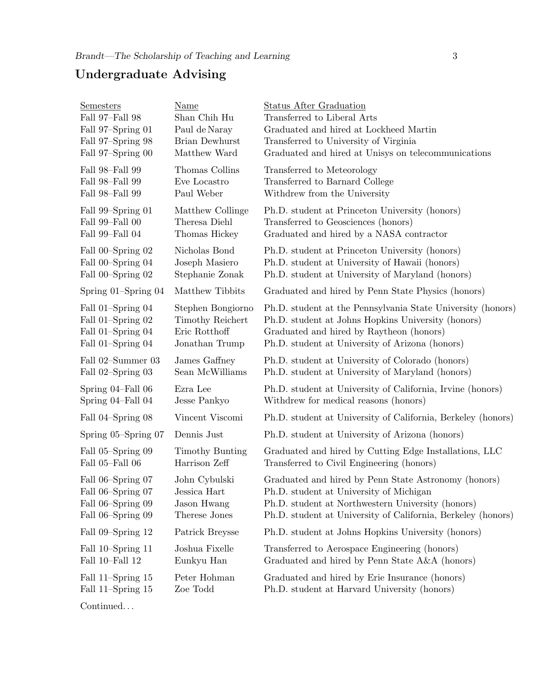# Undergraduate Advising

| Name                   | <b>Status After Graduation</b>                               |
|------------------------|--------------------------------------------------------------|
| Shan Chih Hu           | Transferred to Liberal Arts                                  |
| Paul de Naray          | Graduated and hired at Lockheed Martin                       |
| <b>Brian Dewhurst</b>  | Transferred to University of Virginia                        |
| Matthew Ward           | Graduated and hired at Unisys on telecommunications          |
| Thomas Collins         | Transferred to Meteorology                                   |
| Eve Locastro           | Transferred to Barnard College                               |
| Paul Weber             | Withdrew from the University                                 |
| Matthew Collinge       | Ph.D. student at Princeton University (honors)               |
| Theresa Diehl          | Transferred to Geosciences (honors)                          |
| Thomas Hickey          | Graduated and hired by a NASA contractor                     |
| Nicholas Bond          | Ph.D. student at Princeton University (honors)               |
| Joseph Masiero         | Ph.D. student at University of Hawaii (honors)               |
| Stephanie Zonak        | Ph.D. student at University of Maryland (honors)             |
| Matthew Tibbits        | Graduated and hired by Penn State Physics (honors)           |
| Stephen Bongiorno      | Ph.D. student at the Pennsylvania State University (honors)  |
| Timothy Reichert       | Ph.D. student at Johns Hopkins University (honors)           |
| Eric Rotthoff          | Graduated and hired by Raytheon (honors)                     |
| Jonathan Trump         | Ph.D. student at University of Arizona (honors)              |
| James Gaffney          | Ph.D. student at University of Colorado (honors)             |
| Sean McWilliams        | Ph.D. student at University of Maryland (honors)             |
| Ezra Lee               | Ph.D. student at University of California, Irvine (honors)   |
| Jesse Pankyo           | Withdrew for medical reasons (honors)                        |
| Vincent Viscomi        | Ph.D. student at University of California, Berkeley (honors) |
| Dennis Just            | Ph.D. student at University of Arizona (honors)              |
| <b>Timothy Bunting</b> | Graduated and hired by Cutting Edge Installations, LLC       |
| Harrison Zeff          | Transferred to Civil Engineering (honors)                    |
| John Cybulski          | Graduated and hired by Penn State Astronomy (honors)         |
| Jessica Hart           | Ph.D. student at University of Michigan                      |
| Jason Hwang            | Ph.D. student at Northwestern University (honors)            |
| Therese Jones          | Ph.D. student at University of California, Berkeley (honors) |
| Patrick Breysse        | Ph.D. student at Johns Hopkins University (honors)           |
| Joshua Fixelle         | Transferred to Aerospace Engineering (honors)                |
| Eunkyu Han             | Graduated and hired by Penn State A&A (honors)               |
| Peter Hohman           | Graduated and hired by Erie Insurance (honors)               |
| Zoe Todd               | Ph.D. student at Harvard University (honors)                 |
|                        |                                                              |

Continued. . .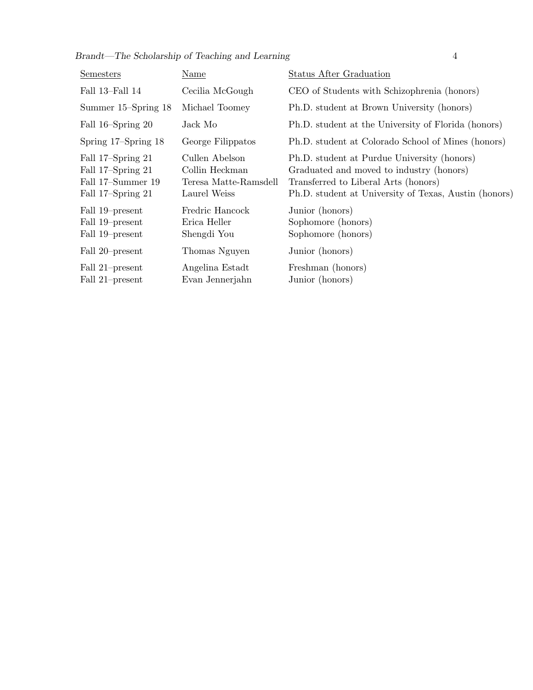Brandt—The Scholarship of Teaching and Learning 4

| Semesters                                                                        | Name                                                                      | <b>Status After Graduation</b>                                                                                                                                                           |
|----------------------------------------------------------------------------------|---------------------------------------------------------------------------|------------------------------------------------------------------------------------------------------------------------------------------------------------------------------------------|
| Fall 13-Fall 14                                                                  | Cecilia McGough                                                           | CEO of Students with Schizophrenia (honors)                                                                                                                                              |
| Summer 15–Spring 18                                                              | Michael Toomey                                                            | Ph.D. student at Brown University (honors)                                                                                                                                               |
| Fall 16-Spring 20                                                                | Jack Mo                                                                   | Ph.D. student at the University of Florida (honors)                                                                                                                                      |
| Spring 17-Spring 18                                                              | George Filippatos                                                         | Ph.D. student at Colorado School of Mines (honors)                                                                                                                                       |
| Fall 17-Spring 21<br>Fall 17-Spring 21<br>Fall 17-Summer 19<br>Fall 17-Spring 21 | Cullen Abelson<br>Collin Heckman<br>Teresa Matte-Ramsdell<br>Laurel Weiss | Ph.D. student at Purdue University (honors)<br>Graduated and moved to industry (honors)<br>Transferred to Liberal Arts (honors)<br>Ph.D. student at University of Texas, Austin (honors) |
| Fall 19-present<br>Fall 19-present<br>Fall 19-present                            | Fredric Hancock<br>Erica Heller<br>Shengdi You                            | Junior (honors)<br>Sophomore (honors)<br>Sophomore (honors)                                                                                                                              |
| Fall 20-present                                                                  | Thomas Nguyen                                                             | Junior (honors)                                                                                                                                                                          |
| Fall 21-present<br>Fall 21-present                                               | Angelina Estadt<br>Evan Jennerjahn                                        | Freshman (honors)<br>Junior (honors)                                                                                                                                                     |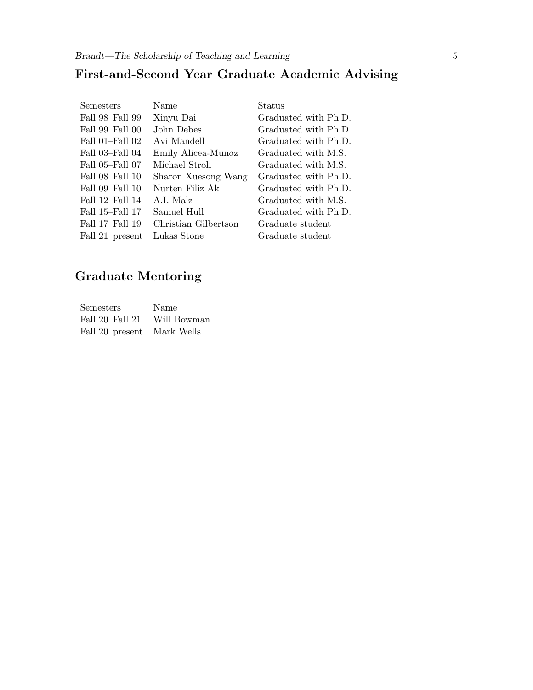# First-and-Second Year Graduate Academic Advising

with Ph.D. with Ph.D. with Ph.D. with  $M.S.$ with  $M.S.$ with  $Ph.D.$ with Ph.D. with M.S. with Ph.D.

| Semesters       | Name                 | Status            |
|-----------------|----------------------|-------------------|
| Fall 98-Fall 99 | Xinyu Dai            | Graduated with P  |
| Fall 99–Fall 00 | John Debes           | Graduated with P  |
| Fall 01-Fall 02 | Avi Mandell          | Graduated with P. |
| Fall 03-Fall 04 | Emily Alicea-Muñoz   | Graduated with M  |
| Fall 05-Fall 07 | Michael Stroh        | Graduated with M  |
| Fall 08-Fall 10 | Sharon Xuesong Wang  | Graduated with P. |
| Fall 09-Fall 10 | Nurten Filiz Ak      | Graduated with P  |
| Fall 12-Fall 14 | A.I. Malz            | Graduated with M  |
| Fall 15-Fall 17 | Samuel Hull          | Graduated with P  |
| Fall 17-Fall 19 | Christian Gilbertson | Graduate student  |
| Fall 21-present | Lukas Stone          | Graduate student  |

# Graduate Mentoring

Semesters Name Fall 20–Fall 21 Will Bowman Fall 20–present Mark Wells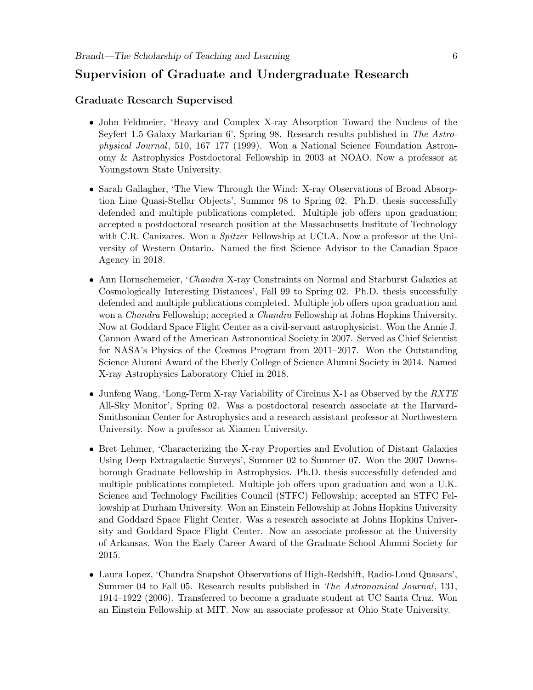## Supervision of Graduate and Undergraduate Research

#### Graduate Research Supervised

- John Feldmeier, 'Heavy and Complex X-ray Absorption Toward the Nucleus of the Seyfert 1.5 Galaxy Markarian 6', Spring 98. Research results published in The Astrophysical Journal, 510, 167–177 (1999). Won a National Science Foundation Astronomy & Astrophysics Postdoctoral Fellowship in 2003 at NOAO. Now a professor at Youngstown State University.
- Sarah Gallagher, 'The View Through the Wind: X-ray Observations of Broad Absorption Line Quasi-Stellar Objects', Summer 98 to Spring 02. Ph.D. thesis successfully defended and multiple publications completed. Multiple job offers upon graduation; accepted a postdoctoral research position at the Massachusetts Institute of Technology with C.R. Canizares. Won a *Spitzer* Fellowship at UCLA. Now a professor at the University of Western Ontario. Named the first Science Advisor to the Canadian Space Agency in 2018.
- Ann Hornschemeier, 'Chandra X-ray Constraints on Normal and Starburst Galaxies at Cosmologically Interesting Distances', Fall 99 to Spring 02. Ph.D. thesis successfully defended and multiple publications completed. Multiple job offers upon graduation and won a *Chandra* Fellowship; accepted a *Chandra* Fellowship at Johns Hopkins University. Now at Goddard Space Flight Center as a civil-servant astrophysicist. Won the Annie J. Cannon Award of the American Astronomical Society in 2007. Served as Chief Scientist for NASA's Physics of the Cosmos Program from 2011–2017. Won the Outstanding Science Alumni Award of the Eberly College of Science Alumni Society in 2014. Named X-ray Astrophysics Laboratory Chief in 2018.
- Junfeng Wang, 'Long-Term X-ray Variability of Circinus X-1 as Observed by the  $RXTE$ All-Sky Monitor', Spring 02. Was a postdoctoral research associate at the Harvard-Smithsonian Center for Astrophysics and a research assistant professor at Northwestern University. Now a professor at Xiamen University.
- Bret Lehmer, 'Characterizing the X-ray Properties and Evolution of Distant Galaxies Using Deep Extragalactic Surveys', Summer 02 to Summer 07. Won the 2007 Downsborough Graduate Fellowship in Astrophysics. Ph.D. thesis successfully defended and multiple publications completed. Multiple job offers upon graduation and won a U.K. Science and Technology Facilities Council (STFC) Fellowship; accepted an STFC Fellowship at Durham University. Won an Einstein Fellowship at Johns Hopkins University and Goddard Space Flight Center. Was a research associate at Johns Hopkins University and Goddard Space Flight Center. Now an associate professor at the University of Arkansas. Won the Early Career Award of the Graduate School Alumni Society for 2015.
- Laura Lopez, 'Chandra Snapshot Observations of High-Redshift, Radio-Loud Quasars', Summer 04 to Fall 05. Research results published in The Astronomical Journal, 131, 1914–1922 (2006). Transferred to become a graduate student at UC Santa Cruz. Won an Einstein Fellowship at MIT. Now an associate professor at Ohio State University.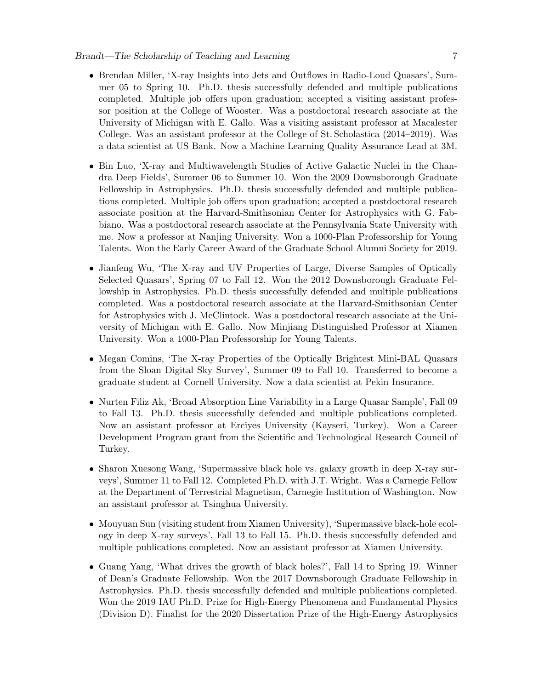#### Brandt—The Scholarship of Teaching and Learning 7

- Brendan Miller, 'X-ray Insights into Jets and Outflows in Radio-Loud Quasars', Summer 05 to Spring 10. Ph.D. thesis successfully defended and multiple publications completed. Multiple job offers upon graduation; accepted a visiting assistant professor position at the College of Wooster. Was a postdoctoral research associate at the University of Michigan with E. Gallo. Was a visiting assistant professor at Macalester College. Was an assistant professor at the College of St. Scholastica (2014–2019). Was a data scientist at US Bank. Now a Machine Learning Quality Assurance Lead at 3M.
- Bin Luo, 'X-ray and Multiwavelength Studies of Active Galactic Nuclei in the Chandra Deep Fields', Summer 06 to Summer 10. Won the 2009 Downsborough Graduate Fellowship in Astrophysics. Ph.D. thesis successfully defended and multiple publications completed. Multiple job offers upon graduation; accepted a postdoctoral research associate position at the Harvard-Smithsonian Center for Astrophysics with G. Fabbiano. Was a postdoctoral research associate at the Pennsylvania State University with me. Now a professor at Nanjing University. Won a 1000-Plan Professorship for Young Talents. Won the Early Career Award of the Graduate School Alumni Society for 2019.
- Jianfeng Wu, 'The X-ray and UV Properties of Large, Diverse Samples of Optically Selected Quasars', Spring 07 to Fall 12. Won the 2012 Downsborough Graduate Fellowship in Astrophysics. Ph.D. thesis successfully defended and multiple publications completed. Was a postdoctoral research associate at the Harvard-Smithsonian Center for Astrophysics with J. McClintock. Was a postdoctoral research associate at the University of Michigan with E. Gallo. Now Minjiang Distinguished Professor at Xiamen University. Won a 1000-Plan Professorship for Young Talents.
- Megan Comins, 'The X-ray Properties of the Optically Brightest Mini-BAL Quasars from the Sloan Digital Sky Survey', Summer 09 to Fall 10. Transferred to become a graduate student at Cornell University. Now a data scientist at Pekin Insurance.
- Nurten Filiz Ak, 'Broad Absorption Line Variability in a Large Quasar Sample', Fall 09 to Fall 13. Ph.D. thesis successfully defended and multiple publications completed. Now an assistant professor at Erciyes University (Kayseri, Turkey). Won a Career Development Program grant from the Scientific and Technological Research Council of Turkey.
- Sharon Xuesong Wang, 'Supermassive black hole vs. galaxy growth in deep X-ray surveys', Summer 11 to Fall 12. Completed Ph.D. with J.T. Wright. Was a Carnegie Fellow at the Department of Terrestrial Magnetism, Carnegie Institution of Washington. Now an assistant professor at Tsinghua University.
- Mouyuan Sun (visiting student from Xiamen University), 'Supermassive black-hole ecology in deep X-ray surveys', Fall 13 to Fall 15. Ph.D. thesis successfully defended and multiple publications completed. Now an assistant professor at Xiamen University.
- Guang Yang, 'What drives the growth of black holes?', Fall 14 to Spring 19. Winner of Dean's Graduate Fellowship. Won the 2017 Downsborough Graduate Fellowship in Astrophysics. Ph.D. thesis successfully defended and multiple publications completed. Won the 2019 IAU Ph.D. Prize for High-Energy Phenomena and Fundamental Physics (Division D). Finalist for the 2020 Dissertation Prize of the High-Energy Astrophysics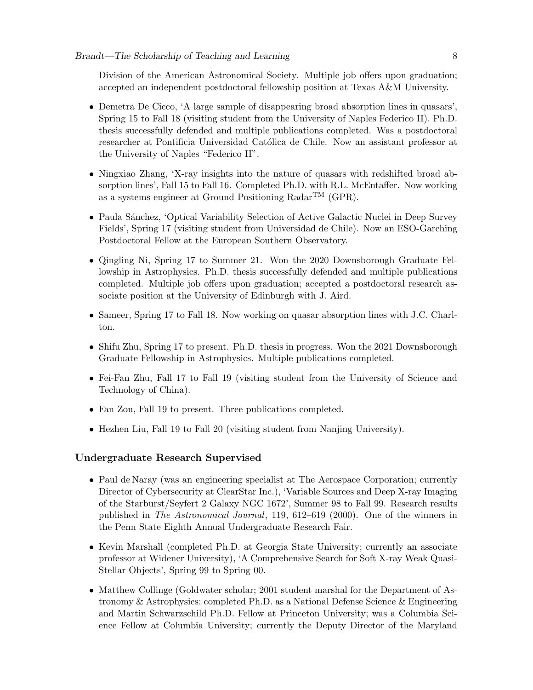Division of the American Astronomical Society. Multiple job offers upon graduation; accepted an independent postdoctoral fellowship position at Texas A&M University.

- Demetra De Cicco, 'A large sample of disappearing broad absorption lines in quasars', Spring 15 to Fall 18 (visiting student from the University of Naples Federico II). Ph.D. thesis successfully defended and multiple publications completed. Was a postdoctoral researcher at Pontificia Universidad Católica de Chile. Now an assistant professor at the University of Naples "Federico II".
- Ningxiao Zhang, 'X-ray insights into the nature of quasars with redshifted broad absorption lines', Fall 15 to Fall 16. Completed Ph.D. with R.L. McEntaffer. Now working as a systems engineer at Ground Positioning  $Radar^{TM}$  (GPR).
- Paula Sánchez, 'Optical Variability Selection of Active Galactic Nuclei in Deep Survey Fields', Spring 17 (visiting student from Universidad de Chile). Now an ESO-Garching Postdoctoral Fellow at the European Southern Observatory.
- Qingling Ni, Spring 17 to Summer 21. Won the 2020 Downsborough Graduate Fellowship in Astrophysics. Ph.D. thesis successfully defended and multiple publications completed. Multiple job offers upon graduation; accepted a postdoctoral research associate position at the University of Edinburgh with J. Aird.
- Sameer, Spring 17 to Fall 18. Now working on quasar absorption lines with J.C. Charlton.
- Shifu Zhu, Spring 17 to present. Ph.D. thesis in progress. Won the 2021 Downsborough Graduate Fellowship in Astrophysics. Multiple publications completed.
- Fei-Fan Zhu, Fall 17 to Fall 19 (visiting student from the University of Science and Technology of China).
- Fan Zou, Fall 19 to present. Three publications completed.
- Hezhen Liu, Fall 19 to Fall 20 (visiting student from Nanjing University).

### Undergraduate Research Supervised

- Paul de Naray (was an engineering specialist at The Aerospace Corporation; currently Director of Cybersecurity at ClearStar Inc.), 'Variable Sources and Deep X-ray Imaging of the Starburst/Seyfert 2 Galaxy NGC 1672', Summer 98 to Fall 99. Research results published in The Astronomical Journal, 119, 612–619 (2000). One of the winners in the Penn State Eighth Annual Undergraduate Research Fair.
- Kevin Marshall (completed Ph.D. at Georgia State University; currently an associate professor at Widener University), 'A Comprehensive Search for Soft X-ray Weak Quasi-Stellar Objects', Spring 99 to Spring 00.
- Matthew Collinge (Goldwater scholar; 2001 student marshal for the Department of Astronomy & Astrophysics; completed Ph.D. as a National Defense Science & Engineering and Martin Schwarzschild Ph.D. Fellow at Princeton University; was a Columbia Science Fellow at Columbia University; currently the Deputy Director of the Maryland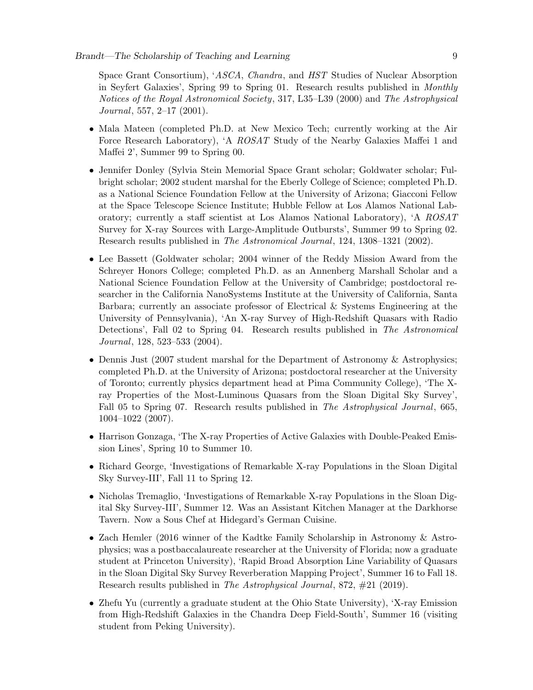Space Grant Consortium), 'ASCA, Chandra, and HST Studies of Nuclear Absorption in Seyfert Galaxies', Spring 99 to Spring 01. Research results published in Monthly Notices of the Royal Astronomical Society, 317, L35–L39 (2000) and The Astrophysical Journal, 557, 2–17 (2001).

- Mala Mateen (completed Ph.D. at New Mexico Tech; currently working at the Air Force Research Laboratory), 'A ROSAT Study of the Nearby Galaxies Maffei 1 and Maffei 2', Summer 99 to Spring 00.
- Jennifer Donley (Sylvia Stein Memorial Space Grant scholar; Goldwater scholar; Fulbright scholar; 2002 student marshal for the Eberly College of Science; completed Ph.D. as a National Science Foundation Fellow at the University of Arizona; Giacconi Fellow at the Space Telescope Science Institute; Hubble Fellow at Los Alamos National Laboratory; currently a staff scientist at Los Alamos National Laboratory), 'A ROSAT Survey for X-ray Sources with Large-Amplitude Outbursts', Summer 99 to Spring 02. Research results published in The Astronomical Journal, 124, 1308–1321 (2002).
- Lee Bassett (Goldwater scholar; 2004 winner of the Reddy Mission Award from the Schreyer Honors College; completed Ph.D. as an Annenberg Marshall Scholar and a National Science Foundation Fellow at the University of Cambridge; postdoctoral researcher in the California NanoSystems Institute at the University of California, Santa Barbara; currently an associate professor of Electrical & Systems Engineering at the University of Pennsylvania), 'An X-ray Survey of High-Redshift Quasars with Radio Detections', Fall 02 to Spring 04. Research results published in The Astronomical Journal, 128, 523–533 (2004).
- Dennis Just (2007 student marshal for the Department of Astronomy & Astrophysics; completed Ph.D. at the University of Arizona; postdoctoral researcher at the University of Toronto; currently physics department head at Pima Community College), 'The Xray Properties of the Most-Luminous Quasars from the Sloan Digital Sky Survey', Fall 05 to Spring 07. Research results published in The Astrophysical Journal, 665, 1004–1022 (2007).
- Harrison Gonzaga, 'The X-ray Properties of Active Galaxies with Double-Peaked Emission Lines', Spring 10 to Summer 10.
- Richard George, 'Investigations of Remarkable X-ray Populations in the Sloan Digital Sky Survey-III', Fall 11 to Spring 12.
- Nicholas Tremaglio, 'Investigations of Remarkable X-ray Populations in the Sloan Digital Sky Survey-III', Summer 12. Was an Assistant Kitchen Manager at the Darkhorse Tavern. Now a Sous Chef at Hidegard's German Cuisine.
- Zach Hemler (2016 winner of the Kadtke Family Scholarship in Astronomy & Astrophysics; was a postbaccalaureate researcher at the University of Florida; now a graduate student at Princeton University), 'Rapid Broad Absorption Line Variability of Quasars in the Sloan Digital Sky Survey Reverberation Mapping Project', Summer 16 to Fall 18. Research results published in The Astrophysical Journal, 872, #21 (2019).
- Zhefu Yu (currently a graduate student at the Ohio State University), 'X-ray Emission from High-Redshift Galaxies in the Chandra Deep Field-South', Summer 16 (visiting student from Peking University).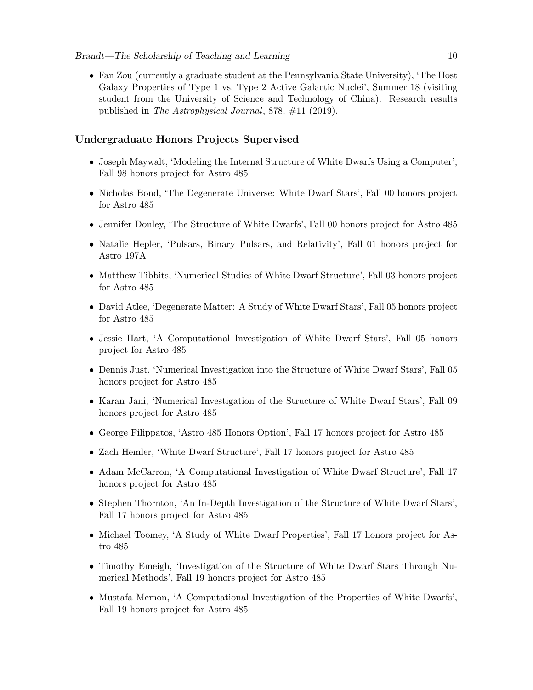• Fan Zou (currently a graduate student at the Pennsylvania State University), 'The Host Galaxy Properties of Type 1 vs. Type 2 Active Galactic Nuclei', Summer 18 (visiting student from the University of Science and Technology of China). Research results published in The Astrophysical Journal, 878, #11 (2019).

### Undergraduate Honors Projects Supervised

- Joseph Maywalt, 'Modeling the Internal Structure of White Dwarfs Using a Computer', Fall 98 honors project for Astro 485
- Nicholas Bond, 'The Degenerate Universe: White Dwarf Stars', Fall 00 honors project for Astro 485
- Jennifer Donley, 'The Structure of White Dwarfs', Fall 00 honors project for Astro 485
- Natalie Hepler, 'Pulsars, Binary Pulsars, and Relativity', Fall 01 honors project for Astro 197A
- Matthew Tibbits, 'Numerical Studies of White Dwarf Structure', Fall 03 honors project for Astro 485
- David Atlee, 'Degenerate Matter: A Study of White Dwarf Stars', Fall 05 honors project for Astro 485
- Jessie Hart, 'A Computational Investigation of White Dwarf Stars', Fall 05 honors project for Astro 485
- Dennis Just, 'Numerical Investigation into the Structure of White Dwarf Stars', Fall 05 honors project for Astro 485
- Karan Jani, 'Numerical Investigation of the Structure of White Dwarf Stars', Fall 09 honors project for Astro 485
- George Filippatos, 'Astro 485 Honors Option', Fall 17 honors project for Astro 485
- Zach Hemler, 'White Dwarf Structure', Fall 17 honors project for Astro 485
- Adam McCarron, 'A Computational Investigation of White Dwarf Structure', Fall 17 honors project for Astro 485
- Stephen Thornton, 'An In-Depth Investigation of the Structure of White Dwarf Stars', Fall 17 honors project for Astro 485
- Michael Toomey, 'A Study of White Dwarf Properties', Fall 17 honors project for Astro 485
- Timothy Emeigh, 'Investigation of the Structure of White Dwarf Stars Through Numerical Methods', Fall 19 honors project for Astro 485
- Mustafa Memon, 'A Computational Investigation of the Properties of White Dwarfs', Fall 19 honors project for Astro 485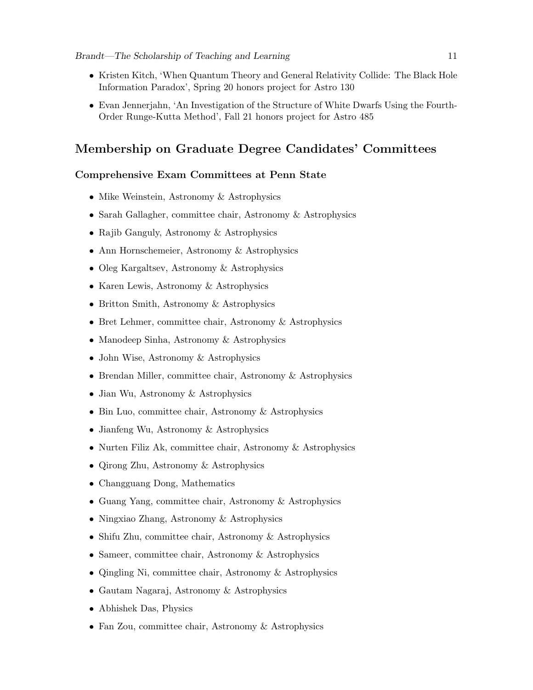- Kristen Kitch, 'When Quantum Theory and General Relativity Collide: The Black Hole Information Paradox', Spring 20 honors project for Astro 130
- Evan Jennerjahn, 'An Investigation of the Structure of White Dwarfs Using the Fourth-Order Runge-Kutta Method', Fall 21 honors project for Astro 485

## Membership on Graduate Degree Candidates' Committees

### Comprehensive Exam Committees at Penn State

- Mike Weinstein, Astronomy & Astrophysics
- Sarah Gallagher, committee chair, Astronomy & Astrophysics
- Rajib Ganguly, Astronomy & Astrophysics
- Ann Hornschemeier, Astronomy & Astrophysics
- Oleg Kargaltsev, Astronomy & Astrophysics
- Karen Lewis, Astronomy & Astrophysics
- Britton Smith, Astronomy & Astrophysics
- Bret Lehmer, committee chair, Astronomy & Astrophysics
- Manodeep Sinha, Astronomy & Astrophysics
- John Wise, Astronomy & Astrophysics
- Brendan Miller, committee chair, Astronomy & Astrophysics
- Jian Wu, Astronomy & Astrophysics
- Bin Luo, committee chair, Astronomy & Astrophysics
- Jianfeng Wu, Astronomy & Astrophysics
- Nurten Filiz Ak, committee chair, Astronomy & Astrophysics
- Qirong Zhu, Astronomy & Astrophysics
- Changguang Dong, Mathematics
- Guang Yang, committee chair, Astronomy & Astrophysics
- Ningxiao Zhang, Astronomy & Astrophysics
- Shifu Zhu, committee chair, Astronomy & Astrophysics
- Sameer, committee chair, Astronomy & Astrophysics
- Qingling Ni, committee chair, Astronomy & Astrophysics
- Gautam Nagaraj, Astronomy & Astrophysics
- Abhishek Das, Physics
- Fan Zou, committee chair, Astronomy & Astrophysics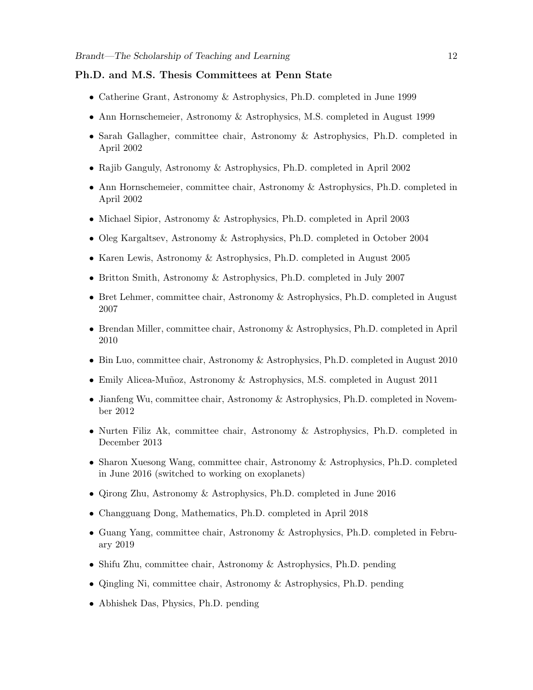#### Ph.D. and M.S. Thesis Committees at Penn State

- Catherine Grant, Astronomy & Astrophysics, Ph.D. completed in June 1999
- Ann Hornschemeier, Astronomy & Astrophysics, M.S. completed in August 1999
- Sarah Gallagher, committee chair, Astronomy & Astrophysics, Ph.D. completed in April 2002
- Rajib Ganguly, Astronomy & Astrophysics, Ph.D. completed in April 2002
- Ann Hornschemeier, committee chair, Astronomy & Astrophysics, Ph.D. completed in April 2002
- Michael Sipior, Astronomy & Astrophysics, Ph.D. completed in April 2003
- Oleg Kargaltsev, Astronomy & Astrophysics, Ph.D. completed in October 2004
- Karen Lewis, Astronomy & Astrophysics, Ph.D. completed in August 2005
- Britton Smith, Astronomy & Astrophysics, Ph.D. completed in July 2007
- Bret Lehmer, committee chair, Astronomy & Astrophysics, Ph.D. completed in August 2007
- Brendan Miller, committee chair, Astronomy & Astrophysics, Ph.D. completed in April 2010
- Bin Luo, committee chair, Astronomy & Astrophysics, Ph.D. completed in August 2010
- Emily Alicea-Muñoz, Astronomy & Astrophysics, M.S. completed in August 2011
- Jianfeng Wu, committee chair, Astronomy & Astrophysics, Ph.D. completed in November 2012
- Nurten Filiz Ak, committee chair, Astronomy & Astrophysics, Ph.D. completed in December 2013
- Sharon Xuesong Wang, committee chair, Astronomy & Astrophysics, Ph.D. completed in June 2016 (switched to working on exoplanets)
- Qirong Zhu, Astronomy & Astrophysics, Ph.D. completed in June 2016
- Changguang Dong, Mathematics, Ph.D. completed in April 2018
- Guang Yang, committee chair, Astronomy & Astrophysics, Ph.D. completed in February 2019
- Shifu Zhu, committee chair, Astronomy & Astrophysics, Ph.D. pending
- Qingling Ni, committee chair, Astronomy & Astrophysics, Ph.D. pending
- Abhishek Das, Physics, Ph.D. pending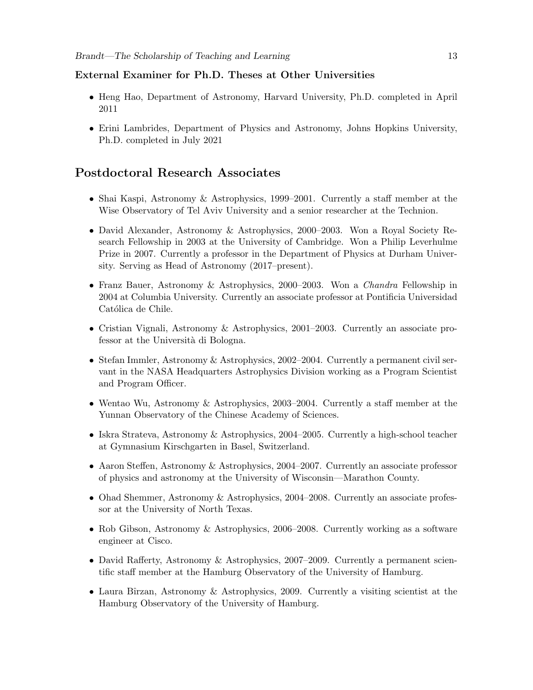### External Examiner for Ph.D. Theses at Other Universities

- Heng Hao, Department of Astronomy, Harvard University, Ph.D. completed in April 2011
- Erini Lambrides, Department of Physics and Astronomy, Johns Hopkins University, Ph.D. completed in July 2021

## Postdoctoral Research Associates

- Shai Kaspi, Astronomy & Astrophysics, 1999–2001. Currently a staff member at the Wise Observatory of Tel Aviv University and a senior researcher at the Technion.
- David Alexander, Astronomy & Astrophysics, 2000–2003. Won a Royal Society Research Fellowship in 2003 at the University of Cambridge. Won a Philip Leverhulme Prize in 2007. Currently a professor in the Department of Physics at Durham University. Serving as Head of Astronomy (2017–present).
- Franz Bauer, Astronomy & Astrophysics, 2000–2003. Won a *Chandra* Fellowship in 2004 at Columbia University. Currently an associate professor at Pontificia Universidad Católica de Chile.
- Cristian Vignali, Astronomy & Astrophysics, 2001–2003. Currently an associate professor at the Università di Bologna.
- Stefan Immler, Astronomy & Astrophysics, 2002–2004. Currently a permanent civil servant in the NASA Headquarters Astrophysics Division working as a Program Scientist and Program Officer.
- Wentao Wu, Astronomy & Astrophysics, 2003–2004. Currently a staff member at the Yunnan Observatory of the Chinese Academy of Sciences.
- Iskra Strateva, Astronomy & Astrophysics, 2004–2005. Currently a high-school teacher at Gymnasium Kirschgarten in Basel, Switzerland.
- Aaron Steffen, Astronomy & Astrophysics, 2004–2007. Currently an associate professor of physics and astronomy at the University of Wisconsin—Marathon County.
- Ohad Shemmer, Astronomy & Astrophysics, 2004–2008. Currently an associate professor at the University of North Texas.
- Rob Gibson, Astronomy & Astrophysics, 2006–2008. Currently working as a software engineer at Cisco.
- David Rafferty, Astronomy & Astrophysics, 2007–2009. Currently a permanent scientific staff member at the Hamburg Observatory of the University of Hamburg.
- Laura Bîrzan, Astronomy & Astrophysics, 2009. Currently a visiting scientist at the Hamburg Observatory of the University of Hamburg.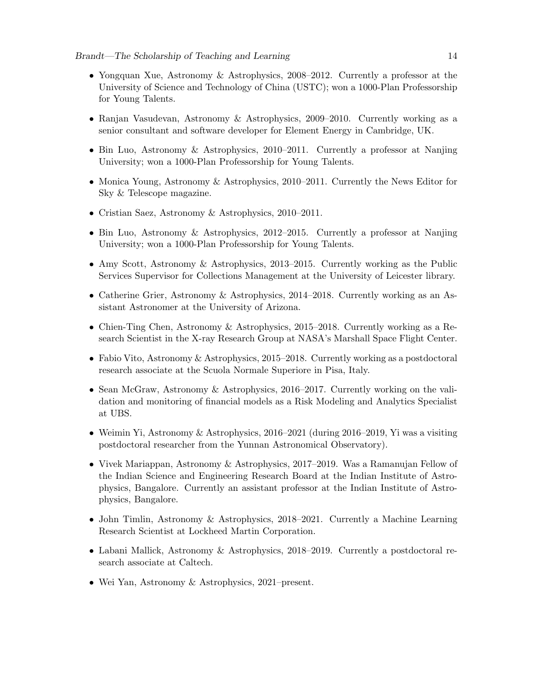- Yongquan Xue, Astronomy & Astrophysics, 2008–2012. Currently a professor at the University of Science and Technology of China (USTC); won a 1000-Plan Professorship for Young Talents.
- Ranjan Vasudevan, Astronomy & Astrophysics, 2009–2010. Currently working as a senior consultant and software developer for Element Energy in Cambridge, UK.
- Bin Luo, Astronomy & Astrophysics, 2010–2011. Currently a professor at Nanjing University; won a 1000-Plan Professorship for Young Talents.
- Monica Young, Astronomy & Astrophysics, 2010–2011. Currently the News Editor for Sky & Telescope magazine.
- Cristian Saez, Astronomy & Astrophysics, 2010–2011.
- Bin Luo, Astronomy & Astrophysics, 2012–2015. Currently a professor at Nanjing University; won a 1000-Plan Professorship for Young Talents.
- Amy Scott, Astronomy & Astrophysics, 2013–2015. Currently working as the Public Services Supervisor for Collections Management at the University of Leicester library.
- Catherine Grier, Astronomy & Astrophysics, 2014–2018. Currently working as an Assistant Astronomer at the University of Arizona.
- Chien-Ting Chen, Astronomy & Astrophysics, 2015–2018. Currently working as a Research Scientist in the X-ray Research Group at NASA's Marshall Space Flight Center.
- Fabio Vito, Astronomy & Astrophysics, 2015–2018. Currently working as a postdoctoral research associate at the Scuola Normale Superiore in Pisa, Italy.
- Sean McGraw, Astronomy & Astrophysics, 2016–2017. Currently working on the validation and monitoring of financial models as a Risk Modeling and Analytics Specialist at UBS.
- Weimin Yi, Astronomy & Astrophysics, 2016–2021 (during 2016–2019, Yi was a visiting postdoctoral researcher from the Yunnan Astronomical Observatory).
- Vivek Mariappan, Astronomy & Astrophysics, 2017–2019. Was a Ramanujan Fellow of the Indian Science and Engineering Research Board at the Indian Institute of Astrophysics, Bangalore. Currently an assistant professor at the Indian Institute of Astrophysics, Bangalore.
- John Timlin, Astronomy & Astrophysics, 2018–2021. Currently a Machine Learning Research Scientist at Lockheed Martin Corporation.
- Labani Mallick, Astronomy & Astrophysics, 2018–2019. Currently a postdoctoral research associate at Caltech.
- Wei Yan, Astronomy & Astrophysics, 2021–present.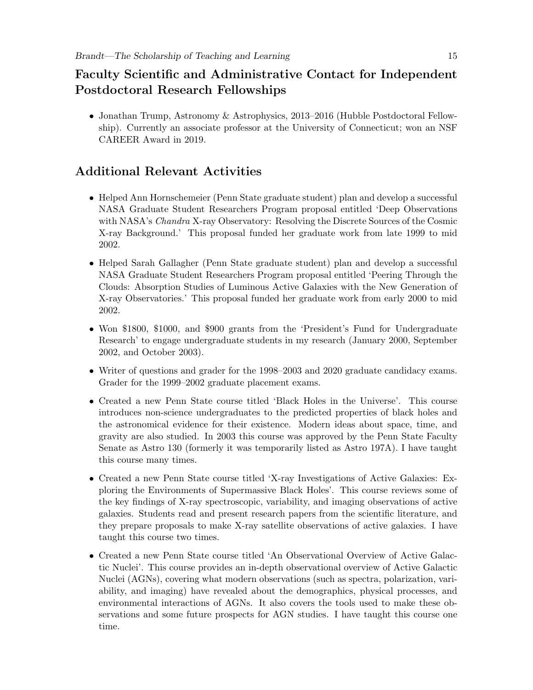# Faculty Scientific and Administrative Contact for Independent Postdoctoral Research Fellowships

• Jonathan Trump, Astronomy & Astrophysics, 2013–2016 (Hubble Postdoctoral Fellowship). Currently an associate professor at the University of Connecticut; won an NSF CAREER Award in 2019.

# Additional Relevant Activities

- Helped Ann Hornschemeier (Penn State graduate student) plan and develop a successful NASA Graduate Student Researchers Program proposal entitled 'Deep Observations with NASA's *Chandra* X-ray Observatory: Resolving the Discrete Sources of the Cosmic X-ray Background.' This proposal funded her graduate work from late 1999 to mid 2002.
- Helped Sarah Gallagher (Penn State graduate student) plan and develop a successful NASA Graduate Student Researchers Program proposal entitled 'Peering Through the Clouds: Absorption Studies of Luminous Active Galaxies with the New Generation of X-ray Observatories.' This proposal funded her graduate work from early 2000 to mid 2002.
- Won \$1800, \$1000, and \$900 grants from the 'President's Fund for Undergraduate Research' to engage undergraduate students in my research (January 2000, September 2002, and October 2003).
- Writer of questions and grader for the 1998–2003 and 2020 graduate candidacy exams. Grader for the 1999–2002 graduate placement exams.
- Created a new Penn State course titled 'Black Holes in the Universe'. This course introduces non-science undergraduates to the predicted properties of black holes and the astronomical evidence for their existence. Modern ideas about space, time, and gravity are also studied. In 2003 this course was approved by the Penn State Faculty Senate as Astro 130 (formerly it was temporarily listed as Astro 197A). I have taught this course many times.
- Created a new Penn State course titled 'X-ray Investigations of Active Galaxies: Exploring the Environments of Supermassive Black Holes'. This course reviews some of the key findings of X-ray spectroscopic, variability, and imaging observations of active galaxies. Students read and present research papers from the scientific literature, and they prepare proposals to make X-ray satellite observations of active galaxies. I have taught this course two times.
- Created a new Penn State course titled 'An Observational Overview of Active Galactic Nuclei'. This course provides an in-depth observational overview of Active Galactic Nuclei (AGNs), covering what modern observations (such as spectra, polarization, variability, and imaging) have revealed about the demographics, physical processes, and environmental interactions of AGNs. It also covers the tools used to make these observations and some future prospects for AGN studies. I have taught this course one time.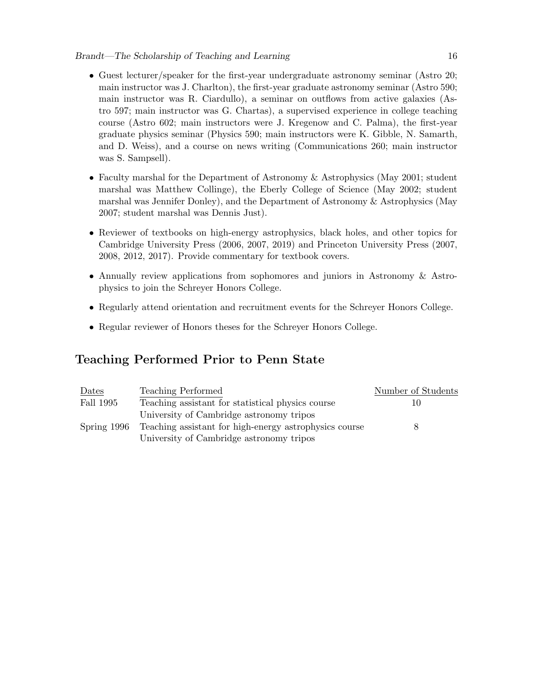- Guest lecturer/speaker for the first-year undergraduate astronomy seminar (Astro 20; main instructor was J. Charlton), the first-year graduate astronomy seminar (Astro 590; main instructor was R. Ciardullo), a seminar on outflows from active galaxies (Astro 597; main instructor was G. Chartas), a supervised experience in college teaching course (Astro 602; main instructors were J. Kregenow and C. Palma), the first-year graduate physics seminar (Physics 590; main instructors were K. Gibble, N. Samarth, and D. Weiss), and a course on news writing (Communications 260; main instructor was S. Sampsell).
- Faculty marshal for the Department of Astronomy & Astrophysics (May 2001; student marshal was Matthew Collinge), the Eberly College of Science (May 2002; student marshal was Jennifer Donley), and the Department of Astronomy & Astrophysics (May 2007; student marshal was Dennis Just).
- Reviewer of textbooks on high-energy astrophysics, black holes, and other topics for Cambridge University Press (2006, 2007, 2019) and Princeton University Press (2007, 2008, 2012, 2017). Provide commentary for textbook covers.
- Annually review applications from sophomores and juniors in Astronomy & Astrophysics to join the Schreyer Honors College.
- Regularly attend orientation and recruitment events for the Schreyer Honors College.
- Regular reviewer of Honors theses for the Schreyer Honors College.

# Teaching Performed Prior to Penn State

| Dates       | Teaching Performed                                     | Number of Students |
|-------------|--------------------------------------------------------|--------------------|
| Fall 1995   | Teaching assistant for statistical physics course      |                    |
|             | University of Cambridge astronomy tripos               |                    |
| Spring 1996 | Teaching assistant for high-energy astrophysics course |                    |
|             | University of Cambridge astronomy tripos               |                    |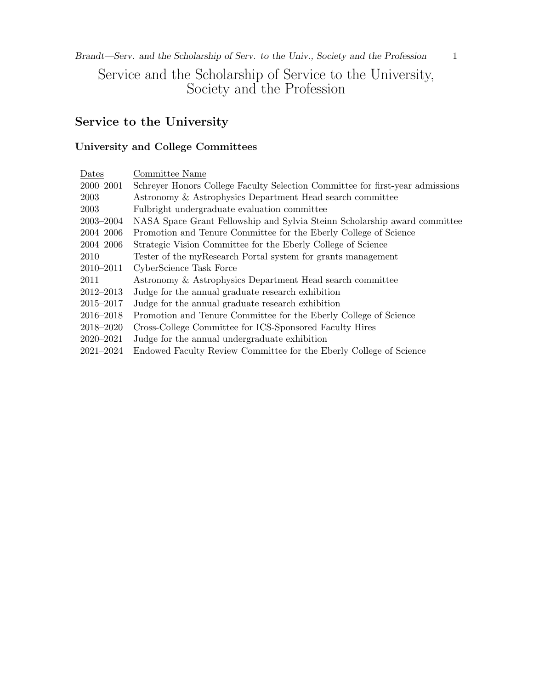Brandt—Serv. and the Scholarship of Serv. to the Univ., Society and the Profession 1

Service and the Scholarship of Service to the University, Society and the Profession

# Service to the University

## University and College Committees

| Dates         | Committee Name                                                                |
|---------------|-------------------------------------------------------------------------------|
| $2000 - 2001$ | Schreyer Honors College Faculty Selection Committee for first-year admissions |
| 2003          | Astronomy & Astrophysics Department Head search committee                     |
| 2003          | Fulbright undergraduate evaluation committee                                  |
| $2003 - 2004$ | NASA Space Grant Fellowship and Sylvia Steinn Scholarship award committee     |
| 2004–2006     | Promotion and Tenure Committee for the Eberly College of Science              |
| 2004-2006     | Strategic Vision Committee for the Eberly College of Science                  |
| 2010          | Tester of the myResearch Portal system for grants management                  |
| $2010 - 2011$ | CyberScience Task Force                                                       |
| 2011          | Astronomy & Astrophysics Department Head search committee                     |
| $2012 - 2013$ | Judge for the annual graduate research exhibition                             |
| 2015–2017     | Judge for the annual graduate research exhibition                             |
| 2016–2018     | Promotion and Tenure Committee for the Eberly College of Science              |
| 2018–2020     | Cross-College Committee for ICS-Sponsored Faculty Hires                       |
| 2020-2021     | Judge for the annual undergraduate exhibition                                 |
| 2021–2024     | Endowed Faculty Review Committee for the Eberly College of Science            |
|               |                                                                               |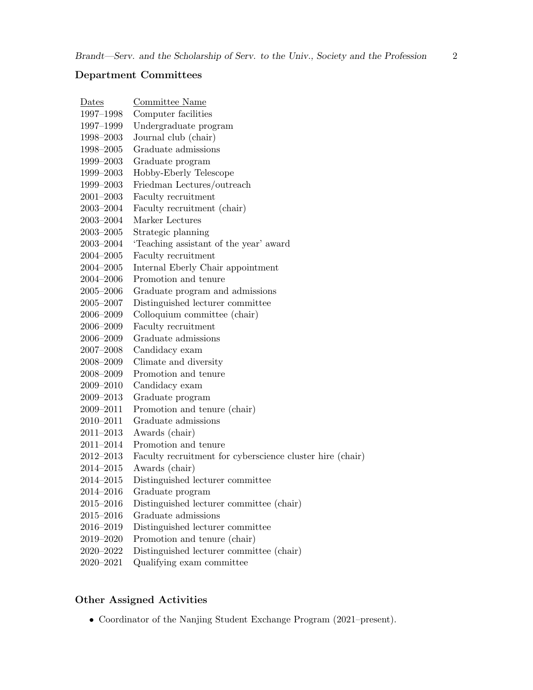## Department Committees

| Dates         | Committee Name                                            |
|---------------|-----------------------------------------------------------|
| $1997 - 1998$ | Computer facilities                                       |
| 1997-1999     | Undergraduate program                                     |
| 1998-2003     | Journal club (chair)                                      |
| 1998-2005     | Graduate admissions                                       |
| $1999 - 2003$ | Graduate program                                          |
| 1999-2003     | Hobby-Eberly Telescope                                    |
| 1999-2003     | Friedman Lectures/outreach                                |
| $2001 - 2003$ | Faculty recruitment                                       |
| 2003-2004     | Faculty recruitment (chair)                               |
| 2003-2004     | Marker Lectures                                           |
| $2003 - 2005$ | Strategic planning                                        |
| 2003-2004     | 'Teaching assistant of the year' award                    |
| $2004 - 2005$ | Faculty recruitment                                       |
| 2004–2005     | Internal Eberly Chair appointment                         |
| 2004-2006     | Promotion and tenure                                      |
| $2005 - 2006$ | Graduate program and admissions                           |
| 2005-2007     | Distinguished lecturer committee                          |
| 2006–2009     | Colloquium committee (chair)                              |
| 2006-2009     | Faculty recruitment                                       |
| 2006-2009     | Graduate admissions                                       |
| $2007 - 2008$ | Candidacy exam                                            |
| 2008–2009     | Climate and diversity                                     |
| 2008-2009     | Promotion and tenure                                      |
| 2009-2010     | Candidacy exam                                            |
| 2009-2013     | Graduate program                                          |
| 2009–2011     | Promotion and tenure (chair)                              |
| 2010-2011     | Graduate admissions                                       |
| $2011 - 2013$ | Awards (chair)                                            |
| 2011-2014     | Promotion and tenure                                      |
| $2012 - 2013$ | Faculty recruitment for cyberscience cluster hire (chair) |
| $2014 - 2015$ | Awards (chair)                                            |
| 2014-2015     | Distinguished lecturer committee                          |
| 2014-2016     | Graduate program                                          |
| $2015 - 2016$ | Distinguished lecturer committee (chair)                  |
| $2015 - 2016$ | Graduate admissions                                       |
| 2016-2019     | Distinguished lecturer committee                          |
| 2019-2020     | Promotion and tenure (chair)                              |
| 2020-2022     | Distinguished lecturer committee (chair)                  |
|               |                                                           |

2020–2021 Qualifying exam committee

## Other Assigned Activities

• Coordinator of the Nanjing Student Exchange Program (2021–present).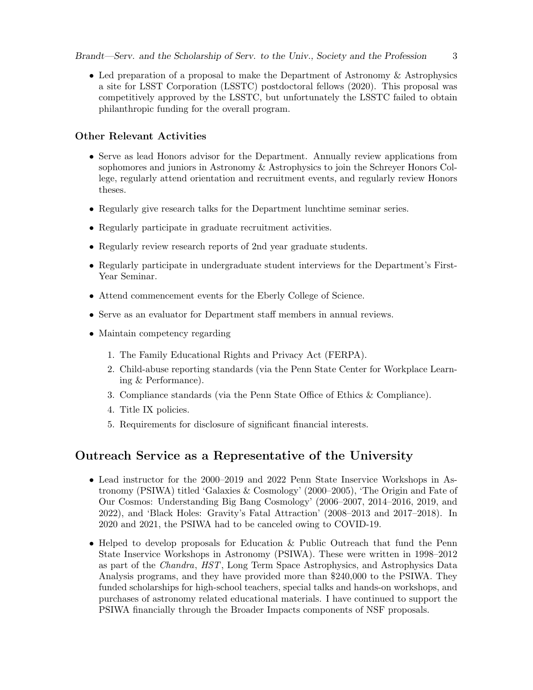• Led preparation of a proposal to make the Department of Astronomy & Astrophysics a site for LSST Corporation (LSSTC) postdoctoral fellows (2020). This proposal was competitively approved by the LSSTC, but unfortunately the LSSTC failed to obtain philanthropic funding for the overall program.

### Other Relevant Activities

- Serve as lead Honors advisor for the Department. Annually review applications from sophomores and juniors in Astronomy & Astrophysics to join the Schreyer Honors College, regularly attend orientation and recruitment events, and regularly review Honors theses.
- Regularly give research talks for the Department lunchtime seminar series.
- Regularly participate in graduate recruitment activities.
- Regularly review research reports of 2nd year graduate students.
- Regularly participate in undergraduate student interviews for the Department's First-Year Seminar.
- Attend commencement events for the Eberly College of Science.
- Serve as an evaluator for Department staff members in annual reviews.
- Maintain competency regarding
	- 1. The Family Educational Rights and Privacy Act (FERPA).
	- 2. Child-abuse reporting standards (via the Penn State Center for Workplace Learning & Performance).
	- 3. Compliance standards (via the Penn State Office of Ethics & Compliance).
	- 4. Title IX policies.
	- 5. Requirements for disclosure of significant financial interests.

### Outreach Service as a Representative of the University

- Lead instructor for the 2000–2019 and 2022 Penn State Inservice Workshops in Astronomy (PSIWA) titled 'Galaxies & Cosmology' (2000–2005), 'The Origin and Fate of Our Cosmos: Understanding Big Bang Cosmology' (2006–2007, 2014–2016, 2019, and 2022), and 'Black Holes: Gravity's Fatal Attraction' (2008–2013 and 2017–2018). In 2020 and 2021, the PSIWA had to be canceled owing to COVID-19.
- Helped to develop proposals for Education & Public Outreach that fund the Penn State Inservice Workshops in Astronomy (PSIWA). These were written in 1998–2012 as part of the Chandra, HST, Long Term Space Astrophysics, and Astrophysics Data Analysis programs, and they have provided more than \$240,000 to the PSIWA. They funded scholarships for high-school teachers, special talks and hands-on workshops, and purchases of astronomy related educational materials. I have continued to support the PSIWA financially through the Broader Impacts components of NSF proposals.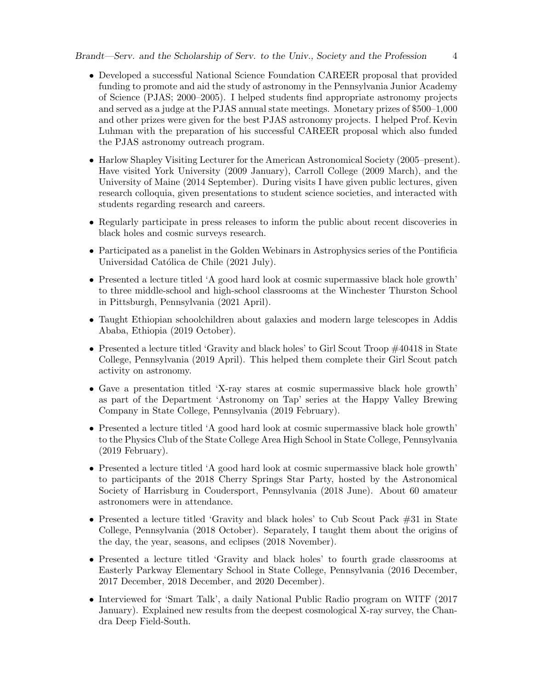- Developed a successful National Science Foundation CAREER proposal that provided funding to promote and aid the study of astronomy in the Pennsylvania Junior Academy of Science (PJAS; 2000–2005). I helped students find appropriate astronomy projects and served as a judge at the PJAS annual state meetings. Monetary prizes of \$500–1,000 and other prizes were given for the best PJAS astronomy projects. I helped Prof. Kevin Luhman with the preparation of his successful CAREER proposal which also funded the PJAS astronomy outreach program.
- Harlow Shapley Visiting Lecturer for the American Astronomical Society (2005–present). Have visited York University (2009 January), Carroll College (2009 March), and the University of Maine (2014 September). During visits I have given public lectures, given research colloquia, given presentations to student science societies, and interacted with students regarding research and careers.
- Regularly participate in press releases to inform the public about recent discoveries in black holes and cosmic surveys research.
- Participated as a panelist in the Golden Webinars in Astrophysics series of the Pontificia Universidad Católica de Chile (2021 July).
- Presented a lecture titled 'A good hard look at cosmic supermassive black hole growth' to three middle-school and high-school classrooms at the Winchester Thurston School in Pittsburgh, Pennsylvania (2021 April).
- Taught Ethiopian schoolchildren about galaxies and modern large telescopes in Addis Ababa, Ethiopia (2019 October).
- Presented a lecture titled 'Gravity and black holes' to Girl Scout Troop  $\#40418$  in State College, Pennsylvania (2019 April). This helped them complete their Girl Scout patch activity on astronomy.
- Gave a presentation titled 'X-ray stares at cosmic supermassive black hole growth' as part of the Department 'Astronomy on Tap' series at the Happy Valley Brewing Company in State College, Pennsylvania (2019 February).
- Presented a lecture titled 'A good hard look at cosmic supermassive black hole growth' to the Physics Club of the State College Area High School in State College, Pennsylvania (2019 February).
- Presented a lecture titled 'A good hard look at cosmic supermassive black hole growth' to participants of the 2018 Cherry Springs Star Party, hosted by the Astronomical Society of Harrisburg in Coudersport, Pennsylvania (2018 June). About 60 amateur astronomers were in attendance.
- Presented a lecture titled 'Gravity and black holes' to Cub Scout Pack #31 in State College, Pennsylvania (2018 October). Separately, I taught them about the origins of the day, the year, seasons, and eclipses (2018 November).
- Presented a lecture titled 'Gravity and black holes' to fourth grade classrooms at Easterly Parkway Elementary School in State College, Pennsylvania (2016 December, 2017 December, 2018 December, and 2020 December).
- Interviewed for 'Smart Talk', a daily National Public Radio program on WITF (2017 January). Explained new results from the deepest cosmological X-ray survey, the Chandra Deep Field-South.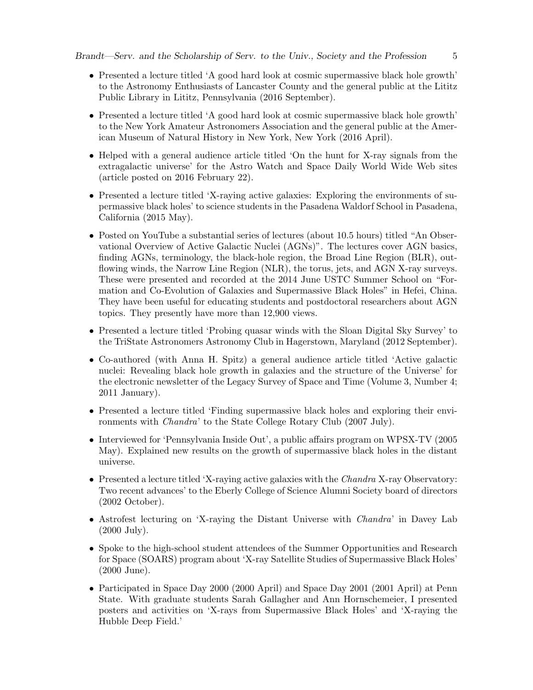- Presented a lecture titled 'A good hard look at cosmic supermassive black hole growth' to the Astronomy Enthusiasts of Lancaster County and the general public at the Lititz Public Library in Lititz, Pennsylvania (2016 September).
- Presented a lecture titled 'A good hard look at cosmic supermassive black hole growth' to the New York Amateur Astronomers Association and the general public at the American Museum of Natural History in New York, New York (2016 April).
- Helped with a general audience article titled 'On the hunt for X-ray signals from the extragalactic universe' for the Astro Watch and Space Daily World Wide Web sites (article posted on 2016 February 22).
- Presented a lecture titled 'X-raying active galaxies: Exploring the environments of supermassive black holes' to science students in the Pasadena Waldorf School in Pasadena, California (2015 May).
- Posted on YouTube a substantial series of lectures (about 10.5 hours) titled "An Observational Overview of Active Galactic Nuclei (AGNs)". The lectures cover AGN basics, finding AGNs, terminology, the black-hole region, the Broad Line Region (BLR), outflowing winds, the Narrow Line Region (NLR), the torus, jets, and AGN X-ray surveys. These were presented and recorded at the 2014 June USTC Summer School on "Formation and Co-Evolution of Galaxies and Supermassive Black Holes" in Hefei, China. They have been useful for educating students and postdoctoral researchers about AGN topics. They presently have more than 12,900 views.
- Presented a lecture titled 'Probing quasar winds with the Sloan Digital Sky Survey' to the TriState Astronomers Astronomy Club in Hagerstown, Maryland (2012 September).
- Co-authored (with Anna H. Spitz) a general audience article titled 'Active galactic nuclei: Revealing black hole growth in galaxies and the structure of the Universe' for the electronic newsletter of the Legacy Survey of Space and Time (Volume 3, Number 4; 2011 January).
- Presented a lecture titled 'Finding supermassive black holes and exploring their environments with Chandra' to the State College Rotary Club (2007 July).
- Interviewed for 'Pennsylvania Inside Out', a public affairs program on WPSX-TV (2005 May). Explained new results on the growth of supermassive black holes in the distant universe.
- Presented a lecture titled 'X-raying active galaxies with the *Chandra* X-ray Observatory: Two recent advances' to the Eberly College of Science Alumni Society board of directors (2002 October).
- Astrofest lecturing on 'X-raying the Distant Universe with *Chandra*' in Davey Lab (2000 July).
- Spoke to the high-school student attendees of the Summer Opportunities and Research for Space (SOARS) program about 'X-ray Satellite Studies of Supermassive Black Holes' (2000 June).
- Participated in Space Day 2000 (2000 April) and Space Day 2001 (2001 April) at Penn State. With graduate students Sarah Gallagher and Ann Hornschemeier, I presented posters and activities on 'X-rays from Supermassive Black Holes' and 'X-raying the Hubble Deep Field.'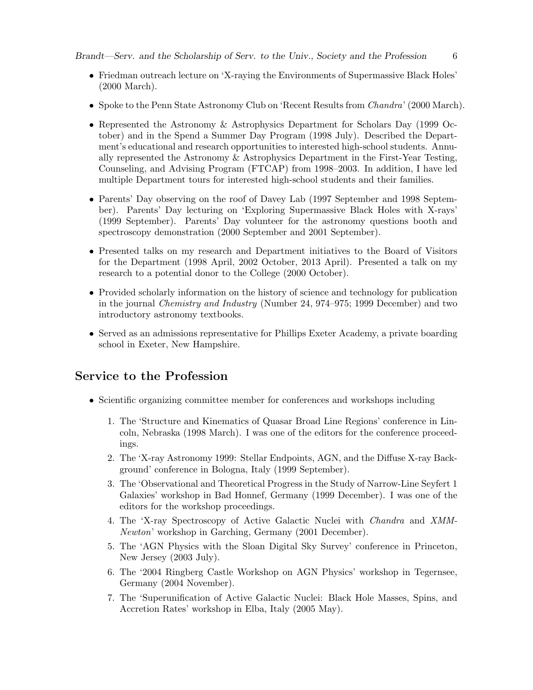- Friedman outreach lecture on 'X-raying the Environments of Supermassive Black Holes' (2000 March).
- Spoke to the Penn State Astronomy Club on 'Recent Results from Chandra' (2000 March).
- Represented the Astronomy & Astrophysics Department for Scholars Day (1999 October) and in the Spend a Summer Day Program (1998 July). Described the Department's educational and research opportunities to interested high-school students. Annually represented the Astronomy & Astrophysics Department in the First-Year Testing, Counseling, and Advising Program (FTCAP) from 1998–2003. In addition, I have led multiple Department tours for interested high-school students and their families.
- Parents' Day observing on the roof of Davey Lab (1997 September and 1998 September). Parents' Day lecturing on 'Exploring Supermassive Black Holes with X-rays' (1999 September). Parents' Day volunteer for the astronomy questions booth and spectroscopy demonstration (2000 September and 2001 September).
- Presented talks on my research and Department initiatives to the Board of Visitors for the Department (1998 April, 2002 October, 2013 April). Presented a talk on my research to a potential donor to the College (2000 October).
- Provided scholarly information on the history of science and technology for publication in the journal Chemistry and Industry (Number 24, 974–975; 1999 December) and two introductory astronomy textbooks.
- Served as an admissions representative for Phillips Exeter Academy, a private boarding school in Exeter, New Hampshire.

## Service to the Profession

- Scientific organizing committee member for conferences and workshops including
	- 1. The 'Structure and Kinematics of Quasar Broad Line Regions' conference in Lincoln, Nebraska (1998 March). I was one of the editors for the conference proceedings.
	- 2. The 'X-ray Astronomy 1999: Stellar Endpoints, AGN, and the Diffuse X-ray Background' conference in Bologna, Italy (1999 September).
	- 3. The 'Observational and Theoretical Progress in the Study of Narrow-Line Seyfert 1 Galaxies' workshop in Bad Honnef, Germany (1999 December). I was one of the editors for the workshop proceedings.
	- 4. The 'X-ray Spectroscopy of Active Galactic Nuclei with Chandra and XMM-Newton' workshop in Garching, Germany (2001 December).
	- 5. The 'AGN Physics with the Sloan Digital Sky Survey' conference in Princeton, New Jersey (2003 July).
	- 6. The '2004 Ringberg Castle Workshop on AGN Physics' workshop in Tegernsee, Germany (2004 November).
	- 7. The 'Superunification of Active Galactic Nuclei: Black Hole Masses, Spins, and Accretion Rates' workshop in Elba, Italy (2005 May).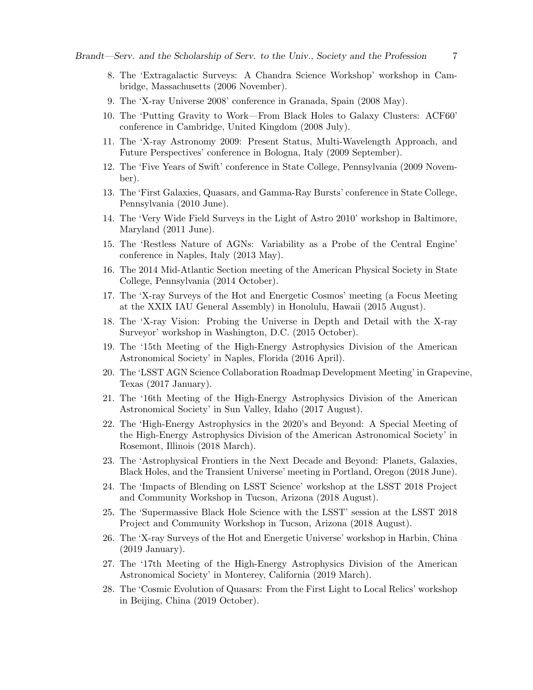- 8. The 'Extragalactic Surveys: A Chandra Science Workshop' workshop in Cambridge, Massachusetts (2006 November).
- 9. The 'X-ray Universe 2008' conference in Granada, Spain (2008 May).
- 10. The 'Putting Gravity to Work—From Black Holes to Galaxy Clusters: ACF60' conference in Cambridge, United Kingdom (2008 July).
- 11. The 'X-ray Astronomy 2009: Present Status, Multi-Wavelength Approach, and Future Perspectives' conference in Bologna, Italy (2009 September).
- 12. The 'Five Years of Swift' conference in State College, Pennsylvania (2009 November).
- 13. The 'First Galaxies, Quasars, and Gamma-Ray Bursts' conference in State College, Pennsylvania (2010 June).
- 14. The 'Very Wide Field Surveys in the Light of Astro 2010' workshop in Baltimore, Maryland (2011 June).
- 15. The 'Restless Nature of AGNs: Variability as a Probe of the Central Engine' conference in Naples, Italy (2013 May).
- 16. The 2014 Mid-Atlantic Section meeting of the American Physical Society in State College, Pennsylvania (2014 October).
- 17. The 'X-ray Surveys of the Hot and Energetic Cosmos' meeting (a Focus Meeting at the XXIX IAU General Assembly) in Honolulu, Hawaii (2015 August).
- 18. The 'X-ray Vision: Probing the Universe in Depth and Detail with the X-ray Surveyor' workshop in Washington, D.C. (2015 October).
- 19. The '15th Meeting of the High-Energy Astrophysics Division of the American Astronomical Society' in Naples, Florida (2016 April).
- 20. The 'LSST AGN Science Collaboration Roadmap Development Meeting' in Grapevine, Texas (2017 January).
- 21. The '16th Meeting of the High-Energy Astrophysics Division of the American Astronomical Society' in Sun Valley, Idaho (2017 August).
- 22. The 'High-Energy Astrophysics in the 2020's and Beyond: A Special Meeting of the High-Energy Astrophysics Division of the American Astronomical Society' in Rosemont, Illinois (2018 March).
- 23. The 'Astrophysical Frontiers in the Next Decade and Beyond: Planets, Galaxies, Black Holes, and the Transient Universe' meeting in Portland, Oregon (2018 June).
- 24. The 'Impacts of Blending on LSST Science' workshop at the LSST 2018 Project and Community Workshop in Tucson, Arizona (2018 August).
- 25. The 'Supermassive Black Hole Science with the LSST' session at the LSST 2018 Project and Community Workshop in Tucson, Arizona (2018 August).
- 26. The 'X-ray Surveys of the Hot and Energetic Universe' workshop in Harbin, China (2019 January).
- 27. The '17th Meeting of the High-Energy Astrophysics Division of the American Astronomical Society' in Monterey, California (2019 March).
- 28. The 'Cosmic Evolution of Quasars: From the First Light to Local Relics' workshop in Beijing, China (2019 October).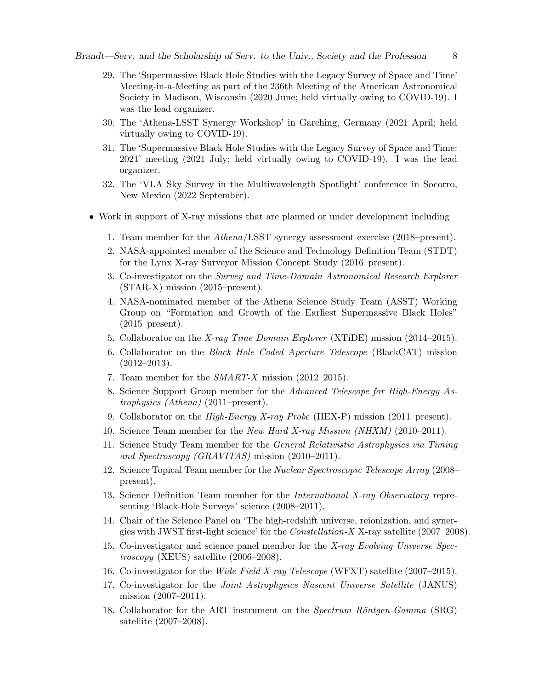- 29. The 'Supermassive Black Hole Studies with the Legacy Survey of Space and Time' Meeting-in-a-Meeting as part of the 236th Meeting of the American Astronomical Society in Madison, Wisconsin (2020 June; held virtually owing to COVID-19). I was the lead organizer.
- 30. The 'Athena-LSST Synergy Workshop' in Garching, Germany (2021 April; held virtually owing to COVID-19).
- 31. The 'Supermassive Black Hole Studies with the Legacy Survey of Space and Time: 2021' meeting (2021 July; held virtually owing to COVID-19). I was the lead organizer.
- 32. The 'VLA Sky Survey in the Multiwavelength Spotlight' conference in Socorro, New Mexico (2022 September).
- Work in support of X-ray missions that are planned or under development including
	- 1. Team member for the Athena/LSST synergy assessment exercise (2018–present).
	- 2. NASA-appointed member of the Science and Technology Definition Team (STDT) for the Lynx X-ray Surveyor Mission Concept Study (2016–present).
	- 3. Co-investigator on the Survey and Time-Domain Astronomical Research Explorer (STAR-X) mission (2015–present).
	- 4. NASA-nominated member of the Athena Science Study Team (ASST) Working Group on "Formation and Growth of the Earliest Supermassive Black Holes" (2015–present).
	- 5. Collaborator on the X-ray Time Domain Explorer (XTiDE) mission (2014–2015).
	- 6. Collaborator on the Black Hole Coded Aperture Telescope (BlackCAT) mission  $(2012-2013).$
	- 7. Team member for the SMART-X mission (2012–2015).
	- 8. Science Support Group member for the Advanced Telescope for High-Energy Astrophysics (Athena) (2011–present).
	- 9. Collaborator on the High-Energy X-ray Probe (HEX-P) mission (2011–present).
	- 10. Science Team member for the New Hard X-ray Mission (NHXM) (2010–2011).
	- 11. Science Study Team member for the *General Relativistic Astrophysics via Timing* and Spectroscopy (GRAVITAS) mission (2010–2011).
	- 12. Science Topical Team member for the Nuclear Spectroscopic Telescope Array (2008– present).
	- 13. Science Definition Team member for the *International X-ray Observatory* representing 'Black-Hole Surveys' science (2008–2011).
	- 14. Chair of the Science Panel on 'The high-redshift universe, reionization, and synergies with JWST first-light science' for the Constellation-X X-ray satellite (2007–2008).
	- 15. Co-investigator and science panel member for the X-ray Evolving Universe Spectroscopy (XEUS) satellite (2006–2008).
	- 16. Co-investigator for the *Wide-Field X-ray Telescope* (WFXT) satellite (2007–2015).
	- 17. Co-investigator for the Joint Astrophysics Nascent Universe Satellite (JANUS) mission (2007–2011).
	- 18. Collaborator for the ART instrument on the Spectrum Röntgen-Gamma (SRG) satellite (2007–2008).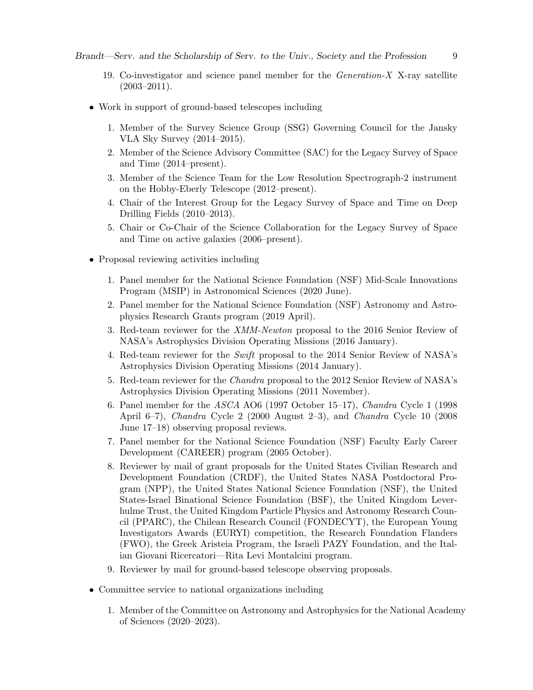- 19. Co-investigator and science panel member for the Generation-X X-ray satellite  $(2003 - 2011).$
- Work in support of ground-based telescopes including
	- 1. Member of the Survey Science Group (SSG) Governing Council for the Jansky VLA Sky Survey (2014–2015).
	- 2. Member of the Science Advisory Committee (SAC) for the Legacy Survey of Space and Time (2014–present).
	- 3. Member of the Science Team for the Low Resolution Spectrograph-2 instrument on the Hobby-Eberly Telescope (2012–present).
	- 4. Chair of the Interest Group for the Legacy Survey of Space and Time on Deep Drilling Fields (2010–2013).
	- 5. Chair or Co-Chair of the Science Collaboration for the Legacy Survey of Space and Time on active galaxies (2006–present).
- Proposal reviewing activities including
	- 1. Panel member for the National Science Foundation (NSF) Mid-Scale Innovations Program (MSIP) in Astronomical Sciences (2020 June).
	- 2. Panel member for the National Science Foundation (NSF) Astronomy and Astrophysics Research Grants program (2019 April).
	- 3. Red-team reviewer for the XMM-Newton proposal to the 2016 Senior Review of NASA's Astrophysics Division Operating Missions (2016 January).
	- 4. Red-team reviewer for the Swift proposal to the 2014 Senior Review of NASA's Astrophysics Division Operating Missions (2014 January).
	- 5. Red-team reviewer for the Chandra proposal to the 2012 Senior Review of NASA's Astrophysics Division Operating Missions (2011 November).
	- 6. Panel member for the ASCA AO6 (1997 October 15–17), Chandra Cycle 1 (1998 April 6–7), Chandra Cycle 2 (2000 August 2–3), and Chandra Cycle 10 (2008 June 17–18) observing proposal reviews.
	- 7. Panel member for the National Science Foundation (NSF) Faculty Early Career Development (CAREER) program (2005 October).
	- 8. Reviewer by mail of grant proposals for the United States Civilian Research and Development Foundation (CRDF), the United States NASA Postdoctoral Program (NPP), the United States National Science Foundation (NSF), the United States-Israel Binational Science Foundation (BSF), the United Kingdom Leverhulme Trust, the United Kingdom Particle Physics and Astronomy Research Council (PPARC), the Chilean Research Council (FONDECYT), the European Young Investigators Awards (EURYI) competition, the Research Foundation Flanders (FWO), the Greek Aristeia Program, the Israeli PAZY Foundation, and the Italian Giovani Ricercatori—Rita Levi Montalcini program.
	- 9. Reviewer by mail for ground-based telescope observing proposals.
- Committee service to national organizations including
	- 1. Member of the Committee on Astronomy and Astrophysics for the National Academy of Sciences (2020–2023).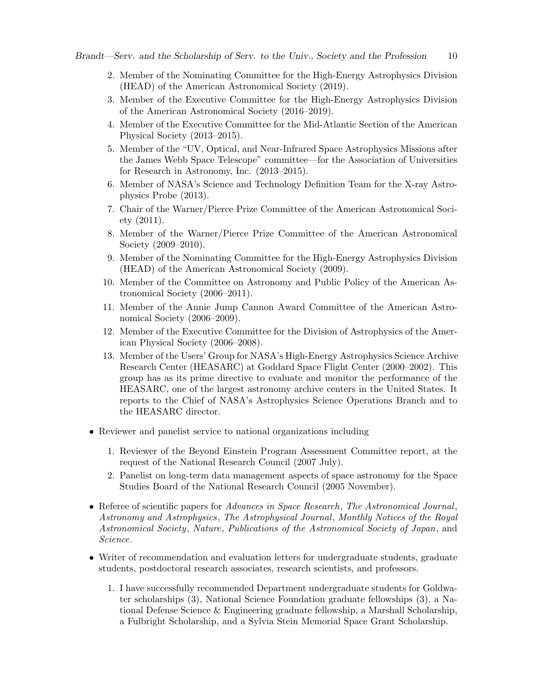- 2. Member of the Nominating Committee for the High-Energy Astrophysics Division (HEAD) of the American Astronomical Society (2019).
- 3. Member of the Executive Committee for the High-Energy Astrophysics Division of the American Astronomical Society (2016–2019).
- 4. Member of the Executive Committee for the Mid-Atlantic Section of the American Physical Society (2013–2015).
- 5. Member of the "UV, Optical, and Near-Infrared Space Astrophysics Missions after the James Webb Space Telescope" committee—for the Association of Universities for Research in Astronomy, Inc. (2013–2015).
- 6. Member of NASA's Science and Technology Definition Team for the X-ray Astrophysics Probe (2013).
- 7. Chair of the Warner/Pierce Prize Committee of the American Astronomical Society (2011).
- 8. Member of the Warner/Pierce Prize Committee of the American Astronomical Society (2009–2010).
- 9. Member of the Nominating Committee for the High-Energy Astrophysics Division (HEAD) of the American Astronomical Society (2009).
- 10. Member of the Committee on Astronomy and Public Policy of the American Astronomical Society (2006–2011).
- 11. Member of the Annie Jump Cannon Award Committee of the American Astronomical Society (2006–2009).
- 12. Member of the Executive Committee for the Division of Astrophysics of the American Physical Society (2006–2008).
- 13. Member of the Users' Group for NASA's High-Energy Astrophysics Science Archive Research Center (HEASARC) at Goddard Space Flight Center (2000–2002). This group has as its prime directive to evaluate and monitor the performance of the HEASARC, one of the largest astronomy archive centers in the United States. It reports to the Chief of NASA's Astrophysics Science Operations Branch and to the HEASARC director.
- Reviewer and panelist service to national organizations including
	- 1. Reviewer of the Beyond Einstein Program Assessment Committee report, at the request of the National Research Council (2007 July).
	- 2. Panelist on long-term data management aspects of space astronomy for the Space Studies Board of the National Research Council (2005 November).
- Referee of scientific papers for Advances in Space Research, The Astronomical Journal, Astronomy and Astrophysics, The Astrophysical Journal, Monthly Notices of the Royal Astronomical Society, Nature, Publications of the Astronomical Society of Japan, and Science.
- Writer of recommendation and evaluation letters for undergraduate students, graduate students, postdoctoral research associates, research scientists, and professors.
	- 1. I have successfully recommended Department undergraduate students for Goldwater scholarships (3), National Science Foundation graduate fellowships (3), a National Defense Science & Engineering graduate fellowship, a Marshall Scholarship, a Fulbright Scholarship, and a Sylvia Stein Memorial Space Grant Scholarship.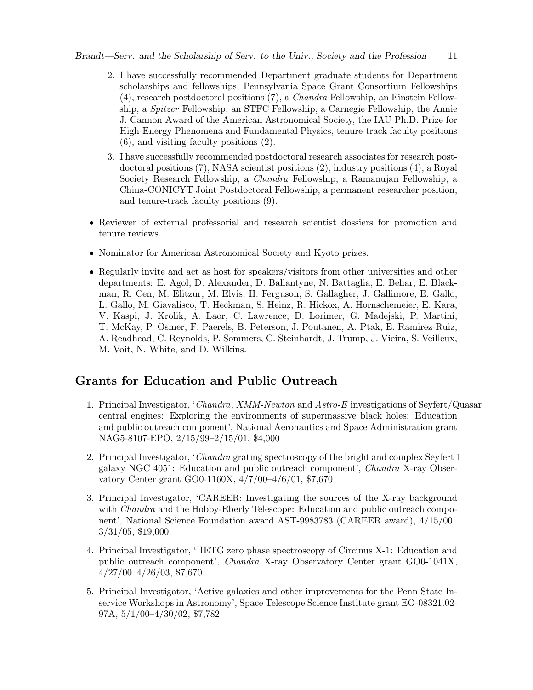- 2. I have successfully recommended Department graduate students for Department scholarships and fellowships, Pennsylvania Space Grant Consortium Fellowships (4), research postdoctoral positions (7), a Chandra Fellowship, an Einstein Fellowship, a Spitzer Fellowship, an STFC Fellowship, a Carnegie Fellowship, the Annie J. Cannon Award of the American Astronomical Society, the IAU Ph.D. Prize for High-Energy Phenomena and Fundamental Physics, tenure-track faculty positions (6), and visiting faculty positions (2).
- 3. I have successfully recommended postdoctoral research associates for research postdoctoral positions (7), NASA scientist positions (2), industry positions (4), a Royal Society Research Fellowship, a Chandra Fellowship, a Ramanujan Fellowship, a China-CONICYT Joint Postdoctoral Fellowship, a permanent researcher position, and tenure-track faculty positions (9).
- Reviewer of external professorial and research scientist dossiers for promotion and tenure reviews.
- Nominator for American Astronomical Society and Kyoto prizes.
- Regularly invite and act as host for speakers/visitors from other universities and other departments: E. Agol, D. Alexander, D. Ballantyne, N. Battaglia, E. Behar, E. Blackman, R. Cen, M. Elitzur, M. Elvis, H. Ferguson, S. Gallagher, J. Gallimore, E. Gallo, L. Gallo, M. Giavalisco, T. Heckman, S. Heinz, R. Hickox, A. Hornschemeier, E. Kara, V. Kaspi, J. Krolik, A. Laor, C. Lawrence, D. Lorimer, G. Madejski, P. Martini, T. McKay, P. Osmer, F. Paerels, B. Peterson, J. Poutanen, A. Ptak, E. Ramirez-Ruiz, A. Readhead, C. Reynolds, P. Sommers, C. Steinhardt, J. Trump, J. Vieira, S. Veilleux, M. Voit, N. White, and D. Wilkins.

# Grants for Education and Public Outreach

- 1. Principal Investigator, 'Chandra, XMM-Newton and Astro-E investigations of Seyfert/Quasar central engines: Exploring the environments of supermassive black holes: Education and public outreach component', National Aeronautics and Space Administration grant NAG5-8107-EPO, 2/15/99–2/15/01, \$4,000
- 2. Principal Investigator, 'Chandra grating spectroscopy of the bright and complex Seyfert 1 galaxy NGC 4051: Education and public outreach component', Chandra X-ray Observatory Center grant GO0-1160X, 4/7/00–4/6/01, \$7,670
- 3. Principal Investigator, 'CAREER: Investigating the sources of the X-ray background with *Chandra* and the Hobby-Eberly Telescope: Education and public outreach component', National Science Foundation award AST-9983783 (CAREER award), 4/15/00– 3/31/05, \$19,000
- 4. Principal Investigator, 'HETG zero phase spectroscopy of Circinus X-1: Education and public outreach component', Chandra X-ray Observatory Center grant GO0-1041X, 4/27/00–4/26/03, \$7,670
- 5. Principal Investigator, 'Active galaxies and other improvements for the Penn State Inservice Workshops in Astronomy', Space Telescope Science Institute grant EO-08321.02- 97A, 5/1/00–4/30/02, \$7,782